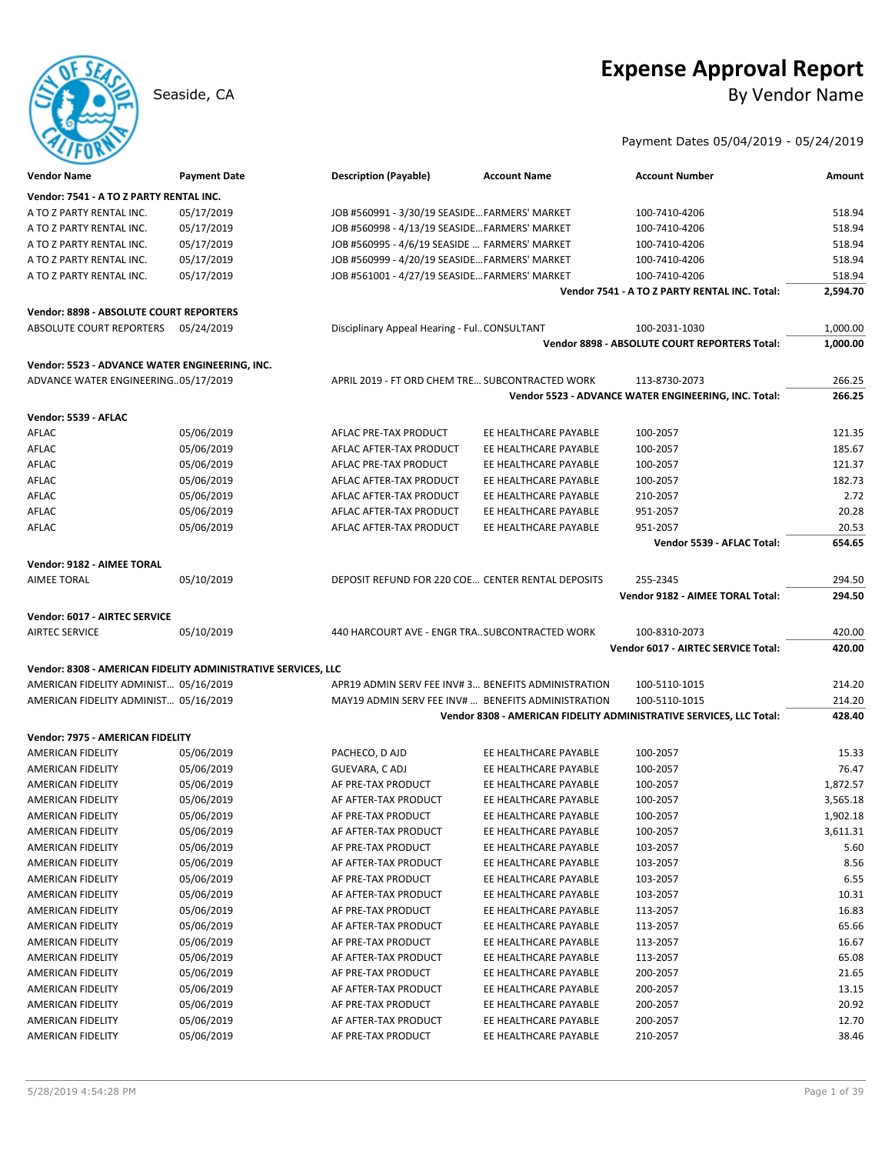## **Expense Approval Report** Seaside, CA By Vendor Name

### Payment Dates 05/04/2019 - 05/24/2019

| <b>Vendor Name</b>                                            | <b>Payment Date</b> | <b>Description (Payable)</b>                    | <b>Account Name</b>                                | <b>Account Number</b>                                               | Amount           |
|---------------------------------------------------------------|---------------------|-------------------------------------------------|----------------------------------------------------|---------------------------------------------------------------------|------------------|
| Vendor: 7541 - A TO Z PARTY RENTAL INC.                       |                     |                                                 |                                                    |                                                                     |                  |
| A TO Z PARTY RENTAL INC.                                      | 05/17/2019          | JOB #560991 - 3/30/19 SEASIDE FARMERS' MARKET   |                                                    | 100-7410-4206                                                       | 518.94           |
| A TO Z PARTY RENTAL INC.                                      | 05/17/2019          | JOB #560998 - 4/13/19 SEASIDE FARMERS' MARKET   |                                                    | 100-7410-4206                                                       | 518.94           |
| A TO Z PARTY RENTAL INC.                                      | 05/17/2019          | JOB #560995 - 4/6/19 SEASIDE  FARMERS' MARKET   |                                                    | 100-7410-4206                                                       | 518.94           |
| A TO Z PARTY RENTAL INC.                                      | 05/17/2019          | JOB #560999 - 4/20/19 SEASIDE FARMERS' MARKET   |                                                    | 100-7410-4206                                                       | 518.94           |
| A TO Z PARTY RENTAL INC.                                      | 05/17/2019          | JOB #561001 - 4/27/19 SEASIDE FARMERS' MARKET   |                                                    | 100-7410-4206                                                       | 518.94           |
|                                                               |                     |                                                 |                                                    | Vendor 7541 - A TO Z PARTY RENTAL INC. Total:                       | 2,594.70         |
| Vendor: 8898 - ABSOLUTE COURT REPORTERS                       |                     |                                                 |                                                    |                                                                     |                  |
| ABSOLUTE COURT REPORTERS                                      | 05/24/2019          | Disciplinary Appeal Hearing - Ful CONSULTANT    |                                                    | 100-2031-1030                                                       | 1,000.00         |
|                                                               |                     |                                                 |                                                    | <b>Vendor 8898 - ABSOLUTE COURT REPORTERS Total:</b>                | 1,000.00         |
| Vendor: 5523 - ADVANCE WATER ENGINEERING, INC.                |                     |                                                 |                                                    |                                                                     |                  |
| ADVANCE WATER ENGINEERING05/17/2019                           |                     | APRIL 2019 - FT ORD CHEM TRE SUBCONTRACTED WORK |                                                    | 113-8730-2073                                                       | 266.25           |
|                                                               |                     |                                                 |                                                    | Vendor 5523 - ADVANCE WATER ENGINEERING, INC. Total:                | 266.25           |
| Vendor: 5539 - AFLAC                                          |                     |                                                 |                                                    |                                                                     |                  |
| AFLAC                                                         | 05/06/2019          | AFLAC PRE-TAX PRODUCT                           | EE HEALTHCARE PAYABLE                              | 100-2057                                                            | 121.35           |
| AFLAC                                                         | 05/06/2019          | AFLAC AFTER-TAX PRODUCT                         | EE HEALTHCARE PAYABLE                              | 100-2057                                                            | 185.67           |
| AFLAC                                                         | 05/06/2019          | AFLAC PRE-TAX PRODUCT                           | EE HEALTHCARE PAYABLE                              | 100-2057                                                            | 121.37           |
| AFLAC                                                         | 05/06/2019          | AFLAC AFTER-TAX PRODUCT                         | EE HEALTHCARE PAYABLE                              | 100-2057                                                            | 182.73           |
| AFLAC                                                         | 05/06/2019          | AFLAC AFTER-TAX PRODUCT                         | EE HEALTHCARE PAYABLE                              | 210-2057                                                            | 2.72             |
| AFLAC                                                         | 05/06/2019          | AFLAC AFTER-TAX PRODUCT                         | EE HEALTHCARE PAYABLE                              | 951-2057                                                            | 20.28            |
| AFLAC                                                         |                     |                                                 |                                                    |                                                                     | 20.53            |
|                                                               | 05/06/2019          | AFLAC AFTER-TAX PRODUCT                         | EE HEALTHCARE PAYABLE                              | 951-2057<br>Vendor 5539 - AFLAC Total:                              | 654.65           |
|                                                               |                     |                                                 |                                                    |                                                                     |                  |
| Vendor: 9182 - AIMEE TORAL                                    |                     |                                                 |                                                    |                                                                     |                  |
| <b>AIMEE TORAL</b>                                            | 05/10/2019          |                                                 | DEPOSIT REFUND FOR 220 COE CENTER RENTAL DEPOSITS  | 255-2345                                                            | 294.50<br>294.50 |
|                                                               |                     |                                                 |                                                    | Vendor 9182 - AIMEE TORAL Total:                                    |                  |
| Vendor: 6017 - AIRTEC SERVICE                                 |                     |                                                 |                                                    |                                                                     |                  |
| <b>AIRTEC SERVICE</b>                                         | 05/10/2019          | 440 HARCOURT AVE - ENGR TRA SUBCONTRACTED WORK  |                                                    | 100-8310-2073                                                       | 420.00           |
|                                                               |                     |                                                 |                                                    | Vendor 6017 - AIRTEC SERVICE Total:                                 | 420.00           |
| Vendor: 8308 - AMERICAN FIDELITY ADMINISTRATIVE SERVICES, LLC |                     |                                                 |                                                    |                                                                     |                  |
| AMERICAN FIDELITY ADMINIST 05/16/2019                         |                     |                                                 | APR19 ADMIN SERV FEE INV#3 BENEFITS ADMINISTRATION | 100-5110-1015                                                       | 214.20           |
| AMERICAN FIDELITY ADMINIST 05/16/2019                         |                     |                                                 | MAY19 ADMIN SERV FEE INV#  BENEFITS ADMINISTRATION | 100-5110-1015                                                       | 214.20           |
|                                                               |                     |                                                 |                                                    | Vendor 8308 - AMERICAN FIDELITY ADMINISTRATIVE SERVICES, LLC Total: | 428.40           |
| Vendor: 7975 - AMERICAN FIDELITY                              |                     |                                                 |                                                    |                                                                     |                  |
| AMERICAN FIDELITY                                             | 05/06/2019          | PACHECO, D AJD                                  | EE HEALTHCARE PAYABLE                              | 100-2057                                                            | 15.33            |
| AMERICAN FIDELITY                                             | 05/06/2019          | GUEVARA, CADJ                                   | EE HEALTHCARE PAYABLE                              | 100-2057                                                            | 76.47            |
| AMERICAN FIDELITY                                             | 05/06/2019          | AF PRE-TAX PRODUCT                              | EE HEALTHCARE PAYABLE                              | 100-2057                                                            | 1,872.57         |
| <b>AMERICAN FIDELITY</b>                                      | 05/06/2019          | AF AFTER-TAX PRODUCT                            | EE HEALTHCARE PAYABLE                              | 100-2057                                                            | 3,565.18         |
| AMERICAN FIDELITY                                             | 05/06/2019          | AF PRE-TAX PRODUCT                              | EE HEALTHCARE PAYABLE                              | 100-2057                                                            | 1,902.18         |
| AMERICAN FIDELITY                                             | 05/06/2019          | AF AFTER-TAX PRODUCT                            | EE HEALTHCARE PAYABLE                              | 100-2057                                                            | 3,611.31         |
| AMERICAN FIDELITY                                             | 05/06/2019          | AF PRE-TAX PRODUCT                              | EE HEALTHCARE PAYABLE                              | 103-2057                                                            | 5.60             |
| AMERICAN FIDELITY                                             | 05/06/2019          | AF AFTER-TAX PRODUCT                            | EE HEALTHCARE PAYABLE                              | 103-2057                                                            | 8.56             |
| AMERICAN FIDELITY                                             | 05/06/2019          | AF PRE-TAX PRODUCT                              | EE HEALTHCARE PAYABLE                              | 103-2057                                                            | 6.55             |
| AMERICAN FIDELITY                                             | 05/06/2019          | AF AFTER-TAX PRODUCT                            | EE HEALTHCARE PAYABLE                              | 103-2057                                                            | 10.31            |
| AMERICAN FIDELITY                                             | 05/06/2019          | AF PRE-TAX PRODUCT                              | EE HEALTHCARE PAYABLE                              | 113-2057                                                            | 16.83            |
| AMERICAN FIDELITY                                             | 05/06/2019          | AF AFTER-TAX PRODUCT                            | EE HEALTHCARE PAYABLE                              | 113-2057                                                            | 65.66            |
| AMERICAN FIDELITY                                             | 05/06/2019          | AF PRE-TAX PRODUCT                              | EE HEALTHCARE PAYABLE                              | 113-2057                                                            | 16.67            |
| AMERICAN FIDELITY                                             | 05/06/2019          | AF AFTER-TAX PRODUCT                            | EE HEALTHCARE PAYABLE                              | 113-2057                                                            | 65.08            |
| AMERICAN FIDELITY                                             | 05/06/2019          | AF PRE-TAX PRODUCT                              | EE HEALTHCARE PAYABLE                              | 200-2057                                                            | 21.65            |
| AMERICAN FIDELITY                                             | 05/06/2019          | AF AFTER-TAX PRODUCT                            | EE HEALTHCARE PAYABLE                              | 200-2057                                                            | 13.15            |
| AMERICAN FIDELITY                                             | 05/06/2019          | AF PRE-TAX PRODUCT                              | EE HEALTHCARE PAYABLE                              | 200-2057                                                            | 20.92            |
| AMERICAN FIDELITY                                             | 05/06/2019          | AF AFTER-TAX PRODUCT                            | EE HEALTHCARE PAYABLE                              | 200-2057                                                            | 12.70            |
| AMERICAN FIDELITY                                             |                     | AF PRE-TAX PRODUCT                              | EE HEALTHCARE PAYABLE                              | 210-2057                                                            | 38.46            |
|                                                               | 05/06/2019          |                                                 |                                                    |                                                                     |                  |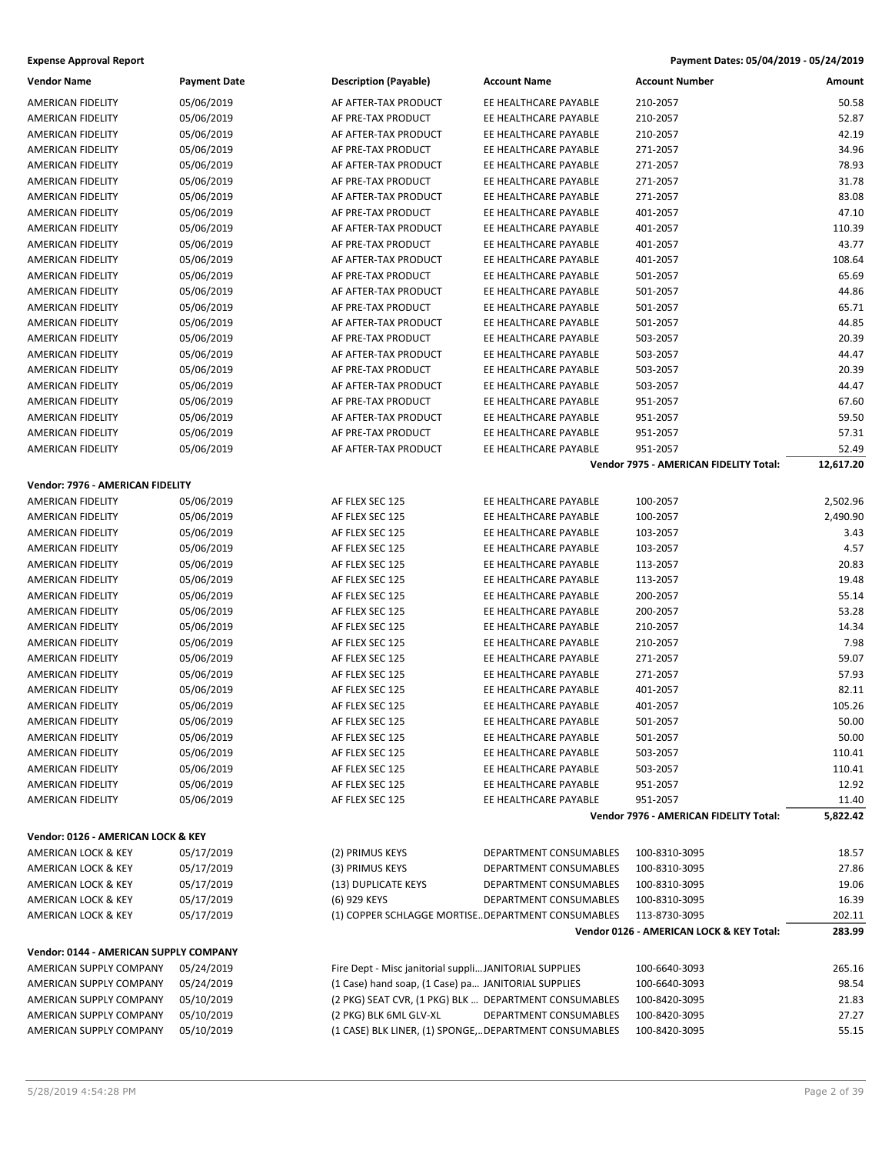| <b>Expense Approval Report</b> | Payment Dates: 05/04/2019 - 05/24/2019 |
|--------------------------------|----------------------------------------|
|--------------------------------|----------------------------------------|

| <b>Vendor Name</b>                     | <b>Payment Date</b> | <b>Description (Payable)</b>                           | <b>Account Name</b>                                   | <b>Account Number</b>                    | Amount    |  |
|----------------------------------------|---------------------|--------------------------------------------------------|-------------------------------------------------------|------------------------------------------|-----------|--|
| AMERICAN FIDELITY                      | 05/06/2019          | AF AFTER-TAX PRODUCT                                   | EE HEALTHCARE PAYABLE                                 | 210-2057                                 | 50.58     |  |
| AMERICAN FIDELITY                      | 05/06/2019          | AF PRE-TAX PRODUCT                                     | EE HEALTHCARE PAYABLE                                 | 210-2057                                 | 52.87     |  |
| AMERICAN FIDELITY                      | 05/06/2019          | AF AFTER-TAX PRODUCT                                   | EE HEALTHCARE PAYABLE                                 | 210-2057                                 | 42.19     |  |
| AMERICAN FIDELITY                      | 05/06/2019          | AF PRE-TAX PRODUCT                                     | EE HEALTHCARE PAYABLE                                 | 271-2057                                 | 34.96     |  |
| AMERICAN FIDELITY                      | 05/06/2019          | AF AFTER-TAX PRODUCT                                   | EE HEALTHCARE PAYABLE                                 | 271-2057                                 | 78.93     |  |
| AMERICAN FIDELITY                      | 05/06/2019          | AF PRE-TAX PRODUCT                                     | EE HEALTHCARE PAYABLE                                 | 271-2057                                 | 31.78     |  |
| AMERICAN FIDELITY                      | 05/06/2019          | AF AFTER-TAX PRODUCT                                   | EE HEALTHCARE PAYABLE                                 | 271-2057                                 | 83.08     |  |
| AMERICAN FIDELITY                      | 05/06/2019          | AF PRE-TAX PRODUCT                                     | EE HEALTHCARE PAYABLE                                 | 401-2057                                 | 47.10     |  |
| AMERICAN FIDELITY                      | 05/06/2019          | AF AFTER-TAX PRODUCT                                   | EE HEALTHCARE PAYABLE                                 | 401-2057                                 | 110.39    |  |
| AMERICAN FIDELITY                      | 05/06/2019          | AF PRE-TAX PRODUCT                                     | EE HEALTHCARE PAYABLE                                 | 401-2057                                 | 43.77     |  |
| AMERICAN FIDELITY                      | 05/06/2019          | AF AFTER-TAX PRODUCT                                   | EE HEALTHCARE PAYABLE                                 | 401-2057                                 | 108.64    |  |
| AMERICAN FIDELITY                      | 05/06/2019          | AF PRE-TAX PRODUCT                                     | EE HEALTHCARE PAYABLE                                 | 501-2057                                 | 65.69     |  |
| AMERICAN FIDELITY                      | 05/06/2019          | AF AFTER-TAX PRODUCT                                   | EE HEALTHCARE PAYABLE                                 | 501-2057                                 | 44.86     |  |
| AMERICAN FIDELITY                      | 05/06/2019          | AF PRE-TAX PRODUCT                                     | EE HEALTHCARE PAYABLE                                 | 501-2057                                 | 65.71     |  |
| AMERICAN FIDELITY                      | 05/06/2019          | AF AFTER-TAX PRODUCT                                   | EE HEALTHCARE PAYABLE                                 | 501-2057                                 | 44.85     |  |
| AMERICAN FIDELITY                      | 05/06/2019          | AF PRE-TAX PRODUCT                                     | EE HEALTHCARE PAYABLE                                 | 503-2057                                 | 20.39     |  |
| AMERICAN FIDELITY                      | 05/06/2019          | AF AFTER-TAX PRODUCT                                   | EE HEALTHCARE PAYABLE                                 | 503-2057                                 | 44.47     |  |
| AMERICAN FIDELITY                      | 05/06/2019          | AF PRE-TAX PRODUCT                                     | EE HEALTHCARE PAYABLE                                 | 503-2057                                 | 20.39     |  |
| AMERICAN FIDELITY                      | 05/06/2019          | AF AFTER-TAX PRODUCT                                   | EE HEALTHCARE PAYABLE                                 | 503-2057                                 | 44.47     |  |
| AMERICAN FIDELITY                      | 05/06/2019          | AF PRE-TAX PRODUCT                                     | EE HEALTHCARE PAYABLE                                 | 951-2057                                 | 67.60     |  |
| AMERICAN FIDELITY                      | 05/06/2019          | AF AFTER-TAX PRODUCT                                   | EE HEALTHCARE PAYABLE                                 | 951-2057                                 | 59.50     |  |
| <b>AMERICAN FIDELITY</b>               | 05/06/2019          | AF PRE-TAX PRODUCT                                     | EE HEALTHCARE PAYABLE                                 | 951-2057                                 | 57.31     |  |
| <b>AMERICAN FIDELITY</b>               | 05/06/2019          | AF AFTER-TAX PRODUCT                                   | EE HEALTHCARE PAYABLE                                 | 951-2057                                 | 52.49     |  |
|                                        |                     |                                                        |                                                       | Vendor 7975 - AMERICAN FIDELITY Total:   | 12,617.20 |  |
| Vendor: 7976 - AMERICAN FIDELITY       |                     |                                                        |                                                       |                                          |           |  |
| <b>AMERICAN FIDELITY</b>               | 05/06/2019          | AF FLEX SEC 125                                        | EE HEALTHCARE PAYABLE                                 | 100-2057                                 | 2,502.96  |  |
| AMERICAN FIDELITY                      | 05/06/2019          | AF FLEX SEC 125                                        | EE HEALTHCARE PAYABLE                                 | 100-2057                                 | 2,490.90  |  |
| AMERICAN FIDELITY                      | 05/06/2019          | AF FLEX SEC 125                                        | EE HEALTHCARE PAYABLE                                 | 103-2057                                 | 3.43      |  |
| AMERICAN FIDELITY                      | 05/06/2019          | AF FLEX SEC 125                                        | EE HEALTHCARE PAYABLE                                 | 103-2057                                 | 4.57      |  |
| AMERICAN FIDELITY                      | 05/06/2019          | AF FLEX SEC 125                                        | EE HEALTHCARE PAYABLE                                 | 113-2057                                 | 20.83     |  |
| AMERICAN FIDELITY                      | 05/06/2019          | AF FLEX SEC 125                                        | EE HEALTHCARE PAYABLE                                 | 113-2057                                 | 19.48     |  |
| AMERICAN FIDELITY                      | 05/06/2019          | AF FLEX SEC 125                                        | EE HEALTHCARE PAYABLE                                 | 200-2057                                 | 55.14     |  |
| AMERICAN FIDELITY                      | 05/06/2019          | AF FLEX SEC 125                                        | EE HEALTHCARE PAYABLE                                 | 200-2057                                 | 53.28     |  |
| AMERICAN FIDELITY                      | 05/06/2019          | AF FLEX SEC 125                                        | EE HEALTHCARE PAYABLE                                 | 210-2057                                 | 14.34     |  |
| AMERICAN FIDELITY                      | 05/06/2019          | AF FLEX SEC 125                                        | EE HEALTHCARE PAYABLE                                 | 210-2057                                 | 7.98      |  |
| AMERICAN FIDELITY                      | 05/06/2019          | AF FLEX SEC 125                                        | EE HEALTHCARE PAYABLE                                 | 271-2057                                 | 59.07     |  |
| AMERICAN FIDELITY                      | 05/06/2019          | AF FLEX SEC 125                                        | EE HEALTHCARE PAYABLE                                 | 271-2057                                 | 57.93     |  |
| AMERICAN FIDELITY                      | 05/06/2019          | AF FLEX SEC 125                                        | EE HEALTHCARE PAYABLE                                 | 401-2057                                 | 82.11     |  |
| AMERICAN FIDELITY                      | 05/06/2019          | AF FLEX SEC 125                                        | EE HEALTHCARE PAYABLE                                 | 401-2057                                 | 105.26    |  |
| AMERICAN FIDELITY                      | 05/06/2019          | AF FLEX SEC 125                                        | EE HEALTHCARE PAYABLE                                 | 501-2057                                 | 50.00     |  |
| AMERICAN FIDELITY                      | 05/06/2019          | AF FLEX SEC 125                                        | EE HEALTHCARE PAYABLE                                 | 501-2057                                 | 50.00     |  |
| AMERICAN FIDELITY                      | 05/06/2019          | AF FLEX SEC 125                                        | EE HEALTHCARE PAYABLE                                 | 503-2057                                 | 110.41    |  |
| AMERICAN FIDELITY                      | 05/06/2019          | AF FLEX SEC 125                                        | EE HEALTHCARE PAYABLE                                 | 503-2057                                 | 110.41    |  |
| AMERICAN FIDELITY                      | 05/06/2019          | AF FLEX SEC 125                                        | EE HEALTHCARE PAYABLE                                 | 951-2057                                 | 12.92     |  |
| AMERICAN FIDELITY                      | 05/06/2019          | AF FLEX SEC 125                                        | EE HEALTHCARE PAYABLE                                 | 951-2057                                 | 11.40     |  |
|                                        |                     |                                                        |                                                       | Vendor 7976 - AMERICAN FIDELITY Total:   | 5,822.42  |  |
| Vendor: 0126 - AMERICAN LOCK & KEY     |                     |                                                        |                                                       |                                          |           |  |
| AMERICAN LOCK & KEY                    | 05/17/2019          | (2) PRIMUS KEYS                                        | DEPARTMENT CONSUMABLES                                | 100-8310-3095                            | 18.57     |  |
| AMERICAN LOCK & KEY                    | 05/17/2019          | (3) PRIMUS KEYS                                        | DEPARTMENT CONSUMABLES                                | 100-8310-3095                            | 27.86     |  |
| AMERICAN LOCK & KEY                    | 05/17/2019          | (13) DUPLICATE KEYS                                    | DEPARTMENT CONSUMABLES                                | 100-8310-3095                            | 19.06     |  |
| AMERICAN LOCK & KEY                    | 05/17/2019          | (6) 929 KEYS                                           | DEPARTMENT CONSUMABLES                                | 100-8310-3095                            | 16.39     |  |
| AMERICAN LOCK & KEY                    | 05/17/2019          |                                                        | (1) COPPER SCHLAGGE MORTISEDEPARTMENT CONSUMABLES     | 113-8730-3095                            | 202.11    |  |
|                                        |                     |                                                        |                                                       | Vendor 0126 - AMERICAN LOCK & KEY Total: | 283.99    |  |
| Vendor: 0144 - AMERICAN SUPPLY COMPANY |                     |                                                        |                                                       |                                          |           |  |
| AMERICAN SUPPLY COMPANY                | 05/24/2019          | Fire Dept - Misc janitorial suppli JANITORIAL SUPPLIES |                                                       | 100-6640-3093                            | 265.16    |  |
| AMERICAN SUPPLY COMPANY                | 05/24/2019          | (1 Case) hand soap, (1 Case) pa JANITORIAL SUPPLIES    |                                                       | 100-6640-3093                            | 98.54     |  |
| AMERICAN SUPPLY COMPANY                | 05/10/2019          | (2 PKG) SEAT CVR, (1 PKG) BLK  DEPARTMENT CONSUMABLES  |                                                       | 100-8420-3095                            | 21.83     |  |
| AMERICAN SUPPLY COMPANY                | 05/10/2019          | (2 PKG) BLK 6ML GLV-XL                                 | DEPARTMENT CONSUMABLES                                | 100-8420-3095                            | 27.27     |  |
| AMERICAN SUPPLY COMPANY                | 05/10/2019          |                                                        | (1 CASE) BLK LINER, (1) SPONGE,DEPARTMENT CONSUMABLES | 100-8420-3095                            | 55.15     |  |
|                                        |                     |                                                        |                                                       |                                          |           |  |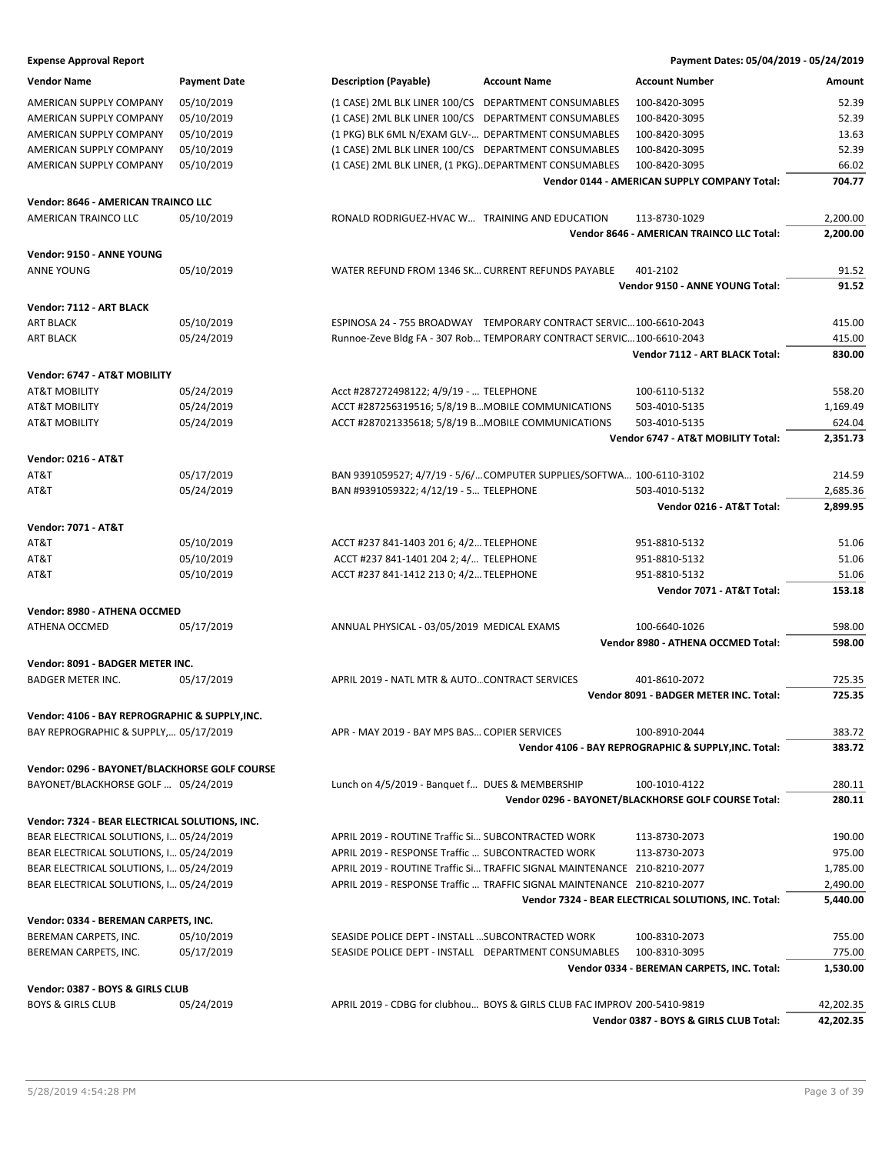| <b>Expense Approval Report</b>                 |                     |                                                       |                                                                          | Payment Dates: 05/04/2019 - 05/24/2019                     |           |
|------------------------------------------------|---------------------|-------------------------------------------------------|--------------------------------------------------------------------------|------------------------------------------------------------|-----------|
| <b>Vendor Name</b>                             | <b>Payment Date</b> | <b>Description (Payable)</b>                          | <b>Account Name</b>                                                      | <b>Account Number</b>                                      | Amount    |
| AMERICAN SUPPLY COMPANY                        | 05/10/2019          | (1 CASE) 2ML BLK LINER 100/CS DEPARTMENT CONSUMABLES  |                                                                          | 100-8420-3095                                              | 52.39     |
| AMERICAN SUPPLY COMPANY                        | 05/10/2019          | (1 CASE) 2ML BLK LINER 100/CS DEPARTMENT CONSUMABLES  |                                                                          | 100-8420-3095                                              | 52.39     |
| AMERICAN SUPPLY COMPANY                        | 05/10/2019          | (1 PKG) BLK 6ML N/EXAM GLV- DEPARTMENT CONSUMABLES    |                                                                          | 100-8420-3095                                              | 13.63     |
| AMERICAN SUPPLY COMPANY                        | 05/10/2019          | (1 CASE) 2ML BLK LINER 100/CS DEPARTMENT CONSUMABLES  |                                                                          | 100-8420-3095                                              | 52.39     |
| AMERICAN SUPPLY COMPANY                        | 05/10/2019          | (1 CASE) 2ML BLK LINER, (1 PKG)DEPARTMENT CONSUMABLES |                                                                          | 100-8420-3095                                              | 66.02     |
|                                                |                     |                                                       |                                                                          | Vendor 0144 - AMERICAN SUPPLY COMPANY Total:               | 704.77    |
| Vendor: 8646 - AMERICAN TRAINCO LLC            |                     |                                                       |                                                                          |                                                            |           |
|                                                |                     |                                                       |                                                                          |                                                            |           |
| AMERICAN TRAINCO LLC                           | 05/10/2019          | RONALD RODRIGUEZ-HVAC W TRAINING AND EDUCATION        |                                                                          | 113-8730-1029<br>Vendor 8646 - AMERICAN TRAINCO LLC Total: | 2,200.00  |
|                                                |                     |                                                       |                                                                          |                                                            | 2,200.00  |
| Vendor: 9150 - ANNE YOUNG                      |                     |                                                       |                                                                          |                                                            |           |
| <b>ANNE YOUNG</b>                              | 05/10/2019          | WATER REFUND FROM 1346 SK CURRENT REFUNDS PAYABLE     |                                                                          | 401-2102                                                   | 91.52     |
|                                                |                     |                                                       |                                                                          | Vendor 9150 - ANNE YOUNG Total:                            | 91.52     |
| Vendor: 7112 - ART BLACK                       |                     |                                                       |                                                                          |                                                            |           |
| <b>ART BLACK</b>                               | 05/10/2019          |                                                       | ESPINOSA 24 - 755 BROADWAY TEMPORARY CONTRACT SERVIC 100-6610-2043       |                                                            | 415.00    |
| ART BLACK                                      | 05/24/2019          |                                                       | Runnoe-Zeve Bldg FA - 307 Rob TEMPORARY CONTRACT SERVIC100-6610-2043     |                                                            | 415.00    |
|                                                |                     |                                                       |                                                                          | Vendor 7112 - ART BLACK Total:                             | 830.00    |
| Vendor: 6747 - AT&T MOBILITY                   |                     |                                                       |                                                                          |                                                            |           |
| <b>AT&amp;T MOBILITY</b>                       | 05/24/2019          | Acct #287272498122; 4/9/19 -  TELEPHONE               |                                                                          | 100-6110-5132                                              | 558.20    |
| AT&T MOBILITY                                  | 05/24/2019          | ACCT #287256319516; 5/8/19 BMOBILE COMMUNICATIONS     |                                                                          | 503-4010-5135                                              | 1,169.49  |
|                                                | 05/24/2019          | ACCT #287021335618; 5/8/19 BMOBILE COMMUNICATIONS     |                                                                          |                                                            |           |
| <b>AT&amp;T MOBILITY</b>                       |                     |                                                       |                                                                          | 503-4010-5135<br>Vendor 6747 - AT&T MOBILITY Total:        | 624.04    |
|                                                |                     |                                                       |                                                                          |                                                            | 2,351.73  |
| <b>Vendor: 0216 - AT&amp;T</b>                 |                     |                                                       |                                                                          |                                                            |           |
| AT&T                                           | 05/17/2019          |                                                       | BAN 9391059527; 4/7/19 - 5/6/COMPUTER SUPPLIES/SOFTWA 100-6110-3102      |                                                            | 214.59    |
| AT&T                                           | 05/24/2019          | BAN #9391059322; 4/12/19 - 5 TELEPHONE                |                                                                          | 503-4010-5132                                              | 2,685.36  |
|                                                |                     |                                                       |                                                                          | Vendor 0216 - AT&T Total:                                  | 2,899.95  |
| <b>Vendor: 7071 - AT&amp;T</b>                 |                     |                                                       |                                                                          |                                                            |           |
| AT&T                                           | 05/10/2019          | ACCT #237 841-1403 201 6; 4/2 TELEPHONE               |                                                                          | 951-8810-5132                                              | 51.06     |
| AT&T                                           | 05/10/2019          | ACCT #237 841-1401 204 2; 4/ TELEPHONE                |                                                                          | 951-8810-5132                                              | 51.06     |
| AT&T                                           | 05/10/2019          | ACCT #237 841-1412 213 0; 4/2 TELEPHONE               |                                                                          | 951-8810-5132                                              | 51.06     |
|                                                |                     |                                                       |                                                                          | Vendor 7071 - AT&T Total:                                  | 153.18    |
| Vendor: 8980 - ATHENA OCCMED                   |                     |                                                       |                                                                          |                                                            |           |
| <b>ATHENA OCCMED</b>                           | 05/17/2019          | ANNUAL PHYSICAL - 03/05/2019 MEDICAL EXAMS            |                                                                          | 100-6640-1026                                              | 598.00    |
|                                                |                     |                                                       |                                                                          | Vendor 8980 - ATHENA OCCMED Total:                         | 598.00    |
| Vendor: 8091 - BADGER METER INC.               |                     |                                                       |                                                                          |                                                            |           |
| <b>BADGER METER INC.</b>                       | 05/17/2019          | APRIL 2019 - NATL MTR & AUTOCONTRACT SERVICES         |                                                                          | 401-8610-2072                                              | 725.35    |
|                                                |                     |                                                       |                                                                          | Vendor 8091 - BADGER METER INC. Total:                     | 725.35    |
|                                                |                     |                                                       |                                                                          |                                                            |           |
| Vendor: 4106 - BAY REPROGRAPHIC & SUPPLY, INC. |                     | APR - MAY 2019 - BAY MPS BAS COPIER SERVICES          |                                                                          | 100-8910-2044                                              | 383.72    |
| BAY REPROGRAPHIC & SUPPLY, 05/17/2019          |                     |                                                       |                                                                          | Vendor 4106 - BAY REPROGRAPHIC & SUPPLY, INC. Total:       | 383.72    |
|                                                |                     |                                                       |                                                                          |                                                            |           |
| Vendor: 0296 - BAYONET/BLACKHORSE GOLF COURSE  |                     |                                                       |                                                                          |                                                            |           |
| BAYONET/BLACKHORSE GOLF  05/24/2019            |                     | Lunch on 4/5/2019 - Banquet f DUES & MEMBERSHIP       |                                                                          | 100-1010-4122                                              | 280.11    |
|                                                |                     |                                                       |                                                                          | Vendor 0296 - BAYONET/BLACKHORSE GOLF COURSE Total:        | 280.11    |
| Vendor: 7324 - BEAR ELECTRICAL SOLUTIONS, INC. |                     |                                                       |                                                                          |                                                            |           |
| BEAR ELECTRICAL SOLUTIONS, I 05/24/2019        |                     | APRIL 2019 - ROUTINE Traffic Si SUBCONTRACTED WORK    |                                                                          | 113-8730-2073                                              | 190.00    |
| BEAR ELECTRICAL SOLUTIONS, I 05/24/2019        |                     | APRIL 2019 - RESPONSE Traffic  SUBCONTRACTED WORK     |                                                                          | 113-8730-2073                                              | 975.00    |
| BEAR ELECTRICAL SOLUTIONS, I 05/24/2019        |                     |                                                       | APRIL 2019 - ROUTINE Traffic Si TRAFFIC SIGNAL MAINTENANCE 210-8210-2077 |                                                            | 1,785.00  |
| BEAR ELECTRICAL SOLUTIONS, I 05/24/2019        |                     |                                                       | APRIL 2019 - RESPONSE Traffic  TRAFFIC SIGNAL MAINTENANCE 210-8210-2077  |                                                            | 2,490.00  |
|                                                |                     |                                                       |                                                                          | Vendor 7324 - BEAR ELECTRICAL SOLUTIONS, INC. Total:       | 5,440.00  |
| Vendor: 0334 - BEREMAN CARPETS, INC.           |                     |                                                       |                                                                          |                                                            |           |
| BEREMAN CARPETS, INC.                          | 05/10/2019          | SEASIDE POLICE DEPT - INSTALL  SUBCONTRACTED WORK     |                                                                          | 100-8310-2073                                              | 755.00    |
| BEREMAN CARPETS, INC.                          | 05/17/2019          | SEASIDE POLICE DEPT - INSTALL DEPARTMENT CONSUMABLES  |                                                                          | 100-8310-3095                                              | 775.00    |
|                                                |                     |                                                       |                                                                          | Vendor 0334 - BEREMAN CARPETS, INC. Total:                 | 1,530.00  |
| Vendor: 0387 - BOYS & GIRLS CLUB               |                     |                                                       |                                                                          |                                                            |           |
| <b>BOYS &amp; GIRLS CLUB</b>                   | 05/24/2019          |                                                       | APRIL 2019 - CDBG for clubhou BOYS & GIRLS CLUB FAC IMPROV 200-5410-9819 |                                                            | 42,202.35 |
|                                                |                     |                                                       |                                                                          | Vendor 0387 - BOYS & GIRLS CLUB Total:                     | 42,202.35 |
|                                                |                     |                                                       |                                                                          |                                                            |           |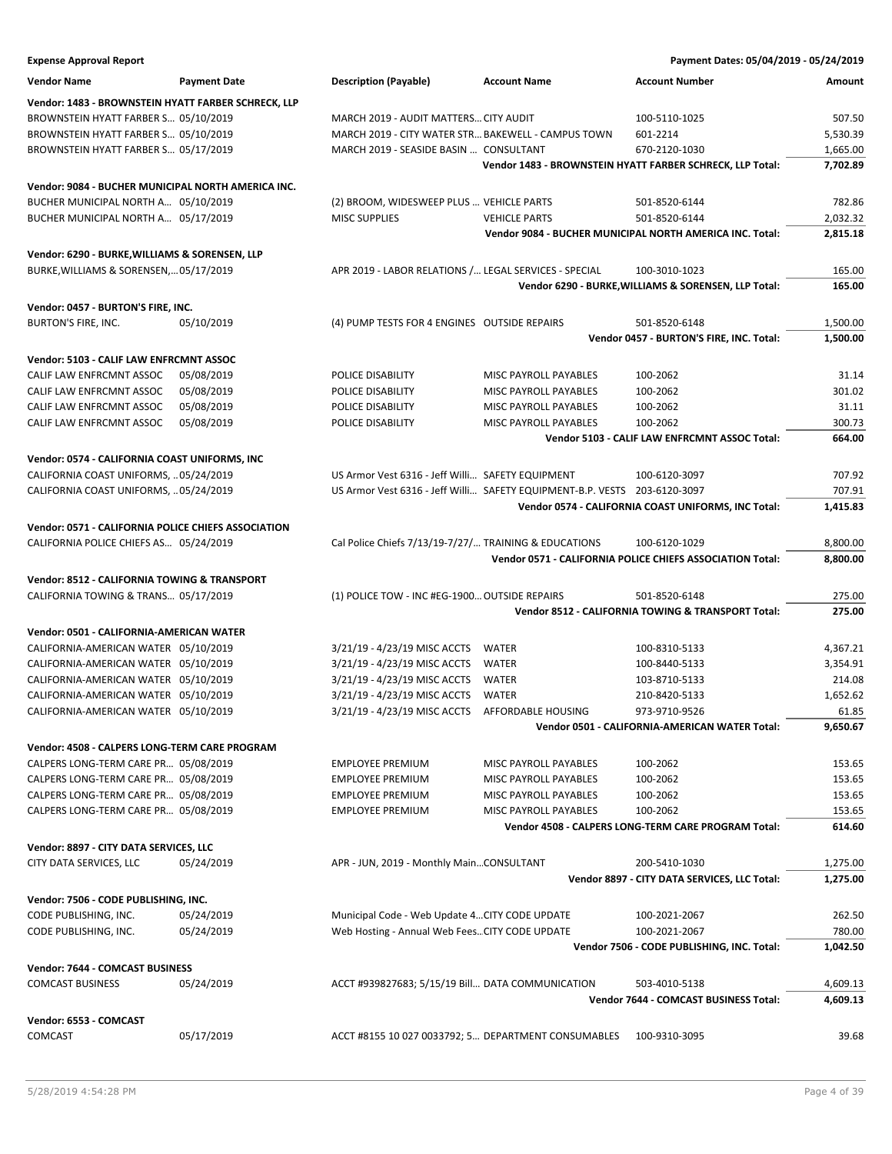| <b>Expense Approval Report</b>                                                       |                          |                                                                           |                                                | Payment Dates: 05/04/2019 - 05/24/2019                                    |          |
|--------------------------------------------------------------------------------------|--------------------------|---------------------------------------------------------------------------|------------------------------------------------|---------------------------------------------------------------------------|----------|
| <b>Vendor Name</b>                                                                   | <b>Payment Date</b>      | <b>Description (Payable)</b>                                              | <b>Account Name</b>                            | <b>Account Number</b>                                                     | Amount   |
| Vendor: 1483 - BROWNSTEIN HYATT FARBER SCHRECK, LLP                                  |                          |                                                                           |                                                |                                                                           |          |
| BROWNSTEIN HYATT FARBER S 05/10/2019                                                 |                          | MARCH 2019 - AUDIT MATTERS CITY AUDIT                                     |                                                | 100-5110-1025                                                             | 507.50   |
| BROWNSTEIN HYATT FARBER S 05/10/2019                                                 |                          | MARCH 2019 - CITY WATER STR BAKEWELL - CAMPUS TOWN                        |                                                | 601-2214                                                                  | 5,530.39 |
| BROWNSTEIN HYATT FARBER S 05/17/2019                                                 |                          | MARCH 2019 - SEASIDE BASIN  CONSULTANT                                    |                                                | 670-2120-1030                                                             | 1,665.00 |
|                                                                                      |                          |                                                                           |                                                | Vendor 1483 - BROWNSTEIN HYATT FARBER SCHRECK, LLP Total:                 | 7,702.89 |
|                                                                                      |                          |                                                                           |                                                |                                                                           |          |
| Vendor: 9084 - BUCHER MUNICIPAL NORTH AMERICA INC.                                   |                          |                                                                           |                                                |                                                                           |          |
| BUCHER MUNICIPAL NORTH A 05/10/2019                                                  |                          | (2) BROOM, WIDESWEEP PLUS  VEHICLE PARTS<br><b>MISC SUPPLIES</b>          |                                                | 501-8520-6144                                                             | 782.86   |
| BUCHER MUNICIPAL NORTH A 05/17/2019                                                  |                          |                                                                           | <b>VEHICLE PARTS</b>                           | 501-8520-6144<br>Vendor 9084 - BUCHER MUNICIPAL NORTH AMERICA INC. Total: | 2,032.32 |
|                                                                                      |                          |                                                                           |                                                |                                                                           | 2,815.18 |
| Vendor: 6290 - BURKE, WILLIAMS & SORENSEN, LLP                                       |                          |                                                                           |                                                |                                                                           |          |
| BURKE, WILLIAMS & SORENSEN,05/17/2019                                                |                          | APR 2019 - LABOR RELATIONS / LEGAL SERVICES - SPECIAL                     |                                                | 100-3010-1023                                                             | 165.00   |
|                                                                                      |                          |                                                                           |                                                | Vendor 6290 - BURKE, WILLIAMS & SORENSEN, LLP Total:                      | 165.00   |
| Vendor: 0457 - BURTON'S FIRE, INC.                                                   |                          |                                                                           |                                                |                                                                           |          |
| BURTON'S FIRE, INC.                                                                  | 05/10/2019               | (4) PUMP TESTS FOR 4 ENGINES OUTSIDE REPAIRS                              |                                                | 501-8520-6148                                                             | 1,500.00 |
|                                                                                      |                          |                                                                           |                                                | Vendor 0457 - BURTON'S FIRE, INC. Total:                                  | 1,500.00 |
| Vendor: 5103 - CALIF LAW ENFRCMNT ASSOC                                              |                          |                                                                           |                                                |                                                                           |          |
| CALIF LAW ENFRCMNT ASSOC                                                             |                          | POLICE DISABILITY                                                         | MISC PAYROLL PAYABLES                          | 100-2062                                                                  | 31.14    |
| CALIF LAW ENFRCMNT ASSOC                                                             | 05/08/2019<br>05/08/2019 | POLICE DISABILITY                                                         | MISC PAYROLL PAYABLES                          | 100-2062                                                                  | 301.02   |
|                                                                                      | 05/08/2019               | POLICE DISABILITY                                                         |                                                |                                                                           | 31.11    |
| CALIF LAW ENFRCMNT ASSOC                                                             | 05/08/2019               |                                                                           | MISC PAYROLL PAYABLES<br>MISC PAYROLL PAYABLES | 100-2062<br>100-2062                                                      | 300.73   |
| CALIF LAW ENFRCMNT ASSOC                                                             |                          | POLICE DISABILITY                                                         |                                                |                                                                           | 664.00   |
|                                                                                      |                          |                                                                           |                                                | Vendor 5103 - CALIF LAW ENFRCMNT ASSOC Total:                             |          |
| Vendor: 0574 - CALIFORNIA COAST UNIFORMS, INC                                        |                          |                                                                           |                                                |                                                                           |          |
| CALIFORNIA COAST UNIFORMS,  05/24/2019                                               |                          | US Armor Vest 6316 - Jeff Willi SAFETY EQUIPMENT                          |                                                | 100-6120-3097                                                             | 707.92   |
| CALIFORNIA COAST UNIFORMS,  05/24/2019                                               |                          | US Armor Vest 6316 - Jeff Willi SAFETY EQUIPMENT-B.P. VESTS 203-6120-3097 |                                                |                                                                           | 707.91   |
|                                                                                      |                          |                                                                           |                                                | Vendor 0574 - CALIFORNIA COAST UNIFORMS, INC Total:                       | 1,415.83 |
| Vendor: 0571 - CALIFORNIA POLICE CHIEFS ASSOCIATION                                  |                          |                                                                           |                                                |                                                                           |          |
| CALIFORNIA POLICE CHIEFS AS 05/24/2019                                               |                          | Cal Police Chiefs 7/13/19-7/27/ TRAINING & EDUCATIONS                     |                                                | 100-6120-1029                                                             | 8,800.00 |
|                                                                                      |                          |                                                                           |                                                | Vendor 0571 - CALIFORNIA POLICE CHIEFS ASSOCIATION Total:                 | 8,800.00 |
|                                                                                      |                          |                                                                           |                                                |                                                                           |          |
| Vendor: 8512 - CALIFORNIA TOWING & TRANSPORT<br>CALIFORNIA TOWING & TRANS 05/17/2019 |                          | (1) POLICE TOW - INC #EG-1900 OUTSIDE REPAIRS                             |                                                | 501-8520-6148                                                             | 275.00   |
|                                                                                      |                          |                                                                           |                                                | Vendor 8512 - CALIFORNIA TOWING & TRANSPORT Total:                        | 275.00   |
|                                                                                      |                          |                                                                           |                                                |                                                                           |          |
| Vendor: 0501 - CALIFORNIA-AMERICAN WATER                                             |                          |                                                                           |                                                |                                                                           |          |
| CALIFORNIA-AMERICAN WATER 05/10/2019                                                 |                          | 3/21/19 - 4/23/19 MISC ACCTS                                              | WATER                                          | 100-8310-5133                                                             | 4,367.21 |
| CALIFORNIA-AMERICAN WATER 05/10/2019                                                 |                          | 3/21/19 - 4/23/19 MISC ACCTS                                              | <b>WATER</b>                                   | 100-8440-5133                                                             | 3,354.91 |
| CALIFORNIA-AMERICAN WATER 05/10/2019                                                 |                          | 3/21/19 - 4/23/19 MISC ACCTS                                              | WATER                                          | 103-8710-5133                                                             | 214.08   |
| CALIFORNIA-AMERICAN WATER 05/10/2019                                                 |                          | 3/21/19 - 4/23/19 MISC ACCTS                                              | <b>WATER</b>                                   | 210-8420-5133                                                             | 1,652.62 |
| CALIFORNIA-AMERICAN WATER 05/10/2019                                                 |                          | 3/21/19 - 4/23/19 MISC ACCTS    AFFORDABLE HOUSING                        |                                                | 973-9710-9526                                                             | 61.85    |
|                                                                                      |                          |                                                                           |                                                | Vendor 0501 - CALIFORNIA-AMERICAN WATER Total:                            | 9,650.67 |
| Vendor: 4508 - CALPERS LONG-TERM CARE PROGRAM                                        |                          |                                                                           |                                                |                                                                           |          |
| CALPERS LONG-TERM CARE PR 05/08/2019                                                 |                          | <b>EMPLOYEE PREMIUM</b>                                                   | MISC PAYROLL PAYABLES                          | 100-2062                                                                  | 153.65   |
| CALPERS LONG-TERM CARE PR 05/08/2019                                                 |                          | <b>EMPLOYEE PREMIUM</b>                                                   | MISC PAYROLL PAYABLES                          | 100-2062                                                                  | 153.65   |
| CALPERS LONG-TERM CARE PR 05/08/2019                                                 |                          | <b>EMPLOYEE PREMIUM</b>                                                   | MISC PAYROLL PAYABLES                          | 100-2062                                                                  | 153.65   |
| CALPERS LONG-TERM CARE PR 05/08/2019                                                 |                          | <b>EMPLOYEE PREMIUM</b>                                                   | MISC PAYROLL PAYABLES                          | 100-2062                                                                  | 153.65   |
|                                                                                      |                          |                                                                           |                                                | Vendor 4508 - CALPERS LONG-TERM CARE PROGRAM Total:                       | 614.60   |
| Vendor: 8897 - CITY DATA SERVICES, LLC                                               |                          |                                                                           |                                                |                                                                           |          |
| CITY DATA SERVICES, LLC                                                              | 05/24/2019               | APR - JUN, 2019 - Monthly MainCONSULTANT                                  |                                                | 200-5410-1030                                                             | 1,275.00 |
|                                                                                      |                          |                                                                           |                                                |                                                                           |          |
|                                                                                      |                          |                                                                           |                                                | Vendor 8897 - CITY DATA SERVICES, LLC Total:                              | 1,275.00 |
| Vendor: 7506 - CODE PUBLISHING, INC.                                                 |                          |                                                                           |                                                |                                                                           |          |
| CODE PUBLISHING, INC.                                                                | 05/24/2019               | Municipal Code - Web Update 4 CITY CODE UPDATE                            |                                                | 100-2021-2067                                                             | 262.50   |
| CODE PUBLISHING, INC.                                                                | 05/24/2019               | Web Hosting - Annual Web Fees CITY CODE UPDATE                            |                                                | 100-2021-2067                                                             | 780.00   |
|                                                                                      |                          |                                                                           |                                                | Vendor 7506 - CODE PUBLISHING, INC. Total:                                | 1,042.50 |
| Vendor: 7644 - COMCAST BUSINESS                                                      |                          |                                                                           |                                                |                                                                           |          |
| <b>COMCAST BUSINESS</b>                                                              | 05/24/2019               | ACCT #939827683; 5/15/19 Bill DATA COMMUNICATION                          |                                                | 503-4010-5138                                                             | 4,609.13 |
|                                                                                      |                          |                                                                           |                                                | Vendor 7644 - COMCAST BUSINESS Total:                                     | 4,609.13 |
| Vendor: 6553 - COMCAST                                                               |                          |                                                                           |                                                |                                                                           |          |
| <b>COMCAST</b>                                                                       | 05/17/2019               | ACCT #8155 10 027 0033792; 5 DEPARTMENT CONSUMABLES                       |                                                | 100-9310-3095                                                             | 39.68    |
|                                                                                      |                          |                                                                           |                                                |                                                                           |          |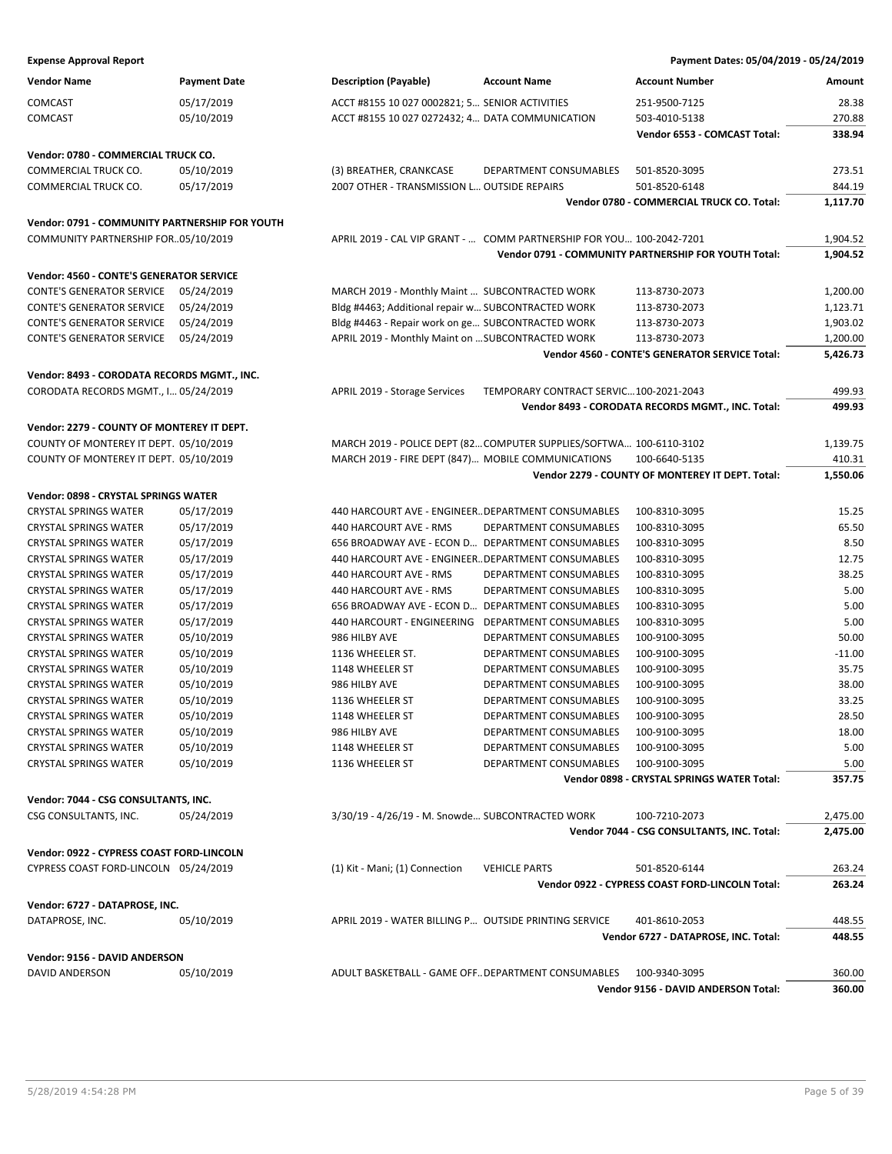| Vendor Name                                    | <b>Payment Date</b> | <b>Description (Payable)</b>                          | <b>Account Name</b>                                                  | <b>Account Number</b>                                             | Amount             |
|------------------------------------------------|---------------------|-------------------------------------------------------|----------------------------------------------------------------------|-------------------------------------------------------------------|--------------------|
| COMCAST                                        | 05/17/2019          | ACCT #8155 10 027 0002821; 5 SENIOR ACTIVITIES        |                                                                      | 251-9500-7125                                                     | 28.38              |
| COMCAST                                        | 05/10/2019          | ACCT #8155 10 027 0272432; 4 DATA COMMUNICATION       |                                                                      | 503-4010-5138                                                     | 270.88             |
|                                                |                     |                                                       |                                                                      | Vendor 6553 - COMCAST Total:                                      | 338.94             |
| Vendor: 0780 - COMMERCIAL TRUCK CO.            |                     |                                                       |                                                                      |                                                                   |                    |
| COMMERCIAL TRUCK CO.                           | 05/10/2019          | (3) BREATHER, CRANKCASE                               | DEPARTMENT CONSUMABLES                                               | 501-8520-3095                                                     | 273.51             |
| COMMERCIAL TRUCK CO.                           | 05/17/2019          | 2007 OTHER - TRANSMISSION L OUTSIDE REPAIRS           |                                                                      | 501-8520-6148                                                     | 844.19             |
|                                                |                     |                                                       |                                                                      | Vendor 0780 - COMMERCIAL TRUCK CO. Total:                         | 1,117.70           |
| Vendor: 0791 - COMMUNITY PARTNERSHIP FOR YOUTH |                     |                                                       |                                                                      |                                                                   |                    |
| COMMUNITY PARTNERSHIP FOR05/10/2019            |                     |                                                       | APRIL 2019 - CAL VIP GRANT -  COMM PARTNERSHIP FOR YOU 100-2042-7201 |                                                                   | 1,904.52           |
|                                                |                     |                                                       |                                                                      | Vendor 0791 - COMMUNITY PARTNERSHIP FOR YOUTH Total:              | 1,904.52           |
| Vendor: 4560 - CONTE'S GENERATOR SERVICE       |                     |                                                       |                                                                      |                                                                   |                    |
| CONTE'S GENERATOR SERVICE                      | 05/24/2019          | MARCH 2019 - Monthly Maint  SUBCONTRACTED WORK        |                                                                      | 113-8730-2073                                                     | 1,200.00           |
| CONTE'S GENERATOR SERVICE                      | 05/24/2019          | Bldg #4463; Additional repair w SUBCONTRACTED WORK    |                                                                      | 113-8730-2073                                                     | 1,123.71           |
| CONTE'S GENERATOR SERVICE                      | 05/24/2019          | Bldg #4463 - Repair work on ge SUBCONTRACTED WORK     |                                                                      | 113-8730-2073                                                     | 1,903.02           |
| CONTE'S GENERATOR SERVICE                      | 05/24/2019          | APRIL 2019 - Monthly Maint on  SUBCONTRACTED WORK     |                                                                      | 113-8730-2073                                                     | 1,200.00           |
|                                                |                     |                                                       |                                                                      | Vendor 4560 - CONTE'S GENERATOR SERVICE Total:                    | 5,426.73           |
| Vendor: 8493 - CORODATA RECORDS MGMT., INC.    |                     |                                                       |                                                                      |                                                                   |                    |
| CORODATA RECORDS MGMT., I 05/24/2019           |                     | APRIL 2019 - Storage Services                         | TEMPORARY CONTRACT SERVIC100-2021-2043                               |                                                                   | 499.93             |
|                                                |                     |                                                       |                                                                      | Vendor 8493 - CORODATA RECORDS MGMT., INC. Total:                 | 499.93             |
|                                                |                     |                                                       |                                                                      |                                                                   |                    |
| Vendor: 2279 - COUNTY OF MONTEREY IT DEPT.     |                     |                                                       |                                                                      |                                                                   |                    |
| COUNTY OF MONTEREY IT DEPT. 05/10/2019         |                     |                                                       | MARCH 2019 - POLICE DEPT (82 COMPUTER SUPPLIES/SOFTWA 100-6110-3102  |                                                                   | 1,139.75           |
| COUNTY OF MONTEREY IT DEPT. 05/10/2019         |                     | MARCH 2019 - FIRE DEPT (847) MOBILE COMMUNICATIONS    |                                                                      | 100-6640-5135<br>Vendor 2279 - COUNTY OF MONTEREY IT DEPT. Total: | 410.31<br>1,550.06 |
|                                                |                     |                                                       |                                                                      |                                                                   |                    |
| Vendor: 0898 - CRYSTAL SPRINGS WATER           |                     |                                                       |                                                                      |                                                                   |                    |
| CRYSTAL SPRINGS WATER                          | 05/17/2019          | 440 HARCOURT AVE - ENGINEER DEPARTMENT CONSUMABLES    |                                                                      | 100-8310-3095                                                     | 15.25              |
| CRYSTAL SPRINGS WATER                          | 05/17/2019          | 440 HARCOURT AVE - RMS                                | DEPARTMENT CONSUMABLES                                               | 100-8310-3095                                                     | 65.50              |
| CRYSTAL SPRINGS WATER                          | 05/17/2019          | 656 BROADWAY AVE - ECON D DEPARTMENT CONSUMABLES      |                                                                      | 100-8310-3095                                                     | 8.50               |
| CRYSTAL SPRINGS WATER                          | 05/17/2019          | 440 HARCOURT AVE - ENGINEERDEPARTMENT CONSUMABLES     |                                                                      | 100-8310-3095                                                     | 12.75              |
| CRYSTAL SPRINGS WATER                          | 05/17/2019          | 440 HARCOURT AVE - RMS                                | DEPARTMENT CONSUMABLES                                               | 100-8310-3095                                                     | 38.25              |
| CRYSTAL SPRINGS WATER                          | 05/17/2019          | 440 HARCOURT AVE - RMS                                | DEPARTMENT CONSUMABLES                                               | 100-8310-3095                                                     | 5.00               |
| CRYSTAL SPRINGS WATER                          | 05/17/2019          | 656 BROADWAY AVE - ECON D                             | DEPARTMENT CONSUMABLES                                               | 100-8310-3095                                                     | 5.00               |
| CRYSTAL SPRINGS WATER                          | 05/17/2019          | 440 HARCOURT - ENGINEERING                            | DEPARTMENT CONSUMABLES                                               | 100-8310-3095                                                     | 5.00               |
| CRYSTAL SPRINGS WATER                          | 05/10/2019          | 986 HILBY AVE                                         | DEPARTMENT CONSUMABLES                                               | 100-9100-3095                                                     | 50.00              |
| CRYSTAL SPRINGS WATER                          | 05/10/2019          | 1136 WHEELER ST.                                      | DEPARTMENT CONSUMABLES                                               | 100-9100-3095                                                     | $-11.00$           |
| CRYSTAL SPRINGS WATER                          | 05/10/2019          | 1148 WHEELER ST                                       | DEPARTMENT CONSUMABLES                                               | 100-9100-3095                                                     | 35.75              |
| <b>CRYSTAL SPRINGS WATER</b>                   | 05/10/2019          | 986 HILBY AVE                                         | DEPARTMENT CONSUMABLES                                               | 100-9100-3095                                                     | 38.00              |
| CRYSTAL SPRINGS WATER                          | 05/10/2019          | 1136 WHEELER ST                                       | DEPARTMENT CONSUMABLES                                               | 100-9100-3095                                                     | 33.25              |
| CRYSTAL SPRINGS WATER                          | 05/10/2019          | 1148 WHEELER ST                                       | DEPARTMENT CONSUMABLES                                               | 100-9100-3095                                                     | 28.50              |
| CRYSTAL SPRINGS WATER                          | 05/10/2019          | 986 HILBY AVE                                         | DEPARTMENT CONSUMABLES                                               | 100-9100-3095                                                     | 18.00              |
| CRYSTAL SPRINGS WATER                          | 05/10/2019          | 1148 WHEELER ST                                       | DEPARTMENT CONSUMABLES                                               | 100-9100-3095                                                     | 5.00               |
| <b>CRYSTAL SPRINGS WATER</b>                   | 05/10/2019          | 1136 WHEELER ST                                       | DEPARTMENT CONSUMABLES                                               | 100-9100-3095                                                     | 5.00               |
|                                                |                     |                                                       |                                                                      | Vendor 0898 - CRYSTAL SPRINGS WATER Total:                        | 357.75             |
| Vendor: 7044 - CSG CONSULTANTS, INC.           |                     |                                                       |                                                                      |                                                                   |                    |
| CSG CONSULTANTS, INC.                          | 05/24/2019          | 3/30/19 - 4/26/19 - M. Snowde SUBCONTRACTED WORK      |                                                                      | 100-7210-2073                                                     | 2,475.00           |
|                                                |                     |                                                       |                                                                      | Vendor 7044 - CSG CONSULTANTS, INC. Total:                        | 2,475.00           |
| Vendor: 0922 - CYPRESS COAST FORD-LINCOLN      |                     |                                                       |                                                                      |                                                                   |                    |
| CYPRESS COAST FORD-LINCOLN 05/24/2019          |                     | (1) Kit - Mani; (1) Connection                        | <b>VEHICLE PARTS</b>                                                 | 501-8520-6144                                                     | 263.24             |
|                                                |                     |                                                       |                                                                      | Vendor 0922 - CYPRESS COAST FORD-LINCOLN Total:                   | 263.24             |
| Vendor: 6727 - DATAPROSE, INC.                 |                     |                                                       |                                                                      |                                                                   |                    |
| DATAPROSE, INC.                                | 05/10/2019          | APRIL 2019 - WATER BILLING P OUTSIDE PRINTING SERVICE |                                                                      | 401-8610-2053                                                     | 448.55             |
|                                                |                     |                                                       |                                                                      | Vendor 6727 - DATAPROSE, INC. Total:                              | 448.55             |
|                                                |                     |                                                       |                                                                      |                                                                   |                    |

**Vendor: 9156 - DAVID ANDERSON**

| <b>DAVID</b><br>. AND | 10/2019 | CONSUMABLES<br>T BASKETBALL<br>- GAME OFFDEPARTMENT ′<br>ADULI | 100-9340-309! | 360.00 |
|-----------------------|---------|----------------------------------------------------------------|---------------|--------|

**Vendor 9156 - DAVID ANDERSON Total: 360.00**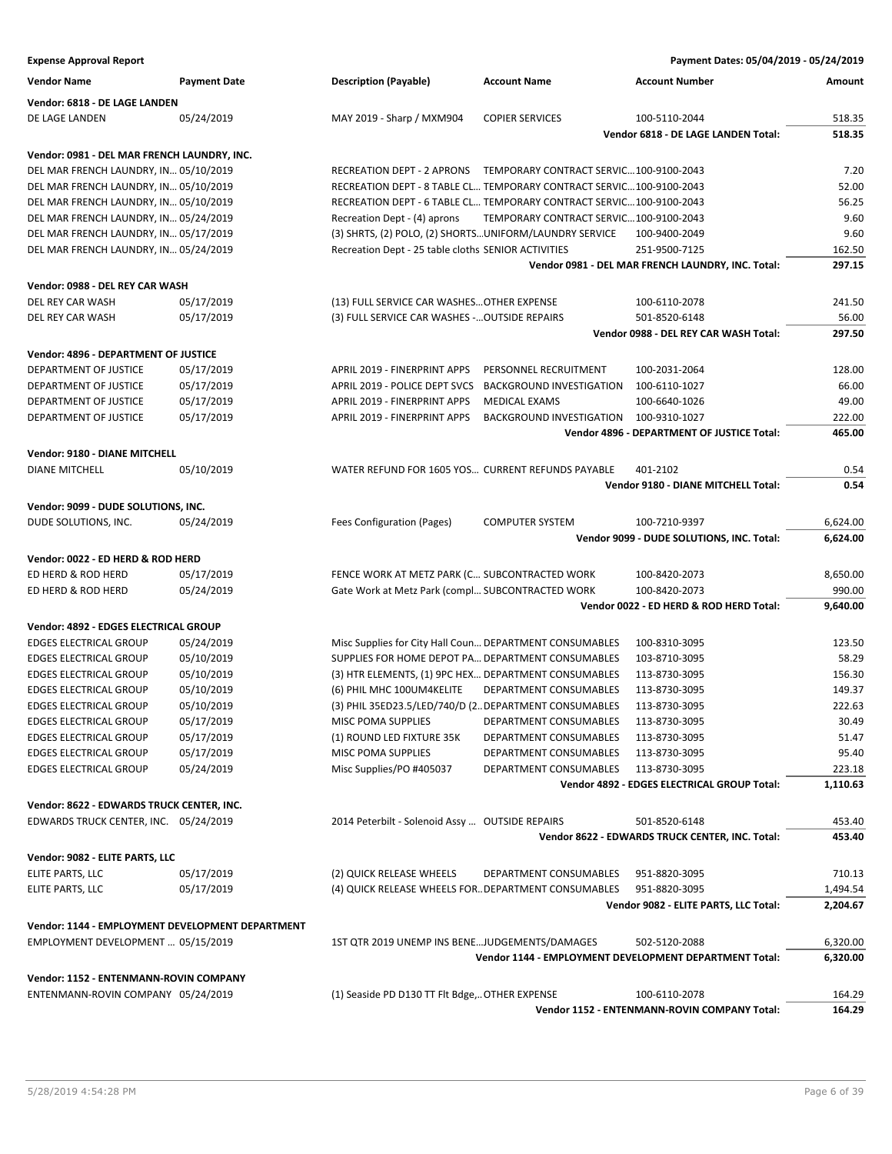**Expense Approval Report Payment Dates: 05/04/2019 - 05/24/2019 Vendor Name Payment Date Description (Payable) Account Name Account Number Amount Vendor: 6818 - DE LAGE LANDEN** DE LAGE LANDEN 05/24/2019 MAY 2019 - Sharp / MXM904 COPIER SERVICES 100-5110-2044 518.35 **Vendor 6818 - DE LAGE LANDEN Total: 518.35 Vendor: 0981 - DEL MAR FRENCH LAUNDRY, INC.** DEL MAR FRENCH LAUNDRY, IN… 05/10/2019 RECREATION DEPT - 2 APRONS TEMPORARY CONTRACT SERVIC…100-9100-2043 7.20 DEL MAR FRENCH LAUNDRY, IN… 05/10/2019 RECREATION DEPT - 8 TABLE CL… TEMPORARY CONTRACT SERVIC…100-9100-2043 52.00 DEL MAR FRENCH LAUNDRY, IN… 05/10/2019 RECREATION DEPT - 6 TABLE CL… TEMPORARY CONTRACT SERVIC…100-9100-2043 56.25 DEL MAR FRENCH LAUNDRY, IN… 05/24/2019 Recreation Dept - (4) aprons TEMPORARY CONTRACT SERVIC…100-9100-2043 9.60 DEL MAR FRENCH LAUNDRY, IN… 05/17/2019 (3) SHRTS, (2) POLO, (2) SHORTS…UNIFORM/LAUNDRY SERVICE 100-9400-2049 9.60 DEL MAR FRENCH LAUNDRY, IN… 05/24/2019 Recreation Dept - 25 table cloths SENIOR ACTIVITIES 251-9500-7125 162.50 **Vendor 0981 - DEL MAR FRENCH LAUNDRY, INC. Total: 297.15 Vendor: 0988 - DEL REY CAR WASH** DEL REY CAR WASH 05/17/2019 (13) FULL SERVICE CAR WASHES... OTHER EXPENSE 100-6110-2078 241.50 DEL REY CAR WASH 05/17/2019 (3) FULL SERVICE CAR WASHES -... OUTSIDE REPAIRS 501-8520-6148 56.00 **Vendor 0988 - DEL REY CAR WASH Total: 297.50 Vendor: 4896 - DEPARTMENT OF JUSTICE** DEPARTMENT OF JUSTICE 05/17/2019 APRIL 2019 - FINERPRINT APPS PERSONNEL RECRUITMENT 100-2031-2064 128.00 DEPARTMENT OF JUSTICE 05/17/2019 APRIL 2019 - POLICE DEPT SVCS BACKGROUND INVESTIGATION 100-6110-1027 66.00 DEPARTMENT OF JUSTICE 05/17/2019 APRIL 2019 - FINERPRINT APPS MEDICAL EXAMS 100-6640-1026 49.00 DEPARTMENT OF JUSTICE 05/17/2019 APRIL 2019 - FINERPRINT APPS BACKGROUND INVESTIGATION 100-9310-1027 222.00 **Vendor 4896 - DEPARTMENT OF JUSTICE Total: 465.00 Vendor: 9180 - DIANE MITCHELL** DIANE MITCHELL 05/10/2019 WATER REFUND FOR 1605 YOS… CURRENT REFUNDS PAYABLE 401-2102 0.54 **Vendor 9180 - DIANE MITCHELL Total: 0.54 Vendor: 9099 - DUDE SOLUTIONS, INC.** DUDE SOLUTIONS, INC. 05/24/2019 Fees Configuration (Pages) COMPUTER SYSTEM 100-7210-9397 6,624.00 **Vendor 9099 - DUDE SOLUTIONS, INC. Total: 6,624.00 Vendor: 0022 - ED HERD & ROD HERD** ED HERD & ROD HERD 05/17/2019 FENCE WORK AT METZ PARK (C… SUBCONTRACTED WORK 100-8420-2073 8,650.00 ED HERD & ROD HERD 05/24/2019 Gate Work at Metz Park (compl… SUBCONTRACTED WORK 100-8420-2073 990.00 **Vendor 0022 - ED HERD & ROD HERD Total: 9,640.00 Vendor: 4892 - EDGES ELECTRICAL GROUP** EDGES ELECTRICAL GROUP 05/24/2019 Misc Supplies for City Hall Coun…DEPARTMENT CONSUMABLES 100-8310-3095 123.50 EDGES ELECTRICAL GROUP 05/10/2019 SUPPLIES FOR HOME DEPOT PA…DEPARTMENT CONSUMABLES 103-8710-3095 58.29 EDGES ELECTRICAL GROUP 05/10/2019 (3) HTR ELEMENTS, (1) 9PC HEX… DEPARTMENT CONSUMABLES 113-8730-3095 156.30 EDGES ELECTRICAL GROUP 05/10/2019 (6) PHIL MHC 100UM4KELITE DEPARTMENT CONSUMABLES 113-8730-3095 149.37 EDGES ELECTRICAL GROUP 05/10/2019 (3) PHIL 35ED23.5/LED/740/D (2…DEPARTMENT CONSUMABLES 113-8730-3095 222.63 EDGES ELECTRICAL GROUP 05/17/2019 MISC POMA SUPPLIES DEPARTMENT CONSUMABLES 113-8730-3095 30.49 EDGES ELECTRICAL GROUP 05/17/2019 (1) ROUND LED FIXTURE 35K DEPARTMENT CONSUMABLES 113-8730-3095 51.47 EDGES ELECTRICAL GROUP 05/17/2019 MISC POMA SUPPLIES DEPARTMENT CONSUMABLES 113-8730-3095 95.40 EDGES ELECTRICAL GROUP 05/24/2019 Misc Supplies/PO #405037 DEPARTMENT CONSUMABLES 113-8730-3095 223.18 **Vendor 4892 - EDGES ELECTRICAL GROUP Total: 1,110.63 Vendor: 8622 - EDWARDS TRUCK CENTER, INC.** EDWARDS TRUCK CENTER, INC. 05/24/2019 2014 Peterbilt - Solenoid Assy … OUTSIDE REPAIRS 501-8520-6148 453.40 **Vendor 8622 - EDWARDS TRUCK CENTER, INC. Total: 453.40 Vendor: 9082 - ELITE PARTS, LLC** ELITE PARTS, LLC 05/17/2019 (2) QUICK RELEASE WHEELS DEPARTMENT CONSUMABLES 951-8820-3095 710.13 ELITE PARTS, LLC 05/17/2019 (4) QUICK RELEASE WHEELS FOR…DEPARTMENT CONSUMABLES 951-8820-3095 1,494.54 **Vendor 9082 - ELITE PARTS, LLC Total: 2,204.67 Vendor: 1144 - EMPLOYMENT DEVELOPMENT DEPARTMENT** EMPLOYMENT DEVELOPMENT … 05/15/2019 1ST QTR 2019 UNEMP INS BENE…JUDGEMENTS/DAMAGES 502-5120-2088 6,320.00 **Vendor 1144 - EMPLOYMENT DEVELOPMENT DEPARTMENT Total: 6,320.00 Vendor: 1152 - ENTENMANN-ROVIN COMPANY** ENTENMANN-ROVIN COMPANY 05/24/2019 (1) Seaside PD D130 TT Flt Bdge,.. OTHER EXPENSE 100-6110-2078 164.29 **Vendor 1152 - ENTENMANN-ROVIN COMPANY Total: 164.29**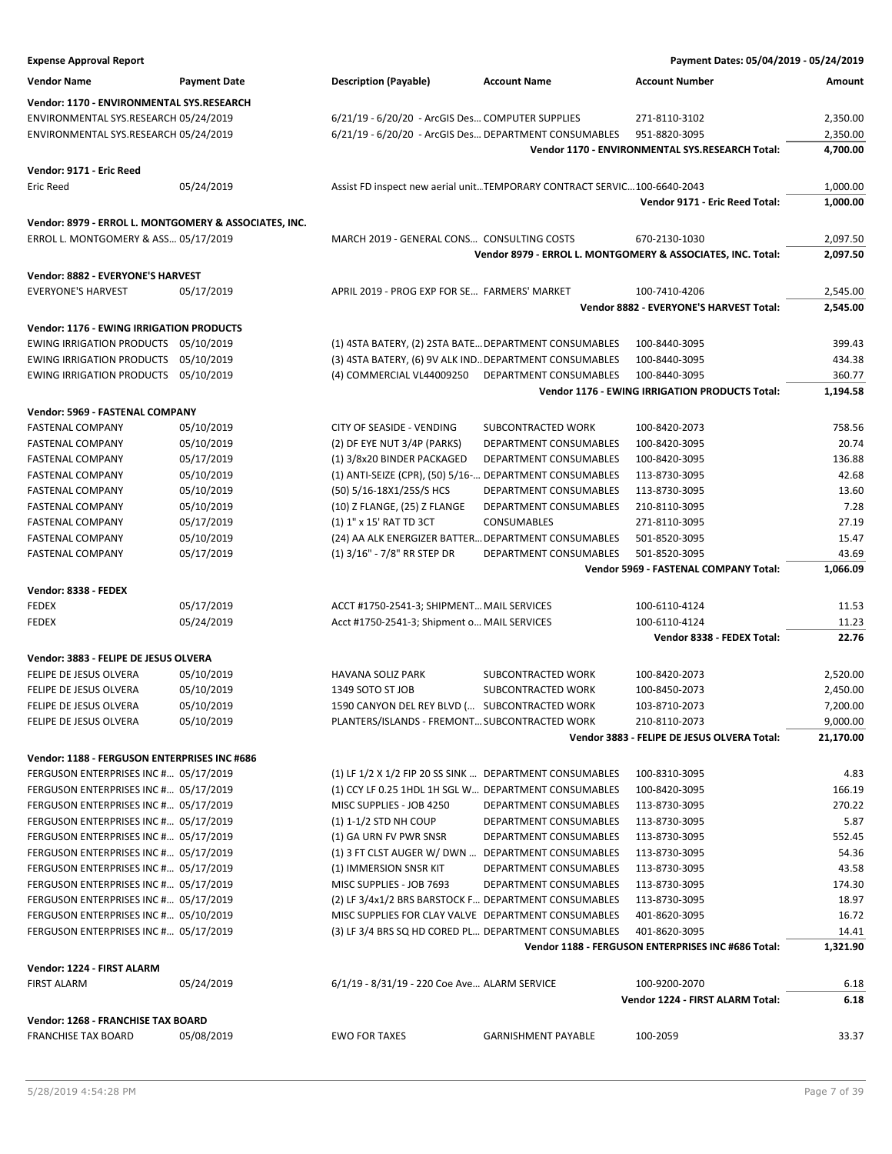| <b>Expense Approval Report</b>                                 |                     |                                                                                                             |                            | Payment Dates: 05/04/2019 - 05/24/2019                              |                       |
|----------------------------------------------------------------|---------------------|-------------------------------------------------------------------------------------------------------------|----------------------------|---------------------------------------------------------------------|-----------------------|
| <b>Vendor Name</b>                                             | <b>Payment Date</b> | <b>Description (Payable)</b>                                                                                | <b>Account Name</b>        | <b>Account Number</b>                                               | Amount                |
| Vendor: 1170 - ENVIRONMENTAL SYS.RESEARCH                      |                     |                                                                                                             |                            |                                                                     |                       |
| ENVIRONMENTAL SYS.RESEARCH 05/24/2019                          |                     | 6/21/19 - 6/20/20 - ArcGIS Des COMPUTER SUPPLIES                                                            |                            | 271-8110-3102                                                       | 2,350.00              |
| ENVIRONMENTAL SYS.RESEARCH 05/24/2019                          |                     | 6/21/19 - 6/20/20 - ArcGIS Des DEPARTMENT CONSUMABLES                                                       |                            | 951-8820-3095                                                       | 2,350.00              |
|                                                                |                     |                                                                                                             |                            | Vendor 1170 - ENVIRONMENTAL SYS.RESEARCH Total:                     | 4,700.00              |
| Vendor: 9171 - Eric Reed                                       |                     |                                                                                                             |                            |                                                                     |                       |
| <b>Eric Reed</b>                                               | 05/24/2019          | Assist FD inspect new aerial unitTEMPORARY CONTRACT SERVIC100-6640-2043                                     |                            |                                                                     | 1,000.00              |
|                                                                |                     |                                                                                                             |                            | Vendor 9171 - Eric Reed Total:                                      | 1,000.00              |
| Vendor: 8979 - ERROL L. MONTGOMERY & ASSOCIATES, INC.          |                     |                                                                                                             |                            |                                                                     |                       |
| ERROL L. MONTGOMERY & ASS 05/17/2019                           |                     | MARCH 2019 - GENERAL CONS CONSULTING COSTS                                                                  |                            | 670-2130-1030                                                       | 2,097.50              |
|                                                                |                     |                                                                                                             |                            | Vendor 8979 - ERROL L. MONTGOMERY & ASSOCIATES, INC. Total:         | 2,097.50              |
| Vendor: 8882 - EVERYONE'S HARVEST<br><b>EVERYONE'S HARVEST</b> | 05/17/2019          | APRIL 2019 - PROG EXP FOR SE FARMERS' MARKET                                                                |                            | 100-7410-4206                                                       | 2,545.00              |
|                                                                |                     |                                                                                                             |                            | Vendor 8882 - EVERYONE'S HARVEST Total:                             | 2,545.00              |
| <b>Vendor: 1176 - EWING IRRIGATION PRODUCTS</b>                |                     |                                                                                                             |                            |                                                                     |                       |
| EWING IRRIGATION PRODUCTS 05/10/2019                           |                     | (1) 4STA BATERY, (2) 2STA BATE DEPARTMENT CONSUMABLES                                                       |                            | 100-8440-3095                                                       | 399.43                |
| <b>EWING IRRIGATION PRODUCTS</b>                               | 05/10/2019          | (3) 4STA BATERY, (6) 9V ALK IND. DEPARTMENT CONSUMABLES                                                     |                            | 100-8440-3095                                                       | 434.38                |
| EWING IRRIGATION PRODUCTS 05/10/2019                           |                     | (4) COMMERCIAL VL44009250                                                                                   | DEPARTMENT CONSUMABLES     | 100-8440-3095                                                       | 360.77                |
|                                                                |                     |                                                                                                             |                            | Vendor 1176 - EWING IRRIGATION PRODUCTS Total:                      | 1,194.58              |
|                                                                |                     |                                                                                                             |                            |                                                                     |                       |
| Vendor: 5969 - FASTENAL COMPANY                                |                     |                                                                                                             |                            |                                                                     |                       |
| <b>FASTENAL COMPANY</b>                                        | 05/10/2019          | CITY OF SEASIDE - VENDING                                                                                   | SUBCONTRACTED WORK         | 100-8420-2073                                                       | 758.56                |
| <b>FASTENAL COMPANY</b>                                        | 05/10/2019          | (2) DF EYE NUT 3/4P (PARKS)                                                                                 | DEPARTMENT CONSUMABLES     | 100-8420-3095                                                       | 20.74                 |
| <b>FASTENAL COMPANY</b>                                        | 05/17/2019          | (1) 3/8x20 BINDER PACKAGED                                                                                  | DEPARTMENT CONSUMABLES     | 100-8420-3095                                                       | 136.88                |
| <b>FASTENAL COMPANY</b>                                        | 05/10/2019          | (1) ANTI-SEIZE (CPR), (50) 5/16- DEPARTMENT CONSUMABLES                                                     |                            | 113-8730-3095                                                       | 42.68                 |
| <b>FASTENAL COMPANY</b>                                        | 05/10/2019          | (50) 5/16-18X1/25S/S HCS                                                                                    | DEPARTMENT CONSUMABLES     | 113-8730-3095                                                       | 13.60                 |
| <b>FASTENAL COMPANY</b>                                        | 05/10/2019          | (10) Z FLANGE, (25) Z FLANGE                                                                                | DEPARTMENT CONSUMABLES     | 210-8110-3095                                                       | 7.28                  |
| <b>FASTENAL COMPANY</b>                                        | 05/17/2019          | (1) 1" x 15' RAT TD 3CT                                                                                     | CONSUMABLES                | 271-8110-3095                                                       | 27.19                 |
| <b>FASTENAL COMPANY</b>                                        | 05/10/2019          | (24) AA ALK ENERGIZER BATTER DEPARTMENT CONSUMABLES                                                         |                            | 501-8520-3095                                                       | 15.47                 |
| <b>FASTENAL COMPANY</b>                                        | 05/17/2019          | (1) 3/16" - 7/8" RR STEP DR                                                                                 | DEPARTMENT CONSUMABLES     | 501-8520-3095<br>Vendor 5969 - FASTENAL COMPANY Total:              | 43.69                 |
|                                                                |                     |                                                                                                             |                            |                                                                     | 1,066.09              |
| Vendor: 8338 - FEDEX                                           |                     |                                                                                                             |                            |                                                                     |                       |
| <b>FEDEX</b>                                                   | 05/17/2019          | ACCT #1750-2541-3; SHIPMENT MAIL SERVICES                                                                   |                            | 100-6110-4124                                                       | 11.53                 |
| <b>FEDEX</b>                                                   | 05/24/2019          | Acct #1750-2541-3; Shipment o MAIL SERVICES                                                                 |                            | 100-6110-4124<br>Vendor 8338 - FEDEX Total:                         | 11.23<br>22.76        |
| Vendor: 3883 - FELIPE DE JESUS OLVERA                          |                     |                                                                                                             |                            |                                                                     |                       |
|                                                                |                     |                                                                                                             |                            |                                                                     |                       |
| FELIPE DE JESUS OLVERA                                         | 05/10/2019          | HAVANA SOLIZ PARK                                                                                           | SUBCONTRACTED WORK         | 100-8420-2073                                                       | 2,520.00              |
| FELIPE DE JESUS OLVERA                                         | 05/10/2019          | 1349 SOTO ST JOB                                                                                            | SUBCONTRACTED WORK         | 100-8450-2073<br>103-8710-2073                                      | 2,450.00              |
| FELIPE DE JESUS OLVERA                                         | 05/10/2019          | 1590 CANYON DEL REY BLVD ( SUBCONTRACTED WORK                                                               |                            |                                                                     | 7,200.00              |
| FELIPE DE JESUS OLVERA                                         | 05/10/2019          | PLANTERS/ISLANDS - FREMONT SUBCONTRACTED WORK                                                               |                            | 210-8110-2073<br>Vendor 3883 - FELIPE DE JESUS OLVERA Total:        | 9,000.00<br>21,170.00 |
| Vendor: 1188 - FERGUSON ENTERPRISES INC #686                   |                     |                                                                                                             |                            |                                                                     |                       |
| FERGUSON ENTERPRISES INC # 05/17/2019                          |                     | (1) LF 1/2 X 1/2 FIP 20 SS SINK  DEPARTMENT CONSUMABLES                                                     |                            | 100-8310-3095                                                       | 4.83                  |
| FERGUSON ENTERPRISES INC # 05/17/2019                          |                     | (1) CCY LF 0.25 1HDL 1H SGL W DEPARTMENT CONSUMABLES                                                        |                            | 100-8420-3095                                                       | 166.19                |
| FERGUSON ENTERPRISES INC # 05/17/2019                          |                     | MISC SUPPLIES - JOB 4250                                                                                    | DEPARTMENT CONSUMABLES     | 113-8730-3095                                                       | 270.22                |
| FERGUSON ENTERPRISES INC # 05/17/2019                          |                     | (1) 1-1/2 STD NH COUP                                                                                       | DEPARTMENT CONSUMABLES     | 113-8730-3095                                                       | 5.87                  |
| FERGUSON ENTERPRISES INC # 05/17/2019                          |                     | (1) GA URN FV PWR SNSR                                                                                      | DEPARTMENT CONSUMABLES     | 113-8730-3095                                                       | 552.45                |
| FERGUSON ENTERPRISES INC # 05/17/2019                          |                     | (1) 3 FT CLST AUGER W/ DWN  DEPARTMENT CONSUMABLES                                                          |                            | 113-8730-3095                                                       | 54.36                 |
| FERGUSON ENTERPRISES INC # 05/17/2019                          |                     | (1) IMMERSION SNSR KIT                                                                                      | DEPARTMENT CONSUMABLES     | 113-8730-3095                                                       | 43.58                 |
| FERGUSON ENTERPRISES INC # 05/17/2019                          |                     |                                                                                                             | DEPARTMENT CONSUMABLES     |                                                                     |                       |
|                                                                |                     | MISC SUPPLIES - JOB 7693                                                                                    |                            | 113-8730-3095                                                       | 174.30                |
| FERGUSON ENTERPRISES INC # 05/17/2019                          |                     | (2) LF 3/4x1/2 BRS BARSTOCK F DEPARTMENT CONSUMABLES                                                        |                            | 113-8730-3095                                                       | 18.97                 |
| FERGUSON ENTERPRISES INC # 05/10/2019                          |                     | MISC SUPPLIES FOR CLAY VALVE DEPARTMENT CONSUMABLES<br>(3) LF 3/4 BRS SQ HD CORED PL DEPARTMENT CONSUMABLES |                            | 401-8620-3095                                                       | 16.72                 |
| FERGUSON ENTERPRISES INC # 05/17/2019                          |                     |                                                                                                             |                            | 401-8620-3095<br>Vendor 1188 - FERGUSON ENTERPRISES INC #686 Total: | 14.41<br>1,321.90     |
| Vendor: 1224 - FIRST ALARM                                     |                     |                                                                                                             |                            |                                                                     |                       |
| <b>FIRST ALARM</b>                                             | 05/24/2019          | 6/1/19 - 8/31/19 - 220 Coe Ave ALARM SERVICE                                                                |                            | 100-9200-2070                                                       | 6.18                  |
|                                                                |                     |                                                                                                             |                            | Vendor 1224 - FIRST ALARM Total:                                    | 6.18                  |
| Vendor: 1268 - FRANCHISE TAX BOARD                             |                     |                                                                                                             |                            |                                                                     |                       |
| <b>FRANCHISE TAX BOARD</b>                                     | 05/08/2019          | <b>EWO FOR TAXES</b>                                                                                        | <b>GARNISHMENT PAYABLE</b> | 100-2059                                                            | 33.37                 |
|                                                                |                     |                                                                                                             |                            |                                                                     |                       |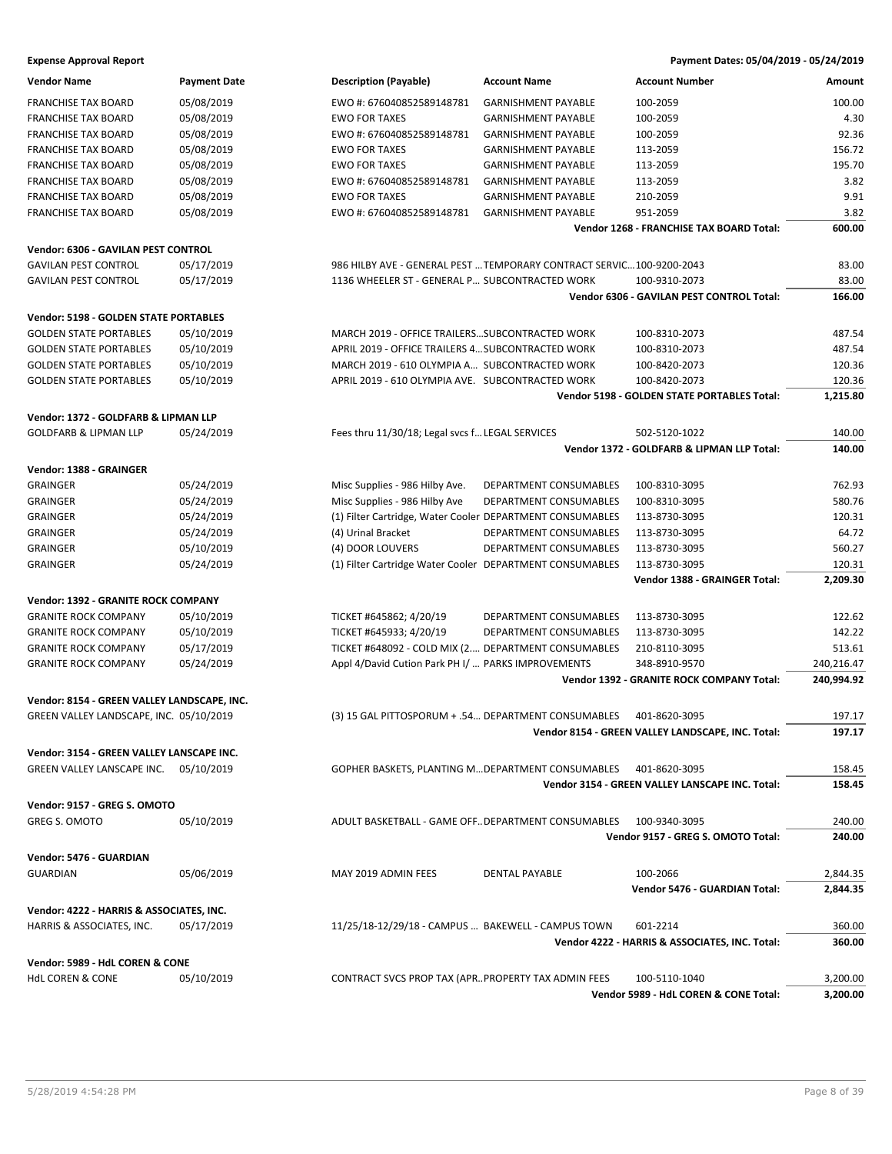| <b>Vendor Name</b>                                   | <b>Payment Date</b> | <b>Description (Payable)</b>                              | <b>Account Name</b>                                                   | <b>Account Number</b>                               | Amount             |
|------------------------------------------------------|---------------------|-----------------------------------------------------------|-----------------------------------------------------------------------|-----------------------------------------------------|--------------------|
| <b>FRANCHISE TAX BOARD</b>                           | 05/08/2019          | EWO #: 676040852589148781                                 | <b>GARNISHMENT PAYABLE</b>                                            | 100-2059                                            | 100.00             |
| <b>FRANCHISE TAX BOARD</b>                           | 05/08/2019          | <b>EWO FOR TAXES</b>                                      | <b>GARNISHMENT PAYABLE</b>                                            | 100-2059                                            | 4.30               |
| <b>FRANCHISE TAX BOARD</b>                           | 05/08/2019          | EWO #: 676040852589148781                                 | <b>GARNISHMENT PAYABLE</b>                                            | 100-2059                                            | 92.36              |
| <b>FRANCHISE TAX BOARD</b>                           | 05/08/2019          | <b>EWO FOR TAXES</b>                                      | <b>GARNISHMENT PAYABLE</b>                                            | 113-2059                                            | 156.72             |
| <b>FRANCHISE TAX BOARD</b>                           | 05/08/2019          | <b>EWO FOR TAXES</b>                                      | <b>GARNISHMENT PAYABLE</b>                                            | 113-2059                                            | 195.70             |
| <b>FRANCHISE TAX BOARD</b>                           | 05/08/2019          | EWO #: 676040852589148781                                 | <b>GARNISHMENT PAYABLE</b>                                            | 113-2059                                            | 3.82               |
| <b>FRANCHISE TAX BOARD</b>                           | 05/08/2019          | <b>EWO FOR TAXES</b>                                      | <b>GARNISHMENT PAYABLE</b>                                            | 210-2059                                            | 9.91               |
| <b>FRANCHISE TAX BOARD</b>                           | 05/08/2019          | EWO #: 676040852589148781                                 | <b>GARNISHMENT PAYABLE</b>                                            | 951-2059                                            | 3.82               |
|                                                      |                     |                                                           |                                                                       | Vendor 1268 - FRANCHISE TAX BOARD Total:            | 600.00             |
| Vendor: 6306 - GAVILAN PEST CONTROL                  |                     |                                                           |                                                                       |                                                     |                    |
| <b>GAVILAN PEST CONTROL</b>                          | 05/17/2019          |                                                           | 986 HILBY AVE - GENERAL PEST  TEMPORARY CONTRACT SERVIC 100-9200-2043 |                                                     | 83.00              |
| <b>GAVILAN PEST CONTROL</b>                          | 05/17/2019          | 1136 WHEELER ST - GENERAL P SUBCONTRACTED WORK            |                                                                       | 100-9310-2073                                       | 83.00              |
|                                                      |                     |                                                           |                                                                       | Vendor 6306 - GAVILAN PEST CONTROL Total:           | 166.00             |
|                                                      |                     |                                                           |                                                                       |                                                     |                    |
| <b>Vendor: 5198 - GOLDEN STATE PORTABLES</b>         |                     |                                                           |                                                                       |                                                     |                    |
| <b>GOLDEN STATE PORTABLES</b>                        | 05/10/2019          | MARCH 2019 - OFFICE TRAILERSSUBCONTRACTED WORK            |                                                                       | 100-8310-2073                                       | 487.54             |
| <b>GOLDEN STATE PORTABLES</b>                        | 05/10/2019          | APRIL 2019 - OFFICE TRAILERS 4 SUBCONTRACTED WORK         |                                                                       | 100-8310-2073                                       | 487.54             |
| <b>GOLDEN STATE PORTABLES</b>                        | 05/10/2019          | MARCH 2019 - 610 OLYMPIA A SUBCONTRACTED WORK             |                                                                       | 100-8420-2073                                       | 120.36             |
| <b>GOLDEN STATE PORTABLES</b>                        | 05/10/2019          | APRIL 2019 - 610 OLYMPIA AVE. SUBCONTRACTED WORK          |                                                                       | 100-8420-2073                                       | 120.36             |
|                                                      |                     |                                                           |                                                                       | <b>Vendor 5198 - GOLDEN STATE PORTABLES Total:</b>  | 1,215.80           |
| Vendor: 1372 - GOLDFARB & LIPMAN LLP                 |                     |                                                           |                                                                       |                                                     |                    |
| <b>GOLDFARB &amp; LIPMAN LLP</b>                     | 05/24/2019          | Fees thru 11/30/18; Legal svcs f LEGAL SERVICES           |                                                                       | 502-5120-1022                                       | 140.00             |
|                                                      |                     |                                                           |                                                                       | Vendor 1372 - GOLDFARB & LIPMAN LLP Total:          | 140.00             |
| Vendor: 1388 - GRAINGER                              |                     |                                                           |                                                                       |                                                     |                    |
| <b>GRAINGER</b>                                      | 05/24/2019          | Misc Supplies - 986 Hilby Ave.                            | DEPARTMENT CONSUMABLES                                                | 100-8310-3095                                       | 762.93             |
| <b>GRAINGER</b>                                      | 05/24/2019          | Misc Supplies - 986 Hilby Ave                             | DEPARTMENT CONSUMABLES                                                | 100-8310-3095                                       | 580.76             |
| <b>GRAINGER</b>                                      | 05/24/2019          | (1) Filter Cartridge, Water Cooler DEPARTMENT CONSUMABLES |                                                                       | 113-8730-3095                                       | 120.31             |
|                                                      |                     |                                                           |                                                                       |                                                     | 64.72              |
| GRAINGER<br><b>GRAINGER</b>                          | 05/24/2019          | (4) Urinal Bracket<br>(4) DOOR LOUVERS                    | DEPARTMENT CONSUMABLES<br>DEPARTMENT CONSUMABLES                      | 113-8730-3095                                       | 560.27             |
|                                                      | 05/10/2019          |                                                           |                                                                       | 113-8730-3095                                       |                    |
| <b>GRAINGER</b>                                      | 05/24/2019          | (1) Filter Cartridge Water Cooler DEPARTMENT CONSUMABLES  |                                                                       | 113-8730-3095<br>Vendor 1388 - GRAINGER Total:      | 120.31<br>2,209.30 |
|                                                      |                     |                                                           |                                                                       |                                                     |                    |
| Vendor: 1392 - GRANITE ROCK COMPANY                  |                     |                                                           |                                                                       |                                                     |                    |
| <b>GRANITE ROCK COMPANY</b>                          | 05/10/2019          | TICKET #645862; 4/20/19                                   | DEPARTMENT CONSUMABLES                                                | 113-8730-3095                                       | 122.62             |
| <b>GRANITE ROCK COMPANY</b>                          | 05/10/2019          | TICKET #645933; 4/20/19                                   | DEPARTMENT CONSUMABLES                                                | 113-8730-3095                                       | 142.22             |
| <b>GRANITE ROCK COMPANY</b>                          | 05/17/2019          | TICKET #648092 - COLD MIX (2 DEPARTMENT CONSUMABLES       |                                                                       | 210-8110-3095                                       | 513.61             |
| <b>GRANITE ROCK COMPANY</b>                          | 05/24/2019          | Appl 4/David Cution Park PH I/  PARKS IMPROVEMENTS        |                                                                       | 348-8910-9570                                       | 240,216.47         |
|                                                      |                     |                                                           |                                                                       | Vendor 1392 - GRANITE ROCK COMPANY Total:           | 240,994.92         |
| Vendor: 8154 - GREEN VALLEY LANDSCAPE, INC.          |                     |                                                           |                                                                       |                                                     |                    |
| GREEN VALLEY LANDSCAPE, INC. 05/10/2019              |                     | (3) 15 GAL PITTOSPORUM + .54 DEPARTMENT CONSUMABLES       |                                                                       | 401-8620-3095                                       | 197.17             |
|                                                      |                     |                                                           |                                                                       | Vendor 8154 - GREEN VALLEY LANDSCAPE, INC. Total:   | 197.17             |
| Vendor: 3154 - GREEN VALLEY LANSCAPE INC.            |                     |                                                           |                                                                       |                                                     |                    |
| GREEN VALLEY LANSCAPE INC.                           | 05/10/2019          | GOPHER BASKETS, PLANTING MDEPARTMENT CONSUMABLES          |                                                                       | 401-8620-3095                                       | 158.45             |
|                                                      |                     |                                                           |                                                                       | Vendor 3154 - GREEN VALLEY LANSCAPE INC. Total:     | 158.45             |
|                                                      |                     |                                                           |                                                                       |                                                     |                    |
| Vendor: 9157 - GREG S. OMOTO<br><b>GREG S. OMOTO</b> |                     |                                                           |                                                                       |                                                     |                    |
|                                                      | 05/10/2019          | ADULT BASKETBALL - GAME OFF DEPARTMENT CONSUMABLES        |                                                                       | 100-9340-3095<br>Vendor 9157 - GREG S. OMOTO Total: | 240.00<br>240.00   |
|                                                      |                     |                                                           |                                                                       |                                                     |                    |
| Vendor: 5476 - GUARDIAN                              |                     |                                                           |                                                                       |                                                     |                    |
| GUARDIAN                                             | 05/06/2019          | MAY 2019 ADMIN FEES                                       | DENTAL PAYABLE                                                        | 100-2066                                            | 2,844.35           |
|                                                      |                     |                                                           |                                                                       | Vendor 5476 - GUARDIAN Total:                       | 2,844.35           |
| Vendor: 4222 - HARRIS & ASSOCIATES, INC.             |                     |                                                           |                                                                       |                                                     |                    |
| HARRIS & ASSOCIATES, INC.                            | 05/17/2019          | 11/25/18-12/29/18 - CAMPUS  BAKEWELL - CAMPUS TOWN        |                                                                       | 601-2214                                            | 360.00             |
|                                                      |                     |                                                           |                                                                       | Vendor 4222 - HARRIS & ASSOCIATES, INC. Total:      | 360.00             |
| Vendor: 5989 - HdL COREN & CONE                      |                     |                                                           |                                                                       |                                                     |                    |
| <b>HdL COREN &amp; CONE</b>                          | 05/10/2019          | CONTRACT SVCS PROP TAX (APR PROPERTY TAX ADMIN FEES       |                                                                       | 100-5110-1040                                       | 3,200.00           |
|                                                      |                     |                                                           |                                                                       | Vendor 5989 - HdL COREN & CONE Total:               | 3,200.00           |
|                                                      |                     |                                                           |                                                                       |                                                     |                    |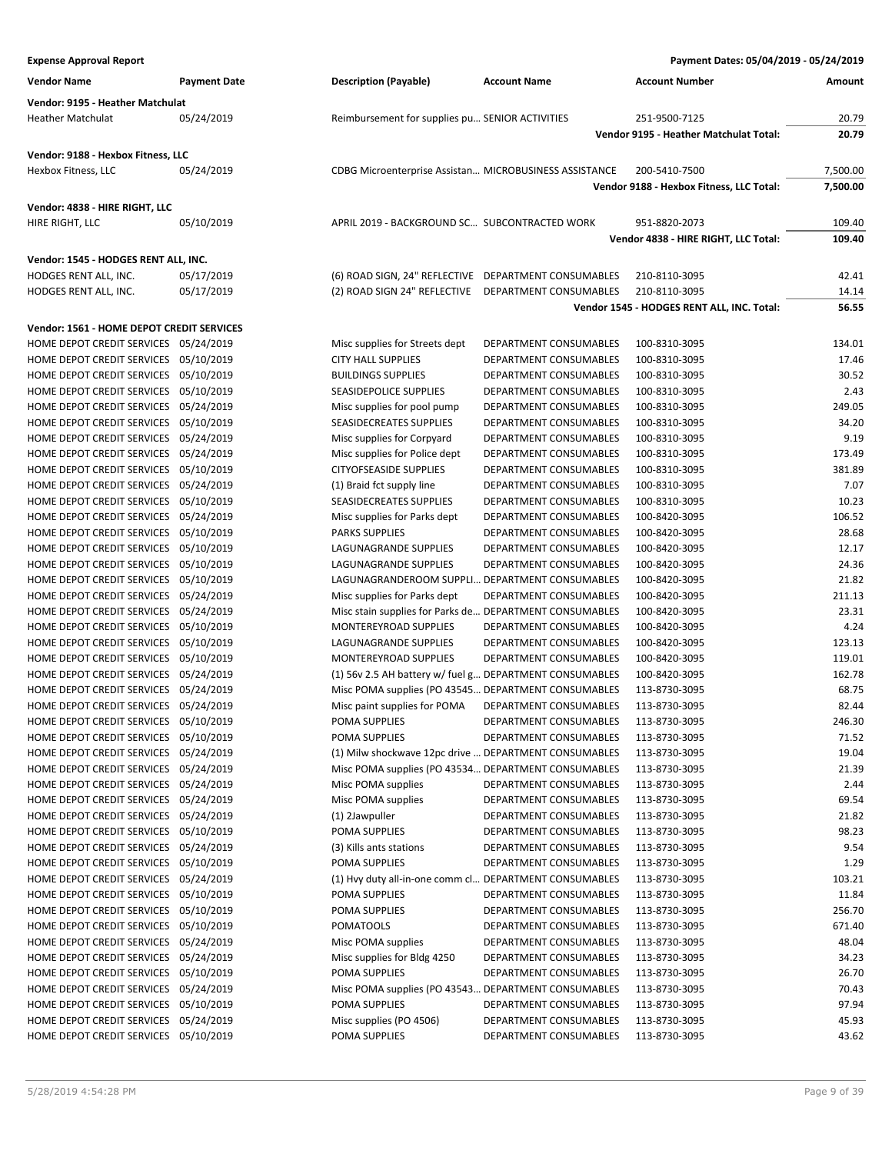| <b>Expense Approval Report</b>                                                 |                     |                                                                         |                                                  | Payment Dates: 05/04/2019 - 05/24/2019     |                |
|--------------------------------------------------------------------------------|---------------------|-------------------------------------------------------------------------|--------------------------------------------------|--------------------------------------------|----------------|
| <b>Vendor Name</b>                                                             | <b>Payment Date</b> | <b>Description (Payable)</b>                                            | <b>Account Name</b>                              | <b>Account Number</b>                      | Amount         |
| Vendor: 9195 - Heather Matchulat                                               |                     |                                                                         |                                                  |                                            |                |
| Heather Matchulat                                                              | 05/24/2019          | Reimbursement for supplies pu SENIOR ACTIVITIES                         |                                                  | 251-9500-7125                              | 20.79          |
|                                                                                |                     |                                                                         |                                                  | Vendor 9195 - Heather Matchulat Total:     | 20.79          |
| Vendor: 9188 - Hexbox Fitness, LLC                                             |                     |                                                                         |                                                  |                                            |                |
| Hexbox Fitness, LLC                                                            | 05/24/2019          | CDBG Microenterprise Assistan MICROBUSINESS ASSISTANCE                  |                                                  | 200-5410-7500                              | 7,500.00       |
|                                                                                |                     |                                                                         |                                                  | Vendor 9188 - Hexbox Fitness, LLC Total:   | 7,500.00       |
| Vendor: 4838 - HIRE RIGHT, LLC                                                 |                     |                                                                         |                                                  |                                            |                |
| HIRE RIGHT, LLC                                                                | 05/10/2019          | APRIL 2019 - BACKGROUND SC SUBCONTRACTED WORK                           |                                                  | 951-8820-2073                              | 109.40         |
|                                                                                |                     |                                                                         |                                                  | Vendor 4838 - HIRE RIGHT, LLC Total:       | 109.40         |
| Vendor: 1545 - HODGES RENT ALL, INC.                                           |                     |                                                                         |                                                  |                                            |                |
| HODGES RENT ALL, INC.                                                          | 05/17/2019          | (6) ROAD SIGN, 24" REFLECTIVE DEPARTMENT CONSUMABLES                    |                                                  | 210-8110-3095                              | 42.41          |
| HODGES RENT ALL, INC.                                                          | 05/17/2019          | (2) ROAD SIGN 24" REFLECTIVE DEPARTMENT CONSUMABLES                     |                                                  | 210-8110-3095                              | 14.14          |
|                                                                                |                     |                                                                         |                                                  | Vendor 1545 - HODGES RENT ALL, INC. Total: | 56.55          |
| Vendor: 1561 - HOME DEPOT CREDIT SERVICES                                      |                     |                                                                         |                                                  |                                            |                |
| HOME DEPOT CREDIT SERVICES 05/24/2019                                          |                     | Misc supplies for Streets dept                                          | DEPARTMENT CONSUMABLES                           | 100-8310-3095                              | 134.01         |
| HOME DEPOT CREDIT SERVICES 05/10/2019                                          |                     | <b>CITY HALL SUPPLIES</b>                                               | DEPARTMENT CONSUMABLES                           | 100-8310-3095                              | 17.46          |
| HOME DEPOT CREDIT SERVICES 05/10/2019                                          |                     | <b>BUILDINGS SUPPLIES</b>                                               | DEPARTMENT CONSUMABLES                           | 100-8310-3095                              | 30.52          |
| HOME DEPOT CREDIT SERVICES 05/10/2019                                          |                     | SEASIDEPOLICE SUPPLIES                                                  | DEPARTMENT CONSUMABLES                           | 100-8310-3095                              | 2.43           |
| HOME DEPOT CREDIT SERVICES 05/24/2019                                          |                     | Misc supplies for pool pump                                             | DEPARTMENT CONSUMABLES                           | 100-8310-3095                              | 249.05         |
| HOME DEPOT CREDIT SERVICES 05/10/2019                                          |                     | SEASIDECREATES SUPPLIES                                                 | DEPARTMENT CONSUMABLES                           | 100-8310-3095                              | 34.20          |
| HOME DEPOT CREDIT SERVICES 05/24/2019                                          |                     | Misc supplies for Corpyard                                              | DEPARTMENT CONSUMABLES                           | 100-8310-3095                              | 9.19           |
| HOME DEPOT CREDIT SERVICES 05/24/2019                                          |                     | Misc supplies for Police dept                                           | DEPARTMENT CONSUMABLES                           | 100-8310-3095                              | 173.49         |
| HOME DEPOT CREDIT SERVICES 05/10/2019                                          |                     | <b>CITYOFSEASIDE SUPPLIES</b>                                           | DEPARTMENT CONSUMABLES                           | 100-8310-3095                              | 381.89         |
| HOME DEPOT CREDIT SERVICES 05/24/2019                                          |                     | (1) Braid fct supply line                                               | DEPARTMENT CONSUMABLES                           | 100-8310-3095                              | 7.07           |
| HOME DEPOT CREDIT SERVICES 05/10/2019                                          |                     | SEASIDECREATES SUPPLIES                                                 | DEPARTMENT CONSUMABLES                           | 100-8310-3095                              | 10.23          |
| HOME DEPOT CREDIT SERVICES 05/24/2019                                          |                     | Misc supplies for Parks dept                                            | DEPARTMENT CONSUMABLES                           | 100-8420-3095                              | 106.52         |
| HOME DEPOT CREDIT SERVICES 05/10/2019<br>HOME DEPOT CREDIT SERVICES 05/10/2019 |                     | <b>PARKS SUPPLIES</b><br>LAGUNAGRANDE SUPPLIES                          | DEPARTMENT CONSUMABLES<br>DEPARTMENT CONSUMABLES | 100-8420-3095<br>100-8420-3095             | 28.68<br>12.17 |
| HOME DEPOT CREDIT SERVICES 05/10/2019                                          |                     | LAGUNAGRANDE SUPPLIES                                                   | DEPARTMENT CONSUMABLES                           | 100-8420-3095                              | 24.36          |
| HOME DEPOT CREDIT SERVICES 05/10/2019                                          |                     | LAGUNAGRANDEROOM SUPPLI DEPARTMENT CONSUMABLES                          |                                                  | 100-8420-3095                              | 21.82          |
| HOME DEPOT CREDIT SERVICES 05/24/2019                                          |                     | Misc supplies for Parks dept                                            | DEPARTMENT CONSUMABLES                           | 100-8420-3095                              | 211.13         |
| HOME DEPOT CREDIT SERVICES 05/24/2019                                          |                     | Misc stain supplies for Parks de DEPARTMENT CONSUMABLES                 |                                                  | 100-8420-3095                              | 23.31          |
| HOME DEPOT CREDIT SERVICES 05/10/2019                                          |                     | MONTEREYROAD SUPPLIES                                                   | DEPARTMENT CONSUMABLES                           | 100-8420-3095                              | 4.24           |
| HOME DEPOT CREDIT SERVICES 05/10/2019                                          |                     | LAGUNAGRANDE SUPPLIES                                                   | DEPARTMENT CONSUMABLES                           | 100-8420-3095                              | 123.13         |
| HOME DEPOT CREDIT SERVICES 05/10/2019                                          |                     | <b>MONTEREYROAD SUPPLIES</b>                                            | DEPARTMENT CONSUMABLES                           | 100-8420-3095                              | 119.01         |
| HOME DEPOT CREDIT SERVICES 05/24/2019                                          |                     | (1) 56v 2.5 AH battery w/ fuel g DEPARTMENT CONSUMABLES                 |                                                  | 100-8420-3095                              | 162.78         |
| HOME DEPOT CREDIT SERVICES 05/24/2019                                          |                     | Misc POMA supplies (PO 43545 DEPARTMENT CONSUMABLES                     |                                                  | 113-8730-3095                              | 68.75          |
| HOME DEPOT CREDIT SERVICES 05/24/2019                                          |                     | Misc paint supplies for POMA                                            | DEPARTMENT CONSUMABLES                           | 113-8730-3095                              | 82.44          |
| HOME DEPOT CREDIT SERVICES 05/10/2019                                          |                     | POMA SUPPLIES                                                           | DEPARTMENT CONSUMABLES                           | 113-8730-3095                              | 246.30         |
| HOME DEPOT CREDIT SERVICES 05/10/2019                                          |                     | POMA SUPPLIES                                                           | DEPARTMENT CONSUMABLES                           | 113-8730-3095                              | 71.52          |
| HOME DEPOT CREDIT SERVICES 05/24/2019                                          |                     | (1) Milw shockwave 12pc drive  DEPARTMENT CONSUMABLES                   |                                                  | 113-8730-3095                              | 19.04          |
| HOME DEPOT CREDIT SERVICES 05/24/2019                                          |                     | Misc POMA supplies (PO 43534 DEPARTMENT CONSUMABLES                     |                                                  | 113-8730-3095                              | 21.39          |
| HOME DEPOT CREDIT SERVICES 05/24/2019                                          |                     | Misc POMA supplies                                                      | DEPARTMENT CONSUMABLES                           | 113-8730-3095                              | 2.44           |
| HOME DEPOT CREDIT SERVICES 05/24/2019                                          |                     | Misc POMA supplies                                                      | DEPARTMENT CONSUMABLES                           | 113-8730-3095                              | 69.54          |
| HOME DEPOT CREDIT SERVICES 05/24/2019                                          |                     | (1) 2Jawpuller                                                          | DEPARTMENT CONSUMABLES                           | 113-8730-3095                              | 21.82          |
| HOME DEPOT CREDIT SERVICES 05/10/2019                                          |                     | POMA SUPPLIES                                                           | DEPARTMENT CONSUMABLES                           | 113-8730-3095                              | 98.23          |
| HOME DEPOT CREDIT SERVICES 05/24/2019<br>HOME DEPOT CREDIT SERVICES 05/10/2019 |                     | (3) Kills ants stations<br>POMA SUPPLIES                                | DEPARTMENT CONSUMABLES                           | 113-8730-3095                              | 9.54           |
|                                                                                |                     |                                                                         | DEPARTMENT CONSUMABLES                           | 113-8730-3095                              | 1.29<br>103.21 |
| HOME DEPOT CREDIT SERVICES 05/24/2019<br>HOME DEPOT CREDIT SERVICES 05/10/2019 |                     | (1) Hvy duty all-in-one comm cl DEPARTMENT CONSUMABLES<br>POMA SUPPLIES | DEPARTMENT CONSUMABLES                           | 113-8730-3095<br>113-8730-3095             | 11.84          |
| HOME DEPOT CREDIT SERVICES 05/10/2019                                          |                     | POMA SUPPLIES                                                           | DEPARTMENT CONSUMABLES                           | 113-8730-3095                              | 256.70         |
| HOME DEPOT CREDIT SERVICES 05/10/2019                                          |                     | <b>POMATOOLS</b>                                                        | DEPARTMENT CONSUMABLES                           | 113-8730-3095                              | 671.40         |
| HOME DEPOT CREDIT SERVICES 05/24/2019                                          |                     | Misc POMA supplies                                                      | DEPARTMENT CONSUMABLES                           | 113-8730-3095                              | 48.04          |
| HOME DEPOT CREDIT SERVICES 05/24/2019                                          |                     | Misc supplies for Bldg 4250                                             | DEPARTMENT CONSUMABLES                           | 113-8730-3095                              | 34.23          |
| HOME DEPOT CREDIT SERVICES 05/10/2019                                          |                     | POMA SUPPLIES                                                           | DEPARTMENT CONSUMABLES                           | 113-8730-3095                              | 26.70          |
| HOME DEPOT CREDIT SERVICES 05/24/2019                                          |                     | Misc POMA supplies (PO 43543 DEPARTMENT CONSUMABLES                     |                                                  | 113-8730-3095                              | 70.43          |
| HOME DEPOT CREDIT SERVICES 05/10/2019                                          |                     | POMA SUPPLIES                                                           | DEPARTMENT CONSUMABLES                           | 113-8730-3095                              | 97.94          |
| HOME DEPOT CREDIT SERVICES 05/24/2019                                          |                     | Misc supplies (PO 4506)                                                 | DEPARTMENT CONSUMABLES                           | 113-8730-3095                              | 45.93          |
| HOME DEPOT CREDIT SERVICES 05/10/2019                                          |                     | POMA SUPPLIES                                                           | DEPARTMENT CONSUMABLES                           | 113-8730-3095                              | 43.62          |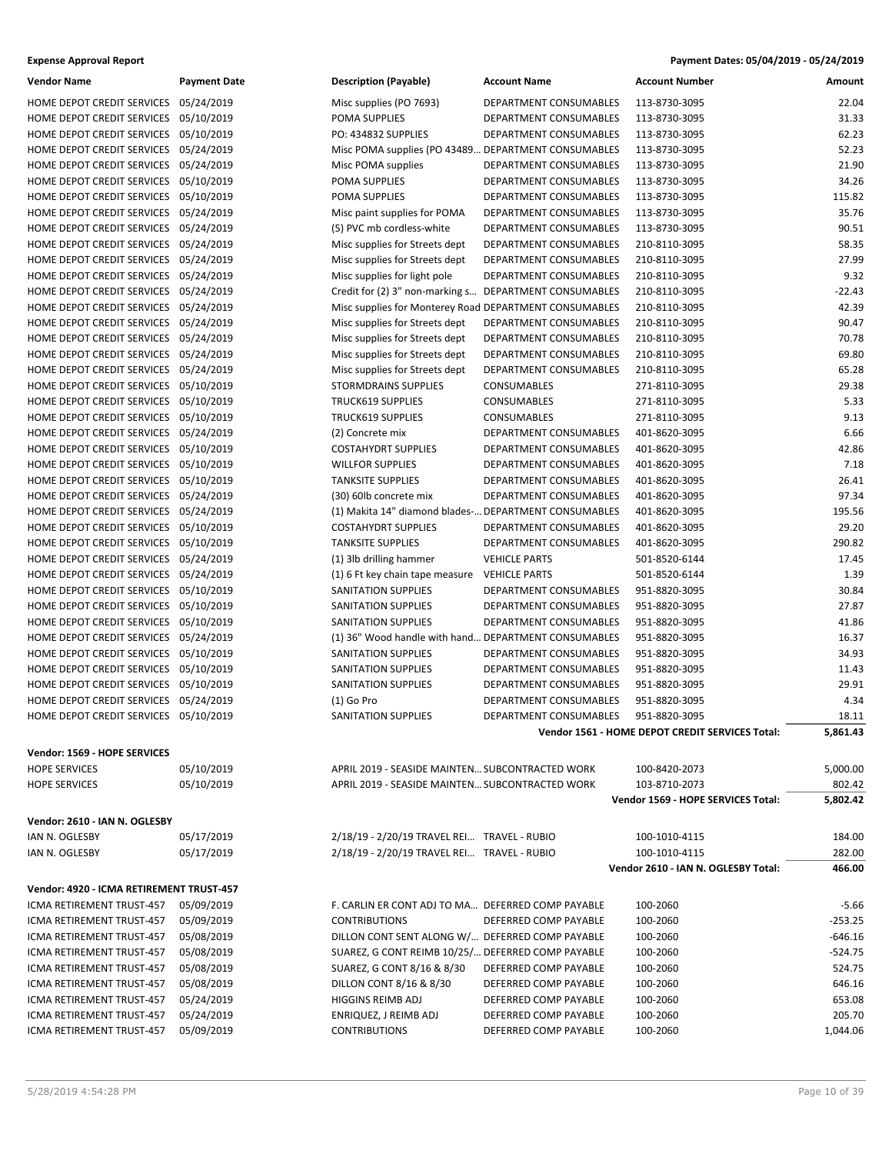| <b>Expense Approval Report</b> | Payment Dates: 05/04/2019 - 05/24/2019 |
|--------------------------------|----------------------------------------|
|--------------------------------|----------------------------------------|

| Vendor Name                                                                    | <b>Payment Date</b>      | <b>Description (Payable)</b>                                                | Account Name                                     | <b>Account Number</b>                                            | Amount            |
|--------------------------------------------------------------------------------|--------------------------|-----------------------------------------------------------------------------|--------------------------------------------------|------------------------------------------------------------------|-------------------|
| HOME DEPOT CREDIT SERVICES                                                     | 05/24/2019               | Misc supplies (PO 7693)                                                     | DEPARTMENT CONSUMABLES                           | 113-8730-3095                                                    | 22.04             |
| HOME DEPOT CREDIT SERVICES                                                     | 05/10/2019               | POMA SUPPLIES                                                               | DEPARTMENT CONSUMABLES                           | 113-8730-3095                                                    | 31.33             |
| HOME DEPOT CREDIT SERVICES                                                     | 05/10/2019               | PO: 434832 SUPPLIES                                                         | DEPARTMENT CONSUMABLES                           | 113-8730-3095                                                    | 62.23             |
| HOME DEPOT CREDIT SERVICES                                                     | 05/24/2019               | Misc POMA supplies (PO 43489 DEPARTMENT CONSUMABLES                         |                                                  | 113-8730-3095                                                    | 52.23             |
| HOME DEPOT CREDIT SERVICES 05/24/2019                                          |                          | Misc POMA supplies                                                          | DEPARTMENT CONSUMABLES                           | 113-8730-3095                                                    | 21.90             |
| HOME DEPOT CREDIT SERVICES 05/10/2019                                          |                          | POMA SUPPLIES                                                               | DEPARTMENT CONSUMABLES                           | 113-8730-3095                                                    | 34.26             |
| HOME DEPOT CREDIT SERVICES                                                     | 05/10/2019               | POMA SUPPLIES                                                               | DEPARTMENT CONSUMABLES                           | 113-8730-3095                                                    | 115.82            |
| HOME DEPOT CREDIT SERVICES 05/24/2019                                          |                          | Misc paint supplies for POMA                                                | DEPARTMENT CONSUMABLES                           | 113-8730-3095                                                    | 35.76             |
| HOME DEPOT CREDIT SERVICES                                                     | 05/24/2019               | (5) PVC mb cordless-white                                                   | DEPARTMENT CONSUMABLES                           | 113-8730-3095                                                    | 90.51             |
| HOME DEPOT CREDIT SERVICES 05/24/2019                                          |                          | Misc supplies for Streets dept                                              | DEPARTMENT CONSUMABLES                           | 210-8110-3095                                                    | 58.35             |
| HOME DEPOT CREDIT SERVICES 05/24/2019                                          |                          | Misc supplies for Streets dept                                              | DEPARTMENT CONSUMABLES                           | 210-8110-3095                                                    | 27.99             |
| HOME DEPOT CREDIT SERVICES                                                     | 05/24/2019               | Misc supplies for light pole                                                | DEPARTMENT CONSUMABLES                           | 210-8110-3095                                                    | 9.32              |
| HOME DEPOT CREDIT SERVICES                                                     | 05/24/2019               | Credit for (2) 3" non-marking s DEPARTMENT CONSUMABLES                      |                                                  | 210-8110-3095                                                    | $-22.43$          |
| HOME DEPOT CREDIT SERVICES                                                     | 05/24/2019               | Misc supplies for Monterey Road DEPARTMENT CONSUMABLES                      |                                                  | 210-8110-3095                                                    | 42.39             |
| HOME DEPOT CREDIT SERVICES 05/24/2019                                          |                          | Misc supplies for Streets dept                                              | DEPARTMENT CONSUMABLES                           | 210-8110-3095                                                    | 90.47             |
| HOME DEPOT CREDIT SERVICES 05/24/2019                                          |                          | Misc supplies for Streets dept                                              | DEPARTMENT CONSUMABLES                           | 210-8110-3095                                                    | 70.78             |
| HOME DEPOT CREDIT SERVICES                                                     | 05/24/2019               | Misc supplies for Streets dept                                              | DEPARTMENT CONSUMABLES                           | 210-8110-3095                                                    | 69.80             |
| HOME DEPOT CREDIT SERVICES 05/24/2019                                          |                          | Misc supplies for Streets dept                                              | DEPARTMENT CONSUMABLES                           | 210-8110-3095                                                    | 65.28             |
| HOME DEPOT CREDIT SERVICES                                                     | 05/10/2019               | <b>STORMDRAINS SUPPLIES</b>                                                 | CONSUMABLES                                      | 271-8110-3095                                                    | 29.38             |
| HOME DEPOT CREDIT SERVICES 05/10/2019                                          |                          | <b>TRUCK619 SUPPLIES</b>                                                    | CONSUMABLES                                      | 271-8110-3095                                                    | 5.33              |
| HOME DEPOT CREDIT SERVICES 05/10/2019                                          |                          | <b>TRUCK619 SUPPLIES</b>                                                    | CONSUMABLES                                      | 271-8110-3095                                                    | 9.13              |
| HOME DEPOT CREDIT SERVICES                                                     | 05/24/2019               | (2) Concrete mix                                                            | DEPARTMENT CONSUMABLES                           | 401-8620-3095                                                    | 6.66              |
| HOME DEPOT CREDIT SERVICES                                                     | 05/10/2019               | <b>COSTAHYDRT SUPPLIES</b>                                                  | DEPARTMENT CONSUMABLES                           | 401-8620-3095                                                    | 42.86             |
| HOME DEPOT CREDIT SERVICES                                                     | 05/10/2019               | <b>WILLFOR SUPPLIES</b>                                                     | DEPARTMENT CONSUMABLES                           | 401-8620-3095                                                    | 7.18              |
| HOME DEPOT CREDIT SERVICES 05/10/2019                                          |                          | <b>TANKSITE SUPPLIES</b>                                                    | DEPARTMENT CONSUMABLES                           | 401-8620-3095                                                    | 26.41             |
| HOME DEPOT CREDIT SERVICES 05/24/2019                                          |                          | (30) 60lb concrete mix                                                      | DEPARTMENT CONSUMABLES                           | 401-8620-3095                                                    | 97.34             |
| HOME DEPOT CREDIT SERVICES 05/24/2019                                          |                          | (1) Makita 14" diamond blades- DEPARTMENT CONSUMABLES                       |                                                  | 401-8620-3095                                                    | 195.56            |
| HOME DEPOT CREDIT SERVICES                                                     | 05/10/2019               | <b>COSTAHYDRT SUPPLIES</b>                                                  | DEPARTMENT CONSUMABLES                           | 401-8620-3095                                                    | 29.20             |
| HOME DEPOT CREDIT SERVICES                                                     | 05/10/2019               | <b>TANKSITE SUPPLIES</b>                                                    | DEPARTMENT CONSUMABLES                           | 401-8620-3095                                                    | 290.82            |
| HOME DEPOT CREDIT SERVICES 05/24/2019                                          |                          | (1) 3lb drilling hammer                                                     | <b>VEHICLE PARTS</b>                             | 501-8520-6144                                                    | 17.45             |
| HOME DEPOT CREDIT SERVICES 05/24/2019                                          |                          | (1) 6 Ft key chain tape measure                                             | <b>VEHICLE PARTS</b>                             | 501-8520-6144                                                    | 1.39              |
| HOME DEPOT CREDIT SERVICES                                                     |                          |                                                                             | DEPARTMENT CONSUMABLES                           |                                                                  | 30.84             |
| HOME DEPOT CREDIT SERVICES                                                     | 05/10/2019<br>05/10/2019 | SANITATION SUPPLIES<br>SANITATION SUPPLIES                                  |                                                  | 951-8820-3095<br>951-8820-3095                                   | 27.87             |
|                                                                                |                          | SANITATION SUPPLIES                                                         | DEPARTMENT CONSUMABLES<br>DEPARTMENT CONSUMABLES |                                                                  |                   |
| HOME DEPOT CREDIT SERVICES                                                     | 05/10/2019               |                                                                             |                                                  | 951-8820-3095                                                    | 41.86<br>16.37    |
| HOME DEPOT CREDIT SERVICES 05/24/2019<br>HOME DEPOT CREDIT SERVICES 05/10/2019 |                          | (1) 36" Wood handle with hand DEPARTMENT CONSUMABLES<br>SANITATION SUPPLIES | DEPARTMENT CONSUMABLES                           | 951-8820-3095                                                    | 34.93             |
| HOME DEPOT CREDIT SERVICES                                                     |                          |                                                                             |                                                  | 951-8820-3095                                                    |                   |
| HOME DEPOT CREDIT SERVICES 05/10/2019                                          | 05/10/2019               | SANITATION SUPPLIES<br>SANITATION SUPPLIES                                  | DEPARTMENT CONSUMABLES                           | 951-8820-3095                                                    | 11.43<br>29.91    |
|                                                                                |                          |                                                                             | DEPARTMENT CONSUMABLES                           | 951-8820-3095                                                    |                   |
| HOME DEPOT CREDIT SERVICES                                                     | 05/24/2019               | (1) Go Pro<br><b>SANITATION SUPPLIES</b>                                    | DEPARTMENT CONSUMABLES                           | 951-8820-3095                                                    | 4.34              |
| HOME DEPOT CREDIT SERVICES 05/10/2019                                          |                          |                                                                             | DEPARTMENT CONSUMABLES                           | 951-8820-3095<br>Vendor 1561 - HOME DEPOT CREDIT SERVICES Total: | 18.11<br>5,861.43 |
|                                                                                |                          |                                                                             |                                                  |                                                                  |                   |
| Vendor: 1569 - HOPE SERVICES                                                   |                          |                                                                             |                                                  |                                                                  |                   |
| <b>HOPE SERVICES</b>                                                           | 05/10/2019               | APRIL 2019 - SEASIDE MAINTEN SUBCONTRACTED WORK                             |                                                  | 100-8420-2073                                                    | 5,000.00          |
| <b>HOPE SERVICES</b>                                                           | 05/10/2019               | APRIL 2019 - SEASIDE MAINTEN SUBCONTRACTED WORK                             |                                                  | 103-8710-2073                                                    | 802.42            |
|                                                                                |                          |                                                                             |                                                  | Vendor 1569 - HOPE SERVICES Total:                               | 5,802.42          |
| Vendor: 2610 - IAN N. OGLESBY                                                  |                          |                                                                             |                                                  |                                                                  |                   |
| IAN N. OGLESBY                                                                 | 05/17/2019               | 2/18/19 - 2/20/19 TRAVEL REI TRAVEL - RUBIO                                 |                                                  | 100-1010-4115                                                    | 184.00            |
| IAN N. OGLESBY                                                                 | 05/17/2019               | 2/18/19 - 2/20/19 TRAVEL REI TRAVEL - RUBIO                                 |                                                  | 100-1010-4115                                                    | 282.00            |
|                                                                                |                          |                                                                             |                                                  | Vendor 2610 - IAN N. OGLESBY Total:                              | 466.00            |
|                                                                                |                          |                                                                             |                                                  |                                                                  |                   |
| Vendor: 4920 - ICMA RETIREMENT TRUST-457                                       |                          |                                                                             |                                                  |                                                                  |                   |
| ICMA RETIREMENT TRUST-457                                                      | 05/09/2019               | F. CARLIN ER CONT ADJ TO MA DEFERRED COMP PAYABLE                           |                                                  | 100-2060                                                         | $-5.66$           |
| ICMA RETIREMENT TRUST-457                                                      | 05/09/2019               | <b>CONTRIBUTIONS</b>                                                        | DEFERRED COMP PAYABLE                            | 100-2060                                                         | $-253.25$         |
| ICMA RETIREMENT TRUST-457                                                      | 05/08/2019               | DILLON CONT SENT ALONG W/ DEFERRED COMP PAYABLE                             |                                                  | 100-2060                                                         | $-646.16$         |
| ICMA RETIREMENT TRUST-457                                                      | 05/08/2019               | SUAREZ, G CONT REIMB 10/25/ DEFERRED COMP PAYABLE                           |                                                  | 100-2060                                                         | $-524.75$         |
| ICMA RETIREMENT TRUST-457                                                      | 05/08/2019               | SUAREZ, G CONT 8/16 & 8/30                                                  | DEFERRED COMP PAYABLE                            | 100-2060                                                         | 524.75            |
| ICMA RETIREMENT TRUST-457                                                      | 05/08/2019               | DILLON CONT 8/16 & 8/30                                                     | DEFERRED COMP PAYABLE                            | 100-2060                                                         | 646.16            |
| ICMA RETIREMENT TRUST-457                                                      | 05/24/2019               | HIGGINS REIMB ADJ                                                           | DEFERRED COMP PAYABLE                            | 100-2060                                                         | 653.08            |
| ICMA RETIREMENT TRUST-457                                                      | 05/24/2019               | ENRIQUEZ, J REIMB ADJ                                                       | DEFERRED COMP PAYABLE                            | 100-2060                                                         | 205.70            |
| ICMA RETIREMENT TRUST-457                                                      | 05/09/2019               | <b>CONTRIBUTIONS</b>                                                        | DEFERRED COMP PAYABLE                            | 100-2060                                                         | 1,044.06          |
|                                                                                |                          |                                                                             |                                                  |                                                                  |                   |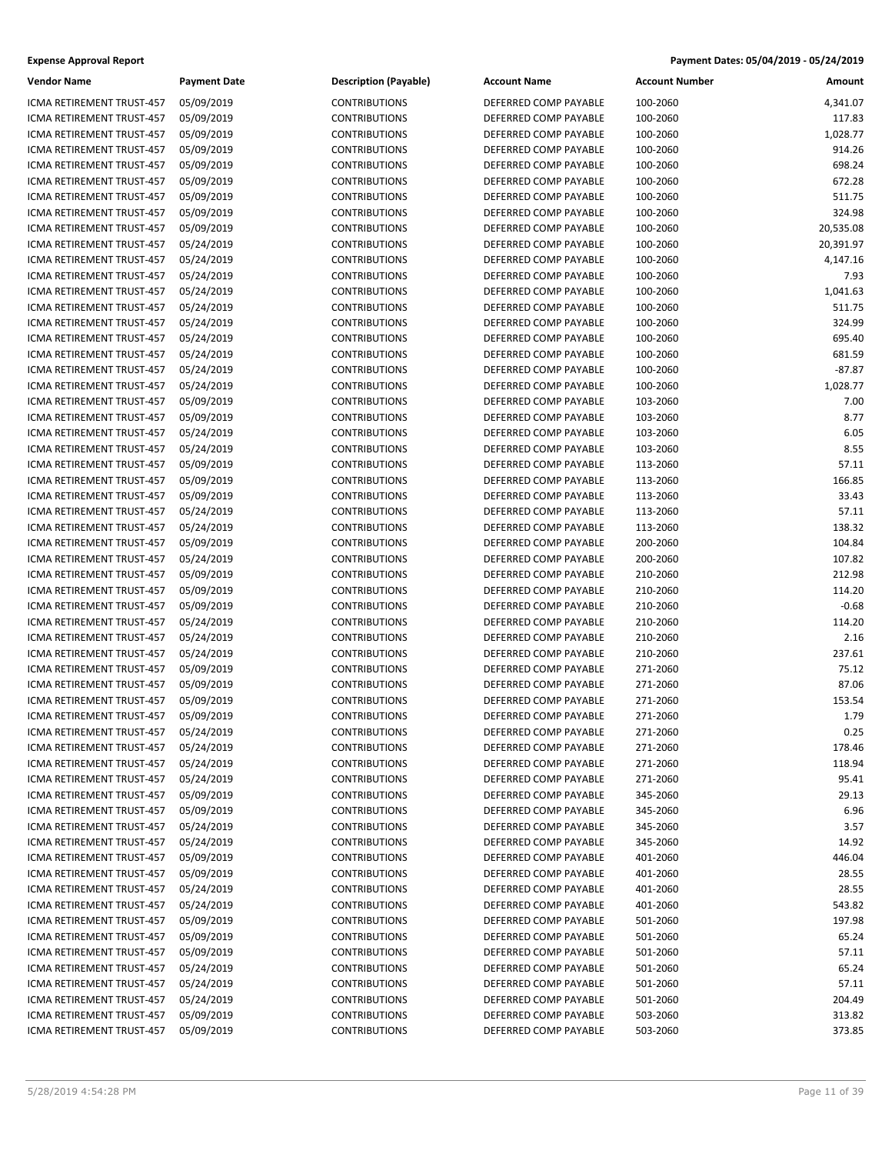| Vendor Name                                            | Payment Da               |
|--------------------------------------------------------|--------------------------|
| ICMA RETIREMENT TRUST-457                              | 05/09/2019               |
| ICMA RETIREMENT TRUST-457                              | 05/09/2019               |
| ICMA RETIREMENT TRUST-457                              | 05/09/2019               |
| <b>ICMA RETIREMENT TRUST-457</b>                       | 05/09/2019               |
| ICMA RETIREMENT TRUST-457                              | 05/09/2019               |
| ICMA RETIREMENT TRUST-457                              | 05/09/2019               |
| ICMA RETIREMENT TRUST-457                              | 05/09/2019               |
| ICMA RETIREMENT TRUST-457                              | 05/09/2019               |
| <b>ICMA RETIREMENT TRUST-457</b>                       | 05/09/2019               |
| ICMA RETIREMENT TRUST-457                              | 05/24/2019               |
| ICMA RETIREMENT TRUST-457                              | 05/24/2019               |
| ICMA RETIREMENT TRUST-457                              | 05/24/2019               |
| ICMA RETIREMENT TRUST-457                              | 05/24/2019               |
| ICMA RETIREMENT TRUST-457                              | 05/24/2019               |
| ICMA RETIREMENT TRUST-457                              | 05/24/2019               |
| ICMA RETIREMENT TRUST-457                              | 05/24/2019               |
| ICMA RETIREMENT TRUST-457                              | 05/24/2019               |
| ICMA RETIREMENT TRUST-457                              | 05/24/2019               |
| ICMA RETIREMENT TRUST-457                              | 05/24/2019               |
| ICMA RETIREMENT TRUST-457                              | 05/09/2019               |
| ICMA RETIREMENT TRUST-457                              | 05/09/2019               |
| ICMA RETIREMENT TRUST-457<br>ICMA RETIREMENT TRUST-457 | 05/24/2019               |
| ICMA RETIREMENT TRUST-457                              | 05/24/2019<br>05/09/2019 |
| ICMA RETIREMENT TRUST-457                              | 05/09/2019               |
| ICMA RETIREMENT TRUST-457                              | 05/09/2019               |
| ICMA RETIREMENT TRUST-457                              | 05/24/2019               |
| ICMA RETIREMENT TRUST-457                              | 05/24/2019               |
| ICMA RETIREMENT TRUST-457                              | 05/09/2019               |
| ICMA RETIREMENT TRUST-457                              | 05/24/2019               |
| ICMA RETIREMENT TRUST-457                              | 05/09/2019               |
| ICMA RETIREMENT TRUST-457                              | 05/09/2019               |
| ICMA RETIREMENT TRUST-457                              | 05/09/2019               |
| ICMA RETIREMENT TRUST-457                              | 05/24/2019               |
| ICMA RETIREMENT TRUST-457                              | 05/24/2019               |
| ICMA RETIREMENT TRUST-457                              | 05/24/2019               |
| ICMA RETIREMENT TRUST-457                              | 05/09/2019               |
| ICMA RETIREMENT TRUST-457                              | 05/09/2019               |
| ICMA RETIREMENT TRUST-457                              | 05/09/2019               |
| ICMA RETIREMENT TRUST-457                              | 05/09/2019               |
| ICMA RETIREMENT TRUST-457                              | 05/24/2019               |
| ICMA RETIREMENT TRUST-457                              | 05/24/2019               |
| ICMA RETIREMENT TRUST-457                              | 05/24/2019               |
| <b>ICMA RETIREMENT TRUST-457</b>                       | 05/24/2019               |
| ICMA RETIREMENT TRUST-457                              | 05/09/2019               |
| ICMA RETIREMENT TRUST-457                              | 05/09/2019               |
| <b>ICMA RETIREMENT TRUST-457</b>                       | 05/24/2019               |
| ICMA RETIREMENT TRUST-457                              | 05/24/2019               |
| ICMA RETIREMENT TRUST-457                              | 05/09/2019               |
| ICMA RETIREMENT TRUST-457                              | 05/09/2019               |
| ICMA RETIREMENT TRUST-457                              | 05/24/2019               |
| ICMA RETIREMENT TRUST-457                              | 05/24/2019               |
| ICMA RETIREMENT TRUST-457                              | 05/09/2019               |
| ICMA RETIREMENT TRUST-457                              | 05/09/2019               |
| ICMA RETIREMENT TRUST-457                              | 05/09/2019               |
| ICMA RETIREMENT TRUST-457                              | 05/24/2019               |
| ICMA RETIREMENT TRUST-457                              | 05/24/2019               |
| ICMA RETIREMENT TRUST-457                              | 05/24/2019               |
| ICMA RETIREMENT TRUST-457                              | 05/09/2019               |
| ICMA RETIREMENT TRUST-457                              | 05/09/2019               |

| <b>Account Number</b> | Amount |
|-----------------------|--------|
|                       |        |

| Vendor Name                      | <b>Payment Date</b> | <b>Description (Payable)</b> | <b>Account Name</b>   | Account Number | Amount    |
|----------------------------------|---------------------|------------------------------|-----------------------|----------------|-----------|
| ICMA RETIREMENT TRUST-457        | 05/09/2019          | <b>CONTRIBUTIONS</b>         | DEFERRED COMP PAYABLE | 100-2060       | 4,341.07  |
| ICMA RETIREMENT TRUST-457        | 05/09/2019          | <b>CONTRIBUTIONS</b>         | DEFERRED COMP PAYABLE | 100-2060       | 117.83    |
| ICMA RETIREMENT TRUST-457        | 05/09/2019          | <b>CONTRIBUTIONS</b>         | DEFERRED COMP PAYABLE | 100-2060       | 1,028.77  |
| ICMA RETIREMENT TRUST-457        | 05/09/2019          | <b>CONTRIBUTIONS</b>         | DEFERRED COMP PAYABLE | 100-2060       | 914.26    |
| ICMA RETIREMENT TRUST-457        | 05/09/2019          | <b>CONTRIBUTIONS</b>         | DEFERRED COMP PAYABLE | 100-2060       | 698.24    |
| ICMA RETIREMENT TRUST-457        | 05/09/2019          | <b>CONTRIBUTIONS</b>         | DEFERRED COMP PAYABLE | 100-2060       | 672.28    |
| ICMA RETIREMENT TRUST-457        | 05/09/2019          | <b>CONTRIBUTIONS</b>         | DEFERRED COMP PAYABLE | 100-2060       | 511.75    |
| ICMA RETIREMENT TRUST-457        | 05/09/2019          | <b>CONTRIBUTIONS</b>         | DEFERRED COMP PAYABLE | 100-2060       | 324.98    |
| ICMA RETIREMENT TRUST-457        | 05/09/2019          | <b>CONTRIBUTIONS</b>         | DEFERRED COMP PAYABLE | 100-2060       | 20,535.08 |
| <b>ICMA RETIREMENT TRUST-457</b> | 05/24/2019          | <b>CONTRIBUTIONS</b>         | DEFERRED COMP PAYABLE | 100-2060       | 20,391.97 |
| ICMA RETIREMENT TRUST-457        | 05/24/2019          | <b>CONTRIBUTIONS</b>         | DEFERRED COMP PAYABLE | 100-2060       | 4,147.16  |
| ICMA RETIREMENT TRUST-457        | 05/24/2019          | <b>CONTRIBUTIONS</b>         | DEFERRED COMP PAYABLE | 100-2060       | 7.93      |
| ICMA RETIREMENT TRUST-457        | 05/24/2019          | <b>CONTRIBUTIONS</b>         | DEFERRED COMP PAYABLE | 100-2060       | 1,041.63  |
| ICMA RETIREMENT TRUST-457        | 05/24/2019          | <b>CONTRIBUTIONS</b>         | DEFERRED COMP PAYABLE | 100-2060       | 511.75    |
| ICMA RETIREMENT TRUST-457        | 05/24/2019          | <b>CONTRIBUTIONS</b>         | DEFERRED COMP PAYABLE | 100-2060       | 324.99    |
| ICMA RETIREMENT TRUST-457        | 05/24/2019          | <b>CONTRIBUTIONS</b>         | DEFERRED COMP PAYABLE | 100-2060       | 695.40    |
| ICMA RETIREMENT TRUST-457        | 05/24/2019          | <b>CONTRIBUTIONS</b>         | DEFERRED COMP PAYABLE | 100-2060       | 681.59    |
| ICMA RETIREMENT TRUST-457        | 05/24/2019          | <b>CONTRIBUTIONS</b>         | DEFERRED COMP PAYABLE | 100-2060       | $-87.87$  |
| ICMA RETIREMENT TRUST-457        | 05/24/2019          | <b>CONTRIBUTIONS</b>         | DEFERRED COMP PAYABLE | 100-2060       | 1,028.77  |
| <b>ICMA RETIREMENT TRUST-457</b> | 05/09/2019          | <b>CONTRIBUTIONS</b>         | DEFERRED COMP PAYABLE | 103-2060       | 7.00      |
| ICMA RETIREMENT TRUST-457        | 05/09/2019          | <b>CONTRIBUTIONS</b>         | DEFERRED COMP PAYABLE | 103-2060       | 8.77      |
| ICMA RETIREMENT TRUST-457        | 05/24/2019          | <b>CONTRIBUTIONS</b>         | DEFERRED COMP PAYABLE | 103-2060       | 6.05      |
| ICMA RETIREMENT TRUST-457        | 05/24/2019          | <b>CONTRIBUTIONS</b>         | DEFERRED COMP PAYABLE | 103-2060       | 8.55      |
| ICMA RETIREMENT TRUST-457        | 05/09/2019          | <b>CONTRIBUTIONS</b>         | DEFERRED COMP PAYABLE | 113-2060       | 57.11     |
| ICMA RETIREMENT TRUST-457        | 05/09/2019          | <b>CONTRIBUTIONS</b>         | DEFERRED COMP PAYABLE | 113-2060       | 166.85    |
| ICMA RETIREMENT TRUST-457        | 05/09/2019          | <b>CONTRIBUTIONS</b>         | DEFERRED COMP PAYABLE | 113-2060       | 33.43     |
| ICMA RETIREMENT TRUST-457        | 05/24/2019          | <b>CONTRIBUTIONS</b>         | DEFERRED COMP PAYABLE | 113-2060       | 57.11     |
| ICMA RETIREMENT TRUST-457        | 05/24/2019          | <b>CONTRIBUTIONS</b>         | DEFERRED COMP PAYABLE | 113-2060       | 138.32    |
| ICMA RETIREMENT TRUST-457        | 05/09/2019          | <b>CONTRIBUTIONS</b>         | DEFERRED COMP PAYABLE | 200-2060       | 104.84    |
| ICMA RETIREMENT TRUST-457        | 05/24/2019          | <b>CONTRIBUTIONS</b>         | DEFERRED COMP PAYABLE | 200-2060       | 107.82    |
| ICMA RETIREMENT TRUST-457        | 05/09/2019          | <b>CONTRIBUTIONS</b>         | DEFERRED COMP PAYABLE | 210-2060       | 212.98    |
| ICMA RETIREMENT TRUST-457        | 05/09/2019          | <b>CONTRIBUTIONS</b>         | DEFERRED COMP PAYABLE | 210-2060       | 114.20    |
| ICMA RETIREMENT TRUST-457        | 05/09/2019          | <b>CONTRIBUTIONS</b>         | DEFERRED COMP PAYABLE | 210-2060       | $-0.68$   |
| ICMA RETIREMENT TRUST-457        | 05/24/2019          | <b>CONTRIBUTIONS</b>         | DEFERRED COMP PAYABLE | 210-2060       | 114.20    |
| ICMA RETIREMENT TRUST-457        | 05/24/2019          | <b>CONTRIBUTIONS</b>         | DEFERRED COMP PAYABLE | 210-2060       | 2.16      |
| ICMA RETIREMENT TRUST-457        | 05/24/2019          | <b>CONTRIBUTIONS</b>         | DEFERRED COMP PAYABLE | 210-2060       | 237.61    |
| ICMA RETIREMENT TRUST-457        | 05/09/2019          | <b>CONTRIBUTIONS</b>         | DEFERRED COMP PAYABLE | 271-2060       | 75.12     |
| ICMA RETIREMENT TRUST-457        | 05/09/2019          | <b>CONTRIBUTIONS</b>         | DEFERRED COMP PAYABLE | 271-2060       | 87.06     |
| ICMA RETIREMENT TRUST-457        | 05/09/2019          | <b>CONTRIBUTIONS</b>         | DEFERRED COMP PAYABLE | 271-2060       | 153.54    |
| <b>CMA RETIREMENT TRUST-457</b>  | 05/09/2019          | <b>CONTRIBUTIONS</b>         | DEFERRED COMP PAYABLE | 271-2060       | 1.79      |
| ICMA RETIREMENT TRUST-457        | 05/24/2019          | <b>CONTRIBUTIONS</b>         | DEFERRED COMP PAYABLE | 271-2060       | 0.25      |
| ICMA RETIREMENT TRUST-457        | 05/24/2019          | <b>CONTRIBUTIONS</b>         | DEFERRED COMP PAYABLE | 271-2060       | 178.46    |
| ICMA RETIREMENT TRUST-457        | 05/24/2019          | <b>CONTRIBUTIONS</b>         | DEFERRED COMP PAYABLE | 271-2060       | 118.94    |
| ICMA RETIREMENT TRUST-457        | 05/24/2019          | <b>CONTRIBUTIONS</b>         | DEFERRED COMP PAYABLE | 271-2060       | 95.41     |
| ICMA RETIREMENT TRUST-457        | 05/09/2019          | <b>CONTRIBUTIONS</b>         | DEFERRED COMP PAYABLE | 345-2060       | 29.13     |
| ICMA RETIREMENT TRUST-457        | 05/09/2019          | <b>CONTRIBUTIONS</b>         | DEFERRED COMP PAYABLE | 345-2060       | 6.96      |
| ICMA RETIREMENT TRUST-457        | 05/24/2019          | <b>CONTRIBUTIONS</b>         | DEFERRED COMP PAYABLE | 345-2060       | 3.57      |
| ICMA RETIREMENT TRUST-457        | 05/24/2019          | <b>CONTRIBUTIONS</b>         | DEFERRED COMP PAYABLE | 345-2060       | 14.92     |
| ICMA RETIREMENT TRUST-457        | 05/09/2019          | <b>CONTRIBUTIONS</b>         | DEFERRED COMP PAYABLE | 401-2060       | 446.04    |
| ICMA RETIREMENT TRUST-457        | 05/09/2019          | <b>CONTRIBUTIONS</b>         | DEFERRED COMP PAYABLE | 401-2060       | 28.55     |
| ICMA RETIREMENT TRUST-457        | 05/24/2019          | <b>CONTRIBUTIONS</b>         | DEFERRED COMP PAYABLE | 401-2060       | 28.55     |
| ICMA RETIREMENT TRUST-457        | 05/24/2019          | <b>CONTRIBUTIONS</b>         | DEFERRED COMP PAYABLE | 401-2060       | 543.82    |
| ICMA RETIREMENT TRUST-457        | 05/09/2019          | <b>CONTRIBUTIONS</b>         | DEFERRED COMP PAYABLE | 501-2060       | 197.98    |
| ICMA RETIREMENT TRUST-457        | 05/09/2019          | <b>CONTRIBUTIONS</b>         | DEFERRED COMP PAYABLE | 501-2060       | 65.24     |
| ICMA RETIREMENT TRUST-457        | 05/09/2019          | <b>CONTRIBUTIONS</b>         | DEFERRED COMP PAYABLE | 501-2060       | 57.11     |
| ICMA RETIREMENT TRUST-457        | 05/24/2019          | <b>CONTRIBUTIONS</b>         | DEFERRED COMP PAYABLE | 501-2060       | 65.24     |
| ICMA RETIREMENT TRUST-457        | 05/24/2019          | <b>CONTRIBUTIONS</b>         | DEFERRED COMP PAYABLE | 501-2060       | 57.11     |
| ICMA RETIREMENT TRUST-457        | 05/24/2019          | <b>CONTRIBUTIONS</b>         | DEFERRED COMP PAYABLE | 501-2060       | 204.49    |
| ICMA RETIREMENT TRUST-457        | 05/09/2019          | <b>CONTRIBUTIONS</b>         | DEFERRED COMP PAYABLE | 503-2060       | 313.82    |
| ICMA RETIREMENT TRUST-457        | 05/09/2019          | <b>CONTRIBUTIONS</b>         | DEFERRED COMP PAYABLE | 503-2060       | 373.85    |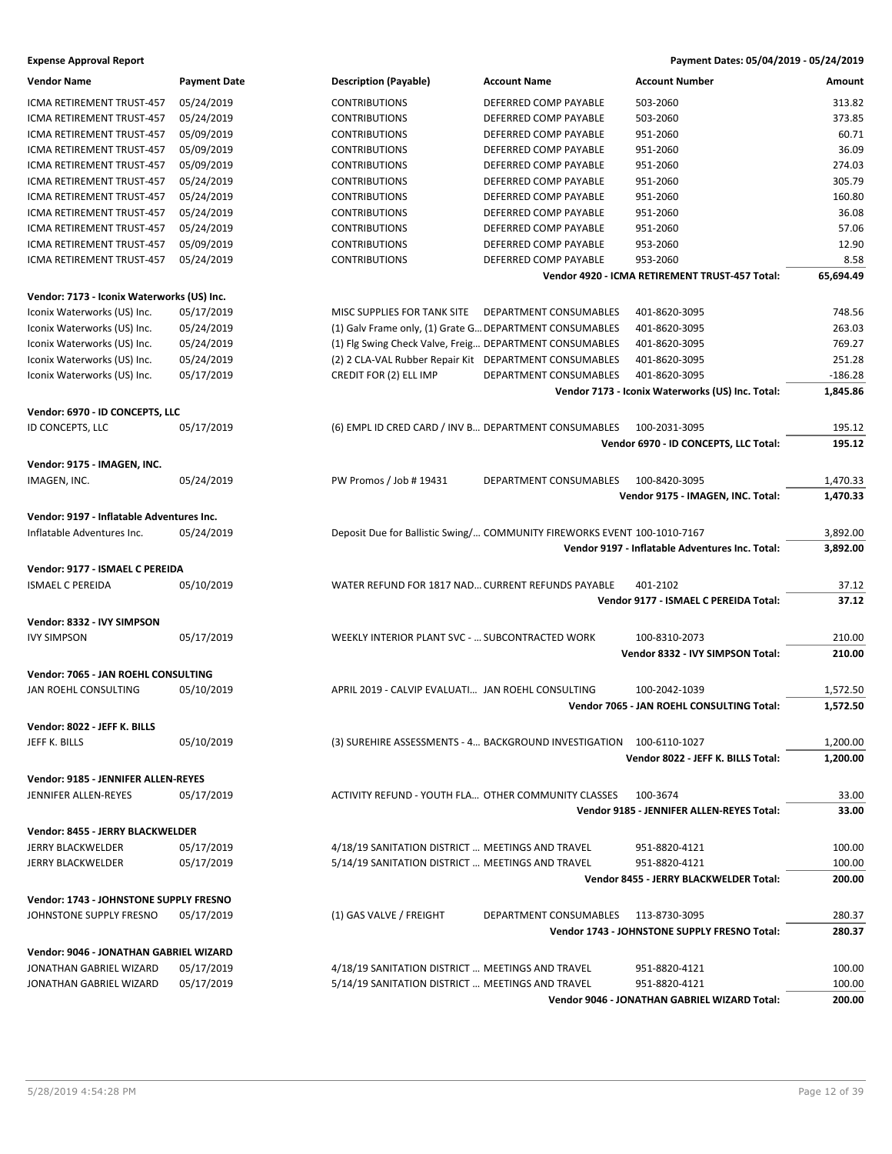| <b>Vendor Name</b>                         | <b>Payment Date</b> | <b>Description (Payable)</b>                            | <b>Account Name</b>                                                      | <b>Account Number</b>                            | Amount    |
|--------------------------------------------|---------------------|---------------------------------------------------------|--------------------------------------------------------------------------|--------------------------------------------------|-----------|
| ICMA RETIREMENT TRUST-457                  | 05/24/2019          | <b>CONTRIBUTIONS</b>                                    | DEFERRED COMP PAYABLE                                                    | 503-2060                                         | 313.82    |
| ICMA RETIREMENT TRUST-457                  | 05/24/2019          | <b>CONTRIBUTIONS</b>                                    | DEFERRED COMP PAYABLE                                                    | 503-2060                                         | 373.85    |
| ICMA RETIREMENT TRUST-457                  | 05/09/2019          | <b>CONTRIBUTIONS</b>                                    | DEFERRED COMP PAYABLE                                                    | 951-2060                                         | 60.71     |
| ICMA RETIREMENT TRUST-457                  | 05/09/2019          | <b>CONTRIBUTIONS</b>                                    | DEFERRED COMP PAYABLE                                                    | 951-2060                                         | 36.09     |
| ICMA RETIREMENT TRUST-457                  | 05/09/2019          | <b>CONTRIBUTIONS</b>                                    | DEFERRED COMP PAYABLE                                                    | 951-2060                                         | 274.03    |
| ICMA RETIREMENT TRUST-457                  | 05/24/2019          | <b>CONTRIBUTIONS</b>                                    | DEFERRED COMP PAYABLE                                                    | 951-2060                                         | 305.79    |
| ICMA RETIREMENT TRUST-457                  | 05/24/2019          | <b>CONTRIBUTIONS</b>                                    | DEFERRED COMP PAYABLE                                                    | 951-2060                                         | 160.80    |
| ICMA RETIREMENT TRUST-457                  | 05/24/2019          | <b>CONTRIBUTIONS</b>                                    | DEFERRED COMP PAYABLE                                                    | 951-2060                                         | 36.08     |
| ICMA RETIREMENT TRUST-457                  | 05/24/2019          | <b>CONTRIBUTIONS</b>                                    | DEFERRED COMP PAYABLE                                                    | 951-2060                                         | 57.06     |
| ICMA RETIREMENT TRUST-457                  | 05/09/2019          | <b>CONTRIBUTIONS</b>                                    | DEFERRED COMP PAYABLE                                                    | 953-2060                                         | 12.90     |
| ICMA RETIREMENT TRUST-457                  | 05/24/2019          | <b>CONTRIBUTIONS</b>                                    | DEFERRED COMP PAYABLE                                                    | 953-2060                                         | 8.58      |
|                                            |                     |                                                         |                                                                          | Vendor 4920 - ICMA RETIREMENT TRUST-457 Total:   | 65,694.49 |
|                                            |                     |                                                         |                                                                          |                                                  |           |
| Vendor: 7173 - Iconix Waterworks (US) Inc. |                     |                                                         |                                                                          |                                                  |           |
| Iconix Waterworks (US) Inc.                | 05/17/2019          | MISC SUPPLIES FOR TANK SITE DEPARTMENT CONSUMABLES      |                                                                          | 401-8620-3095                                    | 748.56    |
| Iconix Waterworks (US) Inc.                | 05/24/2019          | (1) Galv Frame only, (1) Grate G DEPARTMENT CONSUMABLES |                                                                          | 401-8620-3095                                    | 263.03    |
| Iconix Waterworks (US) Inc.                | 05/24/2019          | (1) Fig Swing Check Valve, Freig DEPARTMENT CONSUMABLES |                                                                          | 401-8620-3095                                    | 769.27    |
| Iconix Waterworks (US) Inc.                | 05/24/2019          | (2) 2 CLA-VAL Rubber Repair Kit DEPARTMENT CONSUMABLES  |                                                                          | 401-8620-3095                                    | 251.28    |
| Iconix Waterworks (US) Inc.                | 05/17/2019          | CREDIT FOR (2) ELL IMP                                  | DEPARTMENT CONSUMABLES                                                   | 401-8620-3095                                    | $-186.28$ |
|                                            |                     |                                                         |                                                                          | Vendor 7173 - Iconix Waterworks (US) Inc. Total: | 1,845.86  |
| Vendor: 6970 - ID CONCEPTS, LLC            |                     |                                                         |                                                                          |                                                  |           |
| ID CONCEPTS, LLC                           | 05/17/2019          | (6) EMPL ID CRED CARD / INV B DEPARTMENT CONSUMABLES    |                                                                          | 100-2031-3095                                    | 195.12    |
|                                            |                     |                                                         |                                                                          | Vendor 6970 - ID CONCEPTS, LLC Total:            | 195.12    |
| Vendor: 9175 - IMAGEN, INC.                |                     |                                                         |                                                                          |                                                  |           |
| IMAGEN, INC.                               | 05/24/2019          | PW Promos / Job # 19431                                 | DEPARTMENT CONSUMABLES                                                   | 100-8420-3095                                    | 1,470.33  |
|                                            |                     |                                                         |                                                                          | Vendor 9175 - IMAGEN, INC. Total:                | 1,470.33  |
|                                            |                     |                                                         |                                                                          |                                                  |           |
| Vendor: 9197 - Inflatable Adventures Inc.  |                     |                                                         |                                                                          |                                                  |           |
| Inflatable Adventures Inc.                 | 05/24/2019          |                                                         | Deposit Due for Ballistic Swing/ COMMUNITY FIREWORKS EVENT 100-1010-7167 |                                                  | 3,892.00  |
|                                            |                     |                                                         |                                                                          | Vendor 9197 - Inflatable Adventures Inc. Total:  | 3,892.00  |
| Vendor: 9177 - ISMAEL C PEREIDA            |                     |                                                         |                                                                          |                                                  |           |
| <b>ISMAEL C PEREIDA</b>                    | 05/10/2019          | WATER REFUND FOR 1817 NAD CURRENT REFUNDS PAYABLE       |                                                                          | 401-2102                                         | 37.12     |
|                                            |                     |                                                         |                                                                          | Vendor 9177 - ISMAEL C PEREIDA Total:            | 37.12     |
| Vendor: 8332 - IVY SIMPSON                 |                     |                                                         |                                                                          |                                                  |           |
| <b>IVY SIMPSON</b>                         | 05/17/2019          | WEEKLY INTERIOR PLANT SVC -  SUBCONTRACTED WORK         |                                                                          | 100-8310-2073                                    | 210.00    |
|                                            |                     |                                                         |                                                                          | Vendor 8332 - IVY SIMPSON Total:                 | 210.00    |
|                                            |                     |                                                         |                                                                          |                                                  |           |
| Vendor: 7065 - JAN ROEHL CONSULTING        |                     |                                                         |                                                                          |                                                  |           |
| JAN ROEHL CONSULTING                       | 05/10/2019          | APRIL 2019 - CALVIP EVALUATI JAN ROEHL CONSULTING       |                                                                          | 100-2042-1039                                    | 1,572.50  |
|                                            |                     |                                                         |                                                                          | Vendor 7065 - JAN ROEHL CONSULTING Total:        | 1,572.50  |
| Vendor: 8022 - JEFF K. BILLS               |                     |                                                         |                                                                          |                                                  |           |
| JEFF K. BILLS                              | 05/10/2019          |                                                         | (3) SUREHIRE ASSESSMENTS - 4 BACKGROUND INVESTIGATION 100-6110-1027      |                                                  | 1,200.00  |
|                                            |                     |                                                         |                                                                          | Vendor 8022 - JEFF K. BILLS Total:               | 1,200.00  |
| Vendor: 9185 - JENNIFER ALLEN-REYES        |                     |                                                         |                                                                          |                                                  |           |
| JENNIFER ALLEN-REYES                       | 05/17/2019          | ACTIVITY REFUND - YOUTH FLA OTHER COMMUNITY CLASSES     |                                                                          | 100-3674                                         | 33.00     |
|                                            |                     |                                                         |                                                                          | Vendor 9185 - JENNIFER ALLEN-REYES Total:        | 33.00     |
|                                            |                     |                                                         |                                                                          |                                                  |           |
| Vendor: 8455 - JERRY BLACKWELDER           |                     |                                                         |                                                                          |                                                  |           |
| JERRY BLACKWELDER                          | 05/17/2019          | 4/18/19 SANITATION DISTRICT  MEETINGS AND TRAVEL        |                                                                          | 951-8820-4121                                    | 100.00    |
| JERRY BLACKWELDER                          | 05/17/2019          | 5/14/19 SANITATION DISTRICT  MEETINGS AND TRAVEL        |                                                                          | 951-8820-4121                                    | 100.00    |
|                                            |                     |                                                         |                                                                          | Vendor 8455 - JERRY BLACKWELDER Total:           | 200.00    |
| Vendor: 1743 - JOHNSTONE SUPPLY FRESNO     |                     |                                                         |                                                                          |                                                  |           |
| JOHNSTONE SUPPLY FRESNO                    | 05/17/2019          | (1) GAS VALVE / FREIGHT                                 | DEPARTMENT CONSUMABLES                                                   | 113-8730-3095                                    | 280.37    |
|                                            |                     |                                                         |                                                                          | Vendor 1743 - JOHNSTONE SUPPLY FRESNO Total:     | 280.37    |
| Vendor: 9046 - JONATHAN GABRIEL WIZARD     |                     |                                                         |                                                                          |                                                  |           |
| JONATHAN GABRIEL WIZARD                    | 05/17/2019          | 4/18/19 SANITATION DISTRICT  MEETINGS AND TRAVEL        |                                                                          | 951-8820-4121                                    | 100.00    |
| JONATHAN GABRIEL WIZARD                    | 05/17/2019          | 5/14/19 SANITATION DISTRICT  MEETINGS AND TRAVEL        |                                                                          | 951-8820-4121                                    | 100.00    |
|                                            |                     |                                                         |                                                                          | Vendor 9046 - JONATHAN GABRIEL WIZARD Total:     | 200.00    |
|                                            |                     |                                                         |                                                                          |                                                  |           |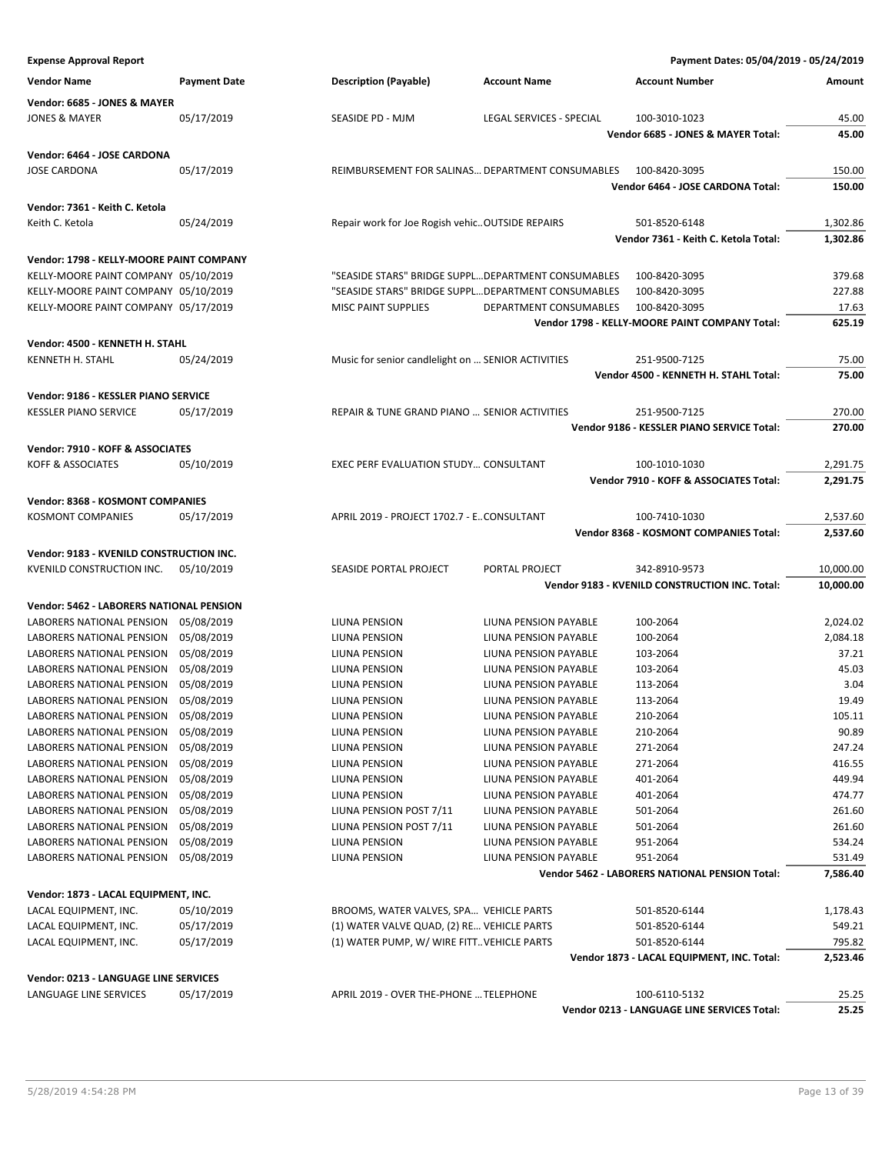| <b>Expense Approval Report</b>           |                     |                                                    |                                                    | Payment Dates: 05/04/2019 - 05/24/2019                       |                  |
|------------------------------------------|---------------------|----------------------------------------------------|----------------------------------------------------|--------------------------------------------------------------|------------------|
| <b>Vendor Name</b>                       | <b>Payment Date</b> | <b>Description (Payable)</b>                       | <b>Account Name</b>                                | <b>Account Number</b>                                        | Amount           |
| Vendor: 6685 - JONES & MAYER             |                     |                                                    |                                                    |                                                              |                  |
| <b>JONES &amp; MAYER</b>                 | 05/17/2019          | SEASIDE PD - MJM                                   | LEGAL SERVICES - SPECIAL                           | 100-3010-1023                                                | 45.00            |
|                                          |                     |                                                    |                                                    | Vendor 6685 - JONES & MAYER Total:                           | 45.00            |
| Vendor: 6464 - JOSE CARDONA              |                     |                                                    |                                                    |                                                              |                  |
| <b>JOSE CARDONA</b>                      | 05/17/2019          |                                                    | REIMBURSEMENT FOR SALINAS DEPARTMENT CONSUMABLES   | 100-8420-3095                                                | 150.00           |
|                                          |                     |                                                    |                                                    | Vendor 6464 - JOSE CARDONA Total:                            | 150.00           |
| Vendor: 7361 - Keith C. Ketola           |                     |                                                    |                                                    |                                                              |                  |
| Keith C. Ketola                          | 05/24/2019          | Repair work for Joe Rogish vehicOUTSIDE REPAIRS    |                                                    | 501-8520-6148                                                | 1,302.86         |
|                                          |                     |                                                    |                                                    | Vendor 7361 - Keith C. Ketola Total:                         | 1,302.86         |
| Vendor: 1798 - KELLY-MOORE PAINT COMPANY |                     |                                                    |                                                    |                                                              |                  |
| KELLY-MOORE PAINT COMPANY 05/10/2019     |                     |                                                    | "SEASIDE STARS" BRIDGE SUPPLDEPARTMENT CONSUMABLES | 100-8420-3095                                                | 379.68           |
| KELLY-MOORE PAINT COMPANY 05/10/2019     |                     |                                                    | "SEASIDE STARS" BRIDGE SUPPLDEPARTMENT CONSUMABLES | 100-8420-3095                                                | 227.88           |
| KELLY-MOORE PAINT COMPANY 05/17/2019     |                     | MISC PAINT SUPPLIES                                | DEPARTMENT CONSUMABLES                             | 100-8420-3095                                                | 17.63            |
|                                          |                     |                                                    |                                                    | Vendor 1798 - KELLY-MOORE PAINT COMPANY Total:               | 625.19           |
| Vendor: 4500 - KENNETH H. STAHL          |                     |                                                    |                                                    |                                                              |                  |
| KENNETH H. STAHL                         | 05/24/2019          | Music for senior candlelight on  SENIOR ACTIVITIES |                                                    | 251-9500-7125                                                | 75.00            |
|                                          |                     |                                                    |                                                    | Vendor 4500 - KENNETH H. STAHL Total:                        | 75.00            |
| Vendor: 9186 - KESSLER PIANO SERVICE     |                     |                                                    |                                                    |                                                              |                  |
| <b>KESSLER PIANO SERVICE</b>             | 05/17/2019          | REPAIR & TUNE GRAND PIANO  SENIOR ACTIVITIES       |                                                    | 251-9500-7125                                                | 270.00           |
|                                          |                     |                                                    |                                                    | Vendor 9186 - KESSLER PIANO SERVICE Total:                   | 270.00           |
| Vendor: 7910 - KOFF & ASSOCIATES         |                     |                                                    |                                                    |                                                              |                  |
| <b>KOFF &amp; ASSOCIATES</b>             | 05/10/2019          | EXEC PERF EVALUATION STUDY CONSULTANT              |                                                    | 100-1010-1030                                                | 2,291.75         |
|                                          |                     |                                                    |                                                    | Vendor 7910 - KOFF & ASSOCIATES Total:                       | 2,291.75         |
| Vendor: 8368 - KOSMONT COMPANIES         |                     |                                                    |                                                    |                                                              |                  |
| <b>KOSMONT COMPANIES</b>                 | 05/17/2019          | APRIL 2019 - PROJECT 1702.7 - E. CONSULTANT        |                                                    | 100-7410-1030                                                | 2,537.60         |
|                                          |                     |                                                    |                                                    | Vendor 8368 - KOSMONT COMPANIES Total:                       | 2,537.60         |
| Vendor: 9183 - KVENILD CONSTRUCTION INC. |                     |                                                    |                                                    |                                                              |                  |
| KVENILD CONSTRUCTION INC.                | 05/10/2019          | SEASIDE PORTAL PROJECT                             | PORTAL PROJECT                                     | 342-8910-9573                                                | 10,000.00        |
|                                          |                     |                                                    |                                                    | Vendor 9183 - KVENILD CONSTRUCTION INC. Total:               | 10,000.00        |
| Vendor: 5462 - LABORERS NATIONAL PENSION |                     |                                                    |                                                    |                                                              |                  |
| LABORERS NATIONAL PENSION                | 05/08/2019          | LIUNA PENSION                                      | LIUNA PENSION PAYABLE                              | 100-2064                                                     | 2,024.02         |
| LABORERS NATIONAL PENSION 05/08/2019     |                     | <b>LIUNA PENSION</b>                               | LIUNA PENSION PAYABLE                              | 100-2064                                                     | 2,084.18         |
| LABORERS NATIONAL PENSION                | 05/08/2019          | LIUNA PENSION                                      | LIUNA PENSION PAYABLE                              | 103-2064                                                     | 37.21            |
| LABORERS NATIONAL PENSION 05/08/2019     |                     | LIUNA PENSION                                      | LIUNA PENSION PAYABLE                              | 103-2064                                                     | 45.03            |
| LABORERS NATIONAL PENSION                | 05/08/2019          | LIUNA PENSION                                      | LIUNA PENSION PAYABLE                              | 113-2064                                                     | 3.04             |
| LABORERS NATIONAL PENSION                | 05/08/2019          | LIUNA PENSION                                      | LIUNA PENSION PAYABLE                              | 113-2064                                                     | 19.49            |
| LABORERS NATIONAL PENSION                | 05/08/2019          | LIUNA PENSION                                      | LIUNA PENSION PAYABLE                              | 210-2064                                                     | 105.11           |
| LABORERS NATIONAL PENSION                | 05/08/2019          | LIUNA PENSION                                      | LIUNA PENSION PAYABLE                              | 210-2064                                                     | 90.89            |
| LABORERS NATIONAL PENSION                | 05/08/2019          | LIUNA PENSION                                      | LIUNA PENSION PAYABLE                              | 271-2064                                                     | 247.24           |
| LABORERS NATIONAL PENSION                | 05/08/2019          | LIUNA PENSION                                      | LIUNA PENSION PAYABLE                              | 271-2064                                                     | 416.55           |
| LABORERS NATIONAL PENSION                | 05/08/2019          | LIUNA PENSION                                      | LIUNA PENSION PAYABLE                              | 401-2064                                                     | 449.94           |
| LABORERS NATIONAL PENSION                | 05/08/2019          | LIUNA PENSION                                      | LIUNA PENSION PAYABLE                              | 401-2064                                                     | 474.77           |
| LABORERS NATIONAL PENSION                | 05/08/2019          | LIUNA PENSION POST 7/11                            | LIUNA PENSION PAYABLE                              | 501-2064                                                     | 261.60           |
| LABORERS NATIONAL PENSION                | 05/08/2019          | LIUNA PENSION POST 7/11                            | LIUNA PENSION PAYABLE                              | 501-2064                                                     | 261.60           |
| LABORERS NATIONAL PENSION                | 05/08/2019          | LIUNA PENSION                                      | LIUNA PENSION PAYABLE                              | 951-2064                                                     | 534.24           |
| LABORERS NATIONAL PENSION 05/08/2019     |                     | LIUNA PENSION                                      | LIUNA PENSION PAYABLE                              | 951-2064                                                     | 531.49           |
|                                          |                     |                                                    |                                                    | Vendor 5462 - LABORERS NATIONAL PENSION Total:               | 7,586.40         |
| Vendor: 1873 - LACAL EQUIPMENT, INC.     |                     |                                                    |                                                    |                                                              |                  |
| LACAL EQUIPMENT, INC.                    | 05/10/2019          | BROOMS, WATER VALVES, SPA VEHICLE PARTS            |                                                    | 501-8520-6144                                                | 1,178.43         |
| LACAL EQUIPMENT, INC.                    | 05/17/2019          | (1) WATER VALVE QUAD, (2) RE VEHICLE PARTS         |                                                    | 501-8520-6144                                                | 549.21<br>795.82 |
| LACAL EQUIPMENT, INC.                    | 05/17/2019          | (1) WATER PUMP, W/ WIRE FITT VEHICLE PARTS         |                                                    | 501-8520-6144<br>Vendor 1873 - LACAL EQUIPMENT, INC. Total:  | 2,523.46         |
|                                          |                     |                                                    |                                                    |                                                              |                  |
| Vendor: 0213 - LANGUAGE LINE SERVICES    |                     |                                                    |                                                    |                                                              |                  |
| LANGUAGE LINE SERVICES                   | 05/17/2019          | APRIL 2019 - OVER THE-PHONE  TELEPHONE             |                                                    | 100-6110-5132<br>Vendor 0213 - LANGUAGE LINE SERVICES Total: | 25.25<br>25.25   |
|                                          |                     |                                                    |                                                    |                                                              |                  |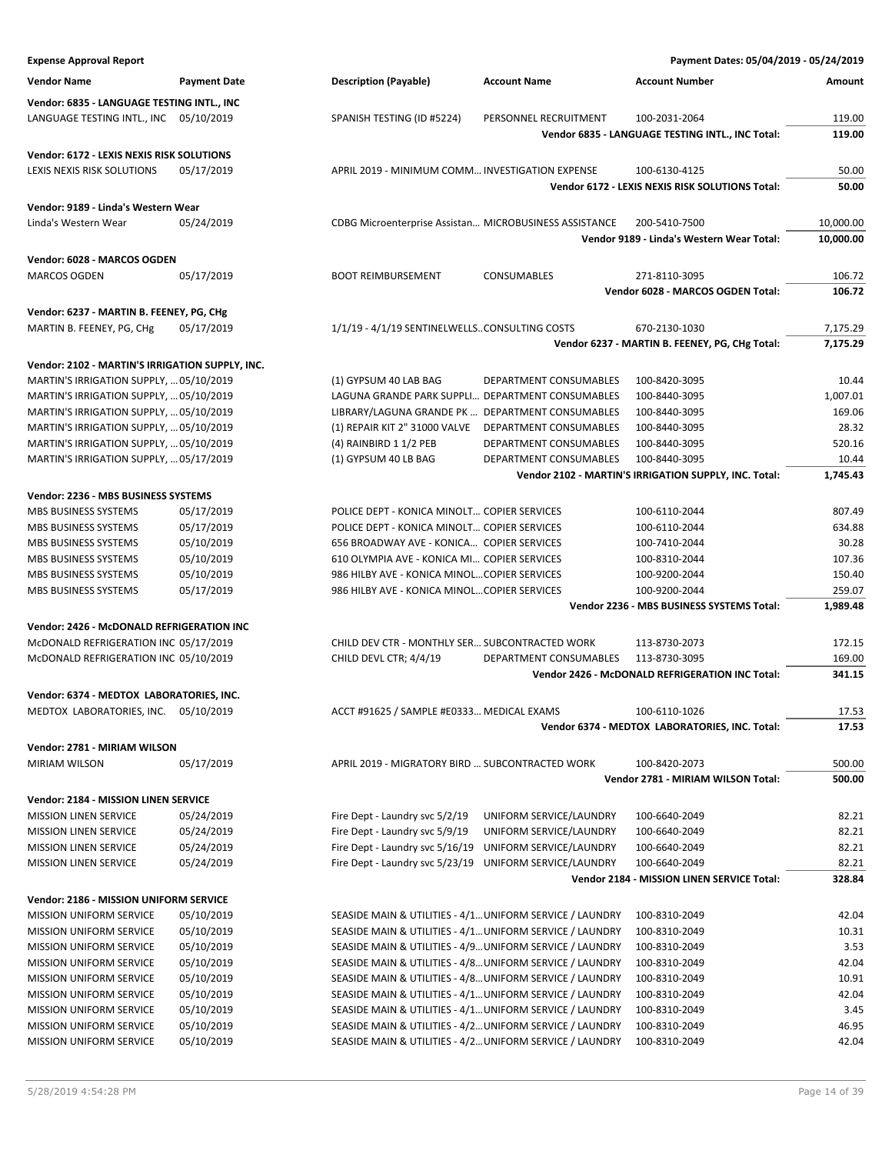**Expense Approval Report Payment Dates: 05/04/2019 - 05/24/2019 Vendor Name Payment Date Description (Payable) Account Name Account Number Amount Vendor: 6835 - LANGUAGE TESTING INTL., INC** LANGUAGE TESTING INTL., INC 05/10/2019 SPANISH TESTING (ID #5224) PERSONNEL RECRUITMENT 100-2031-2064 119.00 **Vendor 6835 - LANGUAGE TESTING INTL., INC Total: 119.00 Vendor: 6172 - LEXIS NEXIS RISK SOLUTIONS** LEXIS NEXIS RISK SOLUTIONS 05/17/2019 APRIL 2019 - MINIMUM COMM…INVESTIGATION EXPENSE 100-6130-4125 50.00 **Vendor 6172 - LEXIS NEXIS RISK SOLUTIONS Total: 50.00 Vendor: 9189 - Linda's Western Wear** Linda's Western Wear 05/24/2019 CDBG Microenterprise Assistan… MICROBUSINESS ASSISTANCE 200-5410-7500 10,000.00 **Vendor 9189 - Linda's Western Wear Total: 10,000.00 Vendor: 6028 - MARCOS OGDEN** MARCOS OGDEN 05/17/2019 BOOT REIMBURSEMENT CONSUMABLES 271-8110-3095 106.72 **Vendor 6028 - MARCOS OGDEN Total: 106.72 Vendor: 6237 - MARTIN B. FEENEY, PG, CHg** MARTIN B. FEENEY, PG, CHg 05/17/2019 1/1/19 - 4/1/19 SENTINELWELLS…CONSULTING COSTS 670-2130-1030 7,175.29 **Vendor 6237 - MARTIN B. FEENEY, PG, CHg Total: 7,175.29 Vendor: 2102 - MARTIN'S IRRIGATION SUPPLY, INC.** MARTIN'S IRRIGATION SUPPLY, …05/10/2019 (1) GYPSUM 40 LAB BAG DEPARTMENT CONSUMABLES 100-8420-3095 10.44 MARTIN'S IRRIGATION SUPPLY, …05/10/2019 LAGUNA GRANDE PARK SUPPLI… DEPARTMENT CONSUMABLES 100-8440-3095 1,007.01 MARTIN'S IRRIGATION SUPPLY, …05/10/2019 LIBRARY/LAGUNA GRANDE PK … DEPARTMENT CONSUMABLES 100-8440-3095 169.06 MARTIN'S IRRIGATION SUPPLY, …05/10/2019 (1) REPAIR KIT 2" 31000 VALVE DEPARTMENT CONSUMABLES 100-8440-3095 28.32 MARTIN'S IRRIGATION SUPPLY, ... 05/10/2019 (4) RAINBIRD 1 1/2 PEB DEPARTMENT CONSUMABLES 100-8440-3095 520.16 MARTIN'S IRRIGATION SUPPLY, ... 05/17/2019 (1) GYPSUM 40 LB BAG DEPARTMENT CONSUMABLES 100-8440-3095 10.44 **Vendor 2102 - MARTIN'S IRRIGATION SUPPLY, INC. Total: 1,745.43 Vendor: 2236 - MBS BUSINESS SYSTEMS** MBS BUSINESS SYSTEMS 05/17/2019 POLICE DEPT - KONICA MINOLT... COPIER SERVICES 100-6110-2044 807.49 MBS BUSINESS SYSTEMS 05/17/2019 POLICE DEPT - KONICA MINOLT... COPIER SERVICES 100-6110-2044 634.88 MBS BUSINESS SYSTEMS 05/10/2019 656 BROADWAY AVE - KONICA... COPIER SERVICES 100-7410-2044 30.28 MBS BUSINESS SYSTEMS 05/10/2019 610 OLYMPIA AVE - KONICA MI... COPIER SERVICES 100-8310-2044 107.36 MBS BUSINESS SYSTEMS 05/10/2019 986 HILBY AVE - KONICA MINOL...COPIER SERVICES 100-9200-2044 150.40 MBS BUSINESS SYSTEMS 05/17/2019 986 HILBY AVE - KONICA MINOL...COPIER SERVICES 100-9200-2044 259.07 **Vendor 2236 - MBS BUSINESS SYSTEMS Total: 1,989.48 Vendor: 2426 - McDONALD REFRIGERATION INC** McDONALD REFRIGERATION INC 05/17/2019 CHILD DEV CTR - MONTHLY SER... SUBCONTRACTED WORK 113-8730-2073 172.15 McDONALD REFRIGERATION INC 05/10/2019 CHILD DEVL CTR; 4/4/19 DEPARTMENT CONSUMABLES 113-8730-3095 169.00 **Vendor 2426 - McDONALD REFRIGERATION INC Total: 341.15 Vendor: 6374 - MEDTOX LABORATORIES, INC.** MEDTOX LABORATORIES, INC. 05/10/2019 ACCT #91625 / SAMPLE #E0333... MEDICAL EXAMS 100-6110-1026 17.53 **Vendor 6374 - MEDTOX LABORATORIES, INC. Total: 17.53 Vendor: 2781 - MIRIAM WILSON** MIRIAM WILSON 05/17/2019 APRIL 2019 - MIGRATORY BIRD … SUBCONTRACTED WORK 100-8420-2073 500.00 **Vendor 2781 - MIRIAM WILSON Total: 500.00 Vendor: 2184 - MISSION LINEN SERVICE** MISSION LINEN SERVICE 05/24/2019 Fire Dept - Laundry svc 5/2/19 UNIFORM SERVICE/LAUNDRY 100-6640-2049 82.21 82.21 MISSION LINEN SERVICE 05/24/2019 Fire Dept - Laundry svc 5/9/19 UNIFORM SERVICE/LAUNDRY 100-6640-2049 82.21 82.21 MISSION LINEN SERVICE 05/24/2019 Fire Dept - Laundry svc 5/16/19 UNIFORM SERVICE/LAUNDRY 100-6640-2049 82.21 82.21 MISSION LINEN SERVICE 05/24/2019 Fire Dept - Laundry svc 5/23/19 UNIFORM SERVICE/LAUNDRY 100-6640-2049 82.21 82.21 **Vendor 2184 - MISSION LINEN SERVICE Total: 328.84 Vendor: 2186 - MISSION UNIFORM SERVICE** MISSION UNIFORM SERVICE 05/10/2019 SEASIDE MAIN & UTILITIES - 4/1…UNIFORM SERVICE / LAUNDRY 100-8310-2049 42.04 MISSION UNIFORM SERVICE 05/10/2019 SEASIDE MAIN & UTILITIES - 4/1…UNIFORM SERVICE / LAUNDRY 100-8310-2049 10.31 MISSION UNIFORM SERVICE 05/10/2019 SEASIDE MAIN & UTILITIES - 4/9…UNIFORM SERVICE / LAUNDRY 100-8310-2049 3.53 MISSION UNIFORM SERVICE 05/10/2019 SEASIDE MAIN & UTILITIES - 4/8…UNIFORM SERVICE / LAUNDRY 100-8310-2049 42.04 MISSION UNIFORM SERVICE 05/10/2019 SEASIDE MAIN & UTILITIES - 4/8... UNIFORM SERVICE / LAUNDRY 100-8310-2049 10.91 MISSION UNIFORM SERVICE 05/10/2019 SEASIDE MAIN & UTILITIES - 4/1…UNIFORM SERVICE / LAUNDRY 100-8310-2049 42.04 MISSION UNIFORM SERVICE 05/10/2019 SEASIDE MAIN & UTILITIES - 4/1…UNIFORM SERVICE / LAUNDRY 100-8310-2049 3.45 MISSION UNIFORM SERVICE 05/10/2019 SEASIDE MAIN & UTILITIES - 4/2…UNIFORM SERVICE / LAUNDRY 100-8310-2049 46.95

MISSION UNIFORM SERVICE 05/10/2019 SEASIDE MAIN & UTILITIES - 4/2…UNIFORM SERVICE / LAUNDRY 100-8310-2049 42.04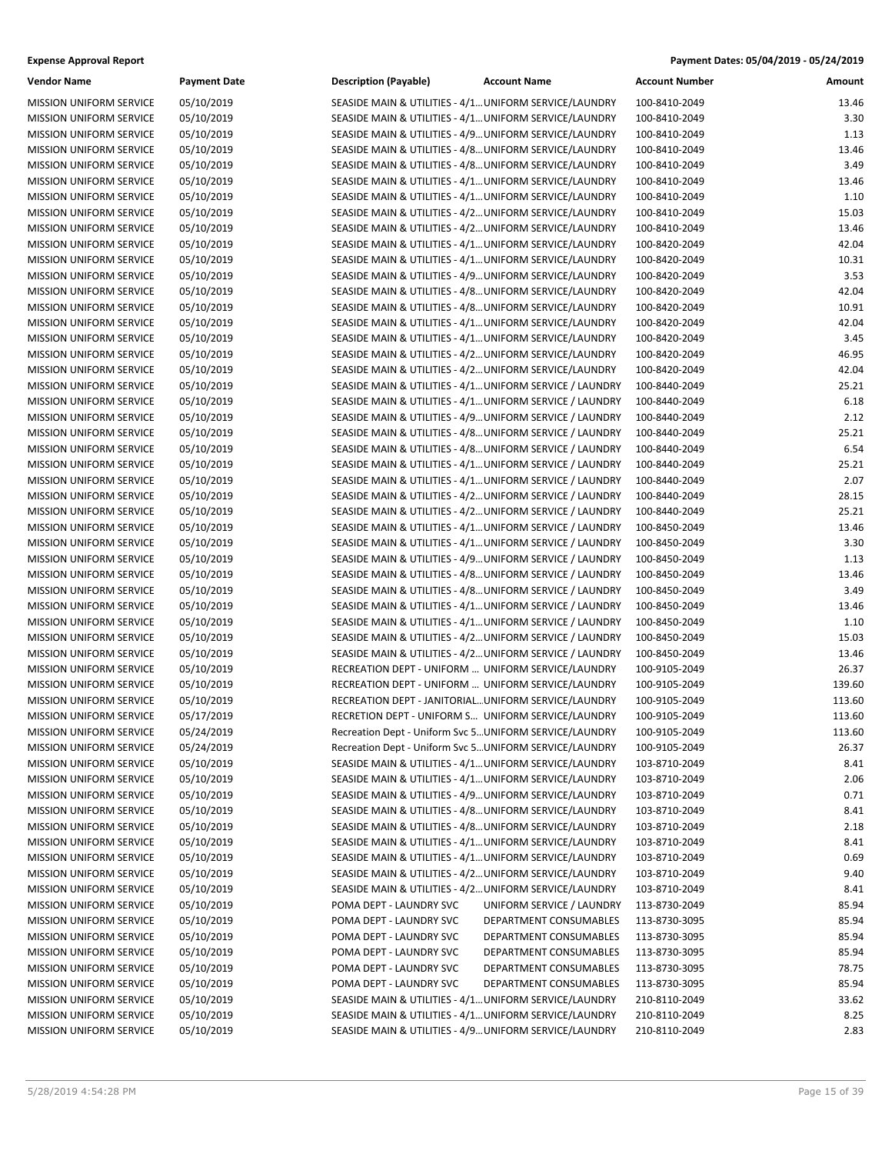| <b>Vendor Name</b>             | <b>Payment Date</b> | <b>Description (Payable)</b>                             | <b>Account Name</b>       | <b>Account Number</b> | Amount |
|--------------------------------|---------------------|----------------------------------------------------------|---------------------------|-----------------------|--------|
| <b>MISSION UNIFORM SERVICE</b> | 05/10/2019          | SEASIDE MAIN & UTILITIES - 4/1 UNIFORM SERVICE/LAUNDRY   |                           | 100-8410-2049         | 13.46  |
| <b>MISSION UNIFORM SERVICE</b> | 05/10/2019          | SEASIDE MAIN & UTILITIES - 4/1 UNIFORM SERVICE/LAUNDRY   |                           | 100-8410-2049         | 3.30   |
| MISSION UNIFORM SERVICE        | 05/10/2019          | SEASIDE MAIN & UTILITIES - 4/9 UNIFORM SERVICE/LAUNDRY   |                           | 100-8410-2049         | 1.13   |
| MISSION UNIFORM SERVICE        | 05/10/2019          | SEASIDE MAIN & UTILITIES - 4/8 UNIFORM SERVICE/LAUNDRY   |                           | 100-8410-2049         | 13.46  |
| <b>MISSION UNIFORM SERVICE</b> | 05/10/2019          | SEASIDE MAIN & UTILITIES - 4/8 UNIFORM SERVICE/LAUNDRY   |                           | 100-8410-2049         | 3.49   |
| MISSION UNIFORM SERVICE        | 05/10/2019          | SEASIDE MAIN & UTILITIES - 4/1 UNIFORM SERVICE/LAUNDRY   |                           | 100-8410-2049         | 13.46  |
| <b>MISSION UNIFORM SERVICE</b> | 05/10/2019          | SEASIDE MAIN & UTILITIES - 4/1 UNIFORM SERVICE/LAUNDRY   |                           | 100-8410-2049         | 1.10   |
| MISSION UNIFORM SERVICE        | 05/10/2019          | SEASIDE MAIN & UTILITIES - 4/2 UNIFORM SERVICE/LAUNDRY   |                           | 100-8410-2049         | 15.03  |
| MISSION UNIFORM SERVICE        | 05/10/2019          | SEASIDE MAIN & UTILITIES - 4/2 UNIFORM SERVICE/LAUNDRY   |                           | 100-8410-2049         | 13.46  |
| MISSION UNIFORM SERVICE        | 05/10/2019          | SEASIDE MAIN & UTILITIES - 4/1 UNIFORM SERVICE/LAUNDRY   |                           | 100-8420-2049         | 42.04  |
| MISSION UNIFORM SERVICE        | 05/10/2019          | SEASIDE MAIN & UTILITIES - 4/1 UNIFORM SERVICE/LAUNDRY   |                           | 100-8420-2049         | 10.31  |
| MISSION UNIFORM SERVICE        | 05/10/2019          | SEASIDE MAIN & UTILITIES - 4/9 UNIFORM SERVICE/LAUNDRY   |                           | 100-8420-2049         | 3.53   |
| MISSION UNIFORM SERVICE        | 05/10/2019          | SEASIDE MAIN & UTILITIES - 4/8 UNIFORM SERVICE/LAUNDRY   |                           | 100-8420-2049         | 42.04  |
| MISSION UNIFORM SERVICE        | 05/10/2019          | SEASIDE MAIN & UTILITIES - 4/8 UNIFORM SERVICE/LAUNDRY   |                           | 100-8420-2049         | 10.91  |
| <b>MISSION UNIFORM SERVICE</b> | 05/10/2019          | SEASIDE MAIN & UTILITIES - 4/1 UNIFORM SERVICE/LAUNDRY   |                           | 100-8420-2049         | 42.04  |
| MISSION UNIFORM SERVICE        | 05/10/2019          | SEASIDE MAIN & UTILITIES - 4/1 UNIFORM SERVICE/LAUNDRY   |                           | 100-8420-2049         | 3.45   |
| MISSION UNIFORM SERVICE        | 05/10/2019          | SEASIDE MAIN & UTILITIES - 4/2 UNIFORM SERVICE/LAUNDRY   |                           | 100-8420-2049         | 46.95  |
| MISSION UNIFORM SERVICE        | 05/10/2019          | SEASIDE MAIN & UTILITIES - 4/2 UNIFORM SERVICE/LAUNDRY   |                           | 100-8420-2049         | 42.04  |
| MISSION UNIFORM SERVICE        | 05/10/2019          | SEASIDE MAIN & UTILITIES - 4/1 UNIFORM SERVICE / LAUNDRY |                           | 100-8440-2049         | 25.21  |
| <b>MISSION UNIFORM SERVICE</b> | 05/10/2019          | SEASIDE MAIN & UTILITIES - 4/1 UNIFORM SERVICE / LAUNDRY |                           | 100-8440-2049         | 6.18   |
| MISSION UNIFORM SERVICE        | 05/10/2019          | SEASIDE MAIN & UTILITIES - 4/9 UNIFORM SERVICE / LAUNDRY |                           | 100-8440-2049         | 2.12   |
| <b>MISSION UNIFORM SERVICE</b> | 05/10/2019          | SEASIDE MAIN & UTILITIES - 4/8 UNIFORM SERVICE / LAUNDRY |                           | 100-8440-2049         | 25.21  |
| MISSION UNIFORM SERVICE        | 05/10/2019          | SEASIDE MAIN & UTILITIES - 4/8 UNIFORM SERVICE / LAUNDRY |                           | 100-8440-2049         | 6.54   |
| <b>MISSION UNIFORM SERVICE</b> | 05/10/2019          | SEASIDE MAIN & UTILITIES - 4/1 UNIFORM SERVICE / LAUNDRY |                           | 100-8440-2049         | 25.21  |
| <b>MISSION UNIFORM SERVICE</b> | 05/10/2019          | SEASIDE MAIN & UTILITIES - 4/1 UNIFORM SERVICE / LAUNDRY |                           | 100-8440-2049         | 2.07   |
| MISSION UNIFORM SERVICE        | 05/10/2019          | SEASIDE MAIN & UTILITIES - 4/2 UNIFORM SERVICE / LAUNDRY |                           | 100-8440-2049         | 28.15  |
| MISSION UNIFORM SERVICE        | 05/10/2019          | SEASIDE MAIN & UTILITIES - 4/2 UNIFORM SERVICE / LAUNDRY |                           | 100-8440-2049         | 25.21  |
| MISSION UNIFORM SERVICE        | 05/10/2019          | SEASIDE MAIN & UTILITIES - 4/1 UNIFORM SERVICE / LAUNDRY |                           | 100-8450-2049         | 13.46  |
| MISSION UNIFORM SERVICE        | 05/10/2019          | SEASIDE MAIN & UTILITIES - 4/1 UNIFORM SERVICE / LAUNDRY |                           | 100-8450-2049         | 3.30   |
| <b>MISSION UNIFORM SERVICE</b> | 05/10/2019          | SEASIDE MAIN & UTILITIES - 4/9 UNIFORM SERVICE / LAUNDRY |                           | 100-8450-2049         | 1.13   |
| MISSION UNIFORM SERVICE        | 05/10/2019          | SEASIDE MAIN & UTILITIES - 4/8 UNIFORM SERVICE / LAUNDRY |                           | 100-8450-2049         | 13.46  |
| <b>MISSION UNIFORM SERVICE</b> | 05/10/2019          | SEASIDE MAIN & UTILITIES - 4/8 UNIFORM SERVICE / LAUNDRY |                           | 100-8450-2049         | 3.49   |
| MISSION UNIFORM SERVICE        | 05/10/2019          | SEASIDE MAIN & UTILITIES - 4/1 UNIFORM SERVICE / LAUNDRY |                           | 100-8450-2049         | 13.46  |
| <b>MISSION UNIFORM SERVICE</b> | 05/10/2019          | SEASIDE MAIN & UTILITIES - 4/1 UNIFORM SERVICE / LAUNDRY |                           | 100-8450-2049         | 1.10   |
| <b>MISSION UNIFORM SERVICE</b> | 05/10/2019          | SEASIDE MAIN & UTILITIES - 4/2 UNIFORM SERVICE / LAUNDRY |                           | 100-8450-2049         | 15.03  |
| MISSION UNIFORM SERVICE        | 05/10/2019          | SEASIDE MAIN & UTILITIES - 4/2 UNIFORM SERVICE / LAUNDRY |                           | 100-8450-2049         | 13.46  |
| MISSION UNIFORM SERVICE        | 05/10/2019          | RECREATION DEPT - UNIFORM  UNIFORM SERVICE/LAUNDRY       |                           | 100-9105-2049         | 26.37  |
| MISSION UNIFORM SERVICE        | 05/10/2019          | RECREATION DEPT - UNIFORM  UNIFORM SERVICE/LAUNDRY       |                           | 100-9105-2049         | 139.60 |
| MISSION UNIFORM SERVICE        | 05/10/2019          | RECREATION DEPT - JANITORIAL UNIFORM SERVICE/LAUNDRY     |                           | 100-9105-2049         | 113.60 |
| <b>MISSION UNIFORM SERVICE</b> | 05/17/2019          | RECRETION DEPT - UNIFORM S UNIFORM SERVICE/LAUNDRY       |                           | 100-9105-2049         | 113.60 |
| MISSION UNIFORM SERVICE        | 05/24/2019          | Recreation Dept - Uniform Svc 5 UNIFORM SERVICE/LAUNDRY  |                           | 100-9105-2049         | 113.60 |
| <b>MISSION UNIFORM SERVICE</b> | 05/24/2019          | Recreation Dept - Uniform Svc 5 UNIFORM SERVICE/LAUNDRY  |                           | 100-9105-2049         | 26.37  |
| <b>MISSION UNIFORM SERVICE</b> | 05/10/2019          | SEASIDE MAIN & UTILITIES - 4/1 UNIFORM SERVICE/LAUNDRY   |                           | 103-8710-2049         | 8.41   |
| MISSION UNIFORM SERVICE        | 05/10/2019          | SEASIDE MAIN & UTILITIES - 4/1 UNIFORM SERVICE/LAUNDRY   |                           | 103-8710-2049         | 2.06   |
| <b>MISSION UNIFORM SERVICE</b> | 05/10/2019          | SEASIDE MAIN & UTILITIES - 4/9 UNIFORM SERVICE/LAUNDRY   |                           | 103-8710-2049         | 0.71   |
| <b>MISSION UNIFORM SERVICE</b> | 05/10/2019          | SEASIDE MAIN & UTILITIES - 4/8 UNIFORM SERVICE/LAUNDRY   |                           | 103-8710-2049         | 8.41   |
| <b>MISSION UNIFORM SERVICE</b> | 05/10/2019          | SEASIDE MAIN & UTILITIES - 4/8 UNIFORM SERVICE/LAUNDRY   |                           | 103-8710-2049         | 2.18   |
| MISSION UNIFORM SERVICE        | 05/10/2019          | SEASIDE MAIN & UTILITIES - 4/1 UNIFORM SERVICE/LAUNDRY   |                           | 103-8710-2049         | 8.41   |
| MISSION UNIFORM SERVICE        | 05/10/2019          | SEASIDE MAIN & UTILITIES - 4/1 UNIFORM SERVICE/LAUNDRY   |                           | 103-8710-2049         | 0.69   |
| MISSION UNIFORM SERVICE        | 05/10/2019          | SEASIDE MAIN & UTILITIES - 4/2 UNIFORM SERVICE/LAUNDRY   |                           | 103-8710-2049         | 9.40   |
| MISSION UNIFORM SERVICE        | 05/10/2019          | SEASIDE MAIN & UTILITIES - 4/2 UNIFORM SERVICE/LAUNDRY   |                           | 103-8710-2049         | 8.41   |
| <b>MISSION UNIFORM SERVICE</b> | 05/10/2019          | POMA DEPT - LAUNDRY SVC                                  | UNIFORM SERVICE / LAUNDRY | 113-8730-2049         | 85.94  |
| <b>MISSION UNIFORM SERVICE</b> | 05/10/2019          | POMA DEPT - LAUNDRY SVC                                  | DEPARTMENT CONSUMABLES    | 113-8730-3095         | 85.94  |
| MISSION UNIFORM SERVICE        | 05/10/2019          | POMA DEPT - LAUNDRY SVC                                  | DEPARTMENT CONSUMABLES    | 113-8730-3095         | 85.94  |
| MISSION UNIFORM SERVICE        | 05/10/2019          | POMA DEPT - LAUNDRY SVC                                  | DEPARTMENT CONSUMABLES    | 113-8730-3095         | 85.94  |
| <b>MISSION UNIFORM SERVICE</b> | 05/10/2019          | POMA DEPT - LAUNDRY SVC                                  | DEPARTMENT CONSUMABLES    | 113-8730-3095         | 78.75  |
| <b>MISSION UNIFORM SERVICE</b> | 05/10/2019          | POMA DEPT - LAUNDRY SVC                                  | DEPARTMENT CONSUMABLES    | 113-8730-3095         | 85.94  |
| MISSION UNIFORM SERVICE        | 05/10/2019          | SEASIDE MAIN & UTILITIES - 4/1 UNIFORM SERVICE/LAUNDRY   |                           | 210-8110-2049         | 33.62  |
| MISSION UNIFORM SERVICE        | 05/10/2019          | SEASIDE MAIN & UTILITIES - 4/1 UNIFORM SERVICE/LAUNDRY   |                           | 210-8110-2049         | 8.25   |
| MISSION UNIFORM SERVICE        | 05/10/2019          | SEASIDE MAIN & UTILITIES - 4/9 UNIFORM SERVICE/LAUNDRY   |                           | 210-8110-2049         | 2.83   |
|                                |                     |                                                          |                           |                       |        |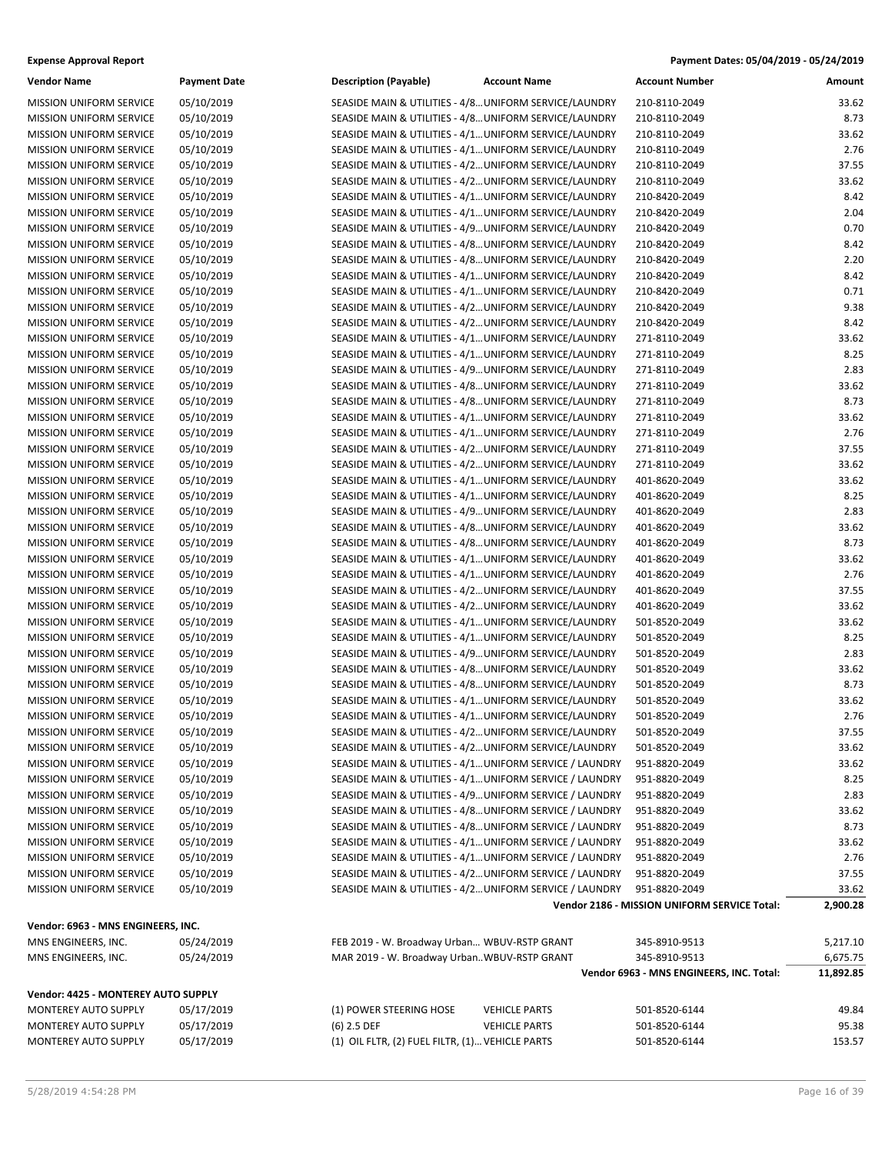| <b>Expense Approval Report</b> | Payment Dates: 05/04/2019 - 05/24/2019 |
|--------------------------------|----------------------------------------|
|--------------------------------|----------------------------------------|

| <b>Vendor Name</b>                  | <b>Payment Date</b> | <b>Description (Payable)</b>                           | <b>Account Name</b>                                      | <b>Account Number</b>                        | Amount    |
|-------------------------------------|---------------------|--------------------------------------------------------|----------------------------------------------------------|----------------------------------------------|-----------|
| <b>MISSION UNIFORM SERVICE</b>      | 05/10/2019          | SEASIDE MAIN & UTILITIES - 4/8 UNIFORM SERVICE/LAUNDRY |                                                          | 210-8110-2049                                | 33.62     |
| <b>MISSION UNIFORM SERVICE</b>      | 05/10/2019          | SEASIDE MAIN & UTILITIES - 4/8 UNIFORM SERVICE/LAUNDRY |                                                          | 210-8110-2049                                | 8.73      |
| <b>MISSION UNIFORM SERVICE</b>      | 05/10/2019          | SEASIDE MAIN & UTILITIES - 4/1 UNIFORM SERVICE/LAUNDRY |                                                          | 210-8110-2049                                | 33.62     |
| MISSION UNIFORM SERVICE             | 05/10/2019          | SEASIDE MAIN & UTILITIES - 4/1 UNIFORM SERVICE/LAUNDRY |                                                          | 210-8110-2049                                | 2.76      |
| <b>MISSION UNIFORM SERVICE</b>      | 05/10/2019          | SEASIDE MAIN & UTILITIES - 4/2 UNIFORM SERVICE/LAUNDRY |                                                          | 210-8110-2049                                | 37.55     |
| MISSION UNIFORM SERVICE             | 05/10/2019          | SEASIDE MAIN & UTILITIES - 4/2 UNIFORM SERVICE/LAUNDRY |                                                          | 210-8110-2049                                | 33.62     |
| <b>MISSION UNIFORM SERVICE</b>      | 05/10/2019          | SEASIDE MAIN & UTILITIES - 4/1 UNIFORM SERVICE/LAUNDRY |                                                          | 210-8420-2049                                | 8.42      |
| <b>MISSION UNIFORM SERVICE</b>      | 05/10/2019          | SEASIDE MAIN & UTILITIES - 4/1 UNIFORM SERVICE/LAUNDRY |                                                          | 210-8420-2049                                | 2.04      |
| <b>MISSION UNIFORM SERVICE</b>      | 05/10/2019          | SEASIDE MAIN & UTILITIES - 4/9 UNIFORM SERVICE/LAUNDRY |                                                          | 210-8420-2049                                | 0.70      |
| <b>MISSION UNIFORM SERVICE</b>      | 05/10/2019          | SEASIDE MAIN & UTILITIES - 4/8 UNIFORM SERVICE/LAUNDRY |                                                          | 210-8420-2049                                | 8.42      |
| MISSION UNIFORM SERVICE             | 05/10/2019          | SEASIDE MAIN & UTILITIES - 4/8 UNIFORM SERVICE/LAUNDRY |                                                          | 210-8420-2049                                | 2.20      |
| <b>MISSION UNIFORM SERVICE</b>      | 05/10/2019          | SEASIDE MAIN & UTILITIES - 4/1 UNIFORM SERVICE/LAUNDRY |                                                          | 210-8420-2049                                | 8.42      |
| <b>MISSION UNIFORM SERVICE</b>      | 05/10/2019          | SEASIDE MAIN & UTILITIES - 4/1 UNIFORM SERVICE/LAUNDRY |                                                          | 210-8420-2049                                | 0.71      |
| MISSION UNIFORM SERVICE             | 05/10/2019          | SEASIDE MAIN & UTILITIES - 4/2 UNIFORM SERVICE/LAUNDRY |                                                          | 210-8420-2049                                | 9.38      |
| <b>MISSION UNIFORM SERVICE</b>      | 05/10/2019          | SEASIDE MAIN & UTILITIES - 4/2 UNIFORM SERVICE/LAUNDRY |                                                          | 210-8420-2049                                | 8.42      |
| MISSION UNIFORM SERVICE             | 05/10/2019          | SEASIDE MAIN & UTILITIES - 4/1 UNIFORM SERVICE/LAUNDRY |                                                          | 271-8110-2049                                | 33.62     |
| <b>MISSION UNIFORM SERVICE</b>      | 05/10/2019          | SEASIDE MAIN & UTILITIES - 4/1 UNIFORM SERVICE/LAUNDRY |                                                          | 271-8110-2049                                | 8.25      |
| <b>MISSION UNIFORM SERVICE</b>      | 05/10/2019          | SEASIDE MAIN & UTILITIES - 4/9 UNIFORM SERVICE/LAUNDRY |                                                          | 271-8110-2049                                | 2.83      |
| MISSION UNIFORM SERVICE             | 05/10/2019          | SEASIDE MAIN & UTILITIES - 4/8 UNIFORM SERVICE/LAUNDRY |                                                          | 271-8110-2049                                | 33.62     |
| <b>MISSION UNIFORM SERVICE</b>      | 05/10/2019          | SEASIDE MAIN & UTILITIES - 4/8 UNIFORM SERVICE/LAUNDRY |                                                          | 271-8110-2049                                | 8.73      |
| MISSION UNIFORM SERVICE             | 05/10/2019          | SEASIDE MAIN & UTILITIES - 4/1 UNIFORM SERVICE/LAUNDRY |                                                          | 271-8110-2049                                | 33.62     |
| <b>MISSION UNIFORM SERVICE</b>      | 05/10/2019          | SEASIDE MAIN & UTILITIES - 4/1 UNIFORM SERVICE/LAUNDRY |                                                          | 271-8110-2049                                | 2.76      |
| <b>MISSION UNIFORM SERVICE</b>      | 05/10/2019          | SEASIDE MAIN & UTILITIES - 4/2 UNIFORM SERVICE/LAUNDRY |                                                          | 271-8110-2049                                | 37.55     |
| MISSION UNIFORM SERVICE             | 05/10/2019          | SEASIDE MAIN & UTILITIES - 4/2 UNIFORM SERVICE/LAUNDRY |                                                          | 271-8110-2049                                | 33.62     |
| <b>MISSION UNIFORM SERVICE</b>      | 05/10/2019          | SEASIDE MAIN & UTILITIES - 4/1 UNIFORM SERVICE/LAUNDRY |                                                          | 401-8620-2049                                | 33.62     |
| MISSION UNIFORM SERVICE             | 05/10/2019          | SEASIDE MAIN & UTILITIES - 4/1 UNIFORM SERVICE/LAUNDRY |                                                          | 401-8620-2049                                | 8.25      |
| <b>MISSION UNIFORM SERVICE</b>      | 05/10/2019          | SEASIDE MAIN & UTILITIES - 4/9 UNIFORM SERVICE/LAUNDRY |                                                          | 401-8620-2049                                | 2.83      |
| <b>MISSION UNIFORM SERVICE</b>      | 05/10/2019          | SEASIDE MAIN & UTILITIES - 4/8 UNIFORM SERVICE/LAUNDRY |                                                          | 401-8620-2049                                | 33.62     |
| <b>MISSION UNIFORM SERVICE</b>      | 05/10/2019          | SEASIDE MAIN & UTILITIES - 4/8 UNIFORM SERVICE/LAUNDRY |                                                          | 401-8620-2049                                | 8.73      |
| <b>MISSION UNIFORM SERVICE</b>      | 05/10/2019          | SEASIDE MAIN & UTILITIES - 4/1 UNIFORM SERVICE/LAUNDRY |                                                          | 401-8620-2049                                | 33.62     |
| MISSION UNIFORM SERVICE             | 05/10/2019          | SEASIDE MAIN & UTILITIES - 4/1 UNIFORM SERVICE/LAUNDRY |                                                          | 401-8620-2049                                | 2.76      |
| <b>MISSION UNIFORM SERVICE</b>      | 05/10/2019          | SEASIDE MAIN & UTILITIES - 4/2 UNIFORM SERVICE/LAUNDRY |                                                          | 401-8620-2049                                | 37.55     |
| <b>MISSION UNIFORM SERVICE</b>      | 05/10/2019          | SEASIDE MAIN & UTILITIES - 4/2 UNIFORM SERVICE/LAUNDRY |                                                          | 401-8620-2049                                | 33.62     |
| MISSION UNIFORM SERVICE             | 05/10/2019          | SEASIDE MAIN & UTILITIES - 4/1 UNIFORM SERVICE/LAUNDRY |                                                          | 501-8520-2049                                | 33.62     |
| <b>MISSION UNIFORM SERVICE</b>      | 05/10/2019          | SEASIDE MAIN & UTILITIES - 4/1 UNIFORM SERVICE/LAUNDRY |                                                          | 501-8520-2049                                | 8.25      |
| MISSION UNIFORM SERVICE             | 05/10/2019          | SEASIDE MAIN & UTILITIES - 4/9 UNIFORM SERVICE/LAUNDRY |                                                          | 501-8520-2049                                | 2.83      |
| <b>MISSION UNIFORM SERVICE</b>      | 05/10/2019          | SEASIDE MAIN & UTILITIES - 4/8 UNIFORM SERVICE/LAUNDRY |                                                          | 501-8520-2049                                | 33.62     |
| MISSION UNIFORM SERVICE             | 05/10/2019          | SEASIDE MAIN & UTILITIES - 4/8 UNIFORM SERVICE/LAUNDRY |                                                          | 501-8520-2049                                | 8.73      |
| <b>MISSION UNIFORM SERVICE</b>      | 05/10/2019          | SEASIDE MAIN & UTILITIES - 4/1 UNIFORM SERVICE/LAUNDRY |                                                          | 501-8520-2049                                | 33.62     |
| <b>MISSION UNIFORM SERVICE</b>      | 05/10/2019          | SEASIDE MAIN & UTILITIES - 4/1 UNIFORM SERVICE/LAUNDRY |                                                          | 501-8520-2049                                | 2.76      |
| <b>MISSION UNIFORM SERVICE</b>      | 05/10/2019          | SEASIDE MAIN & UTILITIES - 4/2 UNIFORM SERVICE/LAUNDRY |                                                          | 501-8520-2049                                | 37.55     |
| <b>MISSION UNIFORM SERVICE</b>      | 05/10/2019          | SEASIDE MAIN & UTILITIES - 4/2 UNIFORM SERVICE/LAUNDRY |                                                          | 501-8520-2049                                | 33.62     |
| <b>MISSION UNIFORM SERVICE</b>      | 05/10/2019          |                                                        | SEASIDE MAIN & UTILITIES - 4/1 UNIFORM SERVICE / LAUNDRY | 951-8820-2049                                | 33.62     |
| <b>MISSION UNIFORM SERVICE</b>      | 05/10/2019          |                                                        | SEASIDE MAIN & UTILITIES - 4/1 UNIFORM SERVICE / LAUNDRY | 951-8820-2049                                | 8.25      |
| MISSION UNIFORM SERVICE             | 05/10/2019          |                                                        | SEASIDE MAIN & UTILITIES - 4/9 UNIFORM SERVICE / LAUNDRY | 951-8820-2049                                | 2.83      |
| <b>MISSION UNIFORM SERVICE</b>      | 05/10/2019          |                                                        | SEASIDE MAIN & UTILITIES - 4/8 UNIFORM SERVICE / LAUNDRY | 951-8820-2049                                | 33.62     |
| <b>MISSION UNIFORM SERVICE</b>      | 05/10/2019          |                                                        | SEASIDE MAIN & UTILITIES - 4/8 UNIFORM SERVICE / LAUNDRY | 951-8820-2049                                | 8.73      |
| <b>MISSION UNIFORM SERVICE</b>      | 05/10/2019          |                                                        | SEASIDE MAIN & UTILITIES - 4/1 UNIFORM SERVICE / LAUNDRY | 951-8820-2049                                | 33.62     |
| <b>MISSION UNIFORM SERVICE</b>      | 05/10/2019          |                                                        | SEASIDE MAIN & UTILITIES - 4/1 UNIFORM SERVICE / LAUNDRY | 951-8820-2049                                | 2.76      |
| MISSION UNIFORM SERVICE             | 05/10/2019          |                                                        | SEASIDE MAIN & UTILITIES - 4/2 UNIFORM SERVICE / LAUNDRY | 951-8820-2049                                | 37.55     |
| <b>MISSION UNIFORM SERVICE</b>      | 05/10/2019          |                                                        | SEASIDE MAIN & UTILITIES - 4/2 UNIFORM SERVICE / LAUNDRY | 951-8820-2049                                | 33.62     |
|                                     |                     |                                                        |                                                          | Vendor 2186 - MISSION UNIFORM SERVICE Total: | 2,900.28  |
|                                     |                     |                                                        |                                                          |                                              |           |
| Vendor: 6963 - MNS ENGINEERS, INC.  |                     |                                                        |                                                          |                                              |           |
| MNS ENGINEERS, INC.                 | 05/24/2019          | FEB 2019 - W. Broadway Urban WBUV-RSTP GRANT           |                                                          | 345-8910-9513                                | 5,217.10  |
| MNS ENGINEERS, INC.                 | 05/24/2019          | MAR 2019 - W. Broadway UrbanWBUV-RSTP GRANT            |                                                          | 345-8910-9513                                | 6,675.75  |
|                                     |                     |                                                        |                                                          | Vendor 6963 - MNS ENGINEERS, INC. Total:     | 11,892.85 |
| Vendor: 4425 - MONTEREY AUTO SUPPLY |                     |                                                        |                                                          |                                              |           |
| MONTEREY AUTO SUPPLY                | 05/17/2019          | (1) POWER STEERING HOSE                                | <b>VEHICLE PARTS</b>                                     | 501-8520-6144                                | 49.84     |
| MONTEREY AUTO SUPPLY                | 05/17/2019          | $(6)$ 2.5 DEF                                          | <b>VEHICLE PARTS</b>                                     | 501-8520-6144                                | 95.38     |
| MONTEREY AUTO SUPPLY                | 05/17/2019          | (1) OIL FLTR, (2) FUEL FILTR, (1) VEHICLE PARTS        |                                                          | 501-8520-6144                                | 153.57    |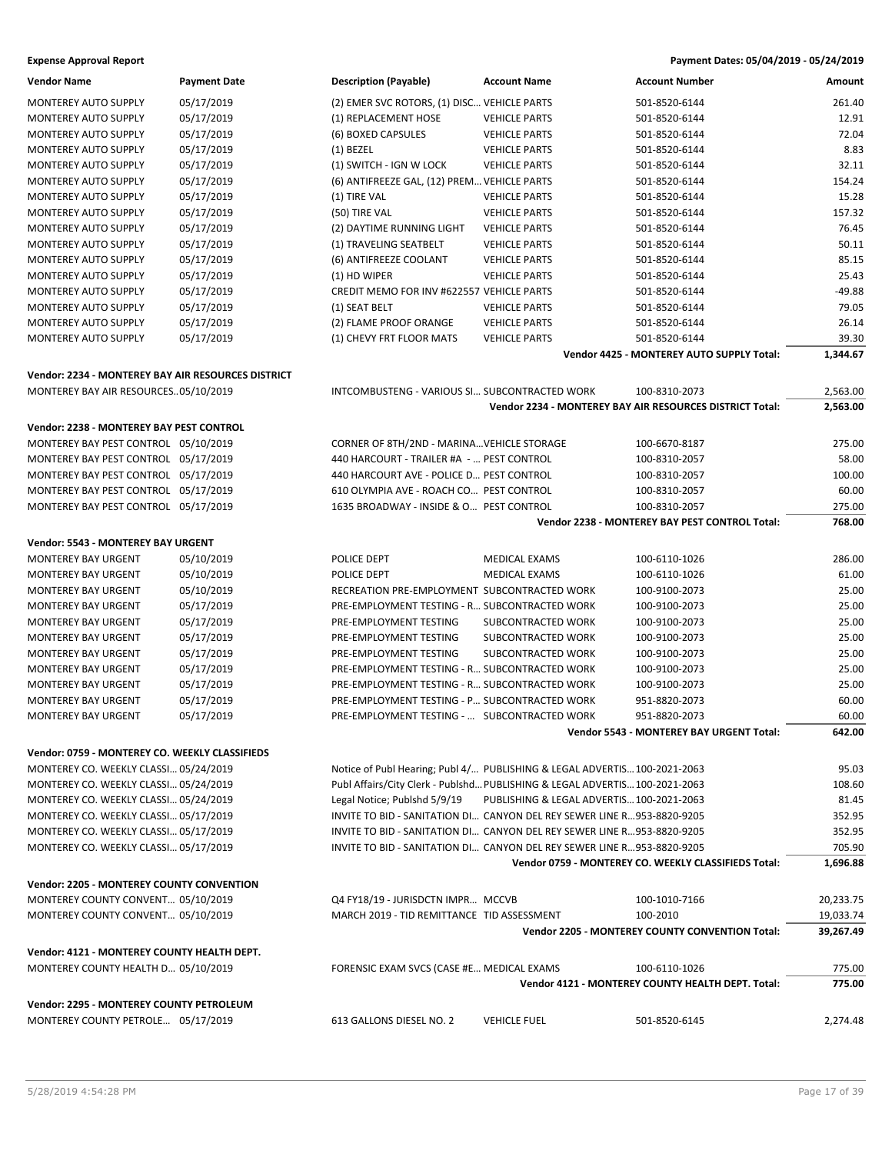| <b>Vendor Name</b>                                                             | <b>Payment Date</b> | <b>Description (Payable)</b>                  | <b>Account Name</b>                                                         | <b>Account Number</b>                                    | Amount    |
|--------------------------------------------------------------------------------|---------------------|-----------------------------------------------|-----------------------------------------------------------------------------|----------------------------------------------------------|-----------|
| <b>MONTEREY AUTO SUPPLY</b>                                                    | 05/17/2019          | (2) EMER SVC ROTORS, (1) DISC VEHICLE PARTS   |                                                                             | 501-8520-6144                                            | 261.40    |
| MONTEREY AUTO SUPPLY                                                           | 05/17/2019          | (1) REPLACEMENT HOSE                          | <b>VEHICLE PARTS</b>                                                        | 501-8520-6144                                            | 12.91     |
| MONTEREY AUTO SUPPLY                                                           | 05/17/2019          | (6) BOXED CAPSULES                            | <b>VEHICLE PARTS</b>                                                        | 501-8520-6144                                            | 72.04     |
| MONTEREY AUTO SUPPLY                                                           | 05/17/2019          | $(1)$ BEZEL                                   | <b>VEHICLE PARTS</b>                                                        | 501-8520-6144                                            | 8.83      |
| MONTEREY AUTO SUPPLY                                                           | 05/17/2019          | (1) SWITCH - IGN W LOCK                       | <b>VEHICLE PARTS</b>                                                        | 501-8520-6144                                            | 32.11     |
| <b>MONTEREY AUTO SUPPLY</b>                                                    | 05/17/2019          | (6) ANTIFREEZE GAL, (12) PREM VEHICLE PARTS   |                                                                             | 501-8520-6144                                            | 154.24    |
|                                                                                |                     |                                               |                                                                             |                                                          | 15.28     |
| MONTEREY AUTO SUPPLY                                                           | 05/17/2019          | (1) TIRE VAL                                  | <b>VEHICLE PARTS</b>                                                        | 501-8520-6144                                            |           |
| MONTEREY AUTO SUPPLY                                                           | 05/17/2019          | (50) TIRE VAL                                 | <b>VEHICLE PARTS</b>                                                        | 501-8520-6144                                            | 157.32    |
| MONTEREY AUTO SUPPLY                                                           | 05/17/2019          | (2) DAYTIME RUNNING LIGHT                     | <b>VEHICLE PARTS</b>                                                        | 501-8520-6144                                            | 76.45     |
| <b>MONTEREY AUTO SUPPLY</b>                                                    | 05/17/2019          | (1) TRAVELING SEATBELT                        | <b>VEHICLE PARTS</b>                                                        | 501-8520-6144                                            | 50.11     |
| <b>MONTEREY AUTO SUPPLY</b>                                                    | 05/17/2019          | (6) ANTIFREEZE COOLANT                        | <b>VEHICLE PARTS</b>                                                        | 501-8520-6144                                            | 85.15     |
| MONTEREY AUTO SUPPLY                                                           | 05/17/2019          | (1) HD WIPER                                  | <b>VEHICLE PARTS</b>                                                        | 501-8520-6144                                            | 25.43     |
| MONTEREY AUTO SUPPLY                                                           | 05/17/2019          | CREDIT MEMO FOR INV #622557 VEHICLE PARTS     |                                                                             | 501-8520-6144                                            | $-49.88$  |
| MONTEREY AUTO SUPPLY                                                           | 05/17/2019          | (1) SEAT BELT                                 | <b>VEHICLE PARTS</b>                                                        | 501-8520-6144                                            | 79.05     |
| MONTEREY AUTO SUPPLY                                                           | 05/17/2019          | (2) FLAME PROOF ORANGE                        | <b>VEHICLE PARTS</b>                                                        | 501-8520-6144                                            | 26.14     |
| <b>MONTEREY AUTO SUPPLY</b>                                                    | 05/17/2019          | (1) CHEVY FRT FLOOR MATS                      | <b>VEHICLE PARTS</b>                                                        | 501-8520-6144                                            | 39.30     |
|                                                                                |                     |                                               |                                                                             | Vendor 4425 - MONTEREY AUTO SUPPLY Total:                | 1,344.67  |
| Vendor: 2234 - MONTEREY BAY AIR RESOURCES DISTRICT                             |                     |                                               |                                                                             |                                                          |           |
|                                                                                |                     |                                               |                                                                             |                                                          |           |
| MONTEREY BAY AIR RESOURCES05/10/2019                                           |                     | INTCOMBUSTENG - VARIOUS SI SUBCONTRACTED WORK |                                                                             | 100-8310-2073                                            | 2,563.00  |
|                                                                                |                     |                                               |                                                                             | Vendor 2234 - MONTEREY BAY AIR RESOURCES DISTRICT Total: | 2,563.00  |
| Vendor: 2238 - MONTEREY BAY PEST CONTROL                                       |                     |                                               |                                                                             |                                                          |           |
| MONTEREY BAY PEST CONTROL 05/10/2019                                           |                     | CORNER OF 8TH/2ND - MARINA VEHICLE STORAGE    |                                                                             | 100-6670-8187                                            | 275.00    |
| MONTEREY BAY PEST CONTROL 05/17/2019                                           |                     | 440 HARCOURT - TRAILER #A -  PEST CONTROL     |                                                                             | 100-8310-2057                                            | 58.00     |
| MONTEREY BAY PEST CONTROL 05/17/2019                                           |                     | 440 HARCOURT AVE - POLICE D PEST CONTROL      |                                                                             | 100-8310-2057                                            | 100.00    |
| MONTEREY BAY PEST CONTROL 05/17/2019                                           |                     | 610 OLYMPIA AVE - ROACH CO PEST CONTROL       |                                                                             | 100-8310-2057                                            | 60.00     |
| MONTEREY BAY PEST CONTROL 05/17/2019                                           |                     | 1635 BROADWAY - INSIDE & O PEST CONTROL       |                                                                             | 100-8310-2057                                            | 275.00    |
|                                                                                |                     |                                               |                                                                             | Vendor 2238 - MONTEREY BAY PEST CONTROL Total:           | 768.00    |
|                                                                                |                     |                                               |                                                                             |                                                          |           |
| Vendor: 5543 - MONTEREY BAY URGENT                                             |                     |                                               |                                                                             |                                                          |           |
| <b>MONTEREY BAY URGENT</b>                                                     | 05/10/2019          | POLICE DEPT                                   | <b>MEDICAL EXAMS</b>                                                        | 100-6110-1026                                            | 286.00    |
| <b>MONTEREY BAY URGENT</b>                                                     | 05/10/2019          | POLICE DEPT                                   | <b>MEDICAL EXAMS</b>                                                        | 100-6110-1026                                            | 61.00     |
| <b>MONTEREY BAY URGENT</b>                                                     | 05/10/2019          | RECREATION PRE-EMPLOYMENT SUBCONTRACTED WORK  |                                                                             | 100-9100-2073                                            | 25.00     |
| <b>MONTEREY BAY URGENT</b>                                                     | 05/17/2019          | PRE-EMPLOYMENT TESTING - R SUBCONTRACTED WORK |                                                                             | 100-9100-2073                                            | 25.00     |
| <b>MONTEREY BAY URGENT</b>                                                     | 05/17/2019          | PRE-EMPLOYMENT TESTING                        | SUBCONTRACTED WORK                                                          | 100-9100-2073                                            | 25.00     |
| <b>MONTEREY BAY URGENT</b>                                                     | 05/17/2019          | PRE-EMPLOYMENT TESTING                        | SUBCONTRACTED WORK                                                          | 100-9100-2073                                            | 25.00     |
| <b>MONTEREY BAY URGENT</b>                                                     | 05/17/2019          | PRE-EMPLOYMENT TESTING                        | SUBCONTRACTED WORK                                                          | 100-9100-2073                                            | 25.00     |
| <b>MONTEREY BAY URGENT</b>                                                     | 05/17/2019          | PRE-EMPLOYMENT TESTING - R SUBCONTRACTED WORK |                                                                             | 100-9100-2073                                            | 25.00     |
| <b>MONTEREY BAY URGENT</b>                                                     | 05/17/2019          | PRE-EMPLOYMENT TESTING - R SUBCONTRACTED WORK |                                                                             | 100-9100-2073                                            | 25.00     |
| <b>MONTEREY BAY URGENT</b>                                                     | 05/17/2019          | PRE-EMPLOYMENT TESTING - P SUBCONTRACTED WORK |                                                                             | 951-8820-2073                                            | 60.00     |
| <b>MONTEREY BAY URGENT</b>                                                     | 05/17/2019          | PRE-EMPLOYMENT TESTING -  SUBCONTRACTED WORK  |                                                                             | 951-8820-2073                                            | 60.00     |
|                                                                                |                     |                                               |                                                                             | Vendor 5543 - MONTEREY BAY URGENT Total:                 | 642.00    |
|                                                                                |                     |                                               |                                                                             |                                                          |           |
| Vendor: 0759 - MONTEREY CO. WEEKLY CLASSIFIEDS                                 |                     |                                               |                                                                             |                                                          |           |
| MONTEREY CO. WEEKLY CLASSI 05/24/2019                                          |                     |                                               | Notice of Publ Hearing; Publ 4/ PUBLISHING & LEGAL ADVERTIS 100-2021-2063   |                                                          | 95.03     |
| MONTEREY CO. WEEKLY CLASSI 05/24/2019                                          |                     |                                               | Publ Affairs/City Clerk - Publshd PUBLISHING & LEGAL ADVERTIS 100-2021-2063 |                                                          | 108.60    |
| MONTEREY CO. WEEKLY CLASSI 05/24/2019                                          |                     | Legal Notice; Publshd 5/9/19                  | PUBLISHING & LEGAL ADVERTIS 100-2021-2063                                   |                                                          | 81.45     |
| MONTEREY CO. WEEKLY CLASSI 05/17/2019                                          |                     |                                               | INVITE TO BID - SANITATION DI CANYON DEL REY SEWER LINE R953-8820-9205      |                                                          | 352.95    |
| MONTEREY CO. WEEKLY CLASSI 05/17/2019                                          |                     |                                               | INVITE TO BID - SANITATION DI CANYON DEL REY SEWER LINE R953-8820-9205      |                                                          | 352.95    |
| MONTEREY CO. WEEKLY CLASSI 05/17/2019                                          |                     |                                               | INVITE TO BID - SANITATION DI CANYON DEL REY SEWER LINE R953-8820-9205      |                                                          | 705.90    |
|                                                                                |                     |                                               |                                                                             | Vendor 0759 - MONTEREY CO. WEEKLY CLASSIFIEDS Total:     | 1,696.88  |
|                                                                                |                     |                                               |                                                                             |                                                          |           |
| Vendor: 2205 - MONTEREY COUNTY CONVENTION                                      |                     |                                               |                                                                             |                                                          |           |
| MONTEREY COUNTY CONVENT 05/10/2019                                             |                     | Q4 FY18/19 - JURISDCTN IMPR MCCVB             |                                                                             | 100-1010-7166                                            | 20,233.75 |
|                                                                                |                     |                                               |                                                                             |                                                          |           |
| MONTEREY COUNTY CONVENT 05/10/2019                                             |                     | MARCH 2019 - TID REMITTANCE TID ASSESSMENT    |                                                                             | 100-2010                                                 | 19,033.74 |
|                                                                                |                     |                                               |                                                                             | Vendor 2205 - MONTEREY COUNTY CONVENTION Total:          | 39,267.49 |
| Vendor: 4121 - MONTEREY COUNTY HEALTH DEPT.                                    |                     |                                               |                                                                             |                                                          |           |
| MONTEREY COUNTY HEALTH D 05/10/2019                                            |                     | FORENSIC EXAM SVCS (CASE #E MEDICAL EXAMS     |                                                                             | 100-6110-1026                                            | 775.00    |
|                                                                                |                     |                                               |                                                                             | Vendor 4121 - MONTEREY COUNTY HEALTH DEPT. Total:        | 775.00    |
|                                                                                |                     |                                               |                                                                             |                                                          |           |
| Vendor: 2295 - MONTEREY COUNTY PETROLEUM<br>MONTEREY COUNTY PETROLE 05/17/2019 |                     | 613 GALLONS DIESEL NO. 2                      | <b>VEHICLE FUEL</b>                                                         | 501-8520-6145                                            | 2,274.48  |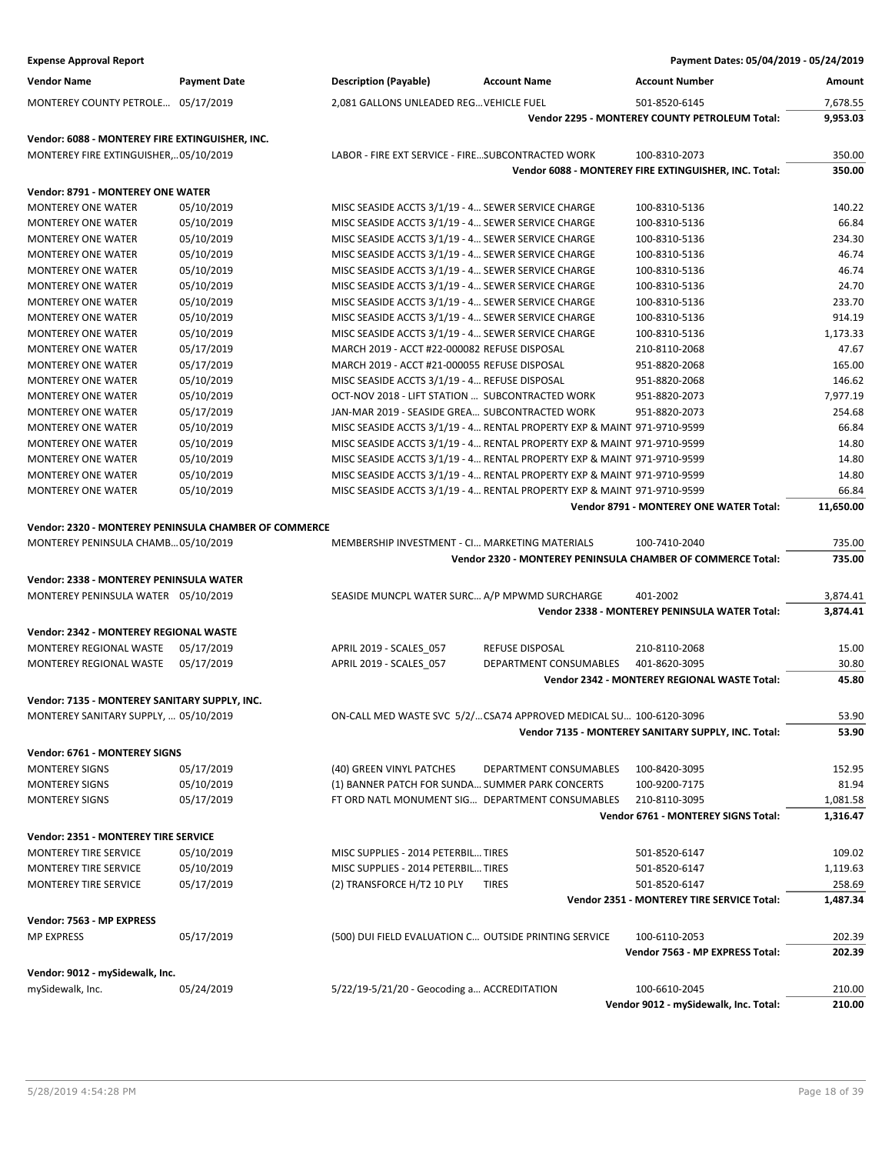| <b>Expense Approval Report</b>                        |                     |                                                       |                                                                         | Payment Dates: 05/04/2019 - 05/24/2019                      |                    |
|-------------------------------------------------------|---------------------|-------------------------------------------------------|-------------------------------------------------------------------------|-------------------------------------------------------------|--------------------|
| <b>Vendor Name</b>                                    | <b>Payment Date</b> | <b>Description (Payable)</b>                          | <b>Account Name</b>                                                     | <b>Account Number</b>                                       | Amount             |
| MONTEREY COUNTY PETROLE 05/17/2019                    |                     | 2,081 GALLONS UNLEADED REG VEHICLE FUEL               |                                                                         | 501-8520-6145                                               | 7,678.55           |
|                                                       |                     |                                                       |                                                                         | Vendor 2295 - MONTEREY COUNTY PETROLEUM Total:              | 9,953.03           |
| Vendor: 6088 - MONTEREY FIRE EXTINGUISHER, INC.       |                     |                                                       |                                                                         |                                                             |                    |
| MONTEREY FIRE EXTINGUISHER,05/10/2019                 |                     | LABOR - FIRE EXT SERVICE - FIRE SUBCONTRACTED WORK    |                                                                         | 100-8310-2073                                               | 350.00             |
|                                                       |                     |                                                       |                                                                         | Vendor 6088 - MONTEREY FIRE EXTINGUISHER, INC. Total:       | 350.00             |
| Vendor: 8791 - MONTEREY ONE WATER                     |                     |                                                       |                                                                         |                                                             |                    |
| <b>MONTEREY ONE WATER</b>                             | 05/10/2019          | MISC SEASIDE ACCTS 3/1/19 - 4 SEWER SERVICE CHARGE    |                                                                         | 100-8310-5136                                               | 140.22             |
| <b>MONTEREY ONE WATER</b>                             | 05/10/2019          | MISC SEASIDE ACCTS 3/1/19 - 4 SEWER SERVICE CHARGE    |                                                                         | 100-8310-5136                                               | 66.84              |
| <b>MONTEREY ONE WATER</b>                             | 05/10/2019          | MISC SEASIDE ACCTS 3/1/19 - 4 SEWER SERVICE CHARGE    |                                                                         | 100-8310-5136                                               | 234.30             |
| MONTEREY ONE WATER                                    | 05/10/2019          | MISC SEASIDE ACCTS 3/1/19 - 4 SEWER SERVICE CHARGE    |                                                                         | 100-8310-5136                                               | 46.74              |
| <b>MONTEREY ONE WATER</b>                             | 05/10/2019          | MISC SEASIDE ACCTS 3/1/19 - 4 SEWER SERVICE CHARGE    |                                                                         | 100-8310-5136                                               | 46.74              |
| <b>MONTEREY ONE WATER</b>                             | 05/10/2019          | MISC SEASIDE ACCTS 3/1/19 - 4 SEWER SERVICE CHARGE    |                                                                         | 100-8310-5136                                               | 24.70              |
| <b>MONTEREY ONE WATER</b>                             | 05/10/2019          | MISC SEASIDE ACCTS 3/1/19 - 4 SEWER SERVICE CHARGE    |                                                                         | 100-8310-5136                                               | 233.70             |
| <b>MONTEREY ONE WATER</b>                             | 05/10/2019          | MISC SEASIDE ACCTS 3/1/19 - 4 SEWER SERVICE CHARGE    |                                                                         | 100-8310-5136                                               | 914.19             |
| <b>MONTEREY ONE WATER</b>                             | 05/10/2019          | MISC SEASIDE ACCTS 3/1/19 - 4 SEWER SERVICE CHARGE    |                                                                         | 100-8310-5136                                               | 1,173.33           |
| <b>MONTEREY ONE WATER</b>                             | 05/17/2019          | MARCH 2019 - ACCT #22-000082 REFUSE DISPOSAL          |                                                                         | 210-8110-2068                                               | 47.67              |
| <b>MONTEREY ONE WATER</b>                             | 05/17/2019          | MARCH 2019 - ACCT #21-000055 REFUSE DISPOSAL          |                                                                         | 951-8820-2068                                               | 165.00             |
| <b>MONTEREY ONE WATER</b>                             | 05/10/2019          | MISC SEASIDE ACCTS 3/1/19 - 4 REFUSE DISPOSAL         |                                                                         | 951-8820-2068                                               | 146.62             |
| <b>MONTEREY ONE WATER</b>                             | 05/10/2019          | OCT-NOV 2018 - LIFT STATION  SUBCONTRACTED WORK       |                                                                         | 951-8820-2073                                               | 7,977.19           |
| MONTEREY ONE WATER                                    | 05/17/2019          | JAN-MAR 2019 - SEASIDE GREA SUBCONTRACTED WORK        |                                                                         | 951-8820-2073                                               | 254.68             |
| <b>MONTEREY ONE WATER</b>                             | 05/10/2019          |                                                       | MISC SEASIDE ACCTS 3/1/19 - 4 RENTAL PROPERTY EXP & MAINT 971-9710-9599 |                                                             | 66.84              |
| <b>MONTEREY ONE WATER</b>                             | 05/10/2019          |                                                       | MISC SEASIDE ACCTS 3/1/19 - 4 RENTAL PROPERTY EXP & MAINT 971-9710-9599 |                                                             | 14.80              |
| <b>MONTEREY ONE WATER</b>                             | 05/10/2019          |                                                       | MISC SEASIDE ACCTS 3/1/19 - 4 RENTAL PROPERTY EXP & MAINT 971-9710-9599 |                                                             | 14.80              |
| <b>MONTEREY ONE WATER</b>                             | 05/10/2019          |                                                       | MISC SEASIDE ACCTS 3/1/19 - 4 RENTAL PROPERTY EXP & MAINT 971-9710-9599 |                                                             | 14.80              |
| <b>MONTEREY ONE WATER</b>                             | 05/10/2019          |                                                       | MISC SEASIDE ACCTS 3/1/19 - 4 RENTAL PROPERTY EXP & MAINT 971-9710-9599 |                                                             | 66.84              |
|                                                       |                     |                                                       |                                                                         | Vendor 8791 - MONTEREY ONE WATER Total:                     | 11,650.00          |
| Vendor: 2320 - MONTEREY PENINSULA CHAMBER OF COMMERCE |                     |                                                       |                                                                         |                                                             |                    |
| MONTEREY PENINSULA CHAMB 05/10/2019                   |                     | MEMBERSHIP INVESTMENT - CI MARKETING MATERIALS        |                                                                         | 100-7410-2040                                               | 735.00             |
|                                                       |                     |                                                       |                                                                         | Vendor 2320 - MONTEREY PENINSULA CHAMBER OF COMMERCE Total: | 735.00             |
| Vendor: 2338 - MONTEREY PENINSULA WATER               |                     |                                                       |                                                                         |                                                             |                    |
| MONTEREY PENINSULA WATER 05/10/2019                   |                     | SEASIDE MUNCPL WATER SURC A/P MPWMD SURCHARGE         |                                                                         | 401-2002                                                    | 3,874.41           |
|                                                       |                     |                                                       |                                                                         | Vendor 2338 - MONTEREY PENINSULA WATER Total:               | 3,874.41           |
|                                                       |                     |                                                       |                                                                         |                                                             |                    |
| Vendor: 2342 - MONTEREY REGIONAL WASTE                |                     |                                                       |                                                                         |                                                             |                    |
| MONTEREY REGIONAL WASTE                               | 05/17/2019          | APRIL 2019 - SCALES_057                               | REFUSE DISPOSAL                                                         | 210-8110-2068                                               | 15.00              |
| MONTEREY REGIONAL WASTE                               | 05/17/2019          | APRIL 2019 - SCALES_057                               | DEPARTMENT CONSUMABLES                                                  | 401-8620-3095                                               | 30.80              |
|                                                       |                     |                                                       |                                                                         | Vendor 2342 - MONTEREY REGIONAL WASTE Total:                | 45.80              |
| Vendor: 7135 - MONTEREY SANITARY SUPPLY, INC.         |                     |                                                       |                                                                         |                                                             |                    |
| MONTEREY SANITARY SUPPLY,  05/10/2019                 |                     |                                                       | ON-CALL MED WASTE SVC 5/2/CSA74 APPROVED MEDICAL SU 100-6120-3096       |                                                             | 53.90              |
|                                                       |                     |                                                       |                                                                         | Vendor 7135 - MONTEREY SANITARY SUPPLY, INC. Total:         | 53.90              |
| Vendor: 6761 - MONTEREY SIGNS                         |                     |                                                       |                                                                         |                                                             |                    |
| <b>MONTEREY SIGNS</b>                                 | 05/17/2019          | (40) GREEN VINYL PATCHES                              | DEPARTMENT CONSUMABLES                                                  | 100-8420-3095                                               | 152.95             |
| <b>MONTEREY SIGNS</b>                                 | 05/10/2019          | (1) BANNER PATCH FOR SUNDA SUMMER PARK CONCERTS       |                                                                         | 100-9200-7175                                               | 81.94              |
| <b>MONTEREY SIGNS</b>                                 | 05/17/2019          |                                                       | FT ORD NATL MONUMENT SIG DEPARTMENT CONSUMABLES                         | 210-8110-3095                                               | 1,081.58           |
|                                                       |                     |                                                       |                                                                         | Vendor 6761 - MONTEREY SIGNS Total:                         | 1,316.47           |
| Vendor: 2351 - MONTEREY TIRE SERVICE                  |                     |                                                       |                                                                         |                                                             |                    |
| <b>MONTEREY TIRE SERVICE</b>                          | 05/10/2019          | MISC SUPPLIES - 2014 PETERBIL TIRES                   |                                                                         | 501-8520-6147                                               | 109.02             |
| MONTEREY TIRE SERVICE                                 | 05/10/2019          | MISC SUPPLIES - 2014 PETERBIL TIRES                   |                                                                         |                                                             |                    |
| MONTEREY TIRE SERVICE                                 | 05/17/2019          | (2) TRANSFORCE H/T2 10 PLY                            | <b>TIRES</b>                                                            | 501-8520-6147<br>501-8520-6147                              | 1,119.63<br>258.69 |
|                                                       |                     |                                                       |                                                                         | Vendor 2351 - MONTEREY TIRE SERVICE Total:                  | 1,487.34           |
|                                                       |                     |                                                       |                                                                         |                                                             |                    |
| Vendor: 7563 - MP EXPRESS                             |                     |                                                       |                                                                         |                                                             |                    |
| <b>MP EXPRESS</b>                                     | 05/17/2019          | (500) DUI FIELD EVALUATION C OUTSIDE PRINTING SERVICE |                                                                         | 100-6110-2053                                               | 202.39             |
|                                                       |                     |                                                       |                                                                         | Vendor 7563 - MP EXPRESS Total:                             | 202.39             |
| Vendor: 9012 - mySidewalk, Inc.                       |                     |                                                       |                                                                         |                                                             |                    |
| mySidewalk, Inc.                                      | 05/24/2019          | 5/22/19-5/21/20 - Geocoding a ACCREDITATION           |                                                                         | 100-6610-2045                                               | 210.00             |
|                                                       |                     |                                                       |                                                                         | Vendor 9012 - mySidewalk, Inc. Total:                       | 210.00             |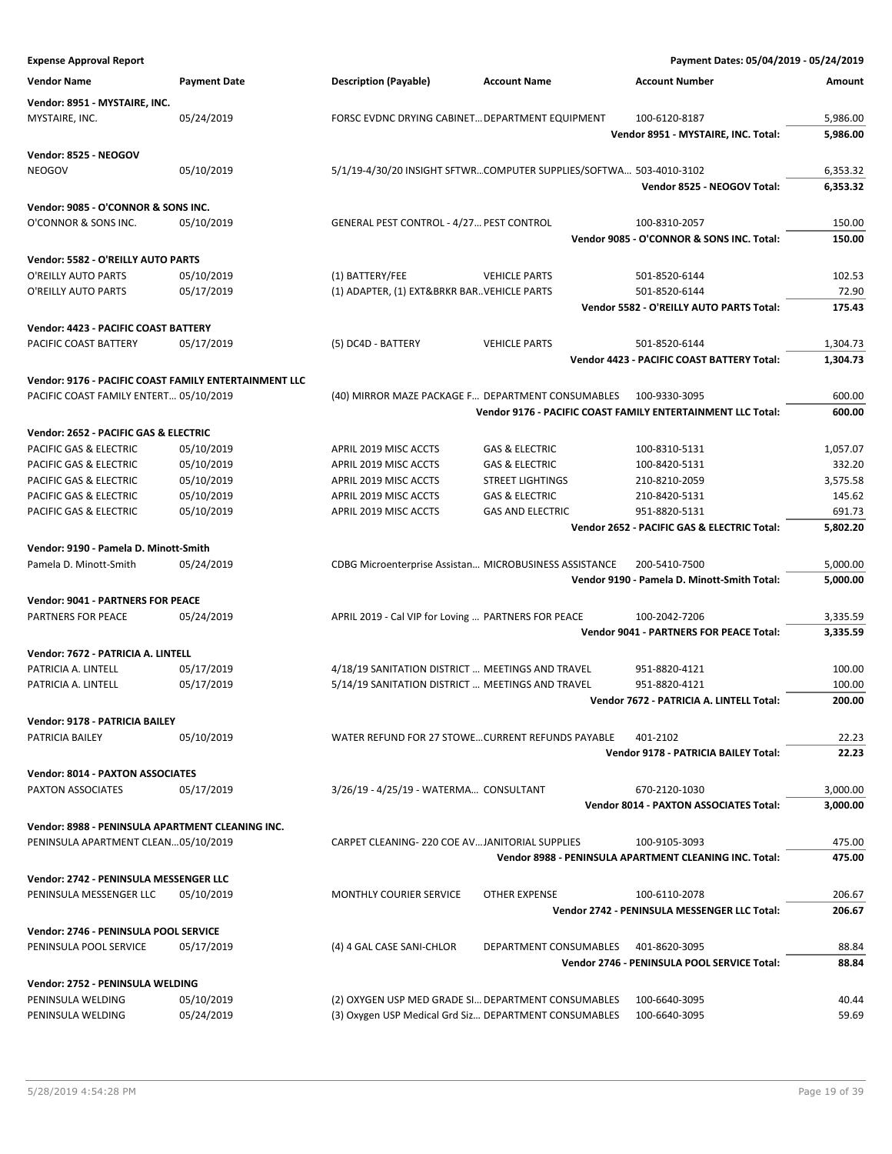| <b>Expense Approval Report</b>                                  |                                                       |                                                        |                                                                    | Payment Dates: 05/04/2019 - 05/24/2019                      |                  |
|-----------------------------------------------------------------|-------------------------------------------------------|--------------------------------------------------------|--------------------------------------------------------------------|-------------------------------------------------------------|------------------|
| <b>Vendor Name</b>                                              | <b>Payment Date</b>                                   | <b>Description (Payable)</b>                           | <b>Account Name</b>                                                | <b>Account Number</b>                                       | Amount           |
| Vendor: 8951 - MYSTAIRE, INC.                                   |                                                       |                                                        |                                                                    |                                                             |                  |
| MYSTAIRE, INC.                                                  | 05/24/2019                                            | FORSC EVDNC DRYING CABINET DEPARTMENT EQUIPMENT        |                                                                    | 100-6120-8187                                               | 5,986.00         |
|                                                                 |                                                       |                                                        |                                                                    | Vendor 8951 - MYSTAIRE, INC. Total:                         | 5,986.00         |
| Vendor: 8525 - NEOGOV                                           |                                                       |                                                        |                                                                    |                                                             |                  |
| <b>NEOGOV</b>                                                   | 05/10/2019                                            |                                                        | 5/1/19-4/30/20 INSIGHT SFTWRCOMPUTER SUPPLIES/SOFTWA 503-4010-3102 |                                                             | 6,353.32         |
|                                                                 |                                                       |                                                        |                                                                    | Vendor 8525 - NEOGOV Total:                                 | 6,353.32         |
| Vendor: 9085 - O'CONNOR & SONS INC.                             |                                                       |                                                        |                                                                    |                                                             |                  |
| O'CONNOR & SONS INC.                                            | 05/10/2019                                            | GENERAL PEST CONTROL - 4/27 PEST CONTROL               |                                                                    | 100-8310-2057                                               | 150.00           |
|                                                                 |                                                       |                                                        |                                                                    | Vendor 9085 - O'CONNOR & SONS INC. Total:                   | 150.00           |
| Vendor: 5582 - O'REILLY AUTO PARTS                              |                                                       |                                                        |                                                                    |                                                             |                  |
| O'REILLY AUTO PARTS                                             | 05/10/2019                                            | (1) BATTERY/FEE                                        | <b>VEHICLE PARTS</b>                                               | 501-8520-6144                                               | 102.53           |
| O'REILLY AUTO PARTS                                             | 05/17/2019                                            | (1) ADAPTER, (1) EXT&BRKR BAR. VEHICLE PARTS           |                                                                    | 501-8520-6144                                               | 72.90            |
|                                                                 |                                                       |                                                        |                                                                    | Vendor 5582 - O'REILLY AUTO PARTS Total:                    | 175.43           |
| Vendor: 4423 - PACIFIC COAST BATTERY                            |                                                       |                                                        |                                                                    |                                                             |                  |
| PACIFIC COAST BATTERY                                           | 05/17/2019                                            | (5) DC4D - BATTERY                                     | <b>VEHICLE PARTS</b>                                               | 501-8520-6144                                               | 1,304.73         |
|                                                                 |                                                       |                                                        |                                                                    | <b>Vendor 4423 - PACIFIC COAST BATTERY Total:</b>           | 1,304.73         |
|                                                                 | Vendor: 9176 - PACIFIC COAST FAMILY ENTERTAINMENT LLC |                                                        |                                                                    |                                                             |                  |
| PACIFIC COAST FAMILY ENTERT 05/10/2019                          |                                                       | (40) MIRROR MAZE PACKAGE F DEPARTMENT CONSUMABLES      |                                                                    | 100-9330-3095                                               | 600.00           |
|                                                                 |                                                       |                                                        |                                                                    | Vendor 9176 - PACIFIC COAST FAMILY ENTERTAINMENT LLC Total: | 600.00           |
| Vendor: 2652 - PACIFIC GAS & ELECTRIC                           |                                                       |                                                        |                                                                    |                                                             |                  |
| PACIFIC GAS & ELECTRIC                                          | 05/10/2019                                            | APRIL 2019 MISC ACCTS                                  | <b>GAS &amp; ELECTRIC</b>                                          | 100-8310-5131                                               | 1,057.07         |
| PACIFIC GAS & ELECTRIC                                          | 05/10/2019                                            | APRIL 2019 MISC ACCTS                                  | <b>GAS &amp; ELECTRIC</b>                                          | 100-8420-5131                                               | 332.20           |
| PACIFIC GAS & ELECTRIC                                          | 05/10/2019                                            | APRIL 2019 MISC ACCTS                                  | <b>STREET LIGHTINGS</b>                                            | 210-8210-2059                                               | 3,575.58         |
| PACIFIC GAS & ELECTRIC<br>PACIFIC GAS & ELECTRIC                | 05/10/2019<br>05/10/2019                              | APRIL 2019 MISC ACCTS<br>APRIL 2019 MISC ACCTS         | <b>GAS &amp; ELECTRIC</b><br><b>GAS AND ELECTRIC</b>               | 210-8420-5131<br>951-8820-5131                              | 145.62<br>691.73 |
|                                                                 |                                                       |                                                        |                                                                    | Vendor 2652 - PACIFIC GAS & ELECTRIC Total:                 | 5,802.20         |
|                                                                 |                                                       |                                                        |                                                                    |                                                             |                  |
| Vendor: 9190 - Pamela D. Minott-Smith<br>Pamela D. Minott-Smith | 05/24/2019                                            | CDBG Microenterprise Assistan MICROBUSINESS ASSISTANCE |                                                                    | 200-5410-7500                                               | 5,000.00         |
|                                                                 |                                                       |                                                        |                                                                    | Vendor 9190 - Pamela D. Minott-Smith Total:                 | 5,000.00         |
|                                                                 |                                                       |                                                        |                                                                    |                                                             |                  |
| <b>Vendor: 9041 - PARTNERS FOR PEACE</b><br>PARTNERS FOR PEACE  | 05/24/2019                                            | APRIL 2019 - Cal VIP for Loving  PARTNERS FOR PEACE    |                                                                    | 100-2042-7206                                               | 3,335.59         |
|                                                                 |                                                       |                                                        |                                                                    | <b>Vendor 9041 - PARTNERS FOR PEACE Total:</b>              | 3.335.59         |
|                                                                 |                                                       |                                                        |                                                                    |                                                             |                  |
| Vendor: 7672 - PATRICIA A. LINTELL<br>PATRICIA A. LINTELL       | 05/17/2019                                            | 4/18/19 SANITATION DISTRICT  MEETINGS AND TRAVEL       |                                                                    | 951-8820-4121                                               | 100.00           |
| PATRICIA A. LINTELL                                             | 05/17/2019                                            | 5/14/19 SANITATION DISTRICT  MEETINGS AND TRAVEL       |                                                                    | 951-8820-4121                                               | 100.00           |
|                                                                 |                                                       |                                                        |                                                                    | Vendor 7672 - PATRICIA A. LINTELL Total:                    | 200.00           |
| Vendor: 9178 - PATRICIA BAILEY                                  |                                                       |                                                        |                                                                    |                                                             |                  |
| PATRICIA BAILEY                                                 | 05/10/2019                                            | WATER REFUND FOR 27 STOWECURRENT REFUNDS PAYABLE       |                                                                    | 401-2102                                                    | 22.23            |
|                                                                 |                                                       |                                                        |                                                                    | <b>Vendor 9178 - PATRICIA BAILEY Total:</b>                 | 22.23            |
| <b>Vendor: 8014 - PAXTON ASSOCIATES</b>                         |                                                       |                                                        |                                                                    |                                                             |                  |
| PAXTON ASSOCIATES                                               | 05/17/2019                                            | 3/26/19 - 4/25/19 - WATERMA CONSULTANT                 |                                                                    | 670-2120-1030                                               | 3,000.00         |
|                                                                 |                                                       |                                                        |                                                                    | <b>Vendor 8014 - PAXTON ASSOCIATES Total:</b>               | 3,000.00         |
| Vendor: 8988 - PENINSULA APARTMENT CLEANING INC.                |                                                       |                                                        |                                                                    |                                                             |                  |
| PENINSULA APARTMENT CLEAN05/10/2019                             |                                                       | CARPET CLEANING- 220 COE AV JANITORIAL SUPPLIES        |                                                                    | 100-9105-3093                                               | 475.00           |
|                                                                 |                                                       |                                                        |                                                                    | Vendor 8988 - PENINSULA APARTMENT CLEANING INC. Total:      | 475.00           |
| Vendor: 2742 - PENINSULA MESSENGER LLC                          |                                                       |                                                        |                                                                    |                                                             |                  |
| PENINSULA MESSENGER LLC                                         | 05/10/2019                                            | <b>MONTHLY COURIER SERVICE</b>                         | <b>OTHER EXPENSE</b>                                               | 100-6110-2078                                               | 206.67           |
|                                                                 |                                                       |                                                        |                                                                    | Vendor 2742 - PENINSULA MESSENGER LLC Total:                | 206.67           |
| Vendor: 2746 - PENINSULA POOL SERVICE                           |                                                       |                                                        |                                                                    |                                                             |                  |
| PENINSULA POOL SERVICE                                          | 05/17/2019                                            | (4) 4 GAL CASE SANI-CHLOR                              | DEPARTMENT CONSUMABLES                                             | 401-8620-3095                                               | 88.84            |
|                                                                 |                                                       |                                                        |                                                                    | Vendor 2746 - PENINSULA POOL SERVICE Total:                 | 88.84            |
| Vendor: 2752 - PENINSULA WELDING                                |                                                       |                                                        |                                                                    |                                                             |                  |
| PENINSULA WELDING                                               | 05/10/2019                                            | (2) OXYGEN USP MED GRADE SI DEPARTMENT CONSUMABLES     |                                                                    | 100-6640-3095                                               | 40.44            |
| PENINSULA WELDING                                               | 05/24/2019                                            | (3) Oxygen USP Medical Grd Siz DEPARTMENT CONSUMABLES  |                                                                    | 100-6640-3095                                               | 59.69            |
|                                                                 |                                                       |                                                        |                                                                    |                                                             |                  |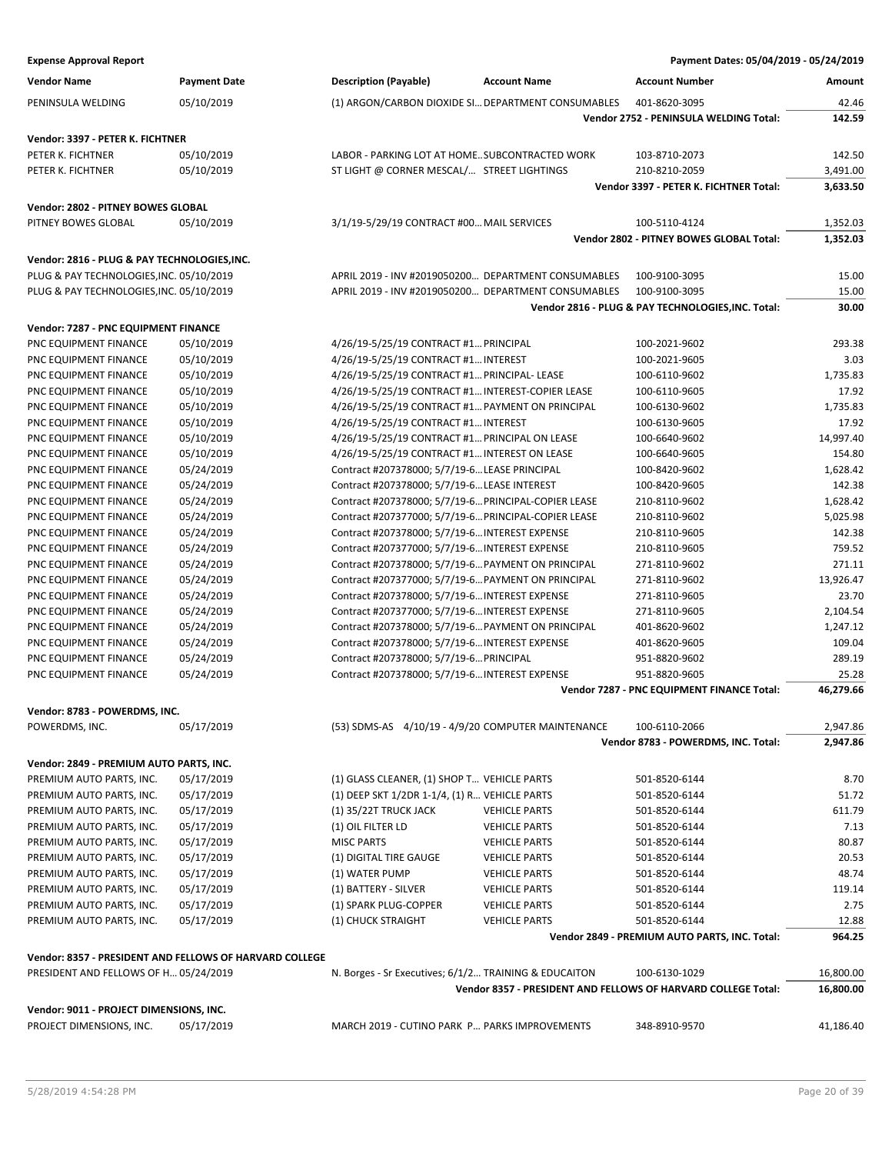| <b>Vendor Name</b>                                            | <b>Payment Date</b>                                     | <b>Description (Payable)</b>                          | <b>Account Name</b>                                | <b>Account Number</b>                                         | Amount    |
|---------------------------------------------------------------|---------------------------------------------------------|-------------------------------------------------------|----------------------------------------------------|---------------------------------------------------------------|-----------|
| PENINSULA WELDING                                             | 05/10/2019                                              |                                                       | (1) ARGON/CARBON DIOXIDE SI DEPARTMENT CONSUMABLES | 401-8620-3095                                                 | 42.46     |
|                                                               |                                                         |                                                       |                                                    | Vendor 2752 - PENINSULA WELDING Total:                        | 142.59    |
| Vendor: 3397 - PETER K. FICHTNER                              |                                                         |                                                       |                                                    |                                                               |           |
| PETER K. FICHTNER                                             | 05/10/2019                                              | LABOR - PARKING LOT AT HOME SUBCONTRACTED WORK        |                                                    | 103-8710-2073                                                 | 142.50    |
| PETER K. FICHTNER                                             | 05/10/2019                                              | ST LIGHT @ CORNER MESCAL/ STREET LIGHTINGS            |                                                    | 210-8210-2059                                                 | 3,491.00  |
|                                                               |                                                         |                                                       |                                                    | Vendor 3397 - PETER K. FICHTNER Total:                        | 3,633.50  |
| Vendor: 2802 - PITNEY BOWES GLOBAL                            |                                                         |                                                       |                                                    |                                                               |           |
| PITNEY BOWES GLOBAL                                           | 05/10/2019                                              | 3/1/19-5/29/19 CONTRACT #00 MAIL SERVICES             |                                                    | 100-5110-4124                                                 | 1,352.03  |
|                                                               |                                                         |                                                       |                                                    | Vendor 2802 - PITNEY BOWES GLOBAL Total:                      | 1,352.03  |
| Vendor: 2816 - PLUG & PAY TECHNOLOGIES, INC.                  |                                                         |                                                       |                                                    |                                                               |           |
| PLUG & PAY TECHNOLOGIES, INC. 05/10/2019                      |                                                         | APRIL 2019 - INV #2019050200 DEPARTMENT CONSUMABLES   |                                                    | 100-9100-3095                                                 | 15.00     |
| PLUG & PAY TECHNOLOGIES, INC. 05/10/2019                      |                                                         | APRIL 2019 - INV #2019050200 DEPARTMENT CONSUMABLES   |                                                    | 100-9100-3095                                                 | 15.00     |
|                                                               |                                                         |                                                       |                                                    | Vendor 2816 - PLUG & PAY TECHNOLOGIES, INC. Total:            | 30.00     |
|                                                               |                                                         |                                                       |                                                    |                                                               |           |
| Vendor: 7287 - PNC EQUIPMENT FINANCE<br>PNC EQUIPMENT FINANCE | 05/10/2019                                              | 4/26/19-5/25/19 CONTRACT #1 PRINCIPAL                 |                                                    | 100-2021-9602                                                 | 293.38    |
| PNC EQUIPMENT FINANCE                                         | 05/10/2019                                              | 4/26/19-5/25/19 CONTRACT #1 INTEREST                  |                                                    | 100-2021-9605                                                 | 3.03      |
| PNC EQUIPMENT FINANCE                                         | 05/10/2019                                              | 4/26/19-5/25/19 CONTRACT #1 PRINCIPAL- LEASE          |                                                    | 100-6110-9602                                                 | 1,735.83  |
| PNC EQUIPMENT FINANCE                                         | 05/10/2019                                              | 4/26/19-5/25/19 CONTRACT #1 INTEREST-COPIER LEASE     |                                                    | 100-6110-9605                                                 | 17.92     |
| PNC EQUIPMENT FINANCE                                         | 05/10/2019                                              | 4/26/19-5/25/19 CONTRACT #1 PAYMENT ON PRINCIPAL      |                                                    | 100-6130-9602                                                 | 1,735.83  |
| PNC EQUIPMENT FINANCE                                         | 05/10/2019                                              | 4/26/19-5/25/19 CONTRACT #1 INTEREST                  |                                                    | 100-6130-9605                                                 | 17.92     |
| PNC EQUIPMENT FINANCE                                         | 05/10/2019                                              | 4/26/19-5/25/19 CONTRACT #1 PRINCIPAL ON LEASE        |                                                    | 100-6640-9602                                                 | 14,997.40 |
| PNC EQUIPMENT FINANCE                                         | 05/10/2019                                              | 4/26/19-5/25/19 CONTRACT #1 INTEREST ON LEASE         |                                                    | 100-6640-9605                                                 | 154.80    |
| PNC EQUIPMENT FINANCE                                         | 05/24/2019                                              | Contract #207378000; 5/7/19-6 LEASE PRINCIPAL         |                                                    | 100-8420-9602                                                 | 1,628.42  |
| PNC EQUIPMENT FINANCE                                         | 05/24/2019                                              | Contract #207378000; 5/7/19-6 LEASE INTEREST          |                                                    | 100-8420-9605                                                 | 142.38    |
| PNC EQUIPMENT FINANCE                                         | 05/24/2019                                              | Contract #207378000; 5/7/19-6 PRINCIPAL-COPIER LEASE  |                                                    | 210-8110-9602                                                 | 1,628.42  |
| PNC EQUIPMENT FINANCE                                         | 05/24/2019                                              | Contract #207377000; 5/7/19-6 PRINCIPAL-COPIER LEASE  |                                                    | 210-8110-9602                                                 | 5,025.98  |
| PNC EQUIPMENT FINANCE                                         | 05/24/2019                                              | Contract #207378000; 5/7/19-6 INTEREST EXPENSE        |                                                    | 210-8110-9605                                                 | 142.38    |
| PNC EQUIPMENT FINANCE                                         | 05/24/2019                                              | Contract #207377000; 5/7/19-6 INTEREST EXPENSE        |                                                    | 210-8110-9605                                                 | 759.52    |
| PNC EQUIPMENT FINANCE                                         | 05/24/2019                                              | Contract #207378000; 5/7/19-6 PAYMENT ON PRINCIPAL    |                                                    | 271-8110-9602                                                 | 271.11    |
| PNC EQUIPMENT FINANCE                                         | 05/24/2019                                              | Contract #207377000; 5/7/19-6 PAYMENT ON PRINCIPAL    |                                                    | 271-8110-9602                                                 | 13,926.47 |
| PNC EQUIPMENT FINANCE                                         | 05/24/2019                                              | Contract #207378000; 5/7/19-6 INTEREST EXPENSE        |                                                    | 271-8110-9605                                                 | 23.70     |
| PNC EQUIPMENT FINANCE                                         | 05/24/2019                                              | Contract #207377000; 5/7/19-6 INTEREST EXPENSE        |                                                    | 271-8110-9605                                                 | 2,104.54  |
| PNC EQUIPMENT FINANCE                                         | 05/24/2019                                              | Contract #207378000; 5/7/19-6 PAYMENT ON PRINCIPAL    |                                                    | 401-8620-9602                                                 | 1,247.12  |
| PNC EQUIPMENT FINANCE                                         | 05/24/2019                                              | Contract #207378000; 5/7/19-6 INTEREST EXPENSE        |                                                    | 401-8620-9605                                                 | 109.04    |
| PNC EQUIPMENT FINANCE                                         | 05/24/2019                                              | Contract #207378000; 5/7/19-6 PRINCIPAL               |                                                    | 951-8820-9602                                                 | 289.19    |
| PNC EQUIPMENT FINANCE                                         | 05/24/2019                                              | Contract #207378000; 5/7/19-6 INTEREST EXPENSE        |                                                    | 951-8820-9605                                                 | 25.28     |
|                                                               |                                                         |                                                       |                                                    | Vendor 7287 - PNC EQUIPMENT FINANCE Total:                    | 46,279.66 |
| Vendor: 8783 - POWERDMS, INC.                                 |                                                         |                                                       |                                                    |                                                               |           |
| POWERDMS, INC.                                                | 05/17/2019                                              | (53) SDMS-AS 4/10/19 - 4/9/20 COMPUTER MAINTENANCE    |                                                    | 100-6110-2066                                                 | 2,947.86  |
|                                                               |                                                         |                                                       |                                                    | Vendor 8783 - POWERDMS, INC. Total:                           | 2,947.86  |
| Vendor: 2849 - PREMIUM AUTO PARTS, INC.                       |                                                         |                                                       |                                                    |                                                               |           |
| PREMIUM AUTO PARTS, INC.                                      | 05/17/2019                                              | (1) GLASS CLEANER, (1) SHOP T VEHICLE PARTS           |                                                    | 501-8520-6144                                                 | 8.70      |
| PREMIUM AUTO PARTS, INC.                                      | 05/17/2019                                              | (1) DEEP SKT 1/2DR 1-1/4, (1) R VEHICLE PARTS         |                                                    | 501-8520-6144                                                 | 51.72     |
| PREMIUM AUTO PARTS, INC.                                      | 05/17/2019                                              | (1) 35/22T TRUCK JACK                                 | <b>VEHICLE PARTS</b>                               | 501-8520-6144                                                 | 611.79    |
| PREMIUM AUTO PARTS, INC.                                      | 05/17/2019                                              | (1) OIL FILTER LD                                     | <b>VEHICLE PARTS</b>                               | 501-8520-6144                                                 | 7.13      |
| PREMIUM AUTO PARTS, INC.                                      | 05/17/2019                                              | <b>MISC PARTS</b>                                     | <b>VEHICLE PARTS</b>                               | 501-8520-6144                                                 | 80.87     |
| PREMIUM AUTO PARTS, INC.                                      | 05/17/2019                                              | (1) DIGITAL TIRE GAUGE                                | <b>VEHICLE PARTS</b>                               | 501-8520-6144                                                 | 20.53     |
| PREMIUM AUTO PARTS, INC.                                      | 05/17/2019                                              | (1) WATER PUMP                                        | <b>VEHICLE PARTS</b>                               | 501-8520-6144                                                 | 48.74     |
| PREMIUM AUTO PARTS, INC.                                      | 05/17/2019                                              | (1) BATTERY - SILVER                                  | <b>VEHICLE PARTS</b>                               | 501-8520-6144                                                 | 119.14    |
| PREMIUM AUTO PARTS, INC.                                      | 05/17/2019                                              | (1) SPARK PLUG-COPPER                                 | <b>VEHICLE PARTS</b>                               | 501-8520-6144                                                 | 2.75      |
| PREMIUM AUTO PARTS, INC.                                      | 05/17/2019                                              | (1) CHUCK STRAIGHT                                    | <b>VEHICLE PARTS</b>                               | 501-8520-6144                                                 | 12.88     |
|                                                               |                                                         |                                                       |                                                    | Vendor 2849 - PREMIUM AUTO PARTS, INC. Total:                 | 964.25    |
|                                                               | Vendor: 8357 - PRESIDENT AND FELLOWS OF HARVARD COLLEGE |                                                       |                                                    |                                                               |           |
| PRESIDENT AND FELLOWS OF H 05/24/2019                         |                                                         | N. Borges - Sr Executives; 6/1/2 TRAINING & EDUCAITON |                                                    | 100-6130-1029                                                 | 16,800.00 |
|                                                               |                                                         |                                                       |                                                    | Vendor 8357 - PRESIDENT AND FELLOWS OF HARVARD COLLEGE Total: | 16,800.00 |
| Vendor: 9011 - PROJECT DIMENSIONS, INC.                       |                                                         |                                                       |                                                    |                                                               |           |
| PROJECT DIMENSIONS, INC.                                      | 05/17/2019                                              | MARCH 2019 - CUTINO PARK P PARKS IMPROVEMENTS         |                                                    | 348-8910-9570                                                 | 41,186.40 |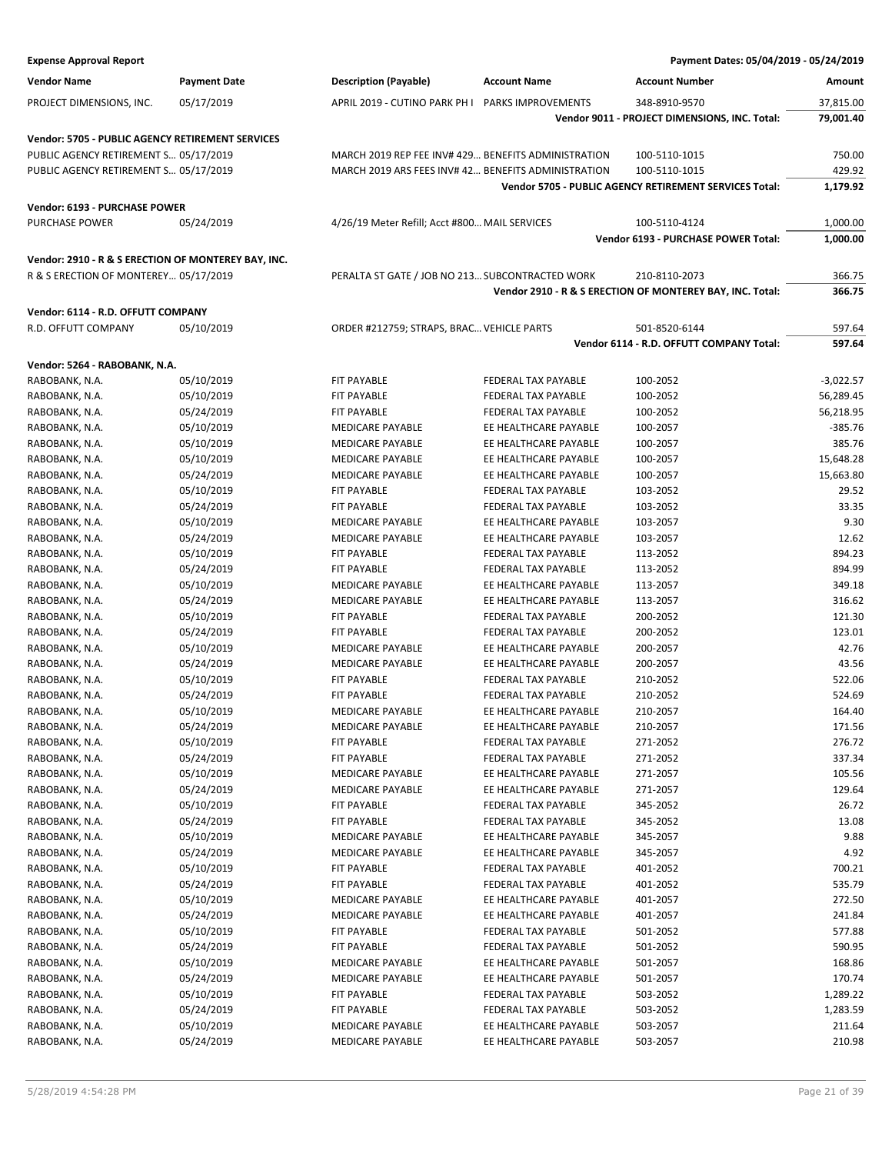| <b>Expense Approval Report</b>                          |                          |                                                     |                                                | Payment Dates: 05/04/2019 - 05/24/2019                                  |                   |
|---------------------------------------------------------|--------------------------|-----------------------------------------------------|------------------------------------------------|-------------------------------------------------------------------------|-------------------|
| <b>Vendor Name</b>                                      | <b>Payment Date</b>      | <b>Description (Payable)</b>                        | <b>Account Name</b>                            | <b>Account Number</b>                                                   | Amount            |
| PROJECT DIMENSIONS, INC.                                | 05/17/2019               | APRIL 2019 - CUTINO PARK PH I                       | PARKS IMPROVEMENTS                             | 348-8910-9570                                                           | 37,815.00         |
|                                                         |                          |                                                     |                                                | Vendor 9011 - PROJECT DIMENSIONS, INC. Total:                           | 79,001.40         |
|                                                         |                          |                                                     |                                                |                                                                         |                   |
| <b>Vendor: 5705 - PUBLIC AGENCY RETIREMENT SERVICES</b> |                          | MARCH 2019 REP FEE INV# 429 BENEFITS ADMINISTRATION |                                                |                                                                         | 750.00            |
| PUBLIC AGENCY RETIREMENT S 05/17/2019                   |                          | MARCH 2019 ARS FEES INV#42 BENEFITS ADMINISTRATION  |                                                | 100-5110-1015                                                           | 429.92            |
| PUBLIC AGENCY RETIREMENT S 05/17/2019                   |                          |                                                     |                                                | 100-5110-1015<br>Vendor 5705 - PUBLIC AGENCY RETIREMENT SERVICES Total: | 1,179.92          |
|                                                         |                          |                                                     |                                                |                                                                         |                   |
| Vendor: 6193 - PURCHASE POWER                           |                          |                                                     |                                                |                                                                         |                   |
| PURCHASE POWER                                          | 05/24/2019               | 4/26/19 Meter Refill; Acct #800 MAIL SERVICES       |                                                | 100-5110-4124                                                           | 1,000.00          |
|                                                         |                          |                                                     |                                                | Vendor 6193 - PURCHASE POWER Total:                                     | 1,000.00          |
| Vendor: 2910 - R & S ERECTION OF MONTEREY BAY, INC.     |                          |                                                     |                                                |                                                                         |                   |
| R & S ERECTION OF MONTEREY 05/17/2019                   |                          | PERALTA ST GATE / JOB NO 213 SUBCONTRACTED WORK     |                                                | 210-8110-2073                                                           | 366.75            |
|                                                         |                          |                                                     |                                                | Vendor 2910 - R & S ERECTION OF MONTEREY BAY, INC. Total:               | 366.75            |
| Vendor: 6114 - R.D. OFFUTT COMPANY                      |                          |                                                     |                                                |                                                                         |                   |
| R.D. OFFUTT COMPANY                                     | 05/10/2019               | ORDER #212759; STRAPS, BRAC VEHICLE PARTS           |                                                | 501-8520-6144                                                           | 597.64            |
|                                                         |                          |                                                     |                                                | Vendor 6114 - R.D. OFFUTT COMPANY Total:                                | 597.64            |
|                                                         |                          |                                                     |                                                |                                                                         |                   |
| Vendor: 5264 - RABOBANK, N.A.                           |                          |                                                     |                                                |                                                                         |                   |
| RABOBANK, N.A.                                          | 05/10/2019               | FIT PAYABLE                                         | FEDERAL TAX PAYABLE                            | 100-2052                                                                | -3,022.57         |
| RABOBANK, N.A.                                          | 05/10/2019               | FIT PAYABLE                                         | FEDERAL TAX PAYABLE                            | 100-2052                                                                | 56,289.45         |
| RABOBANK, N.A.                                          | 05/24/2019               | <b>FIT PAYABLE</b><br><b>MEDICARE PAYABLE</b>       | FEDERAL TAX PAYABLE                            | 100-2052                                                                | 56,218.95         |
| RABOBANK, N.A.                                          | 05/10/2019<br>05/10/2019 | <b>MEDICARE PAYABLE</b>                             | EE HEALTHCARE PAYABLE<br>EE HEALTHCARE PAYABLE | 100-2057<br>100-2057                                                    | -385.76<br>385.76 |
| RABOBANK, N.A.<br>RABOBANK, N.A.                        | 05/10/2019               | MEDICARE PAYABLE                                    | EE HEALTHCARE PAYABLE                          | 100-2057                                                                | 15,648.28         |
| RABOBANK, N.A.                                          | 05/24/2019               | <b>MEDICARE PAYABLE</b>                             | EE HEALTHCARE PAYABLE                          | 100-2057                                                                | 15,663.80         |
| RABOBANK, N.A.                                          | 05/10/2019               | <b>FIT PAYABLE</b>                                  | FEDERAL TAX PAYABLE                            | 103-2052                                                                | 29.52             |
| RABOBANK, N.A.                                          | 05/24/2019               | FIT PAYABLE                                         | FEDERAL TAX PAYABLE                            | 103-2052                                                                | 33.35             |
| RABOBANK, N.A.                                          | 05/10/2019               | MEDICARE PAYABLE                                    | EE HEALTHCARE PAYABLE                          | 103-2057                                                                | 9.30              |
| RABOBANK, N.A.                                          | 05/24/2019               | <b>MEDICARE PAYABLE</b>                             | EE HEALTHCARE PAYABLE                          | 103-2057                                                                | 12.62             |
| RABOBANK, N.A.                                          | 05/10/2019               | <b>FIT PAYABLE</b>                                  | FEDERAL TAX PAYABLE                            | 113-2052                                                                | 894.23            |
| RABOBANK, N.A.                                          | 05/24/2019               | <b>FIT PAYABLE</b>                                  | FEDERAL TAX PAYABLE                            | 113-2052                                                                | 894.99            |
| RABOBANK, N.A.                                          | 05/10/2019               | <b>MEDICARE PAYABLE</b>                             | EE HEALTHCARE PAYABLE                          | 113-2057                                                                | 349.18            |
| RABOBANK, N.A.                                          | 05/24/2019               | <b>MEDICARE PAYABLE</b>                             | EE HEALTHCARE PAYABLE                          | 113-2057                                                                | 316.62            |
| RABOBANK, N.A.                                          | 05/10/2019               | <b>FIT PAYABLE</b>                                  | FEDERAL TAX PAYABLE                            | 200-2052                                                                | 121.30            |
| RABOBANK, N.A.                                          | 05/24/2019               | <b>FIT PAYABLE</b>                                  | FEDERAL TAX PAYABLE                            | 200-2052                                                                | 123.01            |
| RABOBANK, N.A.                                          | 05/10/2019               | <b>MEDICARE PAYABLE</b>                             | EE HEALTHCARE PAYABLE                          | 200-2057                                                                | 42.76             |
| RABOBANK, N.A.                                          | 05/24/2019               | <b>MEDICARE PAYABLE</b>                             | EE HEALTHCARE PAYABLE                          | 200-2057                                                                | 43.56             |
| RABOBANK, N.A.                                          | 05/10/2019               | FIT PAYABLE                                         | FEDERAL TAX PAYABLE                            | 210-2052                                                                | 522.06            |
| RABOBANK, N.A.                                          | 05/24/2019               | FIT PAYABLE                                         | FEDERAL TAX PAYABLE                            | 210-2052                                                                | 524.69            |
| RABOBANK, N.A.                                          | 05/10/2019               | MEDICARE PAYABLE                                    | EE HEALTHCARE PAYABLE                          | 210-2057                                                                | 164.40            |
| RABOBANK, N.A.                                          | 05/24/2019               | MEDICARE PAYABLE                                    | EE HEALTHCARE PAYABLE                          | 210-2057                                                                | 171.56            |
| RABOBANK, N.A.                                          | 05/10/2019               | FIT PAYABLE                                         | FEDERAL TAX PAYABLE                            | 271-2052                                                                | 276.72            |
| RABOBANK, N.A.                                          | 05/24/2019               | FIT PAYABLE                                         | FEDERAL TAX PAYABLE                            | 271-2052                                                                | 337.34            |
| RABOBANK, N.A.                                          | 05/10/2019               | MEDICARE PAYABLE                                    | EE HEALTHCARE PAYABLE                          | 271-2057                                                                | 105.56            |
| RABOBANK, N.A.                                          | 05/24/2019               | MEDICARE PAYABLE                                    | EE HEALTHCARE PAYABLE                          | 271-2057                                                                | 129.64            |
| RABOBANK, N.A.                                          | 05/10/2019               | FIT PAYABLE                                         | FEDERAL TAX PAYABLE                            | 345-2052                                                                | 26.72             |
| RABOBANK, N.A.                                          | 05/24/2019               | FIT PAYABLE                                         | FEDERAL TAX PAYABLE                            | 345-2052                                                                | 13.08             |
| RABOBANK, N.A.                                          | 05/10/2019               | MEDICARE PAYABLE                                    | EE HEALTHCARE PAYABLE                          | 345-2057                                                                | 9.88              |
| RABOBANK, N.A.                                          | 05/24/2019               | MEDICARE PAYABLE                                    | EE HEALTHCARE PAYABLE                          | 345-2057                                                                | 4.92              |
| RABOBANK, N.A.                                          | 05/10/2019               | FIT PAYABLE                                         | FEDERAL TAX PAYABLE                            | 401-2052                                                                | 700.21            |
| RABOBANK, N.A.                                          | 05/24/2019               | FIT PAYABLE                                         | FEDERAL TAX PAYABLE                            | 401-2052                                                                | 535.79            |
| RABOBANK, N.A.                                          | 05/10/2019               | MEDICARE PAYABLE                                    | EE HEALTHCARE PAYABLE                          | 401-2057                                                                | 272.50            |
| RABOBANK, N.A.                                          | 05/24/2019               | MEDICARE PAYABLE                                    | EE HEALTHCARE PAYABLE                          | 401-2057                                                                | 241.84            |
| RABOBANK, N.A.                                          | 05/10/2019               | FIT PAYABLE                                         | FEDERAL TAX PAYABLE                            | 501-2052                                                                | 577.88            |
| RABOBANK, N.A.                                          | 05/24/2019               | FIT PAYABLE                                         | FEDERAL TAX PAYABLE                            | 501-2052                                                                | 590.95            |
| RABOBANK, N.A.                                          | 05/10/2019               | MEDICARE PAYABLE                                    | EE HEALTHCARE PAYABLE                          | 501-2057                                                                | 168.86            |
| RABOBANK, N.A.                                          | 05/24/2019               | MEDICARE PAYABLE                                    | EE HEALTHCARE PAYABLE                          | 501-2057                                                                | 170.74            |
| RABOBANK, N.A.                                          | 05/10/2019               | FIT PAYABLE                                         | FEDERAL TAX PAYABLE                            | 503-2052                                                                | 1,289.22          |
| RABOBANK, N.A.                                          | 05/24/2019               | FIT PAYABLE                                         | FEDERAL TAX PAYABLE                            | 503-2052                                                                | 1,283.59          |
| RABOBANK, N.A.                                          | 05/10/2019               | MEDICARE PAYABLE                                    | EE HEALTHCARE PAYABLE                          | 503-2057                                                                | 211.64            |
| RABOBANK, N.A.                                          | 05/24/2019               | MEDICARE PAYABLE                                    | EE HEALTHCARE PAYABLE                          | 503-2057                                                                | 210.98            |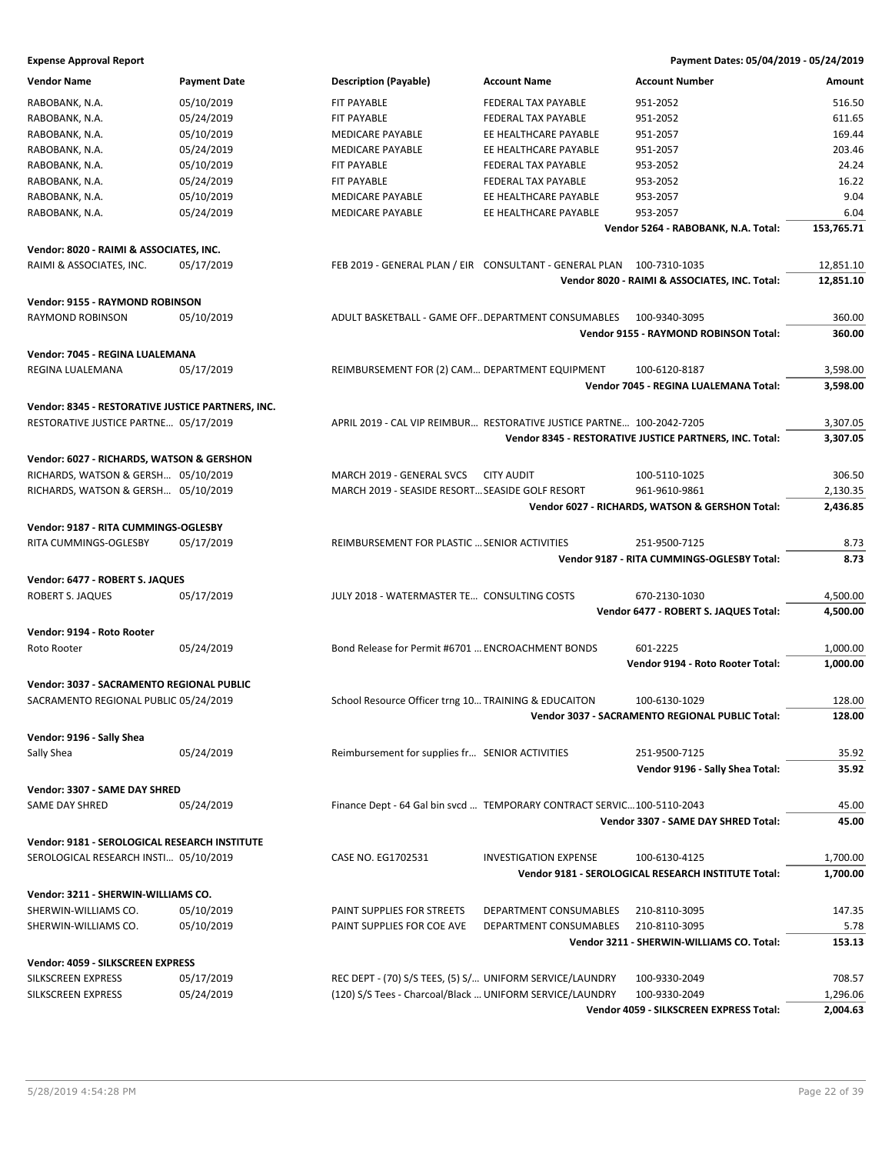| <b>Vendor Name</b>                                | <b>Payment Date</b> | <b>Description (Payable)</b>                             | <b>Account Name</b>                                                    | <b>Account Number</b>                                   | Amount     |
|---------------------------------------------------|---------------------|----------------------------------------------------------|------------------------------------------------------------------------|---------------------------------------------------------|------------|
| RABOBANK, N.A.                                    | 05/10/2019          | FIT PAYABLE                                              | FEDERAL TAX PAYABLE                                                    | 951-2052                                                | 516.50     |
| RABOBANK, N.A.                                    | 05/24/2019          | FIT PAYABLE                                              | FEDERAL TAX PAYABLE                                                    | 951-2052                                                | 611.65     |
| RABOBANK, N.A.                                    | 05/10/2019          | MEDICARE PAYABLE                                         | EE HEALTHCARE PAYABLE                                                  | 951-2057                                                | 169.44     |
| RABOBANK, N.A.                                    | 05/24/2019          | <b>MEDICARE PAYABLE</b>                                  | EE HEALTHCARE PAYABLE                                                  | 951-2057                                                | 203.46     |
| RABOBANK, N.A.                                    | 05/10/2019          | FIT PAYABLE                                              | FEDERAL TAX PAYABLE                                                    | 953-2052                                                | 24.24      |
|                                                   | 05/24/2019          | FIT PAYABLE                                              | FEDERAL TAX PAYABLE                                                    | 953-2052                                                | 16.22      |
| RABOBANK, N.A.                                    |                     |                                                          |                                                                        |                                                         | 9.04       |
| RABOBANK, N.A.                                    | 05/10/2019          | <b>MEDICARE PAYABLE</b>                                  | EE HEALTHCARE PAYABLE                                                  | 953-2057                                                |            |
| RABOBANK, N.A.                                    | 05/24/2019          | MEDICARE PAYABLE                                         | EE HEALTHCARE PAYABLE                                                  | 953-2057                                                | 6.04       |
|                                                   |                     |                                                          |                                                                        | Vendor 5264 - RABOBANK, N.A. Total:                     | 153,765.71 |
| Vendor: 8020 - RAIMI & ASSOCIATES, INC.           |                     |                                                          |                                                                        |                                                         |            |
| RAIMI & ASSOCIATES, INC.                          | 05/17/2019          |                                                          | FEB 2019 - GENERAL PLAN / EIR CONSULTANT - GENERAL PLAN 100-7310-1035  |                                                         | 12,851.10  |
|                                                   |                     |                                                          |                                                                        | Vendor 8020 - RAIMI & ASSOCIATES, INC. Total:           | 12,851.10  |
| Vendor: 9155 - RAYMOND ROBINSON                   |                     |                                                          |                                                                        |                                                         |            |
| RAYMOND ROBINSON                                  | 05/10/2019          | ADULT BASKETBALL - GAME OFF DEPARTMENT CONSUMABLES       |                                                                        | 100-9340-3095                                           | 360.00     |
|                                                   |                     |                                                          |                                                                        | Vendor 9155 - RAYMOND ROBINSON Total:                   | 360.00     |
|                                                   |                     |                                                          |                                                                        |                                                         |            |
| Vendor: 7045 - REGINA LUALEMANA                   |                     |                                                          |                                                                        |                                                         |            |
| REGINA LUALEMANA                                  | 05/17/2019          | REIMBURSEMENT FOR (2) CAM DEPARTMENT EQUIPMENT           |                                                                        | 100-6120-8187                                           | 3,598.00   |
|                                                   |                     |                                                          |                                                                        | Vendor 7045 - REGINA LUALEMANA Total:                   | 3,598.00   |
| Vendor: 8345 - RESTORATIVE JUSTICE PARTNERS, INC. |                     |                                                          |                                                                        |                                                         |            |
| RESTORATIVE JUSTICE PARTNE 05/17/2019             |                     |                                                          | APRIL 2019 - CAL VIP REIMBUR RESTORATIVE JUSTICE PARTNE 100-2042-7205  |                                                         | 3,307.05   |
|                                                   |                     |                                                          |                                                                        | Vendor 8345 - RESTORATIVE JUSTICE PARTNERS, INC. Total: | 3,307.05   |
|                                                   |                     |                                                          |                                                                        |                                                         |            |
| Vendor: 6027 - RICHARDS, WATSON & GERSHON         |                     |                                                          |                                                                        |                                                         |            |
| RICHARDS, WATSON & GERSH 05/10/2019               |                     | MARCH 2019 - GENERAL SVCS                                | <b>CITY AUDIT</b>                                                      | 100-5110-1025                                           | 306.50     |
| RICHARDS, WATSON & GERSH 05/10/2019               |                     | MARCH 2019 - SEASIDE RESORT SEASIDE GOLF RESORT          |                                                                        | 961-9610-9861                                           | 2,130.35   |
|                                                   |                     |                                                          |                                                                        | Vendor 6027 - RICHARDS, WATSON & GERSHON Total:         | 2,436.85   |
| Vendor: 9187 - RITA CUMMINGS-OGLESBY              |                     |                                                          |                                                                        |                                                         |            |
| RITA CUMMINGS-OGLESBY                             | 05/17/2019          | REIMBURSEMENT FOR PLASTIC  SENIOR ACTIVITIES             |                                                                        | 251-9500-7125                                           | 8.73       |
|                                                   |                     |                                                          |                                                                        | Vendor 9187 - RITA CUMMINGS-OGLESBY Total:              | 8.73       |
|                                                   |                     |                                                          |                                                                        |                                                         |            |
| Vendor: 6477 - ROBERT S. JAQUES                   |                     |                                                          |                                                                        |                                                         |            |
| ROBERT S. JAQUES                                  | 05/17/2019          | JULY 2018 - WATERMASTER TE CONSULTING COSTS              |                                                                        | 670-2130-1030                                           | 4,500.00   |
|                                                   |                     |                                                          |                                                                        | Vendor 6477 - ROBERT S. JAQUES Total:                   | 4,500.00   |
| Vendor: 9194 - Roto Rooter                        |                     |                                                          |                                                                        |                                                         |            |
| Roto Rooter                                       | 05/24/2019          | Bond Release for Permit #6701  ENCROACHMENT BONDS        |                                                                        | 601-2225                                                | 1,000.00   |
|                                                   |                     |                                                          |                                                                        | Vendor 9194 - Roto Rooter Total:                        | 1,000.00   |
|                                                   |                     |                                                          |                                                                        |                                                         |            |
| Vendor: 3037 - SACRAMENTO REGIONAL PUBLIC         |                     |                                                          |                                                                        |                                                         |            |
| SACRAMENTO REGIONAL PUBLIC 05/24/2019             |                     | School Resource Officer trng 10 TRAINING & EDUCAITON     |                                                                        | 100-6130-1029                                           | 128.00     |
|                                                   |                     |                                                          |                                                                        | <b>Vendor 3037 - SACRAMENTO REGIONAL PUBLIC Total:</b>  | 128.00     |
| Vendor: 9196 - Sally Shea                         |                     |                                                          |                                                                        |                                                         |            |
| Sally Shea                                        | 05/24/2019          | Reimbursement for supplies fr SENIOR ACTIVITIES          |                                                                        | 251-9500-7125                                           | 35.92      |
|                                                   |                     |                                                          |                                                                        | Vendor 9196 - Sally Shea Total:                         | 35.92      |
|                                                   |                     |                                                          |                                                                        |                                                         |            |
| Vendor: 3307 - SAME DAY SHRED                     |                     |                                                          |                                                                        |                                                         |            |
| SAME DAY SHRED                                    | 05/24/2019          |                                                          | Finance Dept - 64 Gal bin svcd  TEMPORARY CONTRACT SERVIC100-5110-2043 |                                                         | 45.00      |
|                                                   |                     |                                                          |                                                                        | Vendor 3307 - SAME DAY SHRED Total:                     | 45.00      |
| Vendor: 9181 - SEROLOGICAL RESEARCH INSTITUTE     |                     |                                                          |                                                                        |                                                         |            |
| SEROLOGICAL RESEARCH INSTI 05/10/2019             |                     | CASE NO. EG1702531                                       | <b>INVESTIGATION EXPENSE</b>                                           | 100-6130-4125                                           | 1,700.00   |
|                                                   |                     |                                                          |                                                                        | Vendor 9181 - SEROLOGICAL RESEARCH INSTITUTE Total:     | 1,700.00   |
|                                                   |                     |                                                          |                                                                        |                                                         |            |
| Vendor: 3211 - SHERWIN-WILLIAMS CO.               |                     |                                                          |                                                                        |                                                         |            |
| SHERWIN-WILLIAMS CO.                              | 05/10/2019          | PAINT SUPPLIES FOR STREETS                               | DEPARTMENT CONSUMABLES                                                 | 210-8110-3095                                           | 147.35     |
| SHERWIN-WILLIAMS CO.                              | 05/10/2019          | PAINT SUPPLIES FOR COE AVE                               | DEPARTMENT CONSUMABLES                                                 | 210-8110-3095                                           | 5.78       |
|                                                   |                     |                                                          |                                                                        | Vendor 3211 - SHERWIN-WILLIAMS CO. Total:               | 153.13     |
| Vendor: 4059 - SILKSCREEN EXPRESS                 |                     |                                                          |                                                                        |                                                         |            |
| SILKSCREEN EXPRESS                                | 05/17/2019          | REC DEPT - (70) S/S TEES, (5) S/ UNIFORM SERVICE/LAUNDRY |                                                                        | 100-9330-2049                                           | 708.57     |
| SILKSCREEN EXPRESS                                | 05/24/2019          | (120) S/S Tees - Charcoal/Black  UNIFORM SERVICE/LAUNDRY |                                                                        | 100-9330-2049                                           | 1,296.06   |
|                                                   |                     |                                                          |                                                                        | Vendor 4059 - SILKSCREEN EXPRESS Total:                 | 2,004.63   |
|                                                   |                     |                                                          |                                                                        |                                                         |            |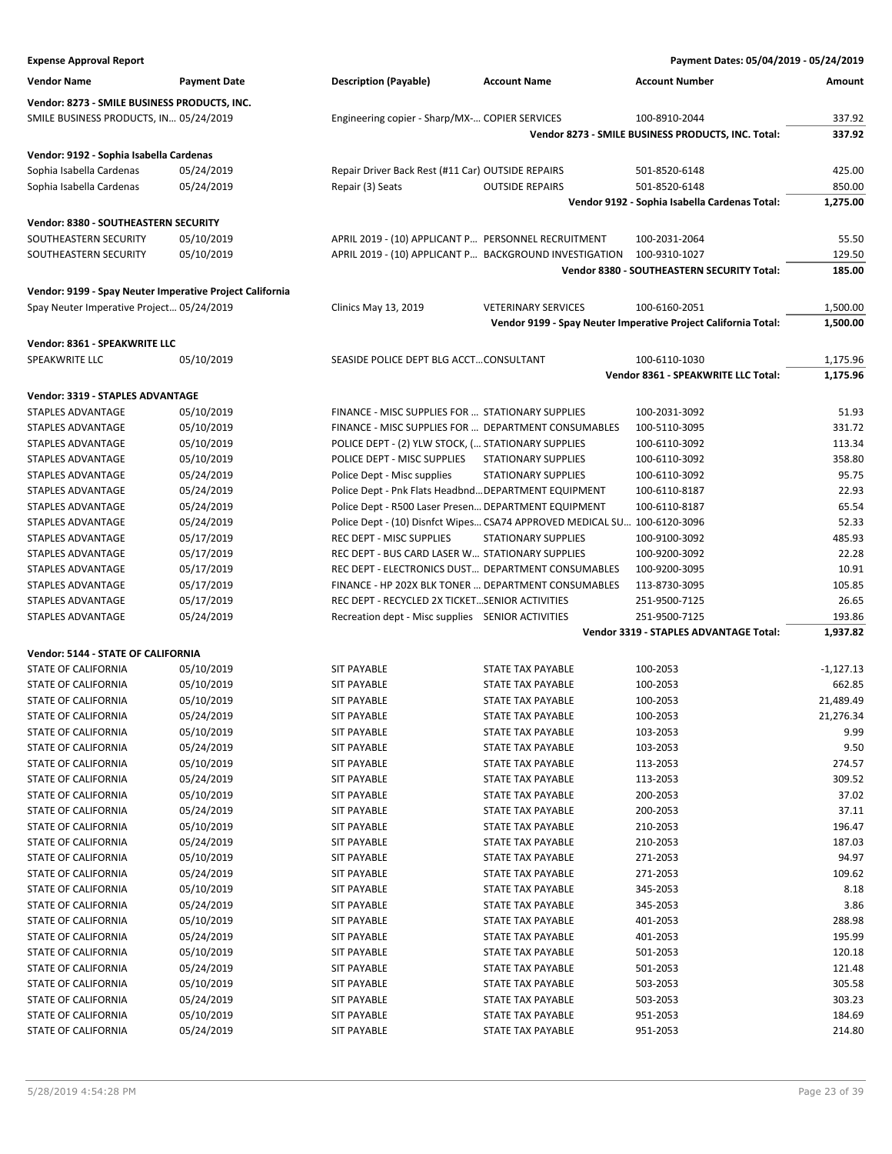| <b>Expense Approval Report</b>                           |                     |                                                      |                                                                          | Payment Dates: 05/04/2019 - 05/24/2019                         |             |
|----------------------------------------------------------|---------------------|------------------------------------------------------|--------------------------------------------------------------------------|----------------------------------------------------------------|-------------|
| <b>Vendor Name</b>                                       | <b>Payment Date</b> | <b>Description (Payable)</b>                         | <b>Account Name</b>                                                      | <b>Account Number</b>                                          | Amount      |
| Vendor: 8273 - SMILE BUSINESS PRODUCTS, INC.             |                     |                                                      |                                                                          |                                                                |             |
| SMILE BUSINESS PRODUCTS, IN 05/24/2019                   |                     | Engineering copier - Sharp/MX- COPIER SERVICES       |                                                                          | 100-8910-2044                                                  | 337.92      |
|                                                          |                     |                                                      |                                                                          | Vendor 8273 - SMILE BUSINESS PRODUCTS, INC. Total:             | 337.92      |
|                                                          |                     |                                                      |                                                                          |                                                                |             |
| Vendor: 9192 - Sophia Isabella Cardenas                  |                     |                                                      |                                                                          |                                                                |             |
| Sophia Isabella Cardenas                                 | 05/24/2019          | Repair Driver Back Rest (#11 Car) OUTSIDE REPAIRS    |                                                                          | 501-8520-6148                                                  | 425.00      |
| Sophia Isabella Cardenas                                 | 05/24/2019          | Repair (3) Seats                                     | <b>OUTSIDE REPAIRS</b>                                                   | 501-8520-6148                                                  | 850.00      |
|                                                          |                     |                                                      |                                                                          | Vendor 9192 - Sophia Isabella Cardenas Total:                  | 1,275.00    |
| Vendor: 8380 - SOUTHEASTERN SECURITY                     |                     |                                                      |                                                                          |                                                                |             |
| SOUTHEASTERN SECURITY                                    | 05/10/2019          | APRIL 2019 - (10) APPLICANT P PERSONNEL RECRUITMENT  |                                                                          | 100-2031-2064                                                  | 55.50       |
| SOUTHEASTERN SECURITY                                    | 05/10/2019          |                                                      | APRIL 2019 - (10) APPLICANT P BACKGROUND INVESTIGATION                   | 100-9310-1027                                                  | 129.50      |
|                                                          |                     |                                                      |                                                                          | Vendor 8380 - SOUTHEASTERN SECURITY Total:                     | 185.00      |
| Vendor: 9199 - Spay Neuter Imperative Project California |                     |                                                      |                                                                          |                                                                |             |
| Spay Neuter Imperative Project 05/24/2019                |                     | <b>Clinics May 13, 2019</b>                          | <b>VETERINARY SERVICES</b>                                               | 100-6160-2051                                                  | 1,500.00    |
|                                                          |                     |                                                      |                                                                          | Vendor 9199 - Spay Neuter Imperative Project California Total: | 1,500.00    |
| Vendor: 8361 - SPEAKWRITE LLC                            |                     |                                                      |                                                                          |                                                                |             |
| SPEAKWRITE LLC                                           | 05/10/2019          | SEASIDE POLICE DEPT BLG ACCTCONSULTANT               |                                                                          | 100-6110-1030                                                  | 1,175.96    |
|                                                          |                     |                                                      |                                                                          | Vendor 8361 - SPEAKWRITE LLC Total:                            | 1,175.96    |
|                                                          |                     |                                                      |                                                                          |                                                                |             |
| Vendor: 3319 - STAPLES ADVANTAGE                         |                     |                                                      |                                                                          |                                                                |             |
| STAPLES ADVANTAGE                                        | 05/10/2019          | FINANCE - MISC SUPPLIES FOR  STATIONARY SUPPLIES     |                                                                          | 100-2031-3092                                                  | 51.93       |
| STAPLES ADVANTAGE                                        | 05/10/2019          | FINANCE - MISC SUPPLIES FOR  DEPARTMENT CONSUMABLES  |                                                                          | 100-5110-3095                                                  | 331.72      |
| STAPLES ADVANTAGE                                        | 05/10/2019          | POLICE DEPT - (2) YLW STOCK, ( STATIONARY SUPPLIES   |                                                                          | 100-6110-3092                                                  | 113.34      |
| STAPLES ADVANTAGE                                        | 05/10/2019          | POLICE DEPT - MISC SUPPLIES                          | <b>STATIONARY SUPPLIES</b>                                               | 100-6110-3092                                                  | 358.80      |
| STAPLES ADVANTAGE                                        | 05/24/2019          | Police Dept - Misc supplies                          | <b>STATIONARY SUPPLIES</b>                                               | 100-6110-3092                                                  | 95.75       |
| STAPLES ADVANTAGE                                        | 05/24/2019          | Police Dept - Pnk Flats Headbnd DEPARTMENT EQUIPMENT |                                                                          | 100-6110-8187                                                  | 22.93       |
| STAPLES ADVANTAGE                                        | 05/24/2019          | Police Dept - R500 Laser Presen DEPARTMENT EQUIPMENT |                                                                          | 100-6110-8187                                                  | 65.54       |
| STAPLES ADVANTAGE                                        | 05/24/2019          |                                                      | Police Dept - (10) Disnfct Wipes CSA74 APPROVED MEDICAL SU 100-6120-3096 |                                                                | 52.33       |
| STAPLES ADVANTAGE                                        | 05/17/2019          | REC DEPT - MISC SUPPLIES                             | <b>STATIONARY SUPPLIES</b>                                               | 100-9100-3092                                                  | 485.93      |
| STAPLES ADVANTAGE                                        | 05/17/2019          | REC DEPT - BUS CARD LASER W STATIONARY SUPPLIES      |                                                                          | 100-9200-3092                                                  | 22.28       |
| STAPLES ADVANTAGE                                        | 05/17/2019          | REC DEPT - ELECTRONICS DUST DEPARTMENT CONSUMABLES   |                                                                          | 100-9200-3095                                                  | 10.91       |
| STAPLES ADVANTAGE                                        | 05/17/2019          | FINANCE - HP 202X BLK TONER  DEPARTMENT CONSUMABLES  |                                                                          | 113-8730-3095                                                  | 105.85      |
| STAPLES ADVANTAGE                                        | 05/17/2019          | REC DEPT - RECYCLED 2X TICKETSENIOR ACTIVITIES       |                                                                          | 251-9500-7125                                                  | 26.65       |
| STAPLES ADVANTAGE                                        | 05/24/2019          | Recreation dept - Misc supplies SENIOR ACTIVITIES    |                                                                          | 251-9500-7125                                                  | 193.86      |
|                                                          |                     |                                                      |                                                                          | Vendor 3319 - STAPLES ADVANTAGE Total:                         | 1.937.82    |
| Vendor: 5144 - STATE OF CALIFORNIA                       |                     |                                                      |                                                                          |                                                                |             |
| STATE OF CALIFORNIA                                      | 05/10/2019          | <b>SIT PAYABLE</b>                                   | STATE TAX PAYABLE                                                        | 100-2053                                                       | $-1,127.13$ |
| STATE OF CALIFORNIA                                      | 05/10/2019          | <b>SIT PAYABLE</b>                                   | <b>STATE TAX PAYABLE</b>                                                 | 100-2053                                                       | 662.85      |
| STATE OF CALIFORNIA                                      | 05/10/2019          | <b>SIT PAYABLE</b>                                   | STATE TAX PAYABLE                                                        | 100-2053                                                       | 21,489.49   |
| STATE OF CALIFORNIA                                      | 05/24/2019          | <b>SIT PAYABLE</b>                                   | STATE TAX PAYABLE                                                        | 100-2053                                                       | 21,276.34   |
| STATE OF CALIFORNIA                                      | 05/10/2019          | <b>SIT PAYABLE</b>                                   | STATE TAX PAYABLE                                                        | 103-2053                                                       | 9.99        |
| STATE OF CALIFORNIA                                      | 05/24/2019          | SIT PAYABLE                                          | STATE TAX PAYABLE                                                        | 103-2053                                                       | 9.50        |
| STATE OF CALIFORNIA                                      | 05/10/2019          | <b>SIT PAYABLE</b>                                   | STATE TAX PAYABLE                                                        | 113-2053                                                       | 274.57      |
| STATE OF CALIFORNIA                                      | 05/24/2019          | SIT PAYABLE                                          | STATE TAX PAYABLE                                                        | 113-2053                                                       | 309.52      |
| STATE OF CALIFORNIA                                      | 05/10/2019          | <b>SIT PAYABLE</b>                                   | STATE TAX PAYABLE                                                        | 200-2053                                                       | 37.02       |
| STATE OF CALIFORNIA                                      | 05/24/2019          | SIT PAYABLE                                          | <b>STATE TAX PAYABLE</b>                                                 | 200-2053                                                       | 37.11       |
| STATE OF CALIFORNIA                                      | 05/10/2019          | SIT PAYABLE                                          | STATE TAX PAYABLE                                                        | 210-2053                                                       | 196.47      |
| STATE OF CALIFORNIA                                      | 05/24/2019          | <b>SIT PAYABLE</b>                                   | STATE TAX PAYABLE                                                        | 210-2053                                                       | 187.03      |
| STATE OF CALIFORNIA                                      | 05/10/2019          | SIT PAYABLE                                          | STATE TAX PAYABLE                                                        | 271-2053                                                       | 94.97       |
| STATE OF CALIFORNIA                                      | 05/24/2019          | <b>SIT PAYABLE</b>                                   | <b>STATE TAX PAYABLE</b>                                                 | 271-2053                                                       | 109.62      |
| STATE OF CALIFORNIA                                      | 05/10/2019          | SIT PAYABLE                                          | STATE TAX PAYABLE                                                        | 345-2053                                                       | 8.18        |
| STATE OF CALIFORNIA                                      | 05/24/2019          | SIT PAYABLE                                          | STATE TAX PAYABLE                                                        | 345-2053                                                       | 3.86        |
| STATE OF CALIFORNIA                                      | 05/10/2019          | SIT PAYABLE                                          | STATE TAX PAYABLE                                                        | 401-2053                                                       | 288.98      |
| STATE OF CALIFORNIA                                      | 05/24/2019          | SIT PAYABLE                                          | STATE TAX PAYABLE                                                        | 401-2053                                                       | 195.99      |
| STATE OF CALIFORNIA                                      | 05/10/2019          | <b>SIT PAYABLE</b>                                   | STATE TAX PAYABLE                                                        | 501-2053                                                       | 120.18      |
| STATE OF CALIFORNIA                                      | 05/24/2019          | <b>SIT PAYABLE</b>                                   | STATE TAX PAYABLE                                                        | 501-2053                                                       | 121.48      |
| STATE OF CALIFORNIA                                      | 05/10/2019          | SIT PAYABLE                                          | STATE TAX PAYABLE                                                        | 503-2053                                                       | 305.58      |
| STATE OF CALIFORNIA                                      | 05/24/2019          | SIT PAYABLE                                          | STATE TAX PAYABLE                                                        | 503-2053                                                       | 303.23      |
| STATE OF CALIFORNIA                                      | 05/10/2019          | SIT PAYABLE                                          | STATE TAX PAYABLE                                                        | 951-2053                                                       | 184.69      |
| STATE OF CALIFORNIA                                      | 05/24/2019          | <b>SIT PAYABLE</b>                                   | STATE TAX PAYABLE                                                        | 951-2053                                                       | 214.80      |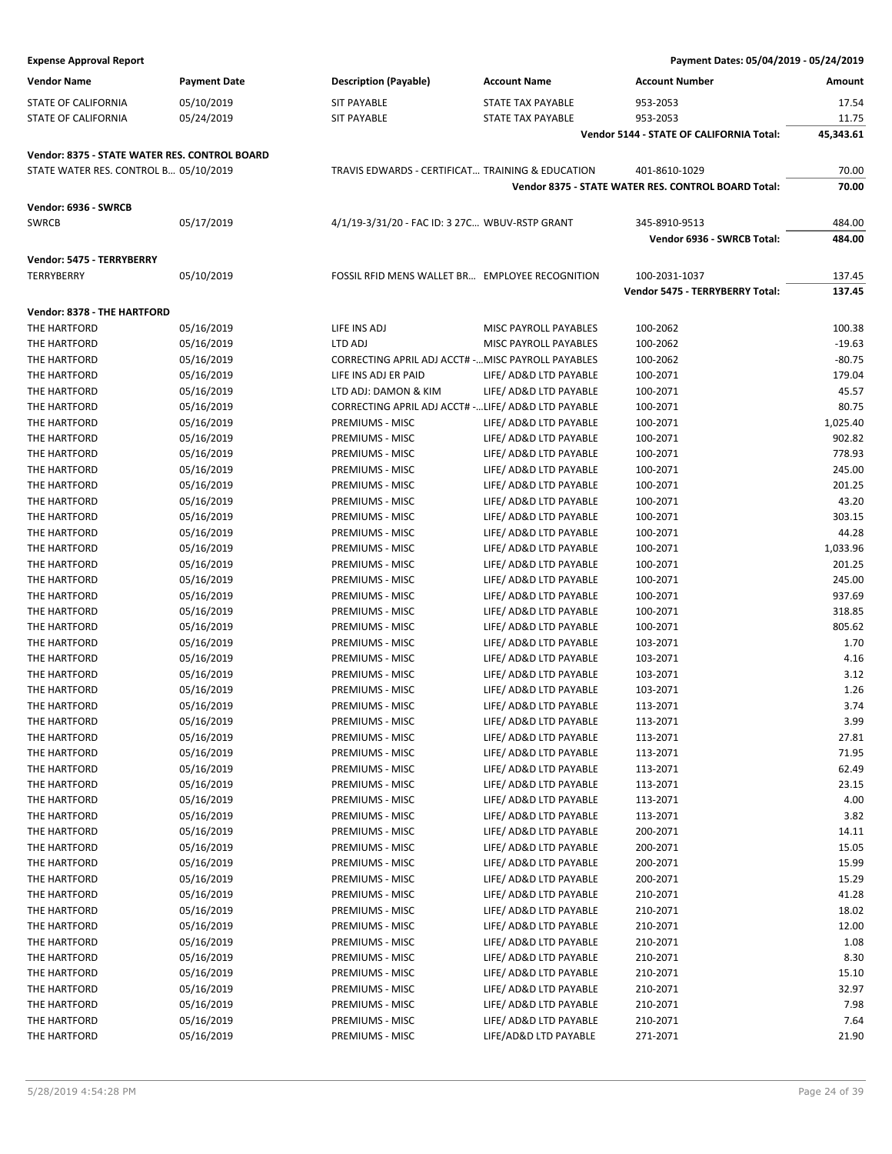#### **Expense Approval Report**

| Payment Dates: 05/04/2019 - 05/24/2019 |  |  |
|----------------------------------------|--|--|
|----------------------------------------|--|--|

| <b>Vendor Name</b>                                   | <b>Payment Date</b> | <b>Description (Payable)</b>                        | <b>Account Name</b>                              | <b>Account Number</b>                               | Amount           |
|------------------------------------------------------|---------------------|-----------------------------------------------------|--------------------------------------------------|-----------------------------------------------------|------------------|
| STATE OF CALIFORNIA                                  | 05/10/2019          | <b>SIT PAYABLE</b>                                  | <b>STATE TAX PAYABLE</b>                         | 953-2053                                            | 17.54            |
| STATE OF CALIFORNIA                                  | 05/24/2019          | <b>SIT PAYABLE</b>                                  | STATE TAX PAYABLE                                | 953-2053                                            | 11.75            |
|                                                      |                     |                                                     |                                                  | Vendor 5144 - STATE OF CALIFORNIA Total:            | 45,343.61        |
| <b>Vendor: 8375 - STATE WATER RES. CONTROL BOARD</b> |                     |                                                     |                                                  |                                                     |                  |
| STATE WATER RES. CONTROL B 05/10/2019                |                     | TRAVIS EDWARDS - CERTIFICAT TRAINING & EDUCATION    |                                                  | 401-8610-1029                                       | 70.00            |
|                                                      |                     |                                                     |                                                  | Vendor 8375 - STATE WATER RES. CONTROL BOARD Total: | 70.00            |
|                                                      |                     |                                                     |                                                  |                                                     |                  |
| Vendor: 6936 - SWRCB<br><b>SWRCB</b>                 |                     | 4/1/19-3/31/20 - FAC ID: 3 27C WBUV-RSTP GRANT      |                                                  |                                                     |                  |
|                                                      | 05/17/2019          |                                                     |                                                  | 345-8910-9513<br>Vendor 6936 - SWRCB Total:         | 484.00<br>484.00 |
|                                                      |                     |                                                     |                                                  |                                                     |                  |
| Vendor: 5475 - TERRYBERRY                            |                     |                                                     |                                                  |                                                     |                  |
| TERRYBERRY                                           | 05/10/2019          | FOSSIL RFID MENS WALLET BR EMPLOYEE RECOGNITION     |                                                  | 100-2031-1037                                       | 137.45           |
|                                                      |                     |                                                     |                                                  | Vendor 5475 - TERRYBERRY Total:                     | 137.45           |
| Vendor: 8378 - THE HARTFORD                          |                     |                                                     |                                                  |                                                     |                  |
| THE HARTFORD                                         | 05/16/2019          | LIFE INS ADJ                                        | MISC PAYROLL PAYABLES                            | 100-2062                                            | 100.38           |
| THE HARTFORD                                         | 05/16/2019          | LTD ADJ                                             | MISC PAYROLL PAYABLES                            | 100-2062                                            | $-19.63$         |
| THE HARTFORD                                         | 05/16/2019          | CORRECTING APRIL ADJ ACCT# - MISC PAYROLL PAYABLES  |                                                  | 100-2062                                            | $-80.75$         |
| THE HARTFORD                                         | 05/16/2019          | LIFE INS ADJ ER PAID                                | LIFE/ AD&D LTD PAYABLE                           | 100-2071                                            | 179.04           |
| THE HARTFORD                                         | 05/16/2019          | LTD ADJ: DAMON & KIM                                | LIFE/ AD&D LTD PAYABLE                           | 100-2071                                            | 45.57            |
| THE HARTFORD                                         | 05/16/2019          | CORRECTING APRIL ADJ ACCT# - LIFE/ AD&D LTD PAYABLE |                                                  | 100-2071                                            | 80.75            |
| THE HARTFORD                                         | 05/16/2019          | PREMIUMS - MISC                                     | LIFE/ AD&D LTD PAYABLE                           | 100-2071                                            | 1,025.40         |
| THE HARTFORD                                         | 05/16/2019          | PREMIUMS - MISC                                     | LIFE/ AD&D LTD PAYABLE                           | 100-2071                                            | 902.82           |
| THE HARTFORD                                         | 05/16/2019          | PREMIUMS - MISC                                     | LIFE/ AD&D LTD PAYABLE                           | 100-2071                                            | 778.93           |
| THE HARTFORD                                         | 05/16/2019          | PREMIUMS - MISC                                     | LIFE/ AD&D LTD PAYABLE                           | 100-2071                                            | 245.00           |
| THE HARTFORD                                         | 05/16/2019          | PREMIUMS - MISC                                     | LIFE/ AD&D LTD PAYABLE                           | 100-2071                                            | 201.25           |
| THE HARTFORD                                         | 05/16/2019          | PREMIUMS - MISC                                     | LIFE/ AD&D LTD PAYABLE                           | 100-2071                                            | 43.20            |
| THE HARTFORD                                         | 05/16/2019          | PREMIUMS - MISC                                     | LIFE/ AD&D LTD PAYABLE                           | 100-2071                                            | 303.15           |
| THE HARTFORD                                         | 05/16/2019          | PREMIUMS - MISC                                     | LIFE/ AD&D LTD PAYABLE                           | 100-2071                                            | 44.28            |
| THE HARTFORD                                         | 05/16/2019          | PREMIUMS - MISC                                     | LIFE/ AD&D LTD PAYABLE                           | 100-2071                                            | 1,033.96         |
| THE HARTFORD                                         | 05/16/2019          | PREMIUMS - MISC                                     | LIFE/ AD&D LTD PAYABLE                           | 100-2071                                            | 201.25           |
| THE HARTFORD                                         | 05/16/2019          | PREMIUMS - MISC                                     | LIFE/ AD&D LTD PAYABLE                           | 100-2071                                            | 245.00           |
| THE HARTFORD                                         | 05/16/2019          | PREMIUMS - MISC                                     | LIFE/ AD&D LTD PAYABLE                           | 100-2071                                            | 937.69           |
| THE HARTFORD                                         | 05/16/2019          | PREMIUMS - MISC                                     | LIFE/ AD&D LTD PAYABLE                           | 100-2071                                            | 318.85           |
| THE HARTFORD                                         | 05/16/2019          | PREMIUMS - MISC                                     | LIFE/ AD&D LTD PAYABLE                           | 100-2071                                            | 805.62           |
| THE HARTFORD                                         | 05/16/2019          | PREMIUMS - MISC                                     | LIFE/ AD&D LTD PAYABLE                           | 103-2071                                            | 1.70             |
| THE HARTFORD                                         | 05/16/2019          | PREMIUMS - MISC                                     | LIFE/ AD&D LTD PAYABLE                           | 103-2071                                            | 4.16             |
| THE HARTFORD                                         | 05/16/2019          | PREMIUMS - MISC                                     | LIFE/ AD&D LTD PAYABLE                           | 103-2071                                            | 3.12             |
| THE HARTFORD                                         | 05/16/2019          | PREMIUMS - MISC                                     | LIFE/ AD&D LTD PAYABLE                           | 103-2071                                            | 1.26             |
| THE HARTFORD                                         | 05/16/2019          | PREMIUMS - MISC                                     | LIFE/ AD&D LTD PAYABLE                           | 113-2071                                            | 3.74             |
| THE HARTFORD                                         | 05/16/2019          | PREMIUMS - MISC                                     | LIFE/ AD&D LTD PAYABLE                           | 113-2071                                            | 3.99             |
| THE HARTFORD                                         | 05/16/2019          | PREMIUMS - MISC                                     | LIFE/ AD&D LTD PAYABLE                           | 113-2071                                            | 27.81            |
| THE HARTFORD                                         | 05/16/2019          | PREMIUMS - MISC                                     | LIFE/ AD&D LTD PAYABLE                           | 113-2071                                            | 71.95            |
| THE HARTFORD                                         | 05/16/2019          | PREMIUMS - MISC                                     | LIFE/ AD&D LTD PAYABLE                           | 113-2071                                            | 62.49            |
| THE HARTFORD                                         | 05/16/2019          | PREMIUMS - MISC                                     | LIFE/ AD&D LTD PAYABLE                           | 113-2071                                            | 23.15            |
| THE HARTFORD                                         | 05/16/2019          | PREMIUMS - MISC                                     | LIFE/ AD&D LTD PAYABLE                           | 113-2071                                            | 4.00             |
| THE HARTFORD                                         | 05/16/2019          | PREMIUMS - MISC                                     | LIFE/ AD&D LTD PAYABLE                           | 113-2071                                            | 3.82             |
| THE HARTFORD                                         |                     | PREMIUMS - MISC                                     | LIFE/ AD&D LTD PAYABLE                           | 200-2071                                            |                  |
|                                                      | 05/16/2019          |                                                     |                                                  |                                                     | 14.11            |
| THE HARTFORD                                         | 05/16/2019          | PREMIUMS - MISC                                     | LIFE/ AD&D LTD PAYABLE<br>LIFE/ AD&D LTD PAYABLE | 200-2071                                            | 15.05            |
| THE HARTFORD                                         | 05/16/2019          | PREMIUMS - MISC                                     |                                                  | 200-2071                                            | 15.99            |
| THE HARTFORD                                         | 05/16/2019          | PREMIUMS - MISC                                     | LIFE/ AD&D LTD PAYABLE                           | 200-2071                                            | 15.29            |
| THE HARTFORD                                         | 05/16/2019          | PREMIUMS - MISC                                     | LIFE/ AD&D LTD PAYABLE                           | 210-2071                                            | 41.28            |
| THE HARTFORD                                         | 05/16/2019          | PREMIUMS - MISC                                     | LIFE/ AD&D LTD PAYABLE                           | 210-2071                                            | 18.02            |
| THE HARTFORD                                         | 05/16/2019          | PREMIUMS - MISC                                     | LIFE/ AD&D LTD PAYABLE                           | 210-2071                                            | 12.00            |
| THE HARTFORD                                         | 05/16/2019          | PREMIUMS - MISC                                     | LIFE/ AD&D LTD PAYABLE                           | 210-2071                                            | 1.08             |
| THE HARTFORD                                         | 05/16/2019          | PREMIUMS - MISC                                     | LIFE/ AD&D LTD PAYABLE                           | 210-2071                                            | 8.30             |
| THE HARTFORD                                         | 05/16/2019          | PREMIUMS - MISC                                     | LIFE/ AD&D LTD PAYABLE                           | 210-2071                                            | 15.10            |
| THE HARTFORD                                         | 05/16/2019          | PREMIUMS - MISC                                     | LIFE/ AD&D LTD PAYABLE                           | 210-2071                                            | 32.97            |
| THE HARTFORD                                         | 05/16/2019          | PREMIUMS - MISC                                     | LIFE/ AD&D LTD PAYABLE                           | 210-2071                                            | 7.98             |
| THE HARTFORD                                         | 05/16/2019          | PREMIUMS - MISC                                     | LIFE/ AD&D LTD PAYABLE                           | 210-2071                                            | 7.64             |
| THE HARTFORD                                         | 05/16/2019          | PREMIUMS - MISC                                     | LIFE/AD&D LTD PAYABLE                            | 271-2071                                            | 21.90            |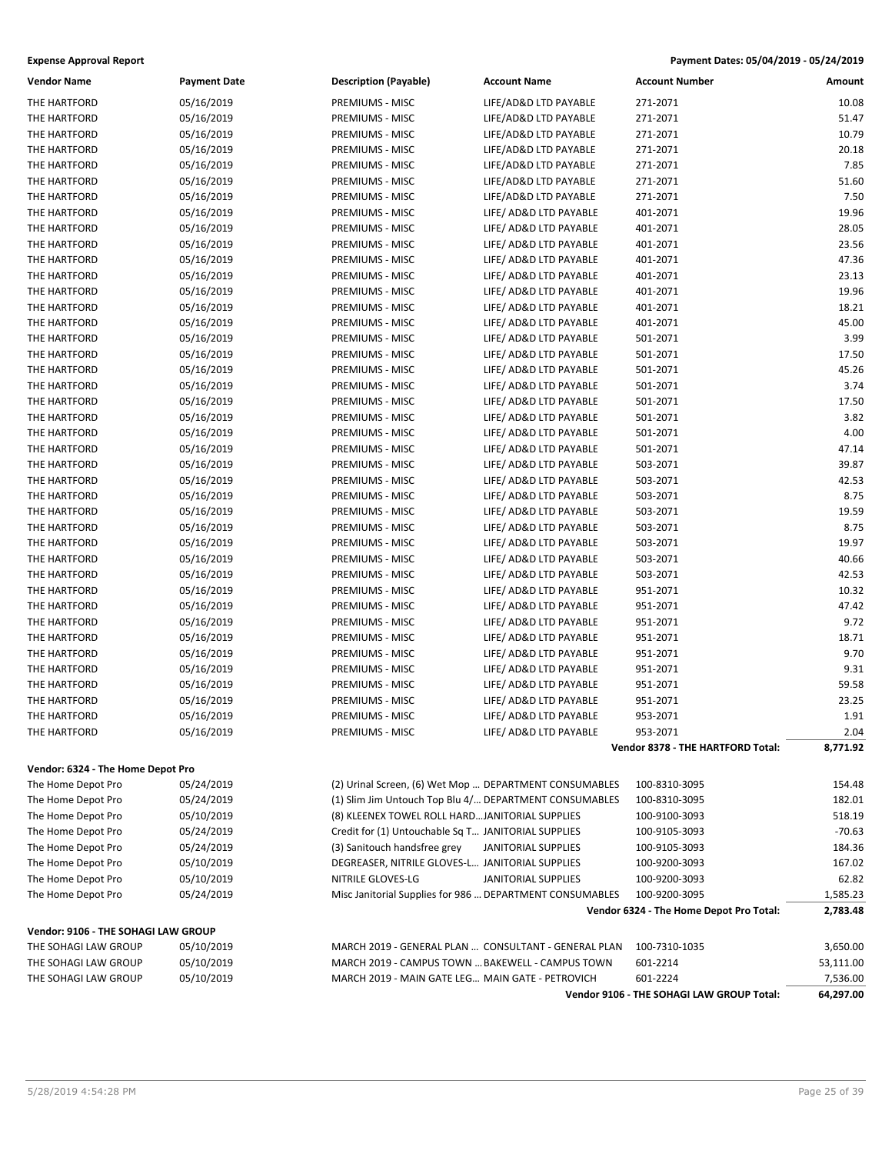| <b>Vendor Name</b>                  | <b>Payment Date</b> | <b>Description (Payable)</b>                             | <b>Account Name</b>                                    | <b>Account Number</b>                     | Amount    |
|-------------------------------------|---------------------|----------------------------------------------------------|--------------------------------------------------------|-------------------------------------------|-----------|
| THE HARTFORD                        | 05/16/2019          | PREMIUMS - MISC                                          | LIFE/AD&D LTD PAYABLE                                  | 271-2071                                  | 10.08     |
| THE HARTFORD                        | 05/16/2019          | PREMIUMS - MISC                                          | LIFE/AD&D LTD PAYABLE                                  | 271-2071                                  | 51.47     |
| THE HARTFORD                        | 05/16/2019          | PREMIUMS - MISC                                          | LIFE/AD&D LTD PAYABLE                                  | 271-2071                                  | 10.79     |
| THE HARTFORD                        | 05/16/2019          | PREMIUMS - MISC                                          | LIFE/AD&D LTD PAYABLE                                  | 271-2071                                  | 20.18     |
| THE HARTFORD                        | 05/16/2019          | PREMIUMS - MISC                                          | LIFE/AD&D LTD PAYABLE                                  | 271-2071                                  | 7.85      |
| THE HARTFORD                        | 05/16/2019          | PREMIUMS - MISC                                          | LIFE/AD&D LTD PAYABLE                                  | 271-2071                                  | 51.60     |
| THE HARTFORD                        | 05/16/2019          | PREMIUMS - MISC                                          | LIFE/AD&D LTD PAYABLE                                  | 271-2071                                  | 7.50      |
| THE HARTFORD                        | 05/16/2019          | PREMIUMS - MISC                                          | LIFE/ AD&D LTD PAYABLE                                 | 401-2071                                  | 19.96     |
| THE HARTFORD                        | 05/16/2019          | PREMIUMS - MISC                                          | LIFE/ AD&D LTD PAYABLE                                 | 401-2071                                  | 28.05     |
| THE HARTFORD                        | 05/16/2019          | PREMIUMS - MISC                                          | LIFE/ AD&D LTD PAYABLE                                 | 401-2071                                  | 23.56     |
| THE HARTFORD                        | 05/16/2019          | PREMIUMS - MISC                                          | LIFE/ AD&D LTD PAYABLE                                 | 401-2071                                  | 47.36     |
| THE HARTFORD                        | 05/16/2019          | PREMIUMS - MISC                                          | LIFE/ AD&D LTD PAYABLE                                 | 401-2071                                  | 23.13     |
| THE HARTFORD                        | 05/16/2019          | PREMIUMS - MISC                                          | LIFE/ AD&D LTD PAYABLE                                 | 401-2071                                  | 19.96     |
| THE HARTFORD                        | 05/16/2019          | PREMIUMS - MISC                                          | LIFE/ AD&D LTD PAYABLE                                 | 401-2071                                  | 18.21     |
| THE HARTFORD                        | 05/16/2019          | PREMIUMS - MISC                                          | LIFE/ AD&D LTD PAYABLE                                 | 401-2071                                  | 45.00     |
| THE HARTFORD                        | 05/16/2019          | PREMIUMS - MISC                                          | LIFE/ AD&D LTD PAYABLE                                 | 501-2071                                  | 3.99      |
| THE HARTFORD                        | 05/16/2019          | PREMIUMS - MISC                                          | LIFE/ AD&D LTD PAYABLE                                 | 501-2071                                  | 17.50     |
| THE HARTFORD                        | 05/16/2019          | PREMIUMS - MISC                                          | LIFE/ AD&D LTD PAYABLE                                 | 501-2071                                  | 45.26     |
| THE HARTFORD                        | 05/16/2019          | PREMIUMS - MISC                                          | LIFE/ AD&D LTD PAYABLE                                 | 501-2071                                  | 3.74      |
| THE HARTFORD                        | 05/16/2019          | PREMIUMS - MISC                                          | LIFE/ AD&D LTD PAYABLE                                 | 501-2071                                  | 17.50     |
| THE HARTFORD                        | 05/16/2019          | PREMIUMS - MISC                                          | LIFE/ AD&D LTD PAYABLE                                 | 501-2071                                  | 3.82      |
| THE HARTFORD                        | 05/16/2019          | PREMIUMS - MISC                                          | LIFE/ AD&D LTD PAYABLE                                 | 501-2071                                  | 4.00      |
| THE HARTFORD                        | 05/16/2019          | PREMIUMS - MISC                                          | LIFE/ AD&D LTD PAYABLE                                 | 501-2071                                  | 47.14     |
| THE HARTFORD                        | 05/16/2019          | PREMIUMS - MISC                                          | LIFE/ AD&D LTD PAYABLE                                 | 503-2071                                  | 39.87     |
| THE HARTFORD                        | 05/16/2019          | PREMIUMS - MISC                                          | LIFE/ AD&D LTD PAYABLE                                 | 503-2071                                  | 42.53     |
| THE HARTFORD                        | 05/16/2019          | PREMIUMS - MISC                                          | LIFE/ AD&D LTD PAYABLE                                 | 503-2071                                  | 8.75      |
| THE HARTFORD                        | 05/16/2019          | PREMIUMS - MISC                                          | LIFE/ AD&D LTD PAYABLE                                 | 503-2071                                  | 19.59     |
| THE HARTFORD                        | 05/16/2019          | PREMIUMS - MISC                                          | LIFE/ AD&D LTD PAYABLE                                 | 503-2071                                  | 8.75      |
| THE HARTFORD                        | 05/16/2019          | PREMIUMS - MISC                                          | LIFE/ AD&D LTD PAYABLE                                 | 503-2071                                  | 19.97     |
| THE HARTFORD                        | 05/16/2019          | PREMIUMS - MISC                                          | LIFE/ AD&D LTD PAYABLE                                 | 503-2071                                  | 40.66     |
| THE HARTFORD                        | 05/16/2019          | PREMIUMS - MISC                                          | LIFE/ AD&D LTD PAYABLE                                 | 503-2071                                  | 42.53     |
| THE HARTFORD                        | 05/16/2019          | PREMIUMS - MISC                                          | LIFE/ AD&D LTD PAYABLE                                 | 951-2071                                  | 10.32     |
| THE HARTFORD                        | 05/16/2019          | PREMIUMS - MISC                                          | LIFE/ AD&D LTD PAYABLE                                 | 951-2071                                  | 47.42     |
| THE HARTFORD                        | 05/16/2019          | PREMIUMS - MISC                                          | LIFE/ AD&D LTD PAYABLE                                 | 951-2071                                  | 9.72      |
| THE HARTFORD                        | 05/16/2019          | PREMIUMS - MISC                                          | LIFE/ AD&D LTD PAYABLE                                 | 951-2071                                  | 18.71     |
| THE HARTFORD                        | 05/16/2019          | PREMIUMS - MISC                                          | LIFE/ AD&D LTD PAYABLE                                 | 951-2071                                  | 9.70      |
| THE HARTFORD                        | 05/16/2019          | PREMIUMS - MISC                                          | LIFE/ AD&D LTD PAYABLE                                 | 951-2071                                  | 9.31      |
| THE HARTFORD                        | 05/16/2019          | PREMIUMS - MISC                                          | LIFE/ AD&D LTD PAYABLE                                 | 951-2071                                  | 59.58     |
| THE HARTFORD                        | 05/16/2019          | PREMIUMS - MISC                                          | LIFE/ AD&D LTD PAYABLE                                 | 951-2071                                  | 23.25     |
| THE HARTFORD                        | 05/16/2019          | PREMIUMS - MISC                                          | LIFE/ AD&D LTD PAYABLE                                 | 953-2071                                  | 1.91      |
| THE HARTFORD                        | 05/16/2019          | PREMIUMS - MISC                                          | LIFE/ AD&D LTD PAYABLE                                 | 953-2071                                  | 2.04      |
|                                     |                     |                                                          |                                                        | Vendor 8378 - THE HARTFORD Total:         | 8,771.92  |
|                                     |                     |                                                          |                                                        |                                           |           |
| Vendor: 6324 - The Home Depot Pro   |                     |                                                          |                                                        |                                           |           |
| The Home Depot Pro                  | 05/24/2019          |                                                          | (2) Urinal Screen, (6) Wet Mop  DEPARTMENT CONSUMABLES | 100-8310-3095                             | 154.48    |
| The Home Depot Pro                  | 05/24/2019          | (1) Slim Jim Untouch Top Blu 4/ DEPARTMENT CONSUMABLES   |                                                        | 100-8310-3095                             | 182.01    |
| The Home Depot Pro                  | 05/10/2019          | (8) KLEENEX TOWEL ROLL HARD JANITORIAL SUPPLIES          |                                                        | 100-9100-3093                             | 518.19    |
| The Home Depot Pro                  | 05/24/2019          | Credit for (1) Untouchable Sq T JANITORIAL SUPPLIES      |                                                        | 100-9105-3093                             | $-70.63$  |
| The Home Depot Pro                  | 05/24/2019          | (3) Sanitouch handsfree grey                             | JANITORIAL SUPPLIES                                    | 100-9105-3093                             | 184.36    |
| The Home Depot Pro                  | 05/10/2019          | DEGREASER, NITRILE GLOVES-L JANITORIAL SUPPLIES          |                                                        | 100-9200-3093                             | 167.02    |
| The Home Depot Pro                  | 05/10/2019          | NITRILE GLOVES-LG                                        | JANITORIAL SUPPLIES                                    | 100-9200-3093                             | 62.82     |
| The Home Depot Pro                  | 05/24/2019          | Misc Janitorial Supplies for 986  DEPARTMENT CONSUMABLES |                                                        | 100-9200-3095                             | 1,585.23  |
|                                     |                     |                                                          |                                                        | Vendor 6324 - The Home Depot Pro Total:   | 2,783.48  |
| Vendor: 9106 - THE SOHAGI LAW GROUP |                     |                                                          |                                                        |                                           |           |
| THE SOHAGI LAW GROUP                | 05/10/2019          |                                                          | MARCH 2019 - GENERAL PLAN  CONSULTANT - GENERAL PLAN   | 100-7310-1035                             | 3,650.00  |
| THE SOHAGI LAW GROUP                | 05/10/2019          | MARCH 2019 - CAMPUS TOWN  BAKEWELL - CAMPUS TOWN         |                                                        | 601-2214                                  | 53,111.00 |
| THE SOHAGI LAW GROUP                | 05/10/2019          | MARCH 2019 - MAIN GATE LEG MAIN GATE - PETROVICH         |                                                        | 601-2224                                  | 7,536.00  |
|                                     |                     |                                                          |                                                        | Vendor 9106 - THE SOHAGI LAW GROUP Total: | 64,297.00 |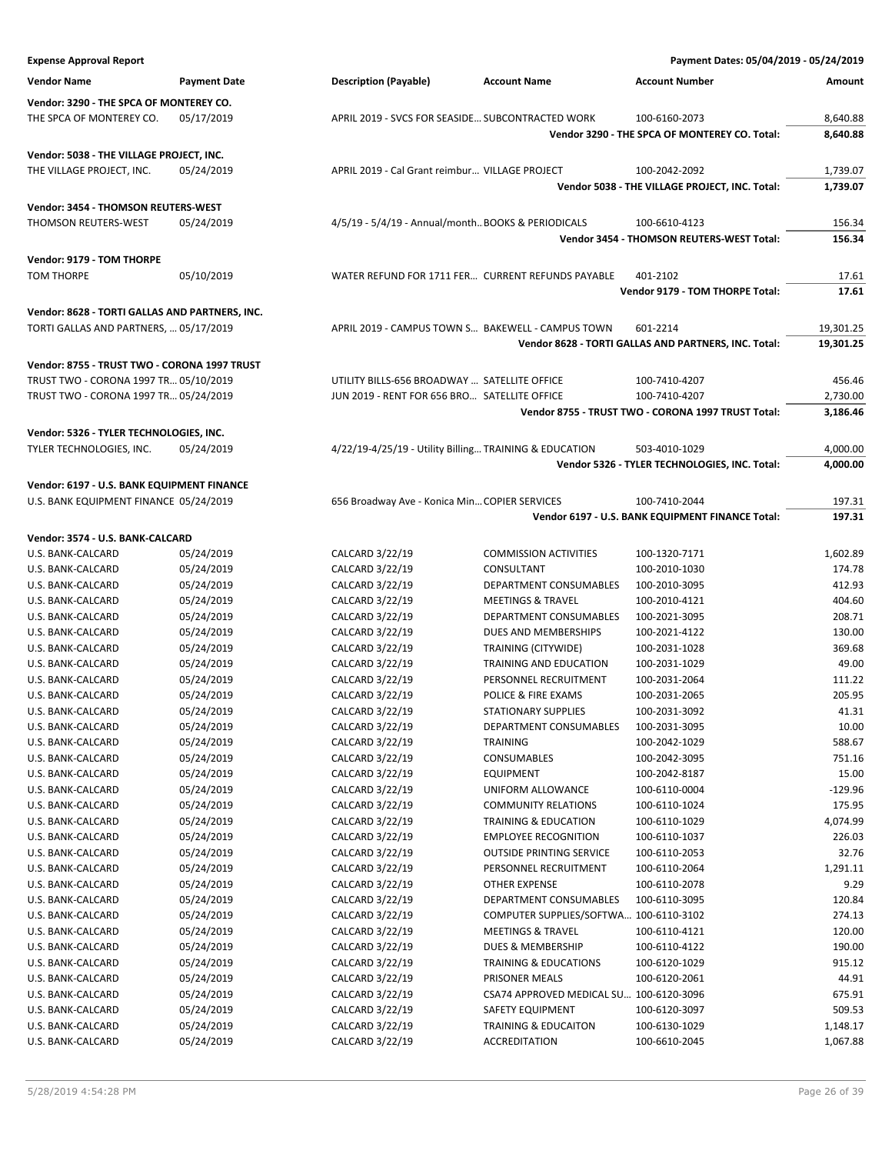| <b>Expense Approval Report</b>                 |                          |                                                        |                                                | Payment Dates: 05/04/2019 - 05/24/2019                           |                        |
|------------------------------------------------|--------------------------|--------------------------------------------------------|------------------------------------------------|------------------------------------------------------------------|------------------------|
| <b>Vendor Name</b>                             | <b>Payment Date</b>      | <b>Description (Payable)</b>                           | <b>Account Name</b>                            | <b>Account Number</b>                                            | Amount                 |
| Vendor: 3290 - THE SPCA OF MONTEREY CO.        |                          |                                                        |                                                |                                                                  |                        |
| THE SPCA OF MONTEREY CO.                       | 05/17/2019               | APRIL 2019 - SVCS FOR SEASIDE SUBCONTRACTED WORK       |                                                | 100-6160-2073                                                    | 8,640.88               |
|                                                |                          |                                                        |                                                | Vendor 3290 - THE SPCA OF MONTEREY CO. Total:                    | 8,640.88               |
| Vendor: 5038 - THE VILLAGE PROJECT, INC.       |                          |                                                        |                                                |                                                                  |                        |
| THE VILLAGE PROJECT, INC.                      | 05/24/2019               | APRIL 2019 - Cal Grant reimbur VILLAGE PROJECT         |                                                | 100-2042-2092                                                    | 1,739.07               |
|                                                |                          |                                                        |                                                | Vendor 5038 - THE VILLAGE PROJECT, INC. Total:                   | 1,739.07               |
| Vendor: 3454 - THOMSON REUTERS-WEST            |                          |                                                        |                                                |                                                                  |                        |
| THOMSON REUTERS-WEST                           | 05/24/2019               | 4/5/19 - 5/4/19 - Annual/month BOOKS & PERIODICALS     |                                                | 100-6610-4123                                                    | 156.34                 |
|                                                |                          |                                                        |                                                | Vendor 3454 - THOMSON REUTERS-WEST Total:                        | 156.34                 |
| Vendor: 9179 - TOM THORPE                      |                          |                                                        |                                                |                                                                  |                        |
| <b>TOM THORPE</b>                              | 05/10/2019               | WATER REFUND FOR 1711 FER CURRENT REFUNDS PAYABLE      |                                                | 401-2102                                                         | 17.61                  |
|                                                |                          |                                                        |                                                | Vendor 9179 - TOM THORPE Total:                                  | 17.61                  |
|                                                |                          |                                                        |                                                |                                                                  |                        |
| Vendor: 8628 - TORTI GALLAS AND PARTNERS, INC. |                          |                                                        |                                                |                                                                  |                        |
| TORTI GALLAS AND PARTNERS,  05/17/2019         |                          | APRIL 2019 - CAMPUS TOWN S BAKEWELL - CAMPUS TOWN      |                                                | 601-2214<br>Vendor 8628 - TORTI GALLAS AND PARTNERS, INC. Total: | 19,301.25<br>19,301.25 |
|                                                |                          |                                                        |                                                |                                                                  |                        |
| Vendor: 8755 - TRUST TWO - CORONA 1997 TRUST   |                          |                                                        |                                                |                                                                  |                        |
| TRUST TWO - CORONA 1997 TR 05/10/2019          |                          | UTILITY BILLS-656 BROADWAY  SATELLITE OFFICE           |                                                | 100-7410-4207                                                    | 456.46                 |
| TRUST TWO - CORONA 1997 TR 05/24/2019          |                          | JUN 2019 - RENT FOR 656 BRO SATELLITE OFFICE           |                                                | 100-7410-4207                                                    | 2,730.00               |
|                                                |                          |                                                        |                                                | Vendor 8755 - TRUST TWO - CORONA 1997 TRUST Total:               | 3,186.46               |
| Vendor: 5326 - TYLER TECHNOLOGIES, INC.        |                          |                                                        |                                                |                                                                  |                        |
| TYLER TECHNOLOGIES, INC.                       | 05/24/2019               | 4/22/19-4/25/19 - Utility Billing TRAINING & EDUCATION |                                                | 503-4010-1029                                                    | 4,000.00               |
|                                                |                          |                                                        |                                                | Vendor 5326 - TYLER TECHNOLOGIES, INC. Total:                    | 4,000.00               |
| Vendor: 6197 - U.S. BANK EQUIPMENT FINANCE     |                          |                                                        |                                                |                                                                  |                        |
| U.S. BANK EQUIPMENT FINANCE 05/24/2019         |                          | 656 Broadway Ave - Konica Min COPIER SERVICES          |                                                | 100-7410-2044                                                    | 197.31                 |
|                                                |                          |                                                        |                                                | Vendor 6197 - U.S. BANK EQUIPMENT FINANCE Total:                 | 197.31                 |
| Vendor: 3574 - U.S. BANK-CALCARD               |                          |                                                        |                                                |                                                                  |                        |
| U.S. BANK-CALCARD                              | 05/24/2019               | CALCARD 3/22/19                                        | <b>COMMISSION ACTIVITIES</b>                   | 100-1320-7171                                                    | 1,602.89               |
| U.S. BANK-CALCARD                              | 05/24/2019               | CALCARD 3/22/19                                        | CONSULTANT                                     | 100-2010-1030                                                    | 174.78                 |
| U.S. BANK-CALCARD                              | 05/24/2019               | CALCARD 3/22/19                                        | DEPARTMENT CONSUMABLES                         | 100-2010-3095                                                    | 412.93                 |
| U.S. BANK-CALCARD                              | 05/24/2019               | CALCARD 3/22/19                                        | <b>MEETINGS &amp; TRAVEL</b>                   | 100-2010-4121                                                    | 404.60                 |
| U.S. BANK-CALCARD                              | 05/24/2019               | CALCARD 3/22/19<br>CALCARD 3/22/19                     | DEPARTMENT CONSUMABLES<br>DUES AND MEMBERSHIPS | 100-2021-3095<br>100-2021-4122                                   | 208.71<br>130.00       |
| U.S. BANK-CALCARD<br>U.S. BANK-CALCARD         | 05/24/2019<br>05/24/2019 | CALCARD 3/22/19                                        | TRAINING (CITYWIDE)                            | 100-2031-1028                                                    | 369.68                 |
| U.S. BANK-CALCARD                              | 05/24/2019               | CALCARD 3/22/19                                        | TRAINING AND EDUCATION                         | 100-2031-1029                                                    | 49.00                  |
| U.S. BANK-CALCARD                              | 05/24/2019               | CALCARD 3/22/19                                        | PERSONNEL RECRUITMENT                          | 100-2031-2064                                                    | 111.22                 |
| U.S. BANK-CALCARD                              | 05/24/2019               | CALCARD 3/22/19                                        | POLICE & FIRE EXAMS                            | 100-2031-2065                                                    | 205.95                 |
| U.S. BANK-CALCARD                              | 05/24/2019               | CALCARD 3/22/19                                        | <b>STATIONARY SUPPLIES</b>                     | 100-2031-3092                                                    | 41.31                  |
| U.S. BANK-CALCARD                              | 05/24/2019               | CALCARD 3/22/19                                        | DEPARTMENT CONSUMABLES                         | 100-2031-3095                                                    | 10.00                  |
| U.S. BANK-CALCARD                              | 05/24/2019               | CALCARD 3/22/19                                        | TRAINING                                       | 100-2042-1029                                                    | 588.67                 |
| U.S. BANK-CALCARD                              | 05/24/2019               | CALCARD 3/22/19                                        | CONSUMABLES                                    | 100-2042-3095                                                    | 751.16                 |
| U.S. BANK-CALCARD                              | 05/24/2019               | CALCARD 3/22/19                                        | <b>EQUIPMENT</b>                               | 100-2042-8187                                                    | 15.00                  |
| U.S. BANK-CALCARD                              | 05/24/2019               | CALCARD 3/22/19                                        | UNIFORM ALLOWANCE                              | 100-6110-0004                                                    | $-129.96$              |
| U.S. BANK-CALCARD                              | 05/24/2019               | CALCARD 3/22/19                                        | <b>COMMUNITY RELATIONS</b>                     | 100-6110-1024                                                    | 175.95                 |
| U.S. BANK-CALCARD                              | 05/24/2019               | CALCARD 3/22/19                                        | TRAINING & EDUCATION                           | 100-6110-1029                                                    | 4,074.99               |
| U.S. BANK-CALCARD                              | 05/24/2019               | CALCARD 3/22/19                                        | <b>EMPLOYEE RECOGNITION</b>                    | 100-6110-1037                                                    | 226.03                 |
| U.S. BANK-CALCARD                              | 05/24/2019               | CALCARD 3/22/19                                        | <b>OUTSIDE PRINTING SERVICE</b>                | 100-6110-2053                                                    | 32.76                  |
| U.S. BANK-CALCARD                              | 05/24/2019               | CALCARD 3/22/19                                        | PERSONNEL RECRUITMENT                          | 100-6110-2064                                                    | 1,291.11               |
| U.S. BANK-CALCARD<br>U.S. BANK-CALCARD         | 05/24/2019<br>05/24/2019 | CALCARD 3/22/19<br>CALCARD 3/22/19                     | <b>OTHER EXPENSE</b><br>DEPARTMENT CONSUMABLES | 100-6110-2078<br>100-6110-3095                                   | 9.29<br>120.84         |
| U.S. BANK-CALCARD                              | 05/24/2019               | CALCARD 3/22/19                                        | COMPUTER SUPPLIES/SOFTWA 100-6110-3102         |                                                                  | 274.13                 |
| U.S. BANK-CALCARD                              | 05/24/2019               | CALCARD 3/22/19                                        | <b>MEETINGS &amp; TRAVEL</b>                   | 100-6110-4121                                                    | 120.00                 |
| U.S. BANK-CALCARD                              | 05/24/2019               | CALCARD 3/22/19                                        | DUES & MEMBERSHIP                              | 100-6110-4122                                                    | 190.00                 |
| U.S. BANK-CALCARD                              | 05/24/2019               | CALCARD 3/22/19                                        | <b>TRAINING &amp; EDUCATIONS</b>               | 100-6120-1029                                                    | 915.12                 |
| U.S. BANK-CALCARD                              | 05/24/2019               | CALCARD 3/22/19                                        | PRISONER MEALS                                 | 100-6120-2061                                                    | 44.91                  |
| U.S. BANK-CALCARD                              | 05/24/2019               | CALCARD 3/22/19                                        | CSA74 APPROVED MEDICAL SU 100-6120-3096        |                                                                  | 675.91                 |
| U.S. BANK-CALCARD                              | 05/24/2019               | CALCARD 3/22/19                                        | SAFETY EQUIPMENT                               | 100-6120-3097                                                    | 509.53                 |
| U.S. BANK-CALCARD                              | 05/24/2019               | CALCARD 3/22/19                                        | TRAINING & EDUCAITON                           | 100-6130-1029                                                    | 1,148.17               |
| U.S. BANK-CALCARD                              | 05/24/2019               | CALCARD 3/22/19                                        | <b>ACCREDITATION</b>                           | 100-6610-2045                                                    | 1,067.88               |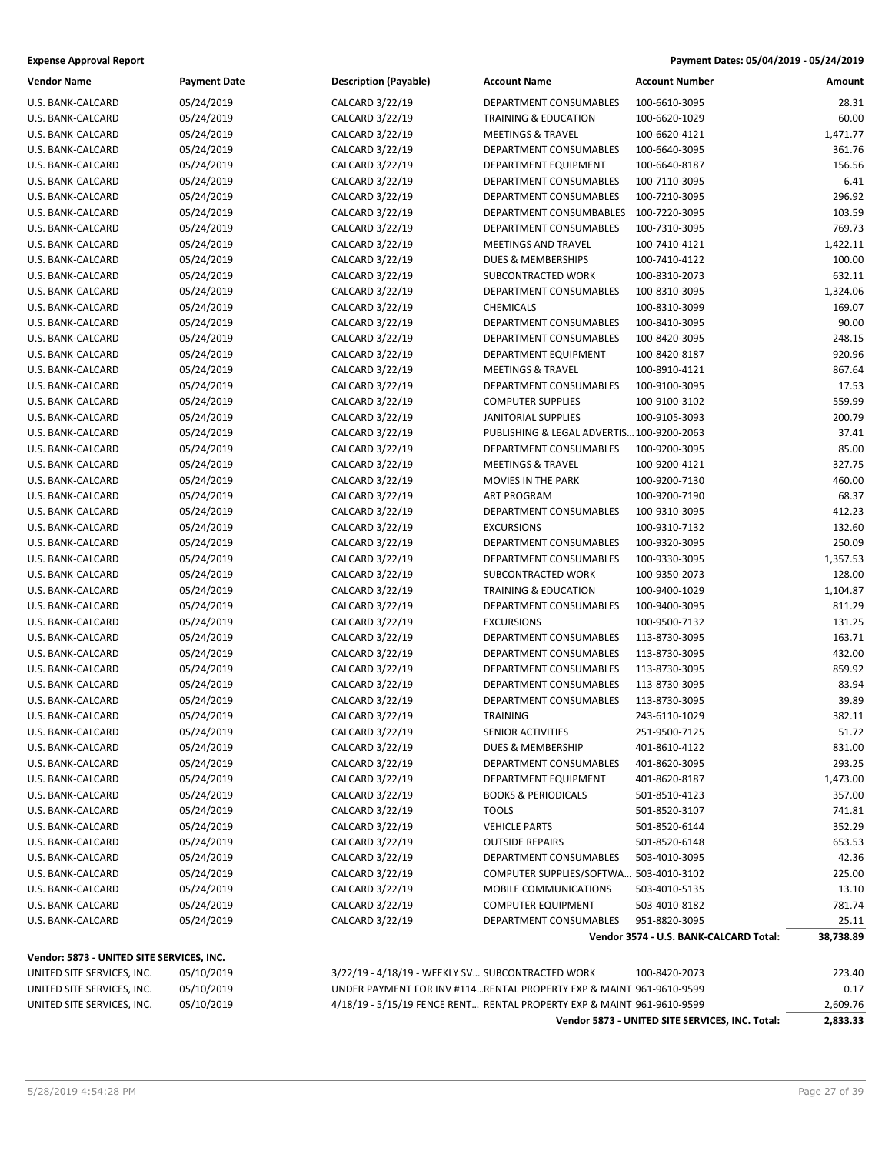| Payment Dates: 05/04/2019 - 05/24/2019 |
|----------------------------------------|
|                                        |

| U.S. BANK-CALCARD<br>05/24/2019<br>CALCARD 3/22/19<br>DEPARTMENT CONSUMABLES<br>100-6610-3095<br>05/24/2019<br>CALCARD 3/22/19<br>U.S. BANK-CALCARD<br>TRAINING & EDUCATION<br>100-6620-1029<br>05/24/2019<br>U.S. BANK-CALCARD<br>CALCARD 3/22/19<br><b>MEETINGS &amp; TRAVEL</b><br>100-6620-4121<br>U.S. BANK-CALCARD<br>05/24/2019<br>CALCARD 3/22/19<br>DEPARTMENT CONSUMABLES<br>100-6640-3095<br>U.S. BANK-CALCARD<br>05/24/2019<br>CALCARD 3/22/19<br>DEPARTMENT EQUIPMENT<br>100-6640-8187<br>U.S. BANK-CALCARD<br>05/24/2019<br>CALCARD 3/22/19<br>DEPARTMENT CONSUMABLES<br>100-7110-3095<br>U.S. BANK-CALCARD<br>05/24/2019<br>CALCARD 3/22/19<br>DEPARTMENT CONSUMABLES<br>100-7210-3095<br>05/24/2019<br>U.S. BANK-CALCARD<br>CALCARD 3/22/19<br>DEPARTMENT CONSUMBABLES<br>100-7220-3095<br>05/24/2019<br>DEPARTMENT CONSUMABLES<br>U.S. BANK-CALCARD<br>CALCARD 3/22/19<br>100-7310-3095<br>U.S. BANK-CALCARD<br>05/24/2019<br>CALCARD 3/22/19<br><b>MEETINGS AND TRAVEL</b><br>100-7410-4121<br>U.S. BANK-CALCARD<br>05/24/2019<br>CALCARD 3/22/19<br>DUES & MEMBERSHIPS<br>100-7410-4122<br>U.S. BANK-CALCARD<br>05/24/2019<br>CALCARD 3/22/19<br>SUBCONTRACTED WORK<br>100-8310-2073<br>05/24/2019<br>U.S. BANK-CALCARD<br>CALCARD 3/22/19<br>DEPARTMENT CONSUMABLES<br>100-8310-3095<br>U.S. BANK-CALCARD<br>05/24/2019<br>CALCARD 3/22/19<br><b>CHEMICALS</b><br>100-8310-3099<br>U.S. BANK-CALCARD<br>05/24/2019<br>CALCARD 3/22/19<br>DEPARTMENT CONSUMABLES<br>100-8410-3095<br>U.S. BANK-CALCARD<br>05/24/2019<br>CALCARD 3/22/19<br>DEPARTMENT CONSUMABLES<br>100-8420-3095<br>U.S. BANK-CALCARD<br>05/24/2019<br>CALCARD 3/22/19<br>DEPARTMENT EQUIPMENT<br>100-8420-8187<br>05/24/2019<br>U.S. BANK-CALCARD<br>CALCARD 3/22/19<br><b>MEETINGS &amp; TRAVEL</b><br>100-8910-4121<br>05/24/2019<br>U.S. BANK-CALCARD<br>CALCARD 3/22/19<br>DEPARTMENT CONSUMABLES<br>100-9100-3095<br>U.S. BANK-CALCARD<br>05/24/2019<br>CALCARD 3/22/19<br><b>COMPUTER SUPPLIES</b><br>100-9100-3102<br>U.S. BANK-CALCARD<br>05/24/2019<br>CALCARD 3/22/19<br><b>JANITORIAL SUPPLIES</b><br>100-9105-3093<br>U.S. BANK-CALCARD<br>05/24/2019<br>CALCARD 3/22/19<br>PUBLISHING & LEGAL ADVERTIS 100-9200-2063<br>05/24/2019<br>U.S. BANK-CALCARD<br>CALCARD 3/22/19<br>DEPARTMENT CONSUMABLES<br>100-9200-3095<br><b>MEETINGS &amp; TRAVEL</b><br>U.S. BANK-CALCARD<br>05/24/2019<br>CALCARD 3/22/19<br>100-9200-4121<br>U.S. BANK-CALCARD<br>05/24/2019<br>CALCARD 3/22/19<br>MOVIES IN THE PARK<br>100-9200-7130<br>U.S. BANK-CALCARD<br>05/24/2019<br>CALCARD 3/22/19<br><b>ART PROGRAM</b><br>100-9200-7190<br>U.S. BANK-CALCARD<br>05/24/2019<br>CALCARD 3/22/19<br>DEPARTMENT CONSUMABLES<br>100-9310-3095<br>05/24/2019<br>U.S. BANK-CALCARD<br>CALCARD 3/22/19<br><b>EXCURSIONS</b><br>100-9310-7132<br>05/24/2019<br>U.S. BANK-CALCARD<br>CALCARD 3/22/19<br>DEPARTMENT CONSUMABLES<br>100-9320-3095<br>U.S. BANK-CALCARD<br>05/24/2019<br>CALCARD 3/22/19<br>DEPARTMENT CONSUMABLES<br>100-9330-3095<br>U.S. BANK-CALCARD<br>05/24/2019<br>CALCARD 3/22/19<br>SUBCONTRACTED WORK<br>100-9350-2073<br>U.S. BANK-CALCARD<br>05/24/2019<br>CALCARD 3/22/19<br>TRAINING & EDUCATION<br>100-9400-1029<br>05/24/2019<br>U.S. BANK-CALCARD<br>CALCARD 3/22/19<br>DEPARTMENT CONSUMABLES<br>100-9400-3095<br>05/24/2019<br><b>EXCURSIONS</b><br>U.S. BANK-CALCARD<br>CALCARD 3/22/19<br>100-9500-7132<br>U.S. BANK-CALCARD<br>05/24/2019<br>CALCARD 3/22/19<br>DEPARTMENT CONSUMABLES<br>113-8730-3095<br>U.S. BANK-CALCARD<br>05/24/2019<br>CALCARD 3/22/19<br>DEPARTMENT CONSUMABLES<br>113-8730-3095<br>U.S. BANK-CALCARD<br>05/24/2019<br>CALCARD 3/22/19<br><b>DEPARTMENT CONSUMABLES</b><br>113-8730-3095<br>05/24/2019<br>U.S. BANK-CALCARD<br>CALCARD 3/22/19<br>DEPARTMENT CONSUMABLES<br>113-8730-3095<br>DEPARTMENT CONSUMABLES<br>U.S. BANK-CALCARD<br>05/24/2019<br>CALCARD 3/22/19<br>113-8730-3095<br>U.S. BANK-CALCARD<br>05/24/2019<br>CALCARD 3/22/19<br>243-6110-1029<br><b>TRAINING</b><br>05/24/2019<br>SENIOR ACTIVITIES<br>CALCARD 3/22/19<br>251-9500-7125<br>U.S. BANK-CALCARD<br>05/24/2019<br>CALCARD 3/22/19<br>DUES & MEMBERSHIP<br>U.S. BANK-CALCARD<br>401-8610-4122<br>U.S. BANK-CALCARD<br>05/24/2019<br>CALCARD 3/22/19<br>DEPARTMENT CONSUMABLES<br>401-8620-3095<br>U.S. BANK-CALCARD<br>05/24/2019<br>CALCARD 3/22/19<br>DEPARTMENT EQUIPMENT<br>401-8620-8187<br>U.S. BANK-CALCARD<br>05/24/2019<br>CALCARD 3/22/19<br><b>BOOKS &amp; PERIODICALS</b><br>501-8510-4123<br>U.S. BANK-CALCARD<br>05/24/2019<br>CALCARD 3/22/19<br><b>TOOLS</b><br>501-8520-3107<br>05/24/2019<br>CALCARD 3/22/19<br><b>VEHICLE PARTS</b><br>U.S. BANK-CALCARD<br>501-8520-6144<br>05/24/2019<br>CALCARD 3/22/19<br><b>OUTSIDE REPAIRS</b><br>501-8520-6148<br>U.S. BANK-CALCARD | <b>Vendor Name</b> | <b>Payment Date</b> | <b>Description (Payable)</b> | <b>Account Name</b>    | <b>Account Number</b> | Amount    |
|-----------------------------------------------------------------------------------------------------------------------------------------------------------------------------------------------------------------------------------------------------------------------------------------------------------------------------------------------------------------------------------------------------------------------------------------------------------------------------------------------------------------------------------------------------------------------------------------------------------------------------------------------------------------------------------------------------------------------------------------------------------------------------------------------------------------------------------------------------------------------------------------------------------------------------------------------------------------------------------------------------------------------------------------------------------------------------------------------------------------------------------------------------------------------------------------------------------------------------------------------------------------------------------------------------------------------------------------------------------------------------------------------------------------------------------------------------------------------------------------------------------------------------------------------------------------------------------------------------------------------------------------------------------------------------------------------------------------------------------------------------------------------------------------------------------------------------------------------------------------------------------------------------------------------------------------------------------------------------------------------------------------------------------------------------------------------------------------------------------------------------------------------------------------------------------------------------------------------------------------------------------------------------------------------------------------------------------------------------------------------------------------------------------------------------------------------------------------------------------------------------------------------------------------------------------------------------------------------------------------------------------------------------------------------------------------------------------------------------------------------------------------------------------------------------------------------------------------------------------------------------------------------------------------------------------------------------------------------------------------------------------------------------------------------------------------------------------------------------------------------------------------------------------------------------------------------------------------------------------------------------------------------------------------------------------------------------------------------------------------------------------------------------------------------------------------------------------------------------------------------------------------------------------------------------------------------------------------------------------------------------------------------------------------------------------------------------------------------------------------------------------------------------------------------------------------------------------------------------------------------------------------------------------------------------------------------------------------------------------------------------------------------------------------------------------------------------------------------------------------------------------------------------------------------------------------------------------------------------------------------------------------------------------------------------------------------------------------------------------------------------------------------------------------------------------------------------------------------------------------------------------------------------------------------------------------------------------------------------------------------------------------------------------------------------------------------------------------------------------------------------------------------------------------------------------------|--------------------|---------------------|------------------------------|------------------------|-----------------------|-----------|
|                                                                                                                                                                                                                                                                                                                                                                                                                                                                                                                                                                                                                                                                                                                                                                                                                                                                                                                                                                                                                                                                                                                                                                                                                                                                                                                                                                                                                                                                                                                                                                                                                                                                                                                                                                                                                                                                                                                                                                                                                                                                                                                                                                                                                                                                                                                                                                                                                                                                                                                                                                                                                                                                                                                                                                                                                                                                                                                                                                                                                                                                                                                                                                                                                                                                                                                                                                                                                                                                                                                                                                                                                                                                                                                                                                                                                                                                                                                                                                                                                                                                                                                                                                                                                                                                                                                                                                                                                                                                                                                                                                                                                                                                                                                                                                                                                 |                    |                     |                              |                        |                       | 28.31     |
|                                                                                                                                                                                                                                                                                                                                                                                                                                                                                                                                                                                                                                                                                                                                                                                                                                                                                                                                                                                                                                                                                                                                                                                                                                                                                                                                                                                                                                                                                                                                                                                                                                                                                                                                                                                                                                                                                                                                                                                                                                                                                                                                                                                                                                                                                                                                                                                                                                                                                                                                                                                                                                                                                                                                                                                                                                                                                                                                                                                                                                                                                                                                                                                                                                                                                                                                                                                                                                                                                                                                                                                                                                                                                                                                                                                                                                                                                                                                                                                                                                                                                                                                                                                                                                                                                                                                                                                                                                                                                                                                                                                                                                                                                                                                                                                                                 |                    |                     |                              |                        |                       | 60.00     |
|                                                                                                                                                                                                                                                                                                                                                                                                                                                                                                                                                                                                                                                                                                                                                                                                                                                                                                                                                                                                                                                                                                                                                                                                                                                                                                                                                                                                                                                                                                                                                                                                                                                                                                                                                                                                                                                                                                                                                                                                                                                                                                                                                                                                                                                                                                                                                                                                                                                                                                                                                                                                                                                                                                                                                                                                                                                                                                                                                                                                                                                                                                                                                                                                                                                                                                                                                                                                                                                                                                                                                                                                                                                                                                                                                                                                                                                                                                                                                                                                                                                                                                                                                                                                                                                                                                                                                                                                                                                                                                                                                                                                                                                                                                                                                                                                                 |                    |                     |                              |                        |                       | 1,471.77  |
|                                                                                                                                                                                                                                                                                                                                                                                                                                                                                                                                                                                                                                                                                                                                                                                                                                                                                                                                                                                                                                                                                                                                                                                                                                                                                                                                                                                                                                                                                                                                                                                                                                                                                                                                                                                                                                                                                                                                                                                                                                                                                                                                                                                                                                                                                                                                                                                                                                                                                                                                                                                                                                                                                                                                                                                                                                                                                                                                                                                                                                                                                                                                                                                                                                                                                                                                                                                                                                                                                                                                                                                                                                                                                                                                                                                                                                                                                                                                                                                                                                                                                                                                                                                                                                                                                                                                                                                                                                                                                                                                                                                                                                                                                                                                                                                                                 |                    |                     |                              |                        |                       | 361.76    |
|                                                                                                                                                                                                                                                                                                                                                                                                                                                                                                                                                                                                                                                                                                                                                                                                                                                                                                                                                                                                                                                                                                                                                                                                                                                                                                                                                                                                                                                                                                                                                                                                                                                                                                                                                                                                                                                                                                                                                                                                                                                                                                                                                                                                                                                                                                                                                                                                                                                                                                                                                                                                                                                                                                                                                                                                                                                                                                                                                                                                                                                                                                                                                                                                                                                                                                                                                                                                                                                                                                                                                                                                                                                                                                                                                                                                                                                                                                                                                                                                                                                                                                                                                                                                                                                                                                                                                                                                                                                                                                                                                                                                                                                                                                                                                                                                                 |                    |                     |                              |                        |                       | 156.56    |
|                                                                                                                                                                                                                                                                                                                                                                                                                                                                                                                                                                                                                                                                                                                                                                                                                                                                                                                                                                                                                                                                                                                                                                                                                                                                                                                                                                                                                                                                                                                                                                                                                                                                                                                                                                                                                                                                                                                                                                                                                                                                                                                                                                                                                                                                                                                                                                                                                                                                                                                                                                                                                                                                                                                                                                                                                                                                                                                                                                                                                                                                                                                                                                                                                                                                                                                                                                                                                                                                                                                                                                                                                                                                                                                                                                                                                                                                                                                                                                                                                                                                                                                                                                                                                                                                                                                                                                                                                                                                                                                                                                                                                                                                                                                                                                                                                 |                    |                     |                              |                        |                       | 6.41      |
|                                                                                                                                                                                                                                                                                                                                                                                                                                                                                                                                                                                                                                                                                                                                                                                                                                                                                                                                                                                                                                                                                                                                                                                                                                                                                                                                                                                                                                                                                                                                                                                                                                                                                                                                                                                                                                                                                                                                                                                                                                                                                                                                                                                                                                                                                                                                                                                                                                                                                                                                                                                                                                                                                                                                                                                                                                                                                                                                                                                                                                                                                                                                                                                                                                                                                                                                                                                                                                                                                                                                                                                                                                                                                                                                                                                                                                                                                                                                                                                                                                                                                                                                                                                                                                                                                                                                                                                                                                                                                                                                                                                                                                                                                                                                                                                                                 |                    |                     |                              |                        |                       | 296.92    |
|                                                                                                                                                                                                                                                                                                                                                                                                                                                                                                                                                                                                                                                                                                                                                                                                                                                                                                                                                                                                                                                                                                                                                                                                                                                                                                                                                                                                                                                                                                                                                                                                                                                                                                                                                                                                                                                                                                                                                                                                                                                                                                                                                                                                                                                                                                                                                                                                                                                                                                                                                                                                                                                                                                                                                                                                                                                                                                                                                                                                                                                                                                                                                                                                                                                                                                                                                                                                                                                                                                                                                                                                                                                                                                                                                                                                                                                                                                                                                                                                                                                                                                                                                                                                                                                                                                                                                                                                                                                                                                                                                                                                                                                                                                                                                                                                                 |                    |                     |                              |                        |                       | 103.59    |
|                                                                                                                                                                                                                                                                                                                                                                                                                                                                                                                                                                                                                                                                                                                                                                                                                                                                                                                                                                                                                                                                                                                                                                                                                                                                                                                                                                                                                                                                                                                                                                                                                                                                                                                                                                                                                                                                                                                                                                                                                                                                                                                                                                                                                                                                                                                                                                                                                                                                                                                                                                                                                                                                                                                                                                                                                                                                                                                                                                                                                                                                                                                                                                                                                                                                                                                                                                                                                                                                                                                                                                                                                                                                                                                                                                                                                                                                                                                                                                                                                                                                                                                                                                                                                                                                                                                                                                                                                                                                                                                                                                                                                                                                                                                                                                                                                 |                    |                     |                              |                        |                       | 769.73    |
|                                                                                                                                                                                                                                                                                                                                                                                                                                                                                                                                                                                                                                                                                                                                                                                                                                                                                                                                                                                                                                                                                                                                                                                                                                                                                                                                                                                                                                                                                                                                                                                                                                                                                                                                                                                                                                                                                                                                                                                                                                                                                                                                                                                                                                                                                                                                                                                                                                                                                                                                                                                                                                                                                                                                                                                                                                                                                                                                                                                                                                                                                                                                                                                                                                                                                                                                                                                                                                                                                                                                                                                                                                                                                                                                                                                                                                                                                                                                                                                                                                                                                                                                                                                                                                                                                                                                                                                                                                                                                                                                                                                                                                                                                                                                                                                                                 |                    |                     |                              |                        |                       | 1,422.11  |
|                                                                                                                                                                                                                                                                                                                                                                                                                                                                                                                                                                                                                                                                                                                                                                                                                                                                                                                                                                                                                                                                                                                                                                                                                                                                                                                                                                                                                                                                                                                                                                                                                                                                                                                                                                                                                                                                                                                                                                                                                                                                                                                                                                                                                                                                                                                                                                                                                                                                                                                                                                                                                                                                                                                                                                                                                                                                                                                                                                                                                                                                                                                                                                                                                                                                                                                                                                                                                                                                                                                                                                                                                                                                                                                                                                                                                                                                                                                                                                                                                                                                                                                                                                                                                                                                                                                                                                                                                                                                                                                                                                                                                                                                                                                                                                                                                 |                    |                     |                              |                        |                       | 100.00    |
|                                                                                                                                                                                                                                                                                                                                                                                                                                                                                                                                                                                                                                                                                                                                                                                                                                                                                                                                                                                                                                                                                                                                                                                                                                                                                                                                                                                                                                                                                                                                                                                                                                                                                                                                                                                                                                                                                                                                                                                                                                                                                                                                                                                                                                                                                                                                                                                                                                                                                                                                                                                                                                                                                                                                                                                                                                                                                                                                                                                                                                                                                                                                                                                                                                                                                                                                                                                                                                                                                                                                                                                                                                                                                                                                                                                                                                                                                                                                                                                                                                                                                                                                                                                                                                                                                                                                                                                                                                                                                                                                                                                                                                                                                                                                                                                                                 |                    |                     |                              |                        |                       | 632.11    |
|                                                                                                                                                                                                                                                                                                                                                                                                                                                                                                                                                                                                                                                                                                                                                                                                                                                                                                                                                                                                                                                                                                                                                                                                                                                                                                                                                                                                                                                                                                                                                                                                                                                                                                                                                                                                                                                                                                                                                                                                                                                                                                                                                                                                                                                                                                                                                                                                                                                                                                                                                                                                                                                                                                                                                                                                                                                                                                                                                                                                                                                                                                                                                                                                                                                                                                                                                                                                                                                                                                                                                                                                                                                                                                                                                                                                                                                                                                                                                                                                                                                                                                                                                                                                                                                                                                                                                                                                                                                                                                                                                                                                                                                                                                                                                                                                                 |                    |                     |                              |                        |                       | 1,324.06  |
|                                                                                                                                                                                                                                                                                                                                                                                                                                                                                                                                                                                                                                                                                                                                                                                                                                                                                                                                                                                                                                                                                                                                                                                                                                                                                                                                                                                                                                                                                                                                                                                                                                                                                                                                                                                                                                                                                                                                                                                                                                                                                                                                                                                                                                                                                                                                                                                                                                                                                                                                                                                                                                                                                                                                                                                                                                                                                                                                                                                                                                                                                                                                                                                                                                                                                                                                                                                                                                                                                                                                                                                                                                                                                                                                                                                                                                                                                                                                                                                                                                                                                                                                                                                                                                                                                                                                                                                                                                                                                                                                                                                                                                                                                                                                                                                                                 |                    |                     |                              |                        |                       | 169.07    |
|                                                                                                                                                                                                                                                                                                                                                                                                                                                                                                                                                                                                                                                                                                                                                                                                                                                                                                                                                                                                                                                                                                                                                                                                                                                                                                                                                                                                                                                                                                                                                                                                                                                                                                                                                                                                                                                                                                                                                                                                                                                                                                                                                                                                                                                                                                                                                                                                                                                                                                                                                                                                                                                                                                                                                                                                                                                                                                                                                                                                                                                                                                                                                                                                                                                                                                                                                                                                                                                                                                                                                                                                                                                                                                                                                                                                                                                                                                                                                                                                                                                                                                                                                                                                                                                                                                                                                                                                                                                                                                                                                                                                                                                                                                                                                                                                                 |                    |                     |                              |                        |                       | 90.00     |
|                                                                                                                                                                                                                                                                                                                                                                                                                                                                                                                                                                                                                                                                                                                                                                                                                                                                                                                                                                                                                                                                                                                                                                                                                                                                                                                                                                                                                                                                                                                                                                                                                                                                                                                                                                                                                                                                                                                                                                                                                                                                                                                                                                                                                                                                                                                                                                                                                                                                                                                                                                                                                                                                                                                                                                                                                                                                                                                                                                                                                                                                                                                                                                                                                                                                                                                                                                                                                                                                                                                                                                                                                                                                                                                                                                                                                                                                                                                                                                                                                                                                                                                                                                                                                                                                                                                                                                                                                                                                                                                                                                                                                                                                                                                                                                                                                 |                    |                     |                              |                        |                       | 248.15    |
|                                                                                                                                                                                                                                                                                                                                                                                                                                                                                                                                                                                                                                                                                                                                                                                                                                                                                                                                                                                                                                                                                                                                                                                                                                                                                                                                                                                                                                                                                                                                                                                                                                                                                                                                                                                                                                                                                                                                                                                                                                                                                                                                                                                                                                                                                                                                                                                                                                                                                                                                                                                                                                                                                                                                                                                                                                                                                                                                                                                                                                                                                                                                                                                                                                                                                                                                                                                                                                                                                                                                                                                                                                                                                                                                                                                                                                                                                                                                                                                                                                                                                                                                                                                                                                                                                                                                                                                                                                                                                                                                                                                                                                                                                                                                                                                                                 |                    |                     |                              |                        |                       | 920.96    |
|                                                                                                                                                                                                                                                                                                                                                                                                                                                                                                                                                                                                                                                                                                                                                                                                                                                                                                                                                                                                                                                                                                                                                                                                                                                                                                                                                                                                                                                                                                                                                                                                                                                                                                                                                                                                                                                                                                                                                                                                                                                                                                                                                                                                                                                                                                                                                                                                                                                                                                                                                                                                                                                                                                                                                                                                                                                                                                                                                                                                                                                                                                                                                                                                                                                                                                                                                                                                                                                                                                                                                                                                                                                                                                                                                                                                                                                                                                                                                                                                                                                                                                                                                                                                                                                                                                                                                                                                                                                                                                                                                                                                                                                                                                                                                                                                                 |                    |                     |                              |                        |                       | 867.64    |
|                                                                                                                                                                                                                                                                                                                                                                                                                                                                                                                                                                                                                                                                                                                                                                                                                                                                                                                                                                                                                                                                                                                                                                                                                                                                                                                                                                                                                                                                                                                                                                                                                                                                                                                                                                                                                                                                                                                                                                                                                                                                                                                                                                                                                                                                                                                                                                                                                                                                                                                                                                                                                                                                                                                                                                                                                                                                                                                                                                                                                                                                                                                                                                                                                                                                                                                                                                                                                                                                                                                                                                                                                                                                                                                                                                                                                                                                                                                                                                                                                                                                                                                                                                                                                                                                                                                                                                                                                                                                                                                                                                                                                                                                                                                                                                                                                 |                    |                     |                              |                        |                       | 17.53     |
|                                                                                                                                                                                                                                                                                                                                                                                                                                                                                                                                                                                                                                                                                                                                                                                                                                                                                                                                                                                                                                                                                                                                                                                                                                                                                                                                                                                                                                                                                                                                                                                                                                                                                                                                                                                                                                                                                                                                                                                                                                                                                                                                                                                                                                                                                                                                                                                                                                                                                                                                                                                                                                                                                                                                                                                                                                                                                                                                                                                                                                                                                                                                                                                                                                                                                                                                                                                                                                                                                                                                                                                                                                                                                                                                                                                                                                                                                                                                                                                                                                                                                                                                                                                                                                                                                                                                                                                                                                                                                                                                                                                                                                                                                                                                                                                                                 |                    |                     |                              |                        |                       | 559.99    |
|                                                                                                                                                                                                                                                                                                                                                                                                                                                                                                                                                                                                                                                                                                                                                                                                                                                                                                                                                                                                                                                                                                                                                                                                                                                                                                                                                                                                                                                                                                                                                                                                                                                                                                                                                                                                                                                                                                                                                                                                                                                                                                                                                                                                                                                                                                                                                                                                                                                                                                                                                                                                                                                                                                                                                                                                                                                                                                                                                                                                                                                                                                                                                                                                                                                                                                                                                                                                                                                                                                                                                                                                                                                                                                                                                                                                                                                                                                                                                                                                                                                                                                                                                                                                                                                                                                                                                                                                                                                                                                                                                                                                                                                                                                                                                                                                                 |                    |                     |                              |                        |                       | 200.79    |
|                                                                                                                                                                                                                                                                                                                                                                                                                                                                                                                                                                                                                                                                                                                                                                                                                                                                                                                                                                                                                                                                                                                                                                                                                                                                                                                                                                                                                                                                                                                                                                                                                                                                                                                                                                                                                                                                                                                                                                                                                                                                                                                                                                                                                                                                                                                                                                                                                                                                                                                                                                                                                                                                                                                                                                                                                                                                                                                                                                                                                                                                                                                                                                                                                                                                                                                                                                                                                                                                                                                                                                                                                                                                                                                                                                                                                                                                                                                                                                                                                                                                                                                                                                                                                                                                                                                                                                                                                                                                                                                                                                                                                                                                                                                                                                                                                 |                    |                     |                              |                        |                       | 37.41     |
|                                                                                                                                                                                                                                                                                                                                                                                                                                                                                                                                                                                                                                                                                                                                                                                                                                                                                                                                                                                                                                                                                                                                                                                                                                                                                                                                                                                                                                                                                                                                                                                                                                                                                                                                                                                                                                                                                                                                                                                                                                                                                                                                                                                                                                                                                                                                                                                                                                                                                                                                                                                                                                                                                                                                                                                                                                                                                                                                                                                                                                                                                                                                                                                                                                                                                                                                                                                                                                                                                                                                                                                                                                                                                                                                                                                                                                                                                                                                                                                                                                                                                                                                                                                                                                                                                                                                                                                                                                                                                                                                                                                                                                                                                                                                                                                                                 |                    |                     |                              |                        |                       | 85.00     |
|                                                                                                                                                                                                                                                                                                                                                                                                                                                                                                                                                                                                                                                                                                                                                                                                                                                                                                                                                                                                                                                                                                                                                                                                                                                                                                                                                                                                                                                                                                                                                                                                                                                                                                                                                                                                                                                                                                                                                                                                                                                                                                                                                                                                                                                                                                                                                                                                                                                                                                                                                                                                                                                                                                                                                                                                                                                                                                                                                                                                                                                                                                                                                                                                                                                                                                                                                                                                                                                                                                                                                                                                                                                                                                                                                                                                                                                                                                                                                                                                                                                                                                                                                                                                                                                                                                                                                                                                                                                                                                                                                                                                                                                                                                                                                                                                                 |                    |                     |                              |                        |                       | 327.75    |
|                                                                                                                                                                                                                                                                                                                                                                                                                                                                                                                                                                                                                                                                                                                                                                                                                                                                                                                                                                                                                                                                                                                                                                                                                                                                                                                                                                                                                                                                                                                                                                                                                                                                                                                                                                                                                                                                                                                                                                                                                                                                                                                                                                                                                                                                                                                                                                                                                                                                                                                                                                                                                                                                                                                                                                                                                                                                                                                                                                                                                                                                                                                                                                                                                                                                                                                                                                                                                                                                                                                                                                                                                                                                                                                                                                                                                                                                                                                                                                                                                                                                                                                                                                                                                                                                                                                                                                                                                                                                                                                                                                                                                                                                                                                                                                                                                 |                    |                     |                              |                        |                       | 460.00    |
|                                                                                                                                                                                                                                                                                                                                                                                                                                                                                                                                                                                                                                                                                                                                                                                                                                                                                                                                                                                                                                                                                                                                                                                                                                                                                                                                                                                                                                                                                                                                                                                                                                                                                                                                                                                                                                                                                                                                                                                                                                                                                                                                                                                                                                                                                                                                                                                                                                                                                                                                                                                                                                                                                                                                                                                                                                                                                                                                                                                                                                                                                                                                                                                                                                                                                                                                                                                                                                                                                                                                                                                                                                                                                                                                                                                                                                                                                                                                                                                                                                                                                                                                                                                                                                                                                                                                                                                                                                                                                                                                                                                                                                                                                                                                                                                                                 |                    |                     |                              |                        |                       | 68.37     |
|                                                                                                                                                                                                                                                                                                                                                                                                                                                                                                                                                                                                                                                                                                                                                                                                                                                                                                                                                                                                                                                                                                                                                                                                                                                                                                                                                                                                                                                                                                                                                                                                                                                                                                                                                                                                                                                                                                                                                                                                                                                                                                                                                                                                                                                                                                                                                                                                                                                                                                                                                                                                                                                                                                                                                                                                                                                                                                                                                                                                                                                                                                                                                                                                                                                                                                                                                                                                                                                                                                                                                                                                                                                                                                                                                                                                                                                                                                                                                                                                                                                                                                                                                                                                                                                                                                                                                                                                                                                                                                                                                                                                                                                                                                                                                                                                                 |                    |                     |                              |                        |                       | 412.23    |
|                                                                                                                                                                                                                                                                                                                                                                                                                                                                                                                                                                                                                                                                                                                                                                                                                                                                                                                                                                                                                                                                                                                                                                                                                                                                                                                                                                                                                                                                                                                                                                                                                                                                                                                                                                                                                                                                                                                                                                                                                                                                                                                                                                                                                                                                                                                                                                                                                                                                                                                                                                                                                                                                                                                                                                                                                                                                                                                                                                                                                                                                                                                                                                                                                                                                                                                                                                                                                                                                                                                                                                                                                                                                                                                                                                                                                                                                                                                                                                                                                                                                                                                                                                                                                                                                                                                                                                                                                                                                                                                                                                                                                                                                                                                                                                                                                 |                    |                     |                              |                        |                       | 132.60    |
|                                                                                                                                                                                                                                                                                                                                                                                                                                                                                                                                                                                                                                                                                                                                                                                                                                                                                                                                                                                                                                                                                                                                                                                                                                                                                                                                                                                                                                                                                                                                                                                                                                                                                                                                                                                                                                                                                                                                                                                                                                                                                                                                                                                                                                                                                                                                                                                                                                                                                                                                                                                                                                                                                                                                                                                                                                                                                                                                                                                                                                                                                                                                                                                                                                                                                                                                                                                                                                                                                                                                                                                                                                                                                                                                                                                                                                                                                                                                                                                                                                                                                                                                                                                                                                                                                                                                                                                                                                                                                                                                                                                                                                                                                                                                                                                                                 |                    |                     |                              |                        |                       | 250.09    |
|                                                                                                                                                                                                                                                                                                                                                                                                                                                                                                                                                                                                                                                                                                                                                                                                                                                                                                                                                                                                                                                                                                                                                                                                                                                                                                                                                                                                                                                                                                                                                                                                                                                                                                                                                                                                                                                                                                                                                                                                                                                                                                                                                                                                                                                                                                                                                                                                                                                                                                                                                                                                                                                                                                                                                                                                                                                                                                                                                                                                                                                                                                                                                                                                                                                                                                                                                                                                                                                                                                                                                                                                                                                                                                                                                                                                                                                                                                                                                                                                                                                                                                                                                                                                                                                                                                                                                                                                                                                                                                                                                                                                                                                                                                                                                                                                                 |                    |                     |                              |                        |                       | 1,357.53  |
|                                                                                                                                                                                                                                                                                                                                                                                                                                                                                                                                                                                                                                                                                                                                                                                                                                                                                                                                                                                                                                                                                                                                                                                                                                                                                                                                                                                                                                                                                                                                                                                                                                                                                                                                                                                                                                                                                                                                                                                                                                                                                                                                                                                                                                                                                                                                                                                                                                                                                                                                                                                                                                                                                                                                                                                                                                                                                                                                                                                                                                                                                                                                                                                                                                                                                                                                                                                                                                                                                                                                                                                                                                                                                                                                                                                                                                                                                                                                                                                                                                                                                                                                                                                                                                                                                                                                                                                                                                                                                                                                                                                                                                                                                                                                                                                                                 |                    |                     |                              |                        |                       | 128.00    |
|                                                                                                                                                                                                                                                                                                                                                                                                                                                                                                                                                                                                                                                                                                                                                                                                                                                                                                                                                                                                                                                                                                                                                                                                                                                                                                                                                                                                                                                                                                                                                                                                                                                                                                                                                                                                                                                                                                                                                                                                                                                                                                                                                                                                                                                                                                                                                                                                                                                                                                                                                                                                                                                                                                                                                                                                                                                                                                                                                                                                                                                                                                                                                                                                                                                                                                                                                                                                                                                                                                                                                                                                                                                                                                                                                                                                                                                                                                                                                                                                                                                                                                                                                                                                                                                                                                                                                                                                                                                                                                                                                                                                                                                                                                                                                                                                                 |                    |                     |                              |                        |                       | 1,104.87  |
|                                                                                                                                                                                                                                                                                                                                                                                                                                                                                                                                                                                                                                                                                                                                                                                                                                                                                                                                                                                                                                                                                                                                                                                                                                                                                                                                                                                                                                                                                                                                                                                                                                                                                                                                                                                                                                                                                                                                                                                                                                                                                                                                                                                                                                                                                                                                                                                                                                                                                                                                                                                                                                                                                                                                                                                                                                                                                                                                                                                                                                                                                                                                                                                                                                                                                                                                                                                                                                                                                                                                                                                                                                                                                                                                                                                                                                                                                                                                                                                                                                                                                                                                                                                                                                                                                                                                                                                                                                                                                                                                                                                                                                                                                                                                                                                                                 |                    |                     |                              |                        |                       | 811.29    |
|                                                                                                                                                                                                                                                                                                                                                                                                                                                                                                                                                                                                                                                                                                                                                                                                                                                                                                                                                                                                                                                                                                                                                                                                                                                                                                                                                                                                                                                                                                                                                                                                                                                                                                                                                                                                                                                                                                                                                                                                                                                                                                                                                                                                                                                                                                                                                                                                                                                                                                                                                                                                                                                                                                                                                                                                                                                                                                                                                                                                                                                                                                                                                                                                                                                                                                                                                                                                                                                                                                                                                                                                                                                                                                                                                                                                                                                                                                                                                                                                                                                                                                                                                                                                                                                                                                                                                                                                                                                                                                                                                                                                                                                                                                                                                                                                                 |                    |                     |                              |                        |                       | 131.25    |
|                                                                                                                                                                                                                                                                                                                                                                                                                                                                                                                                                                                                                                                                                                                                                                                                                                                                                                                                                                                                                                                                                                                                                                                                                                                                                                                                                                                                                                                                                                                                                                                                                                                                                                                                                                                                                                                                                                                                                                                                                                                                                                                                                                                                                                                                                                                                                                                                                                                                                                                                                                                                                                                                                                                                                                                                                                                                                                                                                                                                                                                                                                                                                                                                                                                                                                                                                                                                                                                                                                                                                                                                                                                                                                                                                                                                                                                                                                                                                                                                                                                                                                                                                                                                                                                                                                                                                                                                                                                                                                                                                                                                                                                                                                                                                                                                                 |                    |                     |                              |                        |                       | 163.71    |
|                                                                                                                                                                                                                                                                                                                                                                                                                                                                                                                                                                                                                                                                                                                                                                                                                                                                                                                                                                                                                                                                                                                                                                                                                                                                                                                                                                                                                                                                                                                                                                                                                                                                                                                                                                                                                                                                                                                                                                                                                                                                                                                                                                                                                                                                                                                                                                                                                                                                                                                                                                                                                                                                                                                                                                                                                                                                                                                                                                                                                                                                                                                                                                                                                                                                                                                                                                                                                                                                                                                                                                                                                                                                                                                                                                                                                                                                                                                                                                                                                                                                                                                                                                                                                                                                                                                                                                                                                                                                                                                                                                                                                                                                                                                                                                                                                 |                    |                     |                              |                        |                       | 432.00    |
|                                                                                                                                                                                                                                                                                                                                                                                                                                                                                                                                                                                                                                                                                                                                                                                                                                                                                                                                                                                                                                                                                                                                                                                                                                                                                                                                                                                                                                                                                                                                                                                                                                                                                                                                                                                                                                                                                                                                                                                                                                                                                                                                                                                                                                                                                                                                                                                                                                                                                                                                                                                                                                                                                                                                                                                                                                                                                                                                                                                                                                                                                                                                                                                                                                                                                                                                                                                                                                                                                                                                                                                                                                                                                                                                                                                                                                                                                                                                                                                                                                                                                                                                                                                                                                                                                                                                                                                                                                                                                                                                                                                                                                                                                                                                                                                                                 |                    |                     |                              |                        |                       | 859.92    |
|                                                                                                                                                                                                                                                                                                                                                                                                                                                                                                                                                                                                                                                                                                                                                                                                                                                                                                                                                                                                                                                                                                                                                                                                                                                                                                                                                                                                                                                                                                                                                                                                                                                                                                                                                                                                                                                                                                                                                                                                                                                                                                                                                                                                                                                                                                                                                                                                                                                                                                                                                                                                                                                                                                                                                                                                                                                                                                                                                                                                                                                                                                                                                                                                                                                                                                                                                                                                                                                                                                                                                                                                                                                                                                                                                                                                                                                                                                                                                                                                                                                                                                                                                                                                                                                                                                                                                                                                                                                                                                                                                                                                                                                                                                                                                                                                                 |                    |                     |                              |                        |                       | 83.94     |
|                                                                                                                                                                                                                                                                                                                                                                                                                                                                                                                                                                                                                                                                                                                                                                                                                                                                                                                                                                                                                                                                                                                                                                                                                                                                                                                                                                                                                                                                                                                                                                                                                                                                                                                                                                                                                                                                                                                                                                                                                                                                                                                                                                                                                                                                                                                                                                                                                                                                                                                                                                                                                                                                                                                                                                                                                                                                                                                                                                                                                                                                                                                                                                                                                                                                                                                                                                                                                                                                                                                                                                                                                                                                                                                                                                                                                                                                                                                                                                                                                                                                                                                                                                                                                                                                                                                                                                                                                                                                                                                                                                                                                                                                                                                                                                                                                 |                    |                     |                              |                        |                       | 39.89     |
|                                                                                                                                                                                                                                                                                                                                                                                                                                                                                                                                                                                                                                                                                                                                                                                                                                                                                                                                                                                                                                                                                                                                                                                                                                                                                                                                                                                                                                                                                                                                                                                                                                                                                                                                                                                                                                                                                                                                                                                                                                                                                                                                                                                                                                                                                                                                                                                                                                                                                                                                                                                                                                                                                                                                                                                                                                                                                                                                                                                                                                                                                                                                                                                                                                                                                                                                                                                                                                                                                                                                                                                                                                                                                                                                                                                                                                                                                                                                                                                                                                                                                                                                                                                                                                                                                                                                                                                                                                                                                                                                                                                                                                                                                                                                                                                                                 |                    |                     |                              |                        |                       | 382.11    |
|                                                                                                                                                                                                                                                                                                                                                                                                                                                                                                                                                                                                                                                                                                                                                                                                                                                                                                                                                                                                                                                                                                                                                                                                                                                                                                                                                                                                                                                                                                                                                                                                                                                                                                                                                                                                                                                                                                                                                                                                                                                                                                                                                                                                                                                                                                                                                                                                                                                                                                                                                                                                                                                                                                                                                                                                                                                                                                                                                                                                                                                                                                                                                                                                                                                                                                                                                                                                                                                                                                                                                                                                                                                                                                                                                                                                                                                                                                                                                                                                                                                                                                                                                                                                                                                                                                                                                                                                                                                                                                                                                                                                                                                                                                                                                                                                                 |                    |                     |                              |                        |                       | 51.72     |
|                                                                                                                                                                                                                                                                                                                                                                                                                                                                                                                                                                                                                                                                                                                                                                                                                                                                                                                                                                                                                                                                                                                                                                                                                                                                                                                                                                                                                                                                                                                                                                                                                                                                                                                                                                                                                                                                                                                                                                                                                                                                                                                                                                                                                                                                                                                                                                                                                                                                                                                                                                                                                                                                                                                                                                                                                                                                                                                                                                                                                                                                                                                                                                                                                                                                                                                                                                                                                                                                                                                                                                                                                                                                                                                                                                                                                                                                                                                                                                                                                                                                                                                                                                                                                                                                                                                                                                                                                                                                                                                                                                                                                                                                                                                                                                                                                 |                    |                     |                              |                        |                       | 831.00    |
|                                                                                                                                                                                                                                                                                                                                                                                                                                                                                                                                                                                                                                                                                                                                                                                                                                                                                                                                                                                                                                                                                                                                                                                                                                                                                                                                                                                                                                                                                                                                                                                                                                                                                                                                                                                                                                                                                                                                                                                                                                                                                                                                                                                                                                                                                                                                                                                                                                                                                                                                                                                                                                                                                                                                                                                                                                                                                                                                                                                                                                                                                                                                                                                                                                                                                                                                                                                                                                                                                                                                                                                                                                                                                                                                                                                                                                                                                                                                                                                                                                                                                                                                                                                                                                                                                                                                                                                                                                                                                                                                                                                                                                                                                                                                                                                                                 |                    |                     |                              |                        |                       | 293.25    |
|                                                                                                                                                                                                                                                                                                                                                                                                                                                                                                                                                                                                                                                                                                                                                                                                                                                                                                                                                                                                                                                                                                                                                                                                                                                                                                                                                                                                                                                                                                                                                                                                                                                                                                                                                                                                                                                                                                                                                                                                                                                                                                                                                                                                                                                                                                                                                                                                                                                                                                                                                                                                                                                                                                                                                                                                                                                                                                                                                                                                                                                                                                                                                                                                                                                                                                                                                                                                                                                                                                                                                                                                                                                                                                                                                                                                                                                                                                                                                                                                                                                                                                                                                                                                                                                                                                                                                                                                                                                                                                                                                                                                                                                                                                                                                                                                                 |                    |                     |                              |                        |                       | 1,473.00  |
|                                                                                                                                                                                                                                                                                                                                                                                                                                                                                                                                                                                                                                                                                                                                                                                                                                                                                                                                                                                                                                                                                                                                                                                                                                                                                                                                                                                                                                                                                                                                                                                                                                                                                                                                                                                                                                                                                                                                                                                                                                                                                                                                                                                                                                                                                                                                                                                                                                                                                                                                                                                                                                                                                                                                                                                                                                                                                                                                                                                                                                                                                                                                                                                                                                                                                                                                                                                                                                                                                                                                                                                                                                                                                                                                                                                                                                                                                                                                                                                                                                                                                                                                                                                                                                                                                                                                                                                                                                                                                                                                                                                                                                                                                                                                                                                                                 |                    |                     |                              |                        |                       | 357.00    |
|                                                                                                                                                                                                                                                                                                                                                                                                                                                                                                                                                                                                                                                                                                                                                                                                                                                                                                                                                                                                                                                                                                                                                                                                                                                                                                                                                                                                                                                                                                                                                                                                                                                                                                                                                                                                                                                                                                                                                                                                                                                                                                                                                                                                                                                                                                                                                                                                                                                                                                                                                                                                                                                                                                                                                                                                                                                                                                                                                                                                                                                                                                                                                                                                                                                                                                                                                                                                                                                                                                                                                                                                                                                                                                                                                                                                                                                                                                                                                                                                                                                                                                                                                                                                                                                                                                                                                                                                                                                                                                                                                                                                                                                                                                                                                                                                                 |                    |                     |                              |                        |                       | 741.81    |
|                                                                                                                                                                                                                                                                                                                                                                                                                                                                                                                                                                                                                                                                                                                                                                                                                                                                                                                                                                                                                                                                                                                                                                                                                                                                                                                                                                                                                                                                                                                                                                                                                                                                                                                                                                                                                                                                                                                                                                                                                                                                                                                                                                                                                                                                                                                                                                                                                                                                                                                                                                                                                                                                                                                                                                                                                                                                                                                                                                                                                                                                                                                                                                                                                                                                                                                                                                                                                                                                                                                                                                                                                                                                                                                                                                                                                                                                                                                                                                                                                                                                                                                                                                                                                                                                                                                                                                                                                                                                                                                                                                                                                                                                                                                                                                                                                 |                    |                     |                              |                        |                       | 352.29    |
|                                                                                                                                                                                                                                                                                                                                                                                                                                                                                                                                                                                                                                                                                                                                                                                                                                                                                                                                                                                                                                                                                                                                                                                                                                                                                                                                                                                                                                                                                                                                                                                                                                                                                                                                                                                                                                                                                                                                                                                                                                                                                                                                                                                                                                                                                                                                                                                                                                                                                                                                                                                                                                                                                                                                                                                                                                                                                                                                                                                                                                                                                                                                                                                                                                                                                                                                                                                                                                                                                                                                                                                                                                                                                                                                                                                                                                                                                                                                                                                                                                                                                                                                                                                                                                                                                                                                                                                                                                                                                                                                                                                                                                                                                                                                                                                                                 |                    |                     |                              |                        |                       | 653.53    |
|                                                                                                                                                                                                                                                                                                                                                                                                                                                                                                                                                                                                                                                                                                                                                                                                                                                                                                                                                                                                                                                                                                                                                                                                                                                                                                                                                                                                                                                                                                                                                                                                                                                                                                                                                                                                                                                                                                                                                                                                                                                                                                                                                                                                                                                                                                                                                                                                                                                                                                                                                                                                                                                                                                                                                                                                                                                                                                                                                                                                                                                                                                                                                                                                                                                                                                                                                                                                                                                                                                                                                                                                                                                                                                                                                                                                                                                                                                                                                                                                                                                                                                                                                                                                                                                                                                                                                                                                                                                                                                                                                                                                                                                                                                                                                                                                                 | U.S. BANK-CALCARD  | 05/24/2019          | CALCARD 3/22/19              | DEPARTMENT CONSUMABLES | 503-4010-3095         | 42.36     |
| U.S. BANK-CALCARD<br>05/24/2019<br>CALCARD 3/22/19<br>COMPUTER SUPPLIES/SOFTWA 503-4010-3102                                                                                                                                                                                                                                                                                                                                                                                                                                                                                                                                                                                                                                                                                                                                                                                                                                                                                                                                                                                                                                                                                                                                                                                                                                                                                                                                                                                                                                                                                                                                                                                                                                                                                                                                                                                                                                                                                                                                                                                                                                                                                                                                                                                                                                                                                                                                                                                                                                                                                                                                                                                                                                                                                                                                                                                                                                                                                                                                                                                                                                                                                                                                                                                                                                                                                                                                                                                                                                                                                                                                                                                                                                                                                                                                                                                                                                                                                                                                                                                                                                                                                                                                                                                                                                                                                                                                                                                                                                                                                                                                                                                                                                                                                                                    |                    |                     |                              |                        |                       | 225.00    |
| U.S. BANK-CALCARD<br>05/24/2019<br>CALCARD 3/22/19<br>MOBILE COMMUNICATIONS<br>503-4010-5135                                                                                                                                                                                                                                                                                                                                                                                                                                                                                                                                                                                                                                                                                                                                                                                                                                                                                                                                                                                                                                                                                                                                                                                                                                                                                                                                                                                                                                                                                                                                                                                                                                                                                                                                                                                                                                                                                                                                                                                                                                                                                                                                                                                                                                                                                                                                                                                                                                                                                                                                                                                                                                                                                                                                                                                                                                                                                                                                                                                                                                                                                                                                                                                                                                                                                                                                                                                                                                                                                                                                                                                                                                                                                                                                                                                                                                                                                                                                                                                                                                                                                                                                                                                                                                                                                                                                                                                                                                                                                                                                                                                                                                                                                                                    |                    |                     |                              |                        |                       | 13.10     |
| 05/24/2019<br>CALCARD 3/22/19<br><b>COMPUTER EQUIPMENT</b><br>503-4010-8182<br>U.S. BANK-CALCARD                                                                                                                                                                                                                                                                                                                                                                                                                                                                                                                                                                                                                                                                                                                                                                                                                                                                                                                                                                                                                                                                                                                                                                                                                                                                                                                                                                                                                                                                                                                                                                                                                                                                                                                                                                                                                                                                                                                                                                                                                                                                                                                                                                                                                                                                                                                                                                                                                                                                                                                                                                                                                                                                                                                                                                                                                                                                                                                                                                                                                                                                                                                                                                                                                                                                                                                                                                                                                                                                                                                                                                                                                                                                                                                                                                                                                                                                                                                                                                                                                                                                                                                                                                                                                                                                                                                                                                                                                                                                                                                                                                                                                                                                                                                |                    |                     |                              |                        |                       | 781.74    |
| U.S. BANK-CALCARD<br>05/24/2019<br>CALCARD 3/22/19<br>DEPARTMENT CONSUMABLES<br>951-8820-3095                                                                                                                                                                                                                                                                                                                                                                                                                                                                                                                                                                                                                                                                                                                                                                                                                                                                                                                                                                                                                                                                                                                                                                                                                                                                                                                                                                                                                                                                                                                                                                                                                                                                                                                                                                                                                                                                                                                                                                                                                                                                                                                                                                                                                                                                                                                                                                                                                                                                                                                                                                                                                                                                                                                                                                                                                                                                                                                                                                                                                                                                                                                                                                                                                                                                                                                                                                                                                                                                                                                                                                                                                                                                                                                                                                                                                                                                                                                                                                                                                                                                                                                                                                                                                                                                                                                                                                                                                                                                                                                                                                                                                                                                                                                   |                    |                     |                              |                        |                       | 25.11     |
| Vendor 3574 - U.S. BANK-CALCARD Total:                                                                                                                                                                                                                                                                                                                                                                                                                                                                                                                                                                                                                                                                                                                                                                                                                                                                                                                                                                                                                                                                                                                                                                                                                                                                                                                                                                                                                                                                                                                                                                                                                                                                                                                                                                                                                                                                                                                                                                                                                                                                                                                                                                                                                                                                                                                                                                                                                                                                                                                                                                                                                                                                                                                                                                                                                                                                                                                                                                                                                                                                                                                                                                                                                                                                                                                                                                                                                                                                                                                                                                                                                                                                                                                                                                                                                                                                                                                                                                                                                                                                                                                                                                                                                                                                                                                                                                                                                                                                                                                                                                                                                                                                                                                                                                          |                    |                     |                              |                        |                       | 38,738.89 |
| Vendor: 5873 - UNITED SITE SERVICES, INC.                                                                                                                                                                                                                                                                                                                                                                                                                                                                                                                                                                                                                                                                                                                                                                                                                                                                                                                                                                                                                                                                                                                                                                                                                                                                                                                                                                                                                                                                                                                                                                                                                                                                                                                                                                                                                                                                                                                                                                                                                                                                                                                                                                                                                                                                                                                                                                                                                                                                                                                                                                                                                                                                                                                                                                                                                                                                                                                                                                                                                                                                                                                                                                                                                                                                                                                                                                                                                                                                                                                                                                                                                                                                                                                                                                                                                                                                                                                                                                                                                                                                                                                                                                                                                                                                                                                                                                                                                                                                                                                                                                                                                                                                                                                                                                       |                    |                     |                              |                        |                       |           |
| UNITED SITE SERVICES, INC.<br>05/10/2019<br>3/22/19 - 4/18/19 - WEEKLY SV SUBCONTRACTED WORK<br>100-8420-2073                                                                                                                                                                                                                                                                                                                                                                                                                                                                                                                                                                                                                                                                                                                                                                                                                                                                                                                                                                                                                                                                                                                                                                                                                                                                                                                                                                                                                                                                                                                                                                                                                                                                                                                                                                                                                                                                                                                                                                                                                                                                                                                                                                                                                                                                                                                                                                                                                                                                                                                                                                                                                                                                                                                                                                                                                                                                                                                                                                                                                                                                                                                                                                                                                                                                                                                                                                                                                                                                                                                                                                                                                                                                                                                                                                                                                                                                                                                                                                                                                                                                                                                                                                                                                                                                                                                                                                                                                                                                                                                                                                                                                                                                                                   |                    |                     |                              |                        |                       | 223.40    |
| UNDER PAYMENT FOR INV #114RENTAL PROPERTY EXP & MAINT 961-9610-9599<br>UNITED SITE SERVICES, INC.<br>05/10/2019                                                                                                                                                                                                                                                                                                                                                                                                                                                                                                                                                                                                                                                                                                                                                                                                                                                                                                                                                                                                                                                                                                                                                                                                                                                                                                                                                                                                                                                                                                                                                                                                                                                                                                                                                                                                                                                                                                                                                                                                                                                                                                                                                                                                                                                                                                                                                                                                                                                                                                                                                                                                                                                                                                                                                                                                                                                                                                                                                                                                                                                                                                                                                                                                                                                                                                                                                                                                                                                                                                                                                                                                                                                                                                                                                                                                                                                                                                                                                                                                                                                                                                                                                                                                                                                                                                                                                                                                                                                                                                                                                                                                                                                                                                 |                    |                     |                              |                        |                       | 0.17      |

UNITED SITE SERVICES, INC. 05/10/2019 4/18/19 - 5/15/19 FENCE RENT... RENTAL PROPERTY EXP & MAINT 961-9610-9599<br>
Vendor 5873 - UNITED SITE SERVICES, INC. Total: 2,833.33 **Vendor 5873 - UNITED SITE SERVICES, INC. Total: 2,833.33**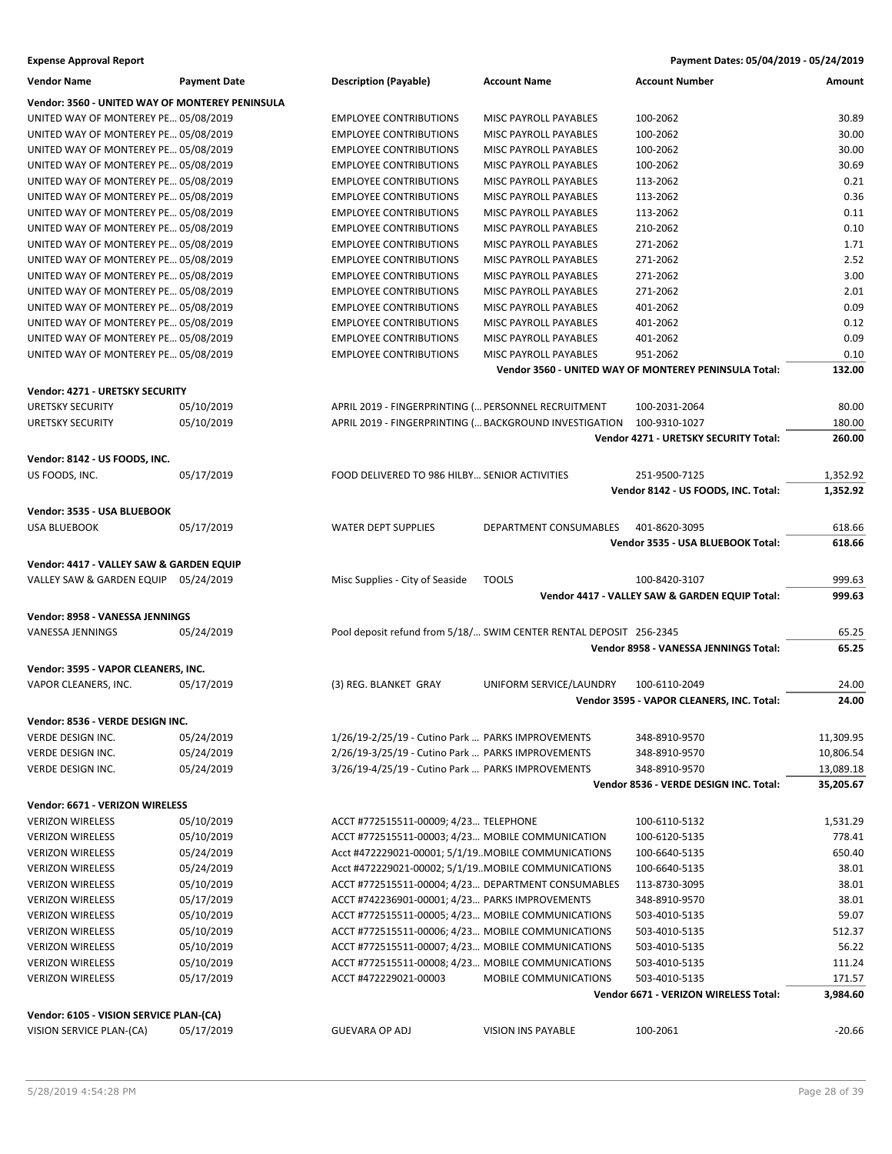| <b>Expense Approval Report</b> | Payment Dates: 05/04/2019 - 05/24/2019 |
|--------------------------------|----------------------------------------|
|                                |                                        |

| Vendor Name                                                         | <b>Payment Date</b> | <b>Description (Payable)</b>                           | <b>Account Name</b>                                                | <b>Account Number</b>                                 | Amount    |
|---------------------------------------------------------------------|---------------------|--------------------------------------------------------|--------------------------------------------------------------------|-------------------------------------------------------|-----------|
| Vendor: 3560 - UNITED WAY OF MONTEREY PENINSULA                     |                     |                                                        |                                                                    |                                                       |           |
| UNITED WAY OF MONTEREY PE 05/08/2019                                |                     | <b>EMPLOYEE CONTRIBUTIONS</b>                          | MISC PAYROLL PAYABLES                                              | 100-2062                                              | 30.89     |
| UNITED WAY OF MONTEREY PE 05/08/2019                                |                     | <b>EMPLOYEE CONTRIBUTIONS</b>                          | MISC PAYROLL PAYABLES                                              | 100-2062                                              | 30.00     |
| UNITED WAY OF MONTEREY PE 05/08/2019                                |                     | <b>EMPLOYEE CONTRIBUTIONS</b>                          | <b>MISC PAYROLL PAYABLES</b>                                       | 100-2062                                              | 30.00     |
| UNITED WAY OF MONTEREY PE 05/08/2019                                |                     | <b>EMPLOYEE CONTRIBUTIONS</b>                          | <b>MISC PAYROLL PAYABLES</b>                                       | 100-2062                                              | 30.69     |
| UNITED WAY OF MONTEREY PE 05/08/2019                                |                     | <b>EMPLOYEE CONTRIBUTIONS</b>                          | MISC PAYROLL PAYABLES                                              | 113-2062                                              | 0.21      |
| UNITED WAY OF MONTEREY PE 05/08/2019                                |                     | <b>EMPLOYEE CONTRIBUTIONS</b>                          | MISC PAYROLL PAYABLES                                              | 113-2062                                              | 0.36      |
| UNITED WAY OF MONTEREY PE 05/08/2019                                |                     | <b>EMPLOYEE CONTRIBUTIONS</b>                          | MISC PAYROLL PAYABLES                                              | 113-2062                                              | 0.11      |
| UNITED WAY OF MONTEREY PE 05/08/2019                                |                     | <b>EMPLOYEE CONTRIBUTIONS</b>                          | MISC PAYROLL PAYABLES                                              | 210-2062                                              | 0.10      |
| UNITED WAY OF MONTEREY PE 05/08/2019                                |                     | <b>EMPLOYEE CONTRIBUTIONS</b>                          | MISC PAYROLL PAYABLES                                              | 271-2062                                              | 1.71      |
| UNITED WAY OF MONTEREY PE 05/08/2019                                |                     | <b>EMPLOYEE CONTRIBUTIONS</b>                          | MISC PAYROLL PAYABLES                                              | 271-2062                                              | 2.52      |
| UNITED WAY OF MONTEREY PE 05/08/2019                                |                     | <b>EMPLOYEE CONTRIBUTIONS</b>                          | MISC PAYROLL PAYABLES                                              | 271-2062                                              | 3.00      |
| UNITED WAY OF MONTEREY PE 05/08/2019                                |                     | <b>EMPLOYEE CONTRIBUTIONS</b>                          | MISC PAYROLL PAYABLES                                              | 271-2062                                              | 2.01      |
| UNITED WAY OF MONTEREY PE 05/08/2019                                |                     | <b>EMPLOYEE CONTRIBUTIONS</b>                          | MISC PAYROLL PAYABLES                                              | 401-2062                                              | 0.09      |
| UNITED WAY OF MONTEREY PE 05/08/2019                                |                     | <b>EMPLOYEE CONTRIBUTIONS</b>                          | MISC PAYROLL PAYABLES                                              | 401-2062                                              | 0.12      |
| UNITED WAY OF MONTEREY PE 05/08/2019                                |                     | <b>EMPLOYEE CONTRIBUTIONS</b>                          | MISC PAYROLL PAYABLES                                              | 401-2062                                              | 0.09      |
| UNITED WAY OF MONTEREY PE 05/08/2019                                |                     | <b>EMPLOYEE CONTRIBUTIONS</b>                          | MISC PAYROLL PAYABLES                                              | 951-2062                                              | 0.10      |
|                                                                     |                     |                                                        |                                                                    | Vendor 3560 - UNITED WAY OF MONTEREY PENINSULA Total: | 132.00    |
| Vendor: 4271 - URETSKY SECURITY                                     |                     |                                                        |                                                                    |                                                       |           |
| <b>URETSKY SECURITY</b>                                             | 05/10/2019          | APRIL 2019 - FINGERPRINTING ( PERSONNEL RECRUITMENT    |                                                                    | 100-2031-2064                                         | 80.00     |
| <b>URETSKY SECURITY</b>                                             | 05/10/2019          | APRIL 2019 - FINGERPRINTING ( BACKGROUND INVESTIGATION |                                                                    | 100-9310-1027                                         | 180.00    |
|                                                                     |                     |                                                        |                                                                    | Vendor 4271 - URETSKY SECURITY Total:                 | 260.00    |
|                                                                     |                     |                                                        |                                                                    |                                                       |           |
| Vendor: 8142 - US FOODS, INC.                                       |                     |                                                        |                                                                    |                                                       |           |
| US FOODS, INC.                                                      | 05/17/2019          | FOOD DELIVERED TO 986 HILBY SENIOR ACTIVITIES          |                                                                    | 251-9500-7125                                         | 1,352.92  |
|                                                                     |                     |                                                        |                                                                    | Vendor 8142 - US FOODS, INC. Total:                   | 1,352.92  |
| Vendor: 3535 - USA BLUEBOOK                                         |                     |                                                        |                                                                    |                                                       |           |
| <b>USA BLUEBOOK</b>                                                 | 05/17/2019          | <b>WATER DEPT SUPPLIES</b>                             | DEPARTMENT CONSUMABLES                                             | 401-8620-3095                                         | 618.66    |
|                                                                     |                     |                                                        |                                                                    | Vendor 3535 - USA BLUEBOOK Total:                     | 618.66    |
| Vendor: 4417 - VALLEY SAW & GARDEN EQUIP                            |                     |                                                        |                                                                    |                                                       |           |
| VALLEY SAW & GARDEN EQUIP 05/24/2019                                |                     | Misc Supplies - City of Seaside                        | <b>TOOLS</b>                                                       | 100-8420-3107                                         | 999.63    |
|                                                                     |                     |                                                        |                                                                    | Vendor 4417 - VALLEY SAW & GARDEN EQUIP Total:        | 999.63    |
| Vendor: 8958 - VANESSA JENNINGS                                     |                     |                                                        |                                                                    |                                                       |           |
| VANESSA JENNINGS                                                    | 05/24/2019          |                                                        | Pool deposit refund from 5/18/ SWIM CENTER RENTAL DEPOSIT 256-2345 |                                                       | 65.25     |
|                                                                     |                     |                                                        |                                                                    | Vendor 8958 - VANESSA JENNINGS Total:                 | 65.25     |
|                                                                     |                     |                                                        |                                                                    |                                                       |           |
| Vendor: 3595 - VAPOR CLEANERS, INC.                                 |                     |                                                        |                                                                    |                                                       |           |
| VAPOR CLEANERS, INC.                                                | 05/17/2019          | (3) REG. BLANKET GRAY                                  | UNIFORM SERVICE/LAUNDRY                                            | 100-6110-2049                                         | 24.00     |
|                                                                     |                     |                                                        |                                                                    | Vendor 3595 - VAPOR CLEANERS, INC. Total:             | 24.00     |
| Vendor: 8536 - VERDE DESIGN INC.                                    |                     |                                                        |                                                                    |                                                       |           |
| VERDE DESIGN INC.                                                   | 05/24/2019          | 1/26/19-2/25/19 - Cutino Park  PARKS IMPROVEMENTS      |                                                                    | 348-8910-9570                                         | 11,309.95 |
| VERDE DESIGN INC.                                                   | 05/24/2019          | 2/26/19-3/25/19 - Cutino Park  PARKS IMPROVEMENTS      |                                                                    | 348-8910-9570                                         | 10,806.54 |
| VERDE DESIGN INC.                                                   | 05/24/2019          | 3/26/19-4/25/19 - Cutino Park  PARKS IMPROVEMENTS      |                                                                    | 348-8910-9570                                         | 13,089.18 |
|                                                                     |                     |                                                        |                                                                    | Vendor 8536 - VERDE DESIGN INC. Total:                | 35,205.67 |
| Vendor: 6671 - VERIZON WIRELESS                                     |                     |                                                        |                                                                    |                                                       |           |
| <b>VERIZON WIRELESS</b>                                             | 05/10/2019          | ACCT #772515511-00009; 4/23 TELEPHONE                  |                                                                    | 100-6110-5132                                         | 1,531.29  |
| <b>VERIZON WIRELESS</b>                                             | 05/10/2019          | ACCT #772515511-00003; 4/23 MOBILE COMMUNICATION       |                                                                    | 100-6120-5135                                         | 778.41    |
| <b>VERIZON WIRELESS</b>                                             | 05/24/2019          | Acct #472229021-00001; 5/1/19MOBILE COMMUNICATIONS     |                                                                    | 100-6640-5135                                         | 650.40    |
| <b>VERIZON WIRELESS</b>                                             | 05/24/2019          | Acct #472229021-00002; 5/1/19MOBILE COMMUNICATIONS     |                                                                    | 100-6640-5135                                         | 38.01     |
| <b>VERIZON WIRELESS</b>                                             | 05/10/2019          | ACCT #772515511-00004; 4/23 DEPARTMENT CONSUMABLES     |                                                                    | 113-8730-3095                                         | 38.01     |
| <b>VERIZON WIRELESS</b>                                             | 05/17/2019          | ACCT #742236901-00001; 4/23 PARKS IMPROVEMENTS         |                                                                    | 348-8910-9570                                         | 38.01     |
| <b>VERIZON WIRELESS</b>                                             | 05/10/2019          | ACCT #772515511-00005; 4/23 MOBILE COMMUNICATIONS      |                                                                    | 503-4010-5135                                         | 59.07     |
| <b>VERIZON WIRELESS</b>                                             | 05/10/2019          | ACCT #772515511-00006; 4/23 MOBILE COMMUNICATIONS      |                                                                    | 503-4010-5135                                         | 512.37    |
| <b>VERIZON WIRELESS</b>                                             | 05/10/2019          | ACCT #772515511-00007; 4/23 MOBILE COMMUNICATIONS      |                                                                    | 503-4010-5135                                         | 56.22     |
| <b>VERIZON WIRELESS</b>                                             | 05/10/2019          | ACCT #772515511-00008; 4/23 MOBILE COMMUNICATIONS      |                                                                    | 503-4010-5135                                         | 111.24    |
| <b>VERIZON WIRELESS</b>                                             | 05/17/2019          | ACCT #472229021-00003                                  | MOBILE COMMUNICATIONS                                              | 503-4010-5135                                         | 171.57    |
|                                                                     |                     |                                                        |                                                                    | Vendor 6671 - VERIZON WIRELESS Total:                 | 3,984.60  |
|                                                                     |                     |                                                        |                                                                    |                                                       |           |
| Vendor: 6105 - VISION SERVICE PLAN-(CA)<br>VISION SERVICE PLAN-(CA) | 05/17/2019          | <b>GUEVARA OP ADJ</b>                                  | VISION INS PAYABLE                                                 | 100-2061                                              | $-20.66$  |
|                                                                     |                     |                                                        |                                                                    |                                                       |           |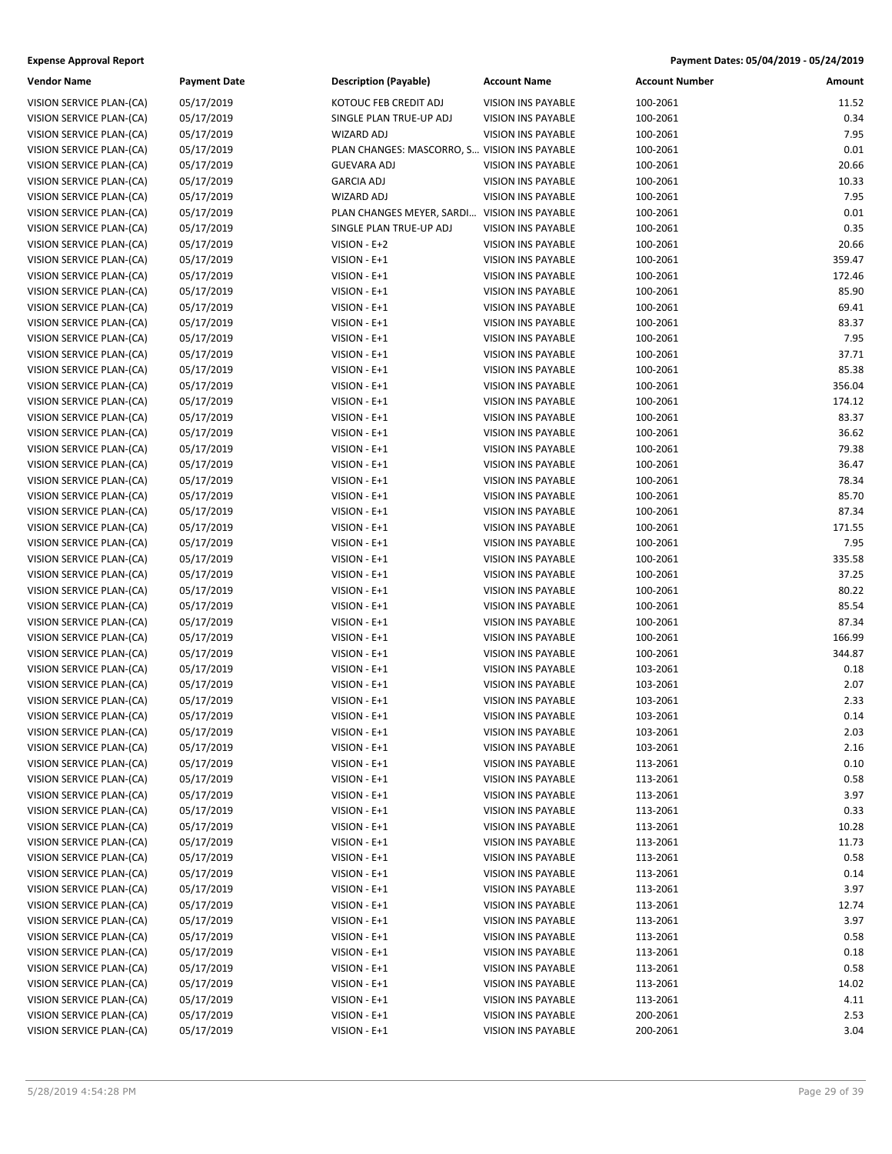| <b>Vendor Name</b>                                   | <b>Payment Date</b> | <b>Description (Payable)</b>                  | <b>Account Name</b>       | <b>Account Number</b> | Amount           |
|------------------------------------------------------|---------------------|-----------------------------------------------|---------------------------|-----------------------|------------------|
| VISION SERVICE PLAN-(CA)                             | 05/17/2019          | KOTOUC FEB CREDIT ADJ                         | <b>VISION INS PAYABLE</b> | 100-2061              | 11.52            |
| VISION SERVICE PLAN-(CA)                             | 05/17/2019          | SINGLE PLAN TRUE-UP ADJ                       | VISION INS PAYABLE        | 100-2061              | 0.34             |
| VISION SERVICE PLAN-(CA)                             | 05/17/2019          | <b>WIZARD ADJ</b>                             | VISION INS PAYABLE        | 100-2061              | 7.95             |
| VISION SERVICE PLAN-(CA)                             | 05/17/2019          | PLAN CHANGES: MASCORRO, S VISION INS PAYABLE  |                           | 100-2061              | 0.01             |
| VISION SERVICE PLAN-(CA)                             | 05/17/2019          | <b>GUEVARA ADJ</b>                            | <b>VISION INS PAYABLE</b> | 100-2061              | 20.66            |
| VISION SERVICE PLAN-(CA)                             | 05/17/2019          | <b>GARCIA ADJ</b>                             | VISION INS PAYABLE        | 100-2061              | 10.33            |
| VISION SERVICE PLAN-(CA)                             | 05/17/2019          | WIZARD ADJ                                    | VISION INS PAYABLE        | 100-2061              | 7.95             |
| VISION SERVICE PLAN-(CA)                             | 05/17/2019          | PLAN CHANGES MEYER, SARDI  VISION INS PAYABLE |                           | 100-2061              | 0.01             |
| VISION SERVICE PLAN-(CA)                             | 05/17/2019          | SINGLE PLAN TRUE-UP ADJ                       | VISION INS PAYABLE        | 100-2061              | 0.35             |
| VISION SERVICE PLAN-(CA)                             | 05/17/2019          | VISION - E+2                                  | VISION INS PAYABLE        | 100-2061              | 20.66            |
| VISION SERVICE PLAN-(CA)                             | 05/17/2019          | VISION - E+1                                  | VISION INS PAYABLE        | 100-2061              | 359.47           |
| VISION SERVICE PLAN-(CA)                             | 05/17/2019          | VISION - E+1                                  | VISION INS PAYABLE        | 100-2061              | 172.46           |
| VISION SERVICE PLAN-(CA)                             | 05/17/2019          | VISION - E+1                                  | VISION INS PAYABLE        | 100-2061              | 85.90            |
| VISION SERVICE PLAN-(CA)                             | 05/17/2019          | VISION - E+1                                  | VISION INS PAYABLE        | 100-2061              | 69.41            |
| VISION SERVICE PLAN-(CA)                             | 05/17/2019          | VISION - E+1                                  | <b>VISION INS PAYABLE</b> | 100-2061              | 83.37            |
| VISION SERVICE PLAN-(CA)                             | 05/17/2019          | VISION - E+1                                  | VISION INS PAYABLE        | 100-2061              | 7.95             |
| VISION SERVICE PLAN-(CA)                             | 05/17/2019          | VISION - E+1                                  | <b>VISION INS PAYABLE</b> | 100-2061              | 37.71            |
| VISION SERVICE PLAN-(CA)                             | 05/17/2019          | VISION - E+1                                  | VISION INS PAYABLE        | 100-2061              | 85.38            |
| VISION SERVICE PLAN-(CA)                             | 05/17/2019          | VISION - E+1                                  | VISION INS PAYABLE        | 100-2061              | 356.04           |
| VISION SERVICE PLAN-(CA)                             | 05/17/2019          | VISION - E+1                                  | <b>VISION INS PAYABLE</b> | 100-2061              | 174.12           |
| VISION SERVICE PLAN-(CA)                             | 05/17/2019          | VISION - E+1                                  | VISION INS PAYABLE        | 100-2061              | 83.37            |
| VISION SERVICE PLAN-(CA)                             | 05/17/2019          | VISION - E+1                                  | VISION INS PAYABLE        | 100-2061              | 36.62            |
| VISION SERVICE PLAN-(CA)                             | 05/17/2019          | VISION - E+1                                  | VISION INS PAYABLE        | 100-2061              | 79.38            |
| VISION SERVICE PLAN-(CA)                             | 05/17/2019          | VISION - E+1                                  | <b>VISION INS PAYABLE</b> | 100-2061              | 36.47            |
| VISION SERVICE PLAN-(CA)                             | 05/17/2019          | VISION - E+1                                  | VISION INS PAYABLE        | 100-2061              | 78.34            |
| VISION SERVICE PLAN-(CA)                             | 05/17/2019          | VISION - E+1                                  | VISION INS PAYABLE        | 100-2061              | 85.70            |
| VISION SERVICE PLAN-(CA)                             | 05/17/2019          | VISION - E+1                                  | VISION INS PAYABLE        | 100-2061              | 87.34            |
| VISION SERVICE PLAN-(CA)                             | 05/17/2019          | VISION - E+1                                  | VISION INS PAYABLE        | 100-2061              | 171.55           |
| VISION SERVICE PLAN-(CA)                             | 05/17/2019          | VISION - E+1                                  | VISION INS PAYABLE        | 100-2061              | 7.95             |
| VISION SERVICE PLAN-(CA)                             | 05/17/2019          | VISION - E+1                                  | <b>VISION INS PAYABLE</b> | 100-2061              | 335.58           |
| VISION SERVICE PLAN-(CA)                             | 05/17/2019          | VISION - E+1                                  | VISION INS PAYABLE        | 100-2061              | 37.25            |
| VISION SERVICE PLAN-(CA)                             | 05/17/2019          | VISION - E+1                                  | VISION INS PAYABLE        | 100-2061              | 80.22            |
| VISION SERVICE PLAN-(CA)                             | 05/17/2019          | VISION - E+1                                  | VISION INS PAYABLE        | 100-2061              | 85.54            |
|                                                      |                     |                                               |                           |                       |                  |
| VISION SERVICE PLAN-(CA)                             | 05/17/2019          | VISION - E+1                                  | VISION INS PAYABLE        | 100-2061              | 87.34            |
| VISION SERVICE PLAN-(CA)<br>VISION SERVICE PLAN-(CA) | 05/17/2019          | VISION - E+1<br>VISION - E+1                  | <b>VISION INS PAYABLE</b> | 100-2061<br>100-2061  | 166.99<br>344.87 |
|                                                      | 05/17/2019          |                                               | VISION INS PAYABLE        |                       | 0.18             |
| VISION SERVICE PLAN-(CA)                             | 05/17/2019          | VISION - E+1                                  | VISION INS PAYABLE        | 103-2061              | 2.07             |
| VISION SERVICE PLAN-(CA)<br>VISION SERVICE PLAN-(CA) | 05/17/2019          | VISION - E+1                                  | VISION INS PAYABLE        | 103-2061              |                  |
|                                                      | 05/17/2019          | VISION - E+1<br>VISION - E+1                  | <b>VISION INS PAYABLE</b> | 103-2061              | 2.33             |
| VISION SERVICE PLAN-(CA)                             | 05/17/2019          |                                               | <b>VISION INS PAYABLE</b> | 103-2061              | 0.14             |
| VISION SERVICE PLAN-(CA)                             | 05/17/2019          | VISION - E+1                                  | VISION INS PAYABLE        | 103-2061              | 2.03             |
| VISION SERVICE PLAN-(CA)                             | 05/17/2019          | VISION - E+1                                  | VISION INS PAYABLE        | 103-2061              | 2.16             |
| VISION SERVICE PLAN-(CA)                             | 05/17/2019          | VISION - E+1                                  | <b>VISION INS PAYABLE</b> | 113-2061              | 0.10             |
| VISION SERVICE PLAN-(CA)                             | 05/17/2019          | VISION - E+1                                  | VISION INS PAYABLE        | 113-2061              | 0.58             |
| VISION SERVICE PLAN-(CA)                             | 05/17/2019          | VISION - E+1                                  | VISION INS PAYABLE        | 113-2061              | 3.97             |
| VISION SERVICE PLAN-(CA)                             | 05/17/2019          | VISION - E+1                                  | VISION INS PAYABLE        | 113-2061              | 0.33             |
| VISION SERVICE PLAN-(CA)                             | 05/17/2019          | VISION - E+1                                  | VISION INS PAYABLE        | 113-2061              | 10.28            |
| VISION SERVICE PLAN-(CA)                             | 05/17/2019          | VISION - E+1                                  | VISION INS PAYABLE        | 113-2061              | 11.73            |
| VISION SERVICE PLAN-(CA)                             | 05/17/2019          | VISION - E+1                                  | VISION INS PAYABLE        | 113-2061              | 0.58             |
| VISION SERVICE PLAN-(CA)                             | 05/17/2019          | VISION - E+1                                  | VISION INS PAYABLE        | 113-2061              | 0.14             |
| VISION SERVICE PLAN-(CA)                             | 05/17/2019          | VISION - E+1                                  | VISION INS PAYABLE        | 113-2061              | 3.97             |
| VISION SERVICE PLAN-(CA)                             | 05/17/2019          | VISION - E+1                                  | VISION INS PAYABLE        | 113-2061              | 12.74            |
| VISION SERVICE PLAN-(CA)                             | 05/17/2019          | VISION - E+1                                  | VISION INS PAYABLE        | 113-2061              | 3.97             |
| VISION SERVICE PLAN-(CA)                             | 05/17/2019          | VISION - E+1                                  | VISION INS PAYABLE        | 113-2061              | 0.58             |
| VISION SERVICE PLAN-(CA)                             | 05/17/2019          | VISION - E+1                                  | VISION INS PAYABLE        | 113-2061              | 0.18             |
| VISION SERVICE PLAN-(CA)                             | 05/17/2019          | VISION - E+1                                  | VISION INS PAYABLE        | 113-2061              | 0.58             |
| VISION SERVICE PLAN-(CA)                             | 05/17/2019          | VISION - E+1                                  | VISION INS PAYABLE        | 113-2061              | 14.02            |
| VISION SERVICE PLAN-(CA)                             | 05/17/2019          | VISION - E+1                                  | VISION INS PAYABLE        | 113-2061              | 4.11             |
| VISION SERVICE PLAN-(CA)                             | 05/17/2019          | VISION - E+1                                  | VISION INS PAYABLE        | 200-2061              | 2.53             |
| VISION SERVICE PLAN-(CA)                             | 05/17/2019          | VISION - E+1                                  | VISION INS PAYABLE        | 200-2061              | 3.04             |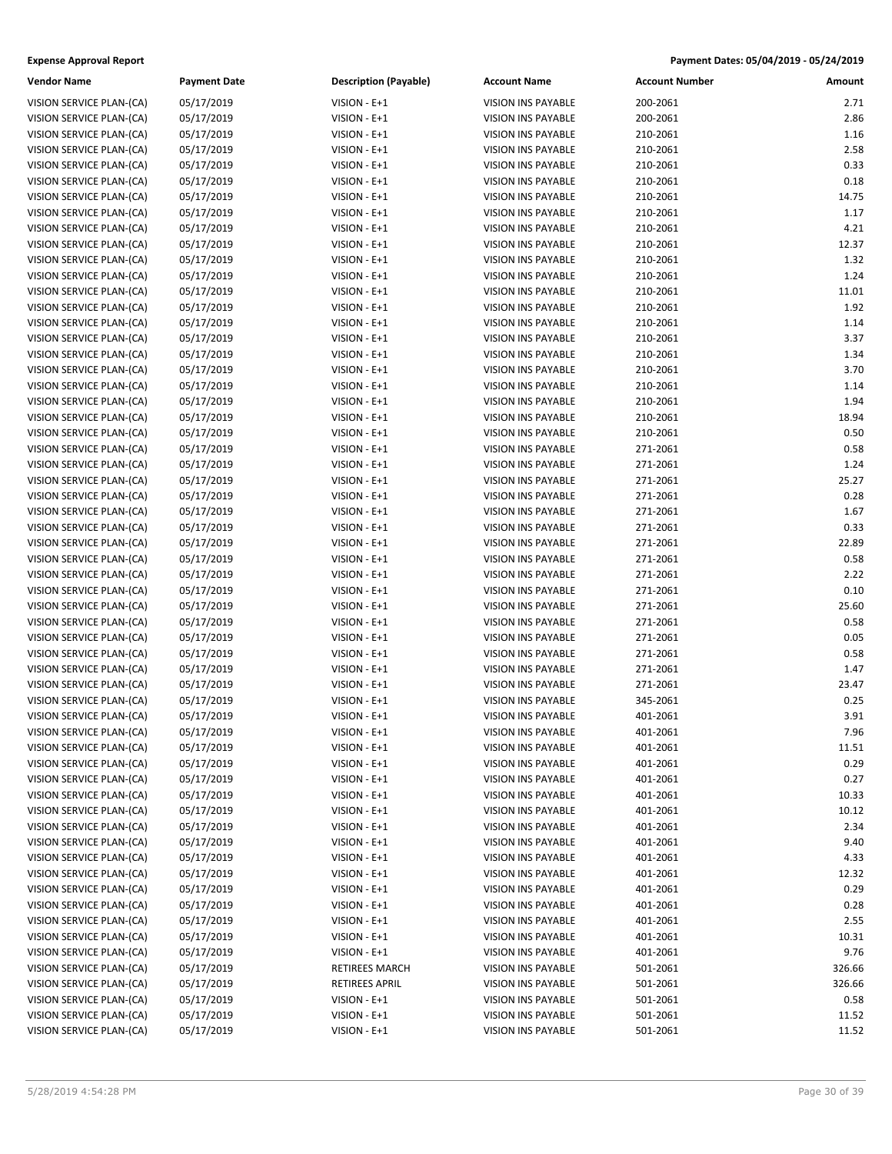| <b>Vendor Name</b>       | <b>Payment Date</b>      | <b>Description (Payable)</b> | <b>Account Name</b>       | <b>Account Number</b> | Amount |
|--------------------------|--------------------------|------------------------------|---------------------------|-----------------------|--------|
| VISION SERVICE PLAN-(CA) | 05/17/2019               | VISION - E+1                 | <b>VISION INS PAYABLE</b> | 200-2061              | 2.71   |
| VISION SERVICE PLAN-(CA) | 05/17/2019               | VISION - E+1                 | VISION INS PAYABLE        | 200-2061              | 2.86   |
| VISION SERVICE PLAN-(CA) | 05/17/2019               | VISION - E+1                 | <b>VISION INS PAYABLE</b> | 210-2061              | 1.16   |
| VISION SERVICE PLAN-(CA) | 05/17/2019               | VISION - E+1                 | <b>VISION INS PAYABLE</b> | 210-2061              | 2.58   |
| VISION SERVICE PLAN-(CA) | 05/17/2019               | VISION - E+1                 | VISION INS PAYABLE        | 210-2061              | 0.33   |
| VISION SERVICE PLAN-(CA) | 05/17/2019               | VISION - E+1                 | VISION INS PAYABLE        | 210-2061              | 0.18   |
| VISION SERVICE PLAN-(CA) | 05/17/2019               | VISION - E+1                 | VISION INS PAYABLE        | 210-2061              | 14.75  |
| VISION SERVICE PLAN-(CA) | 05/17/2019               | VISION - E+1                 | VISION INS PAYABLE        | 210-2061              | 1.17   |
| VISION SERVICE PLAN-(CA) | 05/17/2019               | VISION - E+1                 | <b>VISION INS PAYABLE</b> | 210-2061              | 4.21   |
| VISION SERVICE PLAN-(CA) |                          |                              | VISION INS PAYABLE        |                       | 12.37  |
| VISION SERVICE PLAN-(CA) | 05/17/2019<br>05/17/2019 | VISION - E+1<br>VISION - E+1 | <b>VISION INS PAYABLE</b> | 210-2061<br>210-2061  | 1.32   |
| VISION SERVICE PLAN-(CA) |                          | VISION - E+1                 | VISION INS PAYABLE        | 210-2061              | 1.24   |
|                          | 05/17/2019               |                              |                           |                       | 11.01  |
| VISION SERVICE PLAN-(CA) | 05/17/2019               | VISION - E+1                 | VISION INS PAYABLE        | 210-2061              |        |
| VISION SERVICE PLAN-(CA) | 05/17/2019               | VISION - E+1                 | <b>VISION INS PAYABLE</b> | 210-2061              | 1.92   |
| VISION SERVICE PLAN-(CA) | 05/17/2019               | VISION - E+1                 | VISION INS PAYABLE        | 210-2061              | 1.14   |
| VISION SERVICE PLAN-(CA) | 05/17/2019               | VISION - E+1                 | VISION INS PAYABLE        | 210-2061              | 3.37   |
| VISION SERVICE PLAN-(CA) | 05/17/2019               | VISION - E+1                 | VISION INS PAYABLE        | 210-2061              | 1.34   |
| VISION SERVICE PLAN-(CA) | 05/17/2019               | VISION - E+1                 | VISION INS PAYABLE        | 210-2061              | 3.70   |
| VISION SERVICE PLAN-(CA) | 05/17/2019               | VISION - E+1                 | <b>VISION INS PAYABLE</b> | 210-2061              | 1.14   |
| VISION SERVICE PLAN-(CA) | 05/17/2019               | VISION - E+1                 | VISION INS PAYABLE        | 210-2061              | 1.94   |
| VISION SERVICE PLAN-(CA) | 05/17/2019               | VISION - E+1                 | VISION INS PAYABLE        | 210-2061              | 18.94  |
| VISION SERVICE PLAN-(CA) | 05/17/2019               | VISION - E+1                 | VISION INS PAYABLE        | 210-2061              | 0.50   |
| VISION SERVICE PLAN-(CA) | 05/17/2019               | VISION - E+1                 | VISION INS PAYABLE        | 271-2061              | 0.58   |
| VISION SERVICE PLAN-(CA) | 05/17/2019               | VISION - E+1                 | <b>VISION INS PAYABLE</b> | 271-2061              | 1.24   |
| VISION SERVICE PLAN-(CA) | 05/17/2019               | VISION - E+1                 | VISION INS PAYABLE        | 271-2061              | 25.27  |
| VISION SERVICE PLAN-(CA) | 05/17/2019               | VISION - E+1                 | <b>VISION INS PAYABLE</b> | 271-2061              | 0.28   |
| VISION SERVICE PLAN-(CA) | 05/17/2019               | VISION - E+1                 | VISION INS PAYABLE        | 271-2061              | 1.67   |
| VISION SERVICE PLAN-(CA) | 05/17/2019               | VISION - E+1                 | VISION INS PAYABLE        | 271-2061              | 0.33   |
| VISION SERVICE PLAN-(CA) | 05/17/2019               | VISION - E+1                 | <b>VISION INS PAYABLE</b> | 271-2061              | 22.89  |
| VISION SERVICE PLAN-(CA) | 05/17/2019               | VISION - E+1                 | VISION INS PAYABLE        | 271-2061              | 0.58   |
| VISION SERVICE PLAN-(CA) | 05/17/2019               | VISION - E+1                 | VISION INS PAYABLE        | 271-2061              | 2.22   |
| VISION SERVICE PLAN-(CA) | 05/17/2019               | VISION - E+1                 | VISION INS PAYABLE        | 271-2061              | 0.10   |
| VISION SERVICE PLAN-(CA) | 05/17/2019               | VISION - E+1                 | VISION INS PAYABLE        | 271-2061              | 25.60  |
| VISION SERVICE PLAN-(CA) | 05/17/2019               | VISION - E+1                 | <b>VISION INS PAYABLE</b> | 271-2061              | 0.58   |
| VISION SERVICE PLAN-(CA) | 05/17/2019               | VISION - E+1                 | VISION INS PAYABLE        | 271-2061              | 0.05   |
| VISION SERVICE PLAN-(CA) | 05/17/2019               | VISION - E+1                 | VISION INS PAYABLE        | 271-2061              | 0.58   |
| VISION SERVICE PLAN-(CA) | 05/17/2019               | VISION - E+1                 | VISION INS PAYABLE        | 271-2061              | 1.47   |
| VISION SERVICE PLAN-(CA) | 05/17/2019               | VISION - E+1                 | VISION INS PAYABLE        | 271-2061              | 23.47  |
| VISION SERVICE PLAN-(CA) | 05/17/2019               | VISION - E+1                 | <b>VISION INS PAYABLE</b> | 345-2061              | 0.25   |
| VISION SERVICE PLAN-(CA) | 05/17/2019               | VISION - E+1                 | <b>VISION INS PAYABLE</b> | 401-2061              | 3.91   |
| VISION SERVICE PLAN-(CA) | 05/17/2019               | VISION - E+1                 | VISION INS PAYABLE        | 401-2061              | 7.96   |
| VISION SERVICE PLAN-(CA) | 05/17/2019               | $VISION - E + 1$             | VISION INS PAYABLE        | 401-2061              | 11.51  |
| VISION SERVICE PLAN-(CA) | 05/17/2019               | VISION - E+1                 | VISION INS PAYABLE        | 401-2061              | 0.29   |
| VISION SERVICE PLAN-(CA) | 05/17/2019               | VISION - E+1                 | VISION INS PAYABLE        | 401-2061              | 0.27   |
| VISION SERVICE PLAN-(CA) | 05/17/2019               | VISION - E+1                 | VISION INS PAYABLE        | 401-2061              | 10.33  |
| VISION SERVICE PLAN-(CA) | 05/17/2019               | VISION - E+1                 | <b>VISION INS PAYABLE</b> | 401-2061              | 10.12  |
| VISION SERVICE PLAN-(CA) | 05/17/2019               | VISION - E+1                 | VISION INS PAYABLE        | 401-2061              | 2.34   |
| VISION SERVICE PLAN-(CA) | 05/17/2019               | VISION - E+1                 | VISION INS PAYABLE        | 401-2061              | 9.40   |
| VISION SERVICE PLAN-(CA) | 05/17/2019               | VISION - E+1                 | VISION INS PAYABLE        | 401-2061              | 4.33   |
| VISION SERVICE PLAN-(CA) | 05/17/2019               | VISION - E+1                 | VISION INS PAYABLE        | 401-2061              | 12.32  |
| VISION SERVICE PLAN-(CA) | 05/17/2019               | VISION - E+1                 | VISION INS PAYABLE        | 401-2061              | 0.29   |
| VISION SERVICE PLAN-(CA) | 05/17/2019               | VISION - E+1                 | VISION INS PAYABLE        | 401-2061              | 0.28   |
| VISION SERVICE PLAN-(CA) | 05/17/2019               | VISION - E+1                 | VISION INS PAYABLE        | 401-2061              | 2.55   |
| VISION SERVICE PLAN-(CA) | 05/17/2019               | VISION - E+1                 | VISION INS PAYABLE        | 401-2061              | 10.31  |
| VISION SERVICE PLAN-(CA) | 05/17/2019               | VISION - E+1                 | VISION INS PAYABLE        | 401-2061              | 9.76   |
| VISION SERVICE PLAN-(CA) | 05/17/2019               | <b>RETIREES MARCH</b>        | VISION INS PAYABLE        | 501-2061              | 326.66 |
| VISION SERVICE PLAN-(CA) | 05/17/2019               | <b>RETIREES APRIL</b>        | VISION INS PAYABLE        | 501-2061              | 326.66 |
| VISION SERVICE PLAN-(CA) | 05/17/2019               | VISION - E+1                 | VISION INS PAYABLE        | 501-2061              | 0.58   |
| VISION SERVICE PLAN-(CA) | 05/17/2019               | VISION - E+1                 | VISION INS PAYABLE        | 501-2061              | 11.52  |
| VISION SERVICE PLAN-(CA) | 05/17/2019               |                              | VISION INS PAYABLE        |                       | 11.52  |
|                          |                          | $VISION - E + 1$             |                           | 501-2061              |        |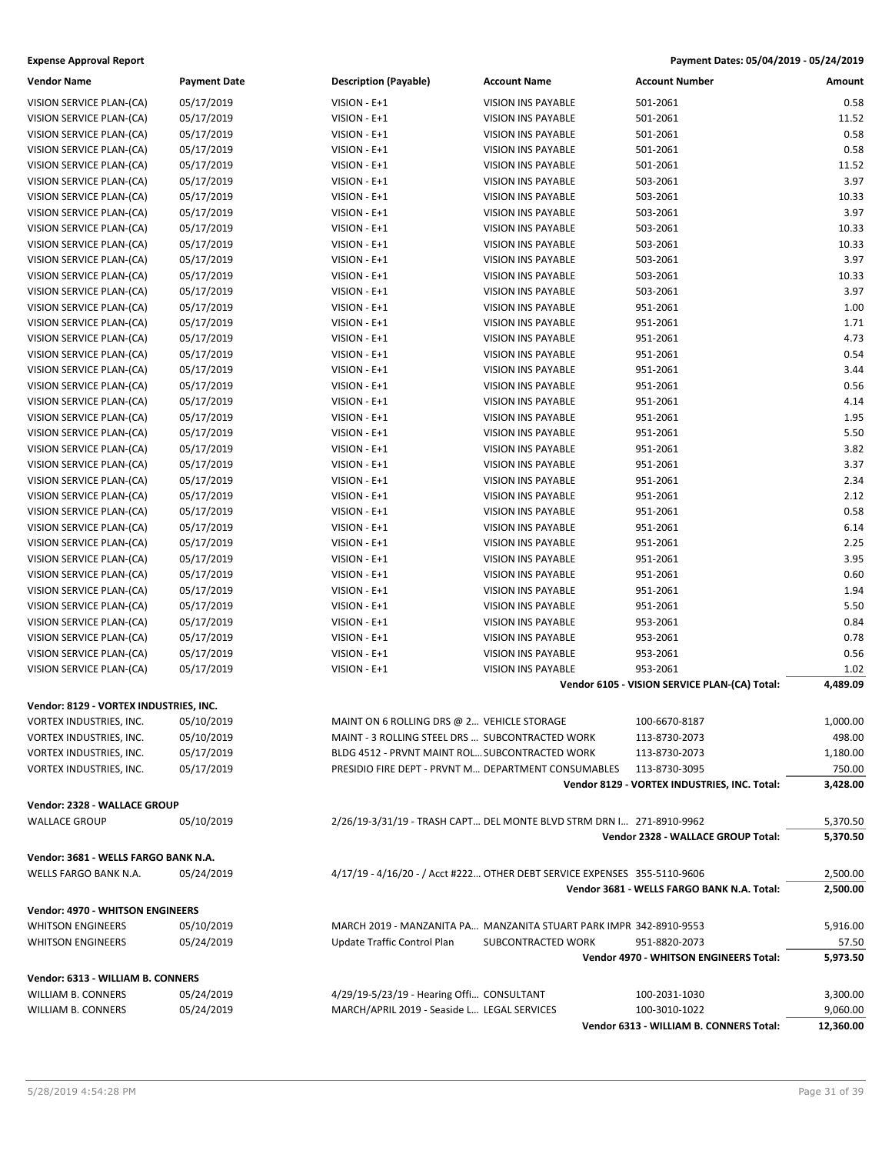| <b>Vendor Name</b>                     | <b>Payment Date</b> | <b>Description (Payable)</b>                | <b>Account Name</b>                                                       | <b>Account Number</b>                         | Amount    |
|----------------------------------------|---------------------|---------------------------------------------|---------------------------------------------------------------------------|-----------------------------------------------|-----------|
| VISION SERVICE PLAN-(CA)               | 05/17/2019          | VISION - E+1                                | <b>VISION INS PAYABLE</b>                                                 | 501-2061                                      | 0.58      |
| VISION SERVICE PLAN-(CA)               | 05/17/2019          | VISION - E+1                                | VISION INS PAYABLE                                                        | 501-2061                                      | 11.52     |
| VISION SERVICE PLAN-(CA)               | 05/17/2019          | VISION - E+1                                | VISION INS PAYABLE                                                        | 501-2061                                      | 0.58      |
| VISION SERVICE PLAN-(CA)               | 05/17/2019          | VISION - E+1                                | <b>VISION INS PAYABLE</b>                                                 | 501-2061                                      | 0.58      |
| VISION SERVICE PLAN-(CA)               | 05/17/2019          | VISION - E+1                                | <b>VISION INS PAYABLE</b>                                                 | 501-2061                                      | 11.52     |
| VISION SERVICE PLAN-(CA)               | 05/17/2019          | VISION - E+1                                | VISION INS PAYABLE                                                        | 503-2061                                      | 3.97      |
| VISION SERVICE PLAN-(CA)               | 05/17/2019          | VISION - E+1                                | VISION INS PAYABLE                                                        | 503-2061                                      | 10.33     |
| VISION SERVICE PLAN-(CA)               | 05/17/2019          | VISION - E+1                                | <b>VISION INS PAYABLE</b>                                                 | 503-2061                                      | 3.97      |
| VISION SERVICE PLAN-(CA)               | 05/17/2019          | VISION - E+1                                | <b>VISION INS PAYABLE</b>                                                 | 503-2061                                      | 10.33     |
| VISION SERVICE PLAN-(CA)               | 05/17/2019          | VISION - E+1                                | <b>VISION INS PAYABLE</b>                                                 | 503-2061                                      | 10.33     |
| VISION SERVICE PLAN-(CA)               | 05/17/2019          | VISION - E+1                                | VISION INS PAYABLE                                                        | 503-2061                                      | 3.97      |
| VISION SERVICE PLAN-(CA)               | 05/17/2019          | VISION - E+1                                | <b>VISION INS PAYABLE</b>                                                 | 503-2061                                      | 10.33     |
| VISION SERVICE PLAN-(CA)               | 05/17/2019          | VISION - E+1                                | VISION INS PAYABLE                                                        | 503-2061                                      | 3.97      |
| VISION SERVICE PLAN-(CA)               | 05/17/2019          | VISION - E+1                                | <b>VISION INS PAYABLE</b>                                                 | 951-2061                                      | 1.00      |
| VISION SERVICE PLAN-(CA)               | 05/17/2019          | VISION - E+1                                | <b>VISION INS PAYABLE</b>                                                 | 951-2061                                      | 1.71      |
| VISION SERVICE PLAN-(CA)               | 05/17/2019          | VISION - E+1                                | VISION INS PAYABLE                                                        | 951-2061                                      | 4.73      |
| VISION SERVICE PLAN-(CA)               | 05/17/2019          | VISION - E+1                                | <b>VISION INS PAYABLE</b>                                                 | 951-2061                                      | 0.54      |
| VISION SERVICE PLAN-(CA)               | 05/17/2019          | VISION - E+1                                | VISION INS PAYABLE                                                        | 951-2061                                      | 3.44      |
| VISION SERVICE PLAN-(CA)               | 05/17/2019          | VISION - E+1                                | VISION INS PAYABLE                                                        | 951-2061                                      | 0.56      |
| VISION SERVICE PLAN-(CA)               | 05/17/2019          | VISION - E+1                                | <b>VISION INS PAYABLE</b>                                                 | 951-2061                                      | 4.14      |
| VISION SERVICE PLAN-(CA)               | 05/17/2019          | VISION - E+1                                | VISION INS PAYABLE                                                        | 951-2061                                      | 1.95      |
| VISION SERVICE PLAN-(CA)               | 05/17/2019          | VISION - E+1                                | <b>VISION INS PAYABLE</b>                                                 | 951-2061                                      | 5.50      |
| VISION SERVICE PLAN-(CA)               | 05/17/2019          | VISION - E+1                                | <b>VISION INS PAYABLE</b>                                                 | 951-2061                                      | 3.82      |
| VISION SERVICE PLAN-(CA)               | 05/17/2019          | VISION - E+1                                | <b>VISION INS PAYABLE</b>                                                 | 951-2061                                      | 3.37      |
| VISION SERVICE PLAN-(CA)               | 05/17/2019          | VISION - E+1                                | <b>VISION INS PAYABLE</b>                                                 | 951-2061                                      | 2.34      |
| VISION SERVICE PLAN-(CA)               | 05/17/2019          | VISION - E+1                                | VISION INS PAYABLE                                                        | 951-2061                                      | 2.12      |
| VISION SERVICE PLAN-(CA)               | 05/17/2019          | VISION - E+1                                | VISION INS PAYABLE                                                        | 951-2061                                      | 0.58      |
| VISION SERVICE PLAN-(CA)               | 05/17/2019          | VISION - E+1                                | VISION INS PAYABLE                                                        | 951-2061                                      | 6.14      |
| VISION SERVICE PLAN-(CA)               | 05/17/2019          | VISION - E+1                                | VISION INS PAYABLE                                                        | 951-2061                                      | 2.25      |
| VISION SERVICE PLAN-(CA)               | 05/17/2019          | VISION - E+1                                | <b>VISION INS PAYABLE</b>                                                 | 951-2061                                      | 3.95      |
| VISION SERVICE PLAN-(CA)               | 05/17/2019          | VISION - E+1                                | VISION INS PAYABLE                                                        | 951-2061                                      | 0.60      |
| VISION SERVICE PLAN-(CA)               | 05/17/2019          | VISION - E+1                                | VISION INS PAYABLE                                                        | 951-2061                                      | 1.94      |
| VISION SERVICE PLAN-(CA)               | 05/17/2019          | VISION - E+1                                | VISION INS PAYABLE                                                        | 951-2061                                      | 5.50      |
| VISION SERVICE PLAN-(CA)               | 05/17/2019          | VISION - E+1                                | VISION INS PAYABLE                                                        | 953-2061                                      | 0.84      |
| VISION SERVICE PLAN-(CA)               | 05/17/2019          | VISION - E+1                                | <b>VISION INS PAYABLE</b>                                                 | 953-2061                                      | 0.78      |
| VISION SERVICE PLAN-(CA)               | 05/17/2019          | VISION - E+1                                | VISION INS PAYABLE                                                        | 953-2061                                      | 0.56      |
| VISION SERVICE PLAN-(CA)               | 05/17/2019          | VISION - E+1                                | VISION INS PAYABLE                                                        | 953-2061                                      | 1.02      |
|                                        |                     |                                             |                                                                           | Vendor 6105 - VISION SERVICE PLAN-(CA) Total: | 4,489.09  |
|                                        |                     |                                             |                                                                           |                                               |           |
| Vendor: 8129 - VORTEX INDUSTRIES, INC. |                     |                                             |                                                                           |                                               |           |
| VORTEX INDUSTRIES, INC.                | 05/10/2019          | MAINT ON 6 ROLLING DRS @ 2 VEHICLE STORAGE  |                                                                           | 100-6670-8187                                 | 1,000.00  |
| VORTEX INDUSTRIES, INC.                | 05/10/2019          |                                             | MAINT - 3 ROLLING STEEL DRS  SUBCONTRACTED WORK                           | 113-8730-2073                                 | 498.00    |
| VORTEX INDUSTRIES, INC.                | 05/17/2019          |                                             | BLDG 4512 - PRVNT MAINT ROL SUBCONTRACTED WORK                            | 113-8730-2073                                 | 1,180.00  |
| VORTEX INDUSTRIES, INC.                | 05/17/2019          |                                             | PRESIDIO FIRE DEPT - PRVNT M DEPARTMENT CONSUMABLES                       | 113-8730-3095                                 | 750.00    |
|                                        |                     |                                             |                                                                           | Vendor 8129 - VORTEX INDUSTRIES, INC. Total:  | 3,428.00  |
| Vendor: 2328 - WALLACE GROUP           |                     |                                             |                                                                           |                                               |           |
| <b>WALLACE GROUP</b>                   | 05/10/2019          |                                             | 2/26/19-3/31/19 - TRASH CAPT DEL MONTE BLVD STRM DRN I 271-8910-9962      |                                               | 5,370.50  |
|                                        |                     |                                             |                                                                           | Vendor 2328 - WALLACE GROUP Total:            | 5,370.50  |
| Vendor: 3681 - WELLS FARGO BANK N.A.   |                     |                                             |                                                                           |                                               |           |
| WELLS FARGO BANK N.A.                  | 05/24/2019          |                                             | 4/17/19 - 4/16/20 - / Acct #222 OTHER DEBT SERVICE EXPENSES 355-5110-9606 |                                               | 2,500.00  |
|                                        |                     |                                             |                                                                           | Vendor 3681 - WELLS FARGO BANK N.A. Total:    | 2,500.00  |
|                                        |                     |                                             |                                                                           |                                               |           |
| Vendor: 4970 - WHITSON ENGINEERS       |                     |                                             |                                                                           |                                               |           |
| <b>WHITSON ENGINEERS</b>               | 05/10/2019          |                                             | MARCH 2019 - MANZANITA PA MANZANITA STUART PARK IMPR 342-8910-9553        | 951-8820-2073                                 | 5,916.00  |
| <b>WHITSON ENGINEERS</b>               | 05/24/2019          | Update Traffic Control Plan                 | SUBCONTRACTED WORK                                                        | Vendor 4970 - WHITSON ENGINEERS Total:        | 57.50     |
|                                        |                     |                                             |                                                                           |                                               | 5,973.50  |
| Vendor: 6313 - WILLIAM B. CONNERS      |                     |                                             |                                                                           |                                               |           |
| WILLIAM B. CONNERS                     | 05/24/2019          | 4/29/19-5/23/19 - Hearing Offi CONSULTANT   |                                                                           | 100-2031-1030                                 | 3,300.00  |
| WILLIAM B. CONNERS                     | 05/24/2019          | MARCH/APRIL 2019 - Seaside L LEGAL SERVICES |                                                                           | 100-3010-1022                                 | 9,060.00  |
|                                        |                     |                                             |                                                                           | Vendor 6313 - WILLIAM B. CONNERS Total:       | 12,360.00 |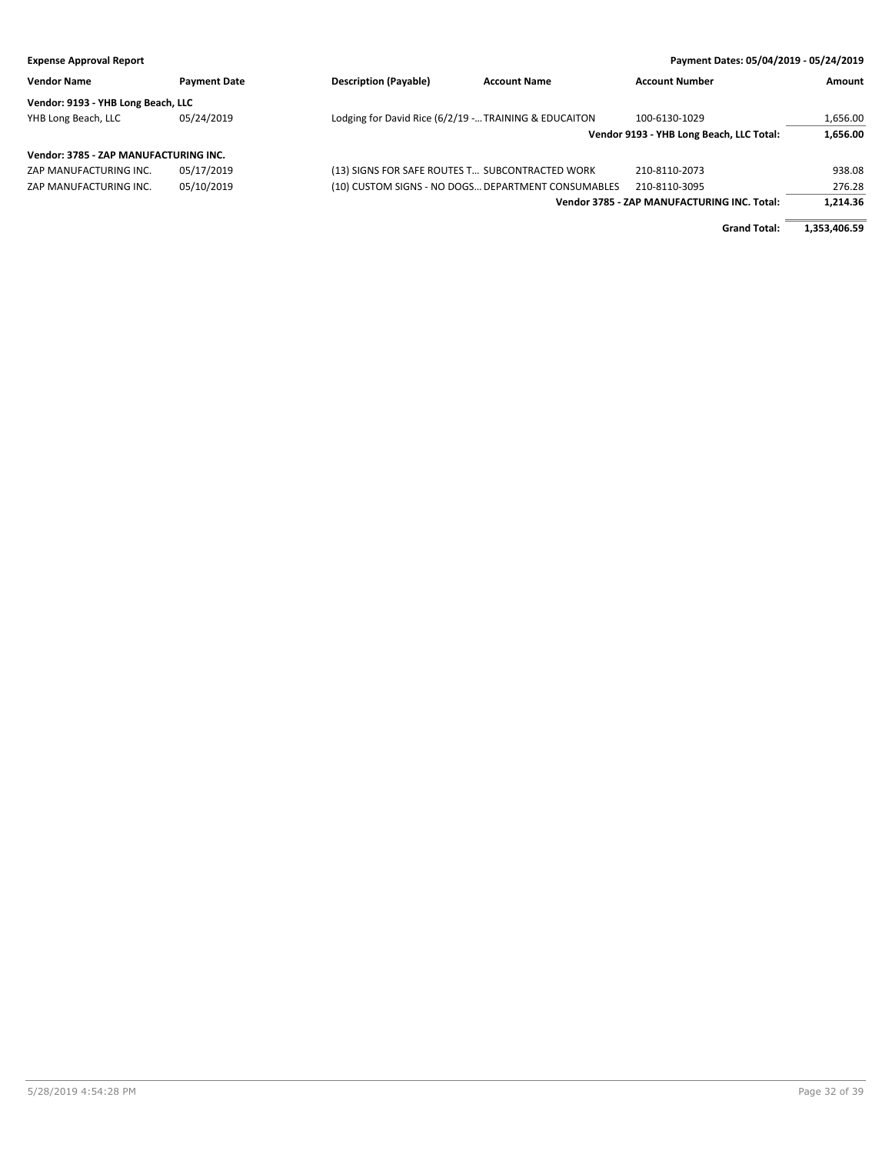| <b>Expense Approval Report</b>        |                     |                                                       |                     | Payment Dates: 05/04/2019 - 05/24/2019      |              |
|---------------------------------------|---------------------|-------------------------------------------------------|---------------------|---------------------------------------------|--------------|
| <b>Vendor Name</b>                    | <b>Payment Date</b> | <b>Description (Payable)</b>                          | <b>Account Name</b> | <b>Account Number</b>                       | Amount       |
| Vendor: 9193 - YHB Long Beach, LLC    |                     |                                                       |                     |                                             |              |
| YHB Long Beach, LLC                   | 05/24/2019          | Lodging for David Rice (6/2/19 - TRAINING & EDUCAITON |                     | 100-6130-1029                               | 1,656.00     |
|                                       |                     |                                                       |                     | Vendor 9193 - YHB Long Beach, LLC Total:    | 1.656.00     |
| Vendor: 3785 - ZAP MANUFACTURING INC. |                     |                                                       |                     |                                             |              |
| ZAP MANUFACTURING INC.                | 05/17/2019          | (13) SIGNS FOR SAFE ROUTES T SUBCONTRACTED WORK       |                     | 210-8110-2073                               | 938.08       |
| ZAP MANUFACTURING INC.                | 05/10/2019          | (10) CUSTOM SIGNS - NO DOGS DEPARTMENT CONSUMABLES    |                     | 210-8110-3095                               | 276.28       |
|                                       |                     |                                                       |                     | Vendor 3785 - ZAP MANUFACTURING INC. Total: | 1.214.36     |
|                                       |                     |                                                       |                     | <b>Grand Total:</b>                         | 1,353,406.59 |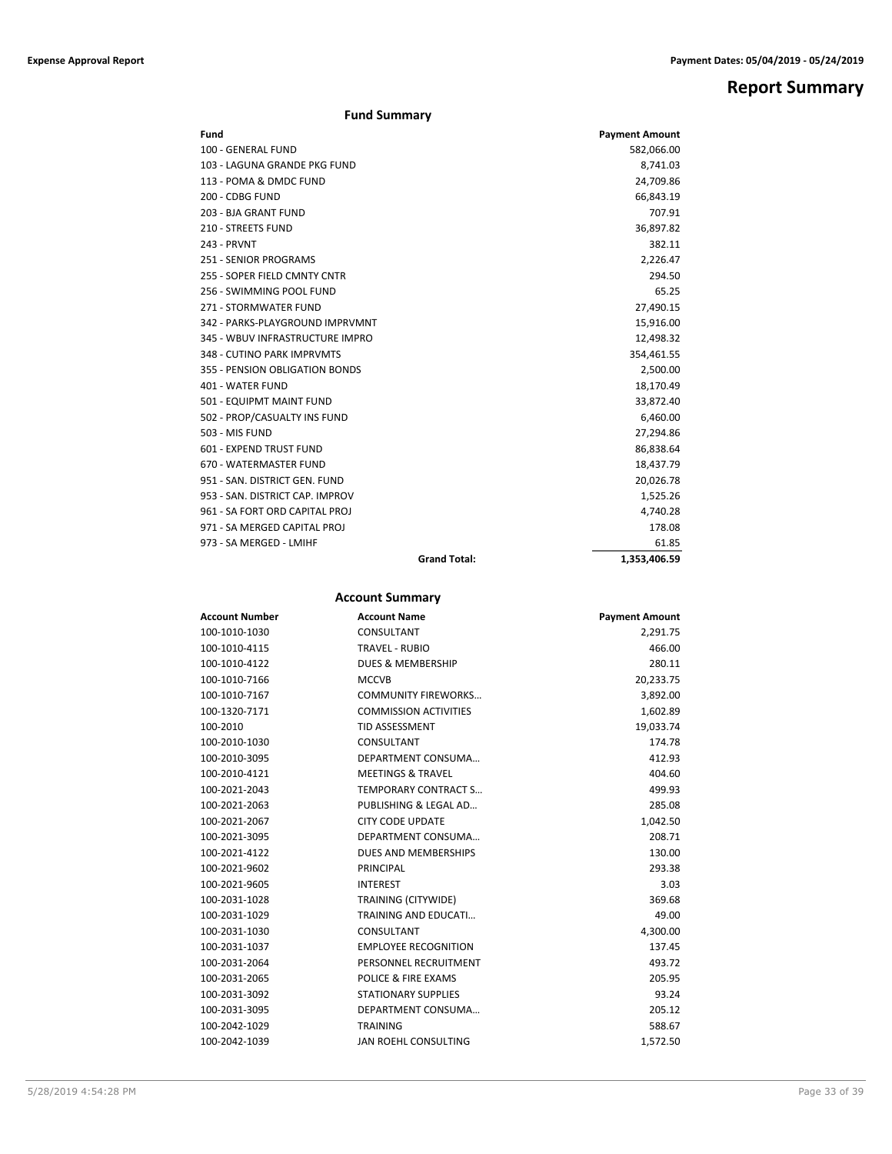## **Report Summary**

### **Fund Summary**

| Fund                            |                     | <b>Payment Amount</b> |
|---------------------------------|---------------------|-----------------------|
| 100 - GENERAL FUND              |                     | 582,066.00            |
| 103 - LAGUNA GRANDE PKG FUND    |                     | 8,741.03              |
| 113 - POMA & DMDC FUND          |                     | 24,709.86             |
| 200 - CDBG FUND                 |                     | 66,843.19             |
| 203 - BJA GRANT FUND            |                     | 707.91                |
| 210 - STREETS FUND              |                     | 36,897.82             |
| 243 - PRVNT                     |                     | 382.11                |
| <b>251 - SENIOR PROGRAMS</b>    |                     | 2,226.47              |
| 255 - SOPER FIELD CMNTY CNTR    |                     | 294.50                |
| 256 - SWIMMING POOL FUND        |                     | 65.25                 |
| 271 - STORMWATER FUND           |                     | 27,490.15             |
| 342 - PARKS-PLAYGROUND IMPRVMNT |                     | 15,916.00             |
| 345 - WBUV INFRASTRUCTURE IMPRO |                     | 12,498.32             |
| 348 - CUTINO PARK IMPRVMTS      |                     | 354,461.55            |
| 355 - PENSION OBLIGATION BONDS  |                     | 2,500.00              |
| 401 - WATER FUND                |                     | 18,170.49             |
| 501 - EQUIPMT MAINT FUND        |                     | 33,872.40             |
| 502 - PROP/CASUALTY INS FUND    |                     | 6,460.00              |
| 503 - MIS FUND                  |                     | 27,294.86             |
| 601 - EXPEND TRUST FUND         |                     | 86,838.64             |
| 670 - WATERMASTER FUND          |                     | 18,437.79             |
| 951 - SAN, DISTRICT GEN, FUND   |                     | 20,026.78             |
| 953 - SAN, DISTRICT CAP, IMPROV |                     | 1,525.26              |
| 961 - SA FORT ORD CAPITAL PROJ  |                     | 4,740.28              |
| 971 - SA MERGED CAPITAL PROJ    |                     | 178.08                |
| 973 - SA MERGED - LMIHF         |                     | 61.85                 |
|                                 | <b>Grand Total:</b> | 1.353.406.59          |

### **Account Summary**

| <b>Account Number</b> | <b>Account Name</b>          | <b>Payment Amount</b> |
|-----------------------|------------------------------|-----------------------|
| 100-1010-1030         | CONSULTANT                   | 2,291.75              |
| 100-1010-4115         | <b>TRAVEL - RUBIO</b>        | 466.00                |
| 100-1010-4122         | <b>DUES &amp; MEMBERSHIP</b> | 280.11                |
| 100-1010-7166         | <b>MCCVB</b>                 | 20,233.75             |
| 100-1010-7167         | <b>COMMUNITY FIREWORKS</b>   | 3,892.00              |
| 100-1320-7171         | <b>COMMISSION ACTIVITIES</b> | 1,602.89              |
| 100-2010              | <b>TID ASSESSMENT</b>        | 19,033.74             |
| 100-2010-1030         | CONSULTANT                   | 174.78                |
| 100-2010-3095         | DEPARTMENT CONSUMA           | 412.93                |
| 100-2010-4121         | <b>MEETINGS &amp; TRAVEL</b> | 404.60                |
| 100-2021-2043         | <b>TEMPORARY CONTRACT S</b>  | 499.93                |
| 100-2021-2063         | PUBLISHING & LEGAL AD        | 285.08                |
| 100-2021-2067         | <b>CITY CODE UPDATE</b>      | 1,042.50              |
| 100-2021-3095         | DEPARTMENT CONSUMA           | 208.71                |
| 100-2021-4122         | DUES AND MEMBERSHIPS         | 130.00                |
| 100-2021-9602         | PRINCIPAL                    | 293.38                |
| 100-2021-9605         | <b>INTEREST</b>              | 3.03                  |
| 100-2031-1028         | TRAINING (CITYWIDE)          | 369.68                |
| 100-2031-1029         | <b>TRAINING AND EDUCATI</b>  | 49.00                 |
| 100-2031-1030         | CONSULTANT                   | 4,300.00              |
| 100-2031-1037         | <b>EMPLOYEE RECOGNITION</b>  | 137.45                |
| 100-2031-2064         | PERSONNEL RECRUITMENT        | 493.72                |
| 100-2031-2065         | POLICE & FIRE EXAMS          | 205.95                |
| 100-2031-3092         | <b>STATIONARY SUPPLIES</b>   | 93.24                 |
| 100-2031-3095         | DEPARTMENT CONSUMA           | 205.12                |
| 100-2042-1029         | <b>TRAINING</b>              | 588.67                |
| 100-2042-1039         | JAN ROEHL CONSULTING         | 1.572.50              |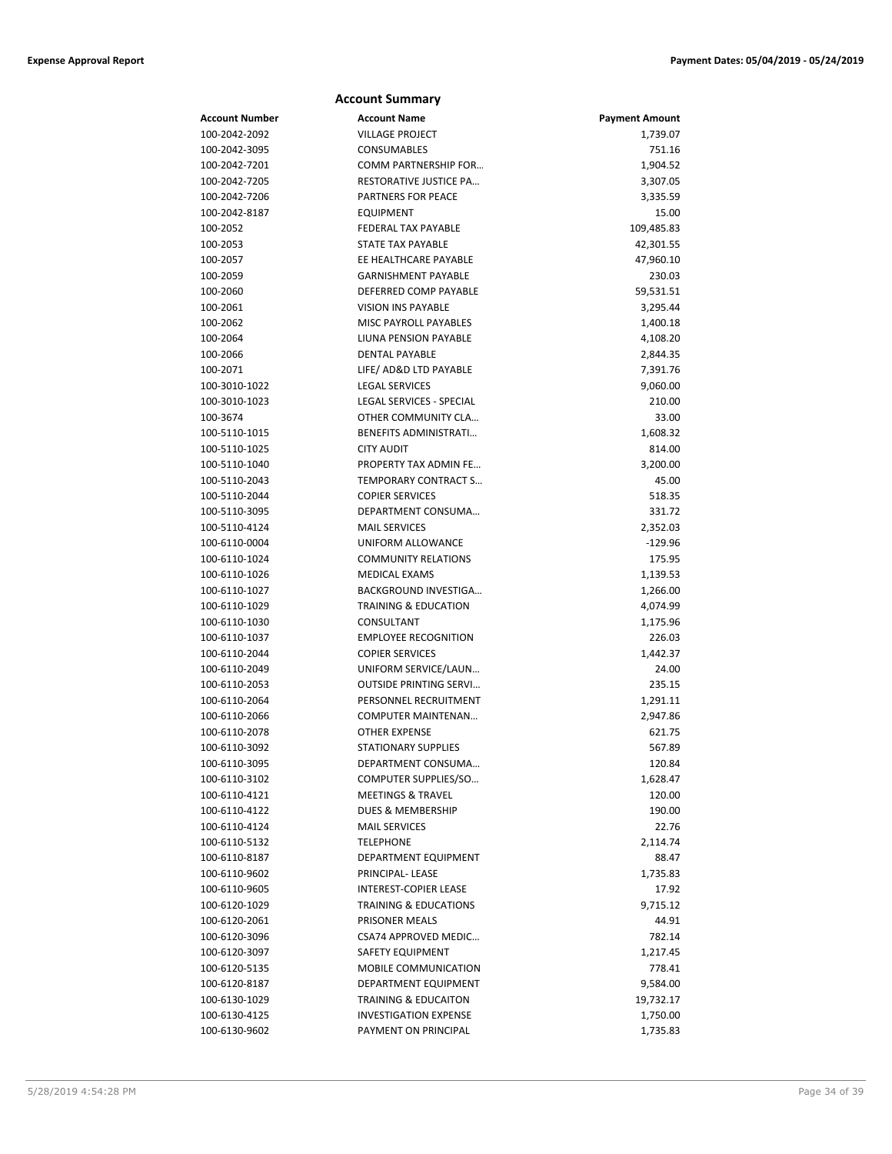|                                | <b>Account Summary</b>                               |                       |
|--------------------------------|------------------------------------------------------|-----------------------|
| Account Number                 | <b>Account Name</b>                                  | <b>Payment Amount</b> |
| 100-2042-2092                  | <b>VILLAGE PROJECT</b>                               | 1,739.07              |
| 100-2042-3095                  | CONSUMABLES                                          | 751.16                |
| 100-2042-7201                  | COMM PARTNERSHIP FOR                                 | 1,904.52              |
| 100-2042-7205                  | RESTORATIVE JUSTICE PA                               | 3,307.05              |
| 100-2042-7206                  | PARTNERS FOR PEACE                                   | 3,335.59              |
| 100-2042-8187                  | <b>EQUIPMENT</b>                                     | 15.00                 |
| 100-2052                       | <b>FEDERAL TAX PAYABLE</b>                           | 109,485.83            |
| 100-2053                       | <b>STATE TAX PAYABLE</b>                             | 42,301.55             |
| 100-2057                       | EE HEALTHCARE PAYABLE                                | 47,960.10             |
| 100-2059                       | <b>GARNISHMENT PAYABLE</b>                           | 230.03                |
| 100-2060                       | DEFERRED COMP PAYABLE                                | 59,531.51             |
| 100-2061                       | <b>VISION INS PAYABLE</b>                            | 3,295.44              |
| 100-2062                       | MISC PAYROLL PAYABLES                                | 1,400.18              |
| 100-2064                       | LIUNA PENSION PAYABLE                                | 4,108.20              |
| 100-2066                       | <b>DENTAL PAYABLE</b>                                | 2,844.35              |
| 100-2071                       | LIFE/ AD&D LTD PAYABLE                               | 7,391.76              |
| 100-3010-1022                  | <b>LEGAL SERVICES</b>                                | 9,060.00              |
| 100-3010-1023                  | LEGAL SERVICES - SPECIAL                             | 210.00                |
| 100-3674                       | OTHER COMMUNITY CLA                                  | 33.00                 |
| 100-5110-1015                  | BENEFITS ADMINISTRATI                                | 1,608.32              |
| 100-5110-1025                  | <b>CITY AUDIT</b>                                    | 814.00                |
| 100-5110-1040                  | PROPERTY TAX ADMIN FE                                | 3,200.00              |
| 100-5110-2043                  | TEMPORARY CONTRACT S                                 | 45.00                 |
| 100-5110-2044                  | <b>COPIER SERVICES</b>                               | 518.35                |
| 100-5110-3095                  | DEPARTMENT CONSUMA                                   | 331.72                |
| 100-5110-4124                  | <b>MAIL SERVICES</b>                                 | 2,352.03              |
| 100-6110-0004                  | UNIFORM ALLOWANCE                                    | $-129.96$             |
| 100-6110-1024                  | <b>COMMUNITY RELATIONS</b>                           | 175.95                |
| 100-6110-1026                  | MEDICAL EXAMS                                        | 1,139.53              |
| 100-6110-1027                  | BACKGROUND INVESTIGA                                 | 1,266.00              |
| 100-6110-1029                  | <b>TRAINING &amp; EDUCATION</b>                      | 4,074.99              |
| 100-6110-1030                  | CONSULTANT                                           | 1,175.96              |
| 100-6110-1037                  | <b>EMPLOYEE RECOGNITION</b>                          | 226.03                |
| 100-6110-2044                  | <b>COPIER SERVICES</b>                               | 1,442.37              |
| 100-6110-2049                  | UNIFORM SERVICE/LAUN                                 | 24.00                 |
| 100-6110-2053                  | <b>OUTSIDE PRINTING SERVI</b>                        | 235.15                |
| 100-6110-2064                  | PERSONNEL RECRUITMENT                                | 1,291.11              |
| 100-6110-2066                  | <b>COMPUTER MAINTENAN</b>                            | 2,947.86              |
| 100-6110-2078                  | <b>OTHER EXPENSE</b>                                 | 621.75                |
| 100-6110-3092                  | <b>STATIONARY SUPPLIES</b>                           | 567.89                |
| 100-6110-3095                  | DEPARTMENT CONSUMA                                   | 120.84                |
| 100-6110-3102                  | COMPUTER SUPPLIES/SO<br><b>MEETINGS &amp; TRAVEL</b> | 1,628.47              |
| 100-6110-4121<br>100-6110-4122 | DUES & MEMBERSHIP                                    | 120.00<br>190.00      |
| 100-6110-4124                  | <b>MAIL SERVICES</b>                                 | 22.76                 |
|                                | <b>TELEPHONE</b>                                     |                       |
| 100-6110-5132<br>100-6110-8187 |                                                      | 2,114.74              |
|                                | DEPARTMENT EQUIPMENT<br>PRINCIPAL-LEASE              | 88.47<br>1,735.83     |
| 100-6110-9602<br>100-6110-9605 | INTEREST-COPIER LEASE                                | 17.92                 |
| 100-6120-1029                  | <b>TRAINING &amp; EDUCATIONS</b>                     | 9,715.12              |
| 100-6120-2061                  | PRISONER MEALS                                       | 44.91                 |
| 100-6120-3096                  | CSA74 APPROVED MEDIC                                 | 782.14                |
| 100-6120-3097                  | SAFETY EQUIPMENT                                     | 1,217.45              |
| 100-6120-5135                  | MOBILE COMMUNICATION                                 | 778.41                |
| 100-6120-8187                  | DEPARTMENT EQUIPMENT                                 | 9,584.00              |
| 100-6130-1029                  | <b>TRAINING &amp; EDUCAITON</b>                      | 19,732.17             |
| 100-6130-4125                  | <b>INVESTIGATION EXPENSE</b>                         | 1,750.00              |
| 100-6130-9602                  | PAYMENT ON PRINCIPAL                                 | 1,735.83              |
|                                |                                                      |                       |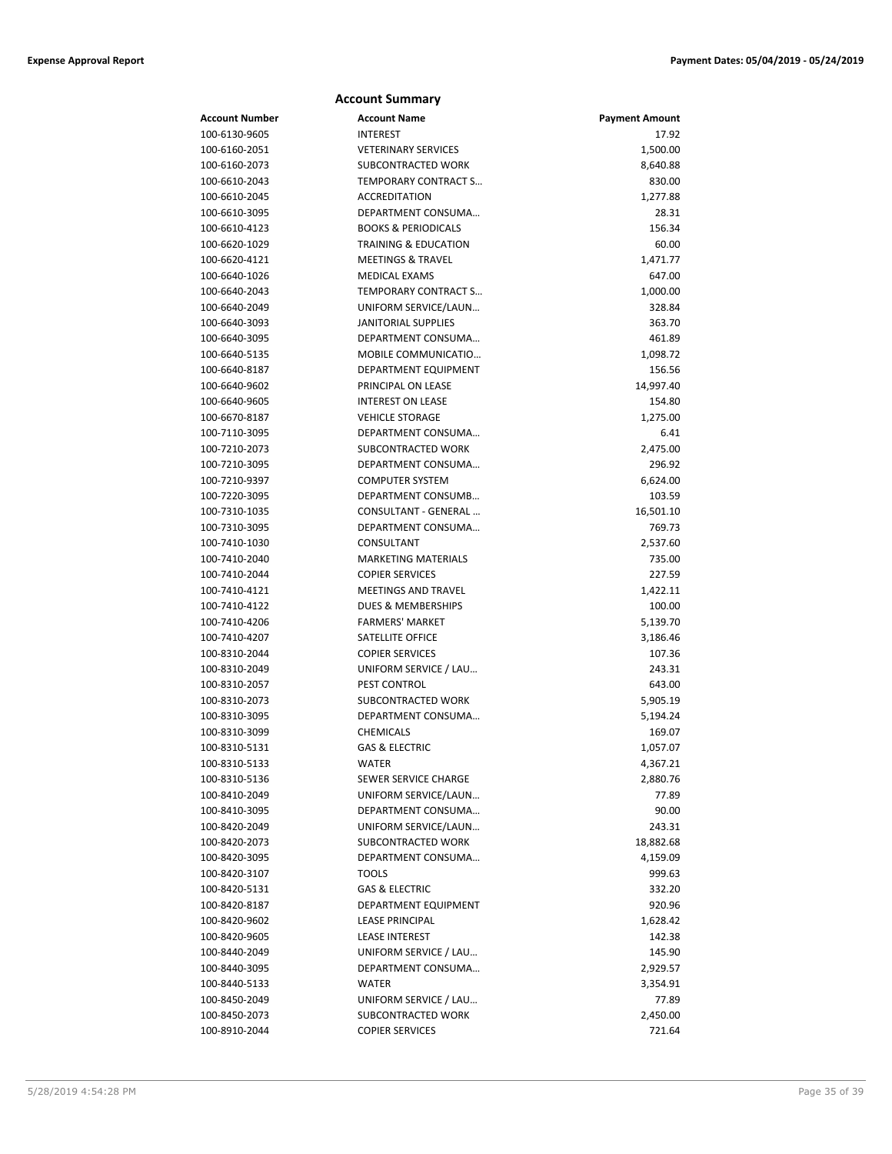| <b>Account Number</b> | <b>Account Name</b>             | <b>Payment Amount</b> |
|-----------------------|---------------------------------|-----------------------|
| 100-6130-9605         | <b>INTEREST</b>                 | 17.92                 |
| 100-6160-2051         | <b>VETERINARY SERVICES</b>      | 1,500.00              |
| 100-6160-2073         | SUBCONTRACTED WORK              | 8,640.88              |
| 100-6610-2043         | TEMPORARY CONTRACT S            | 830.00                |
| 100-6610-2045         | <b>ACCREDITATION</b>            | 1,277.88              |
| 100-6610-3095         | DEPARTMENT CONSUMA              | 28.31                 |
| 100-6610-4123         | <b>BOOKS &amp; PERIODICALS</b>  | 156.34                |
| 100-6620-1029         | <b>TRAINING &amp; EDUCATION</b> | 60.00                 |
| 100-6620-4121         | <b>MEETINGS &amp; TRAVEL</b>    | 1,471.77              |
| 100-6640-1026         | MEDICAL EXAMS                   | 647.00                |
| 100-6640-2043         | TEMPORARY CONTRACT S            | 1,000.00              |
| 100-6640-2049         | UNIFORM SERVICE/LAUN            | 328.84                |
| 100-6640-3093         | <b>JANITORIAL SUPPLIES</b>      | 363.70                |
| 100-6640-3095         | DEPARTMENT CONSUMA              | 461.89                |
| 100-6640-5135         | MOBILE COMMUNICATIO             | 1,098.72              |
| 100-6640-8187         | DEPARTMENT EQUIPMENT            | 156.56                |
| 100-6640-9602         | PRINCIPAL ON LEASE              | 14,997.40             |
| 100-6640-9605         | <b>INTEREST ON LEASE</b>        | 154.80                |
| 100-6670-8187         | <b>VEHICLE STORAGE</b>          | 1,275.00              |
| 100-7110-3095         | DEPARTMENT CONSUMA              | 6.41                  |
| 100-7210-2073         | SUBCONTRACTED WORK              | 2,475.00              |
| 100-7210-3095         | DEPARTMENT CONSUMA              | 296.92                |
| 100-7210-9397         | <b>COMPUTER SYSTEM</b>          | 6,624.00              |
| 100-7220-3095         | DEPARTMENT CONSUMB              | 103.59                |
| 100-7310-1035         | CONSULTANT - GENERAL            | 16,501.10             |
| 100-7310-3095         | DEPARTMENT CONSUMA              | 769.73                |
| 100-7410-1030         | CONSULTANT                      | 2,537.60              |
| 100-7410-2040         | <b>MARKETING MATERIALS</b>      | 735.00                |
| 100-7410-2044         | <b>COPIER SERVICES</b>          | 227.59                |
| 100-7410-4121         | <b>MEETINGS AND TRAVEL</b>      | 1,422.11              |
| 100-7410-4122         | <b>DUES &amp; MEMBERSHIPS</b>   | 100.00                |
| 100-7410-4206         | <b>FARMERS' MARKET</b>          | 5,139.70              |
| 100-7410-4207         | SATELLITE OFFICE                | 3,186.46              |
| 100-8310-2044         | <b>COPIER SERVICES</b>          | 107.36                |
| 100-8310-2049         | UNIFORM SERVICE / LAU           | 243.31                |
| 100-8310-2057         | PEST CONTROL                    | 643.00                |
| 100-8310-2073         | <b>SUBCONTRACTED WORK</b>       | 5,905.19              |
| 100-8310-3095         | DEPARTMENT CONSUMA              | 5,194.24              |
| 100-8310-3099         | <b>CHEMICALS</b>                | 169.07                |
| 100-8310-5131         | <b>GAS &amp; ELECTRIC</b>       | 1,057.07              |
| 100-8310-5133         | WATER                           | 4,367.21              |
| 100-8310-5136         | SEWER SERVICE CHARGE            | 2,880.76              |
| 100-8410-2049         | UNIFORM SERVICE/LAUN            | 77.89                 |
| 100-8410-3095         | DEPARTMENT CONSUMA              | 90.00                 |
| 100-8420-2049         | UNIFORM SERVICE/LAUN            | 243.31                |
| 100-8420-2073         | SUBCONTRACTED WORK              | 18,882.68             |
| 100-8420-3095         | DEPARTMENT CONSUMA              | 4,159.09              |
| 100-8420-3107         | <b>TOOLS</b>                    | 999.63                |
| 100-8420-5131         | GAS & ELECTRIC                  | 332.20                |
| 100-8420-8187         | DEPARTMENT EQUIPMENT            | 920.96                |
| 100-8420-9602         | <b>LEASE PRINCIPAL</b>          | 1,628.42              |
| 100-8420-9605         | <b>LEASE INTEREST</b>           | 142.38                |
| 100-8440-2049         | UNIFORM SERVICE / LAU           |                       |
| 100-8440-3095         | DEPARTMENT CONSUMA              | 145.90                |
|                       |                                 | 2,929.57              |

100-8440-5133 WATER 3,354.91 100-8450-2049 UNIFORM SERVICE / LAU… 77.89 100-8450-2073 SUBCONTRACTED WORK 2,450.00 100-8910-2044 COPIER SERVICES 721.64

**Account Summary**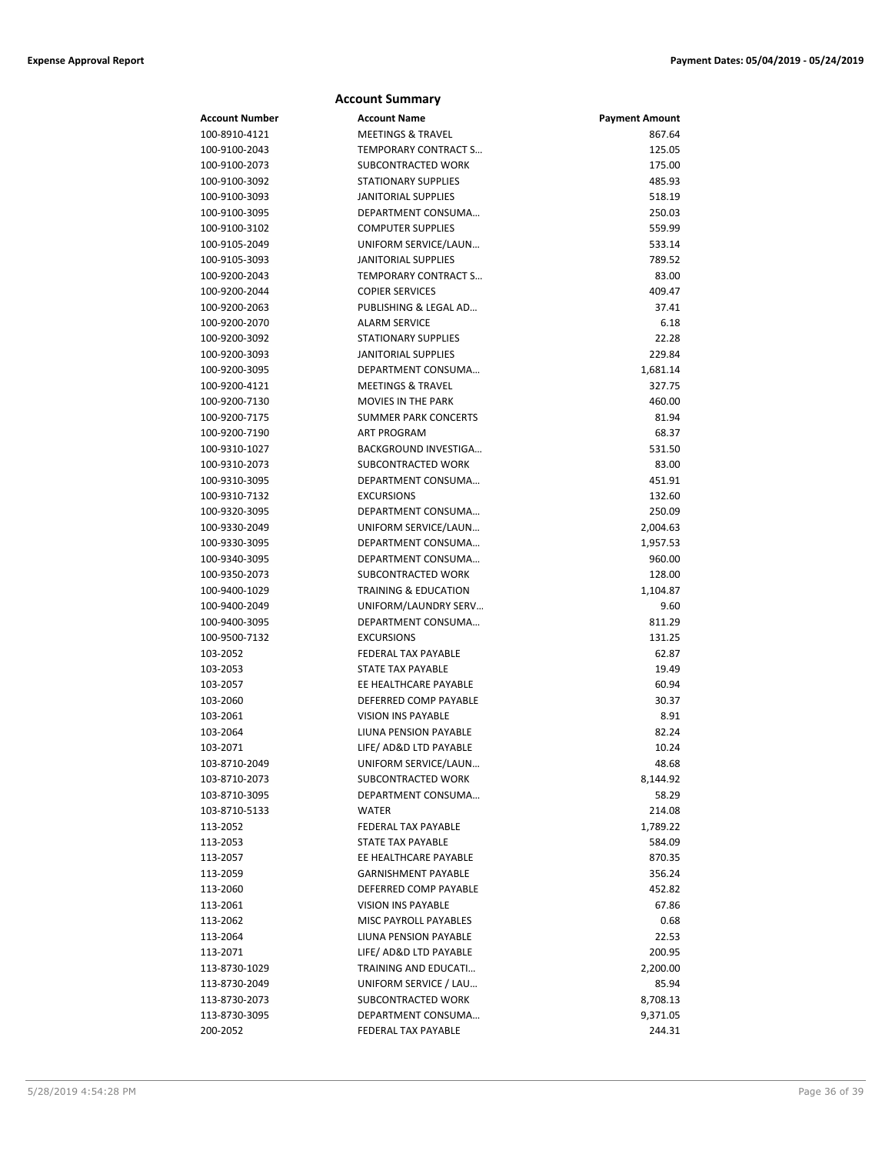#### **Account Number Account Name Payment Amount** 100-8910-4121 MEETINGS & TRAVEL 867.64 100-9100-2043 TEMPORARY CONTRACT S… 125.05 100-9100-2073 SUBCONTRACTED WORK 175.00 100-9100-3092 STATIONARY SUPPLIES 485.93 100-9100-3093 JANITORIAL SUPPLIES 518.19 100-9100-3095 DEPARTMENT CONSUMA… 250.03 100-9100-3102 COMPUTER SUPPLIES 559.99 100-9105-2049 UNIFORM SERVICE/LAUN… 533.14 100-9105-3093 JANITORIAL SUPPLIES 789.52 100-9200-2043 TEMPORARY CONTRACT S… 83.00 100-9200-2044 COPIER SERVICES 409.47 100-9200-2063 PUBLISHING & LEGAL AD… 37.41 100-9200-2070 ALARM SERVICE 6.18 100-9200-3092 STATIONARY SUPPLIES 22.28 100-9200-3093 JANITORIAL SUPPLIES 229.84 100-9200-3095 DEPARTMENT CONSUMA... 1,681.14 100-9200-4121 MEETINGS & TRAVEL 327.75 100-9200-7130 MOVIES IN THE PARK 460.00 100-9200-7175 SUMMER PARK CONCERTS 81.94 100-9200-7190 ART PROGRAM 68.37 100-9310-1027 BACKGROUND INVESTIGA… 531.50 100-9310-2073 SUBCONTRACTED WORK 83.00 100-9310-3095 DEPARTMENT CONSUMA… 451.91 100-9310-7132 EXCURSIONS 132.60 100-9320-3095 DEPARTMENT CONSUMA… 250.09 100-9330-2049 UNIFORM SERVICE/LAUN… 2,004.63 100-9330-3095 DEPARTMENT CONSUMA... 1,957.53 100-9340-3095 DEPARTMENT CONSUMA… 960.00 100-9350-2073 SUBCONTRACTED WORK 128.00 100-9400-1029 TRAINING & EDUCATION 1,104.87 100-9400-2049 UNIFORM/LAUNDRY SERV… 9.60 100-9400-3095 DEPARTMENT CONSUMA… 811.29 100-9500-7132 EXCURSIONS 131.25 103-2052 EEDERAL TAX PAYABLE 62.87 103-2053 STATE TAX PAYABLE 19.49 103-2057 EE HEALTHCARE PAYABLE 60.94 103-2060 DEFERRED COMP PAYABLE 30.37 103-2061 VISION INS PAYABLE 8.91 103-2064 LIUNA PENSION PAYABLE 82.24 103-2071 LIFE/ AD&D LTD PAYABLE 10.24 103-8710-2049 UNIFORM SERVICE/LAUN… 48.68 103-8710-2073 SUBCONTRACTED WORK 8,144.92 103-8710-3095 DEPARTMENT CONSUMA… 58.29 103-8710-5133 WATER 214.08 113-2052 FEDERAL TAX PAYABLE 1,789.22 113-2053 STATE TAX PAYABLE 584.09 113-2057 EE HEALTHCARE PAYABLE 870.35 113-2059 GARNISHMENT PAYABLE 356.24 113-2060 DEFERRED COMP PAYABLE 452.82 113-2061 VISION INS PAYABLE 67.86 113-2062 MISC PAYROLL PAYABLES 0.68 113-2064 LIUNA PENSION PAYABLE 22.53 113-2071 LIFE/ AD&D LTD PAYABLE 200.95 113-8730-1029 TRAINING AND EDUCATI… 2,200.00 113-8730-2049 UNIFORM SERVICE / LAU… 85.94 113-8730-2073 SUBCONTRACTED WORK 8,708.13 113-8730-3095 DEPARTMENT CONSUMA… 9,371.05 200-2052 FEDERAL TAX PAYABLE 244.31

**Account Summary**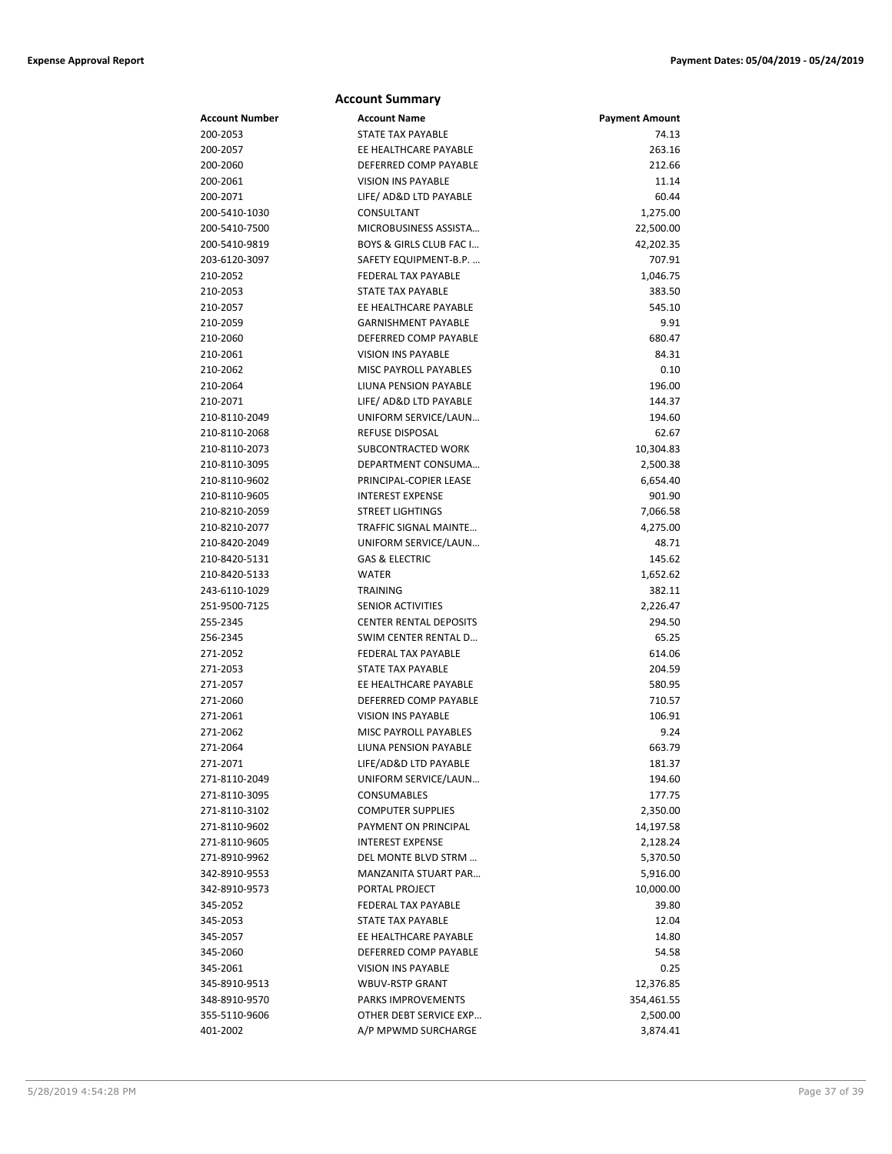|                | <b>Account Summary</b>        |                       |
|----------------|-------------------------------|-----------------------|
| Account Number | <b>Account Name</b>           | <b>Payment Amount</b> |
| 200-2053       | <b>STATE TAX PAYABLE</b>      | 74.13                 |
| 200-2057       | EE HEALTHCARE PAYABLE         | 263.16                |
| 200-2060       | DEFERRED COMP PAYABLE         | 212.66                |
| 200-2061       | <b>VISION INS PAYABLE</b>     | 11.14                 |
| 200-2071       | LIFE/ AD&D LTD PAYABLE        | 60.44                 |
| 200-5410-1030  | CONSULTANT                    | 1,275.00              |
| 200-5410-7500  | MICROBUSINESS ASSISTA         | 22,500.00             |
| 200-5410-9819  | BOYS & GIRLS CLUB FAC I       | 42,202.35             |
| 203-6120-3097  | SAFETY EQUIPMENT-B.P.         | 707.91                |
| 210-2052       | <b>FEDERAL TAX PAYABLE</b>    | 1,046.75              |
| 210-2053       | STATE TAX PAYABLE             | 383.50                |
| 210-2057       | EE HEALTHCARE PAYABLE         | 545.10                |
| 210-2059       | <b>GARNISHMENT PAYABLE</b>    | 9.91                  |
| 210-2060       | DEFERRED COMP PAYABLE         | 680.47                |
| 210-2061       | <b>VISION INS PAYABLE</b>     | 84.31                 |
| 210-2062       | MISC PAYROLL PAYABLES         | 0.10                  |
| 210-2064       | LIUNA PENSION PAYABLE         | 196.00                |
| 210-2071       | LIFE/ AD&D LTD PAYABLE        | 144.37                |
| 210-8110-2049  | UNIFORM SERVICE/LAUN          | 194.60                |
| 210-8110-2068  | REFUSE DISPOSAL               | 62.67                 |
| 210-8110-2073  | SUBCONTRACTED WORK            | 10,304.83             |
| 210-8110-3095  | DEPARTMENT CONSUMA            | 2,500.38              |
| 210-8110-9602  | PRINCIPAL-COPIER LEASE        | 6,654.40              |
| 210-8110-9605  | <b>INTEREST EXPENSE</b>       | 901.90                |
| 210-8210-2059  | <b>STREET LIGHTINGS</b>       | 7,066.58              |
| 210-8210-2077  | TRAFFIC SIGNAL MAINTE         | 4,275.00              |
| 210-8420-2049  | UNIFORM SERVICE/LAUN          | 48.71                 |
| 210-8420-5131  | <b>GAS &amp; ELECTRIC</b>     | 145.62                |
| 210-8420-5133  | <b>WATER</b>                  | 1,652.62              |
| 243-6110-1029  | <b>TRAINING</b>               | 382.11                |
| 251-9500-7125  | <b>SENIOR ACTIVITIES</b>      | 2,226.47              |
| 255-2345       | <b>CENTER RENTAL DEPOSITS</b> | 294.50                |
| 256-2345       | SWIM CENTER RENTAL D          | 65.25                 |
| 271-2052       | <b>FEDERAL TAX PAYABLE</b>    | 614.06                |
| 271-2053       | <b>STATE TAX PAYABLE</b>      | 204.59                |
| 271-2057       | EE HEALTHCARE PAYABLE         | 580.95                |
| 271-2060       | DEFERRED COMP PAYABLE         | 710.57                |
| 271-2061       | <b>VISION INS PAYABLE</b>     | 106.91                |
| 271-2062       | <b>MISC PAYROLL PAYABLES</b>  | 9.24                  |
| 271-2064       | LIUNA PENSION PAYABLE         | 663.79                |
| 271-2071       | LIFE/AD&D LTD PAYABLE         | 181.37                |
| 271-8110-2049  | UNIFORM SERVICE/LAUN          | 194.60                |
| 271-8110-3095  | CONSUMABLES                   | 177.75                |
| 271-8110-3102  | <b>COMPUTER SUPPLIES</b>      | 2,350.00              |
| 271-8110-9602  | PAYMENT ON PRINCIPAL          | 14,197.58             |
| 271-8110-9605  | <b>INTEREST EXPENSE</b>       | 2,128.24              |
| 271-8910-9962  | DEL MONTE BLVD STRM           | 5,370.50              |
| 342-8910-9553  | MANZANITA STUART PAR          | 5,916.00              |
| 342-8910-9573  | PORTAL PROJECT                | 10,000.00             |
| 345-2052       | FEDERAL TAX PAYABLE           | 39.80                 |
| 345-2053       | <b>STATE TAX PAYABLE</b>      | 12.04                 |
| 345-2057       | EE HEALTHCARE PAYABLE         | 14.80                 |
| 345-2060       | DEFERRED COMP PAYABLE         | 54.58                 |
| 345-2061       | <b>VISION INS PAYABLE</b>     | 0.25                  |
| 345-8910-9513  | <b>WBUV-RSTP GRANT</b>        | 12,376.85             |
| 348-8910-9570  | PARKS IMPROVEMENTS            | 354,461.55            |
| 355-5110-9606  | OTHER DEBT SERVICE EXP        | 2,500.00              |
| 401-2002       | A/P MPWMD SURCHARGE           | 3,874.41              |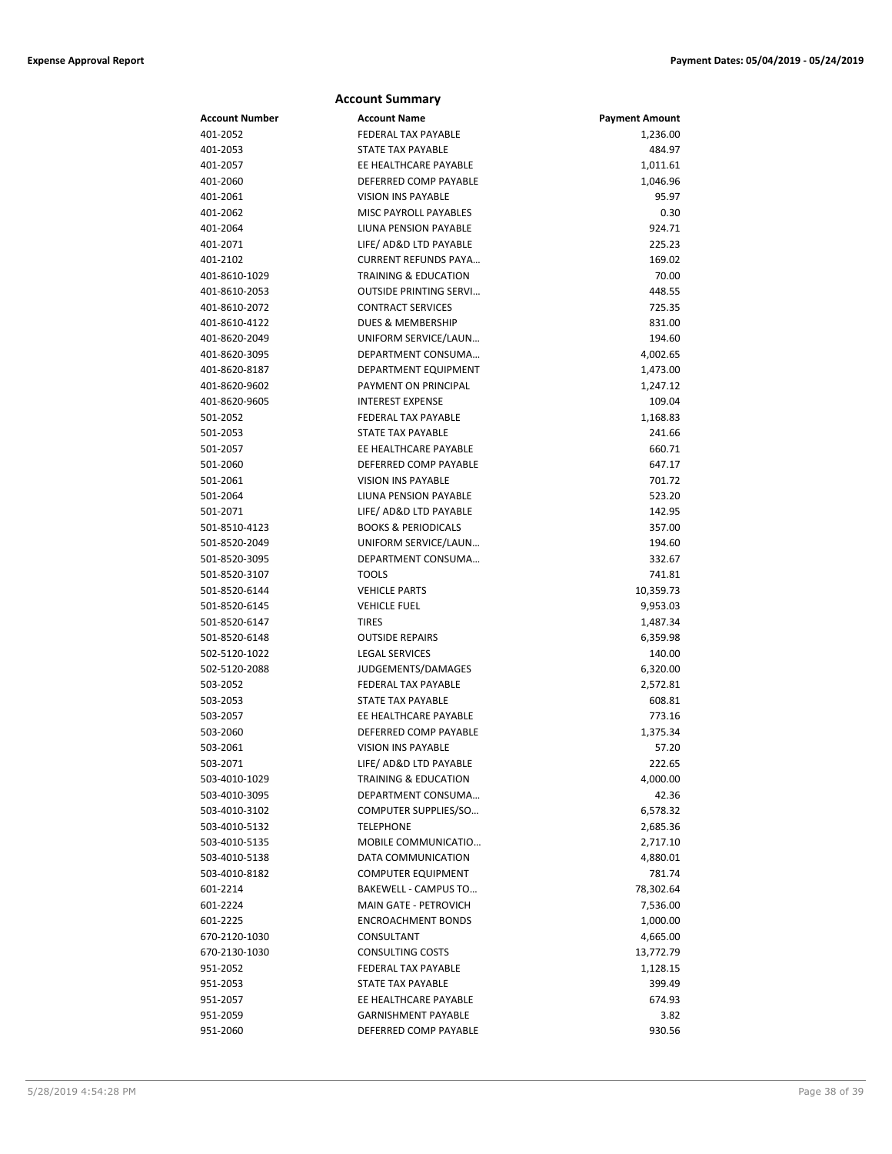|                      | <b>Account Summary</b>                      |                       |
|----------------------|---------------------------------------------|-----------------------|
| Account Number       | <b>Account Name</b>                         | <b>Payment Amount</b> |
| 401-2052             | <b>FEDERAL TAX PAYABLE</b>                  | 1,236.00              |
| 401-2053             | <b>STATE TAX PAYABLE</b>                    | 484.97                |
| 401-2057             | EE HEALTHCARE PAYABLE                       | 1,011.61              |
| 401-2060             | DEFERRED COMP PAYABLE                       | 1,046.96              |
| 401-2061             | <b>VISION INS PAYABLE</b>                   | 95.97                 |
| 401-2062             | MISC PAYROLL PAYABLES                       | 0.30                  |
| 401-2064             | LIUNA PENSION PAYABLE                       | 924.71                |
| 401-2071             | LIFE/ AD&D LTD PAYABLE                      | 225.23                |
| 401-2102             | <b>CURRENT REFUNDS PAYA</b>                 | 169.02                |
| 401-8610-1029        | <b>TRAINING &amp; EDUCATION</b>             | 70.00                 |
| 401-8610-2053        | <b>OUTSIDE PRINTING SERVI</b>               | 448.55                |
| 401-8610-2072        | <b>CONTRACT SERVICES</b>                    | 725.35                |
| 401-8610-4122        | <b>DUES &amp; MEMBERSHIP</b>                | 831.00                |
| 401-8620-2049        | UNIFORM SERVICE/LAUN                        | 194.60                |
| 401-8620-3095        | DEPARTMENT CONSUMA                          | 4,002.65              |
| 401-8620-8187        | DEPARTMENT EQUIPMENT                        | 1,473.00              |
| 401-8620-9602        | PAYMENT ON PRINCIPAL                        | 1,247.12              |
| 401-8620-9605        | <b>INTEREST EXPENSE</b>                     | 109.04                |
| 501-2052             | FEDERAL TAX PAYABLE                         | 1,168.83              |
| 501-2053             | STATE TAX PAYABLE                           | 241.66                |
| 501-2057             | EE HEALTHCARE PAYABLE                       | 660.71                |
| 501-2060             | DEFERRED COMP PAYABLE                       | 647.17                |
| 501-2061             | <b>VISION INS PAYABLE</b>                   | 701.72                |
| 501-2064             | <b>LIUNA PENSION PAYABLE</b>                | 523.20                |
| 501-2071             | LIFE/ AD&D LTD PAYABLE                      | 142.95                |
| 501-8510-4123        | <b>BOOKS &amp; PERIODICALS</b>              | 357.00                |
| 501-8520-2049        | UNIFORM SERVICE/LAUN                        | 194.60                |
| 501-8520-3095        | DEPARTMENT CONSUMA                          | 332.67                |
| 501-8520-3107        | <b>TOOLS</b>                                | 741.81                |
| 501-8520-6144        | <b>VEHICLE PARTS</b>                        | 10,359.73             |
| 501-8520-6145        | <b>VEHICLE FUEL</b>                         | 9,953.03              |
| 501-8520-6147        | <b>TIRES</b>                                | 1,487.34              |
| 501-8520-6148        | <b>OUTSIDE REPAIRS</b>                      | 6,359.98              |
| 502-5120-1022        | <b>LEGAL SERVICES</b><br>JUDGEMENTS/DAMAGES | 140.00                |
| 502-5120-2088        | FEDERAL TAX PAYABLE                         | 6,320.00              |
| 503-2052<br>503-2053 | STATE TAX PAYABLE                           | 2,572.81<br>608.81    |
| 503-2057             | EE HEALTHCARE PAYABLE                       | 773.16                |
| 503-2060             | DEFERRED COMP PAYABLE                       | 1,375.34              |
| 503-2061             | VISION INS PAYABLE                          | 57.20                 |
| 503-2071             | LIFE/ AD&D LTD PAYABLE                      | 222.65                |
| 503-4010-1029        | <b>TRAINING &amp; EDUCATION</b>             | 4,000.00              |
| 503-4010-3095        | DEPARTMENT CONSUMA                          | 42.36                 |
| 503-4010-3102        | COMPUTER SUPPLIES/SO                        | 6,578.32              |
| 503-4010-5132        | <b>TELEPHONE</b>                            | 2,685.36              |
| 503-4010-5135        | MOBILE COMMUNICATIO                         | 2,717.10              |
| 503-4010-5138        | DATA COMMUNICATION                          | 4,880.01              |
| 503-4010-8182        | <b>COMPUTER EQUIPMENT</b>                   | 781.74                |
| 601-2214             | BAKEWELL - CAMPUS TO                        | 78,302.64             |
| 601-2224             | MAIN GATE - PETROVICH                       | 7,536.00              |
| 601-2225             | <b>ENCROACHMENT BONDS</b>                   | 1,000.00              |
| 670-2120-1030        | CONSULTANT                                  | 4,665.00              |
| 670-2130-1030        | <b>CONSULTING COSTS</b>                     | 13,772.79             |
| 951-2052             | FEDERAL TAX PAYABLE                         | 1,128.15              |
| 951-2053             | STATE TAX PAYABLE                           | 399.49                |
| 951-2057             | EE HEALTHCARE PAYABLE                       | 674.93                |
| 951-2059             | <b>GARNISHMENT PAYABLE</b>                  | 3.82                  |
| 951-2060             | DEFERRED COMP PAYABLE                       | 930.56                |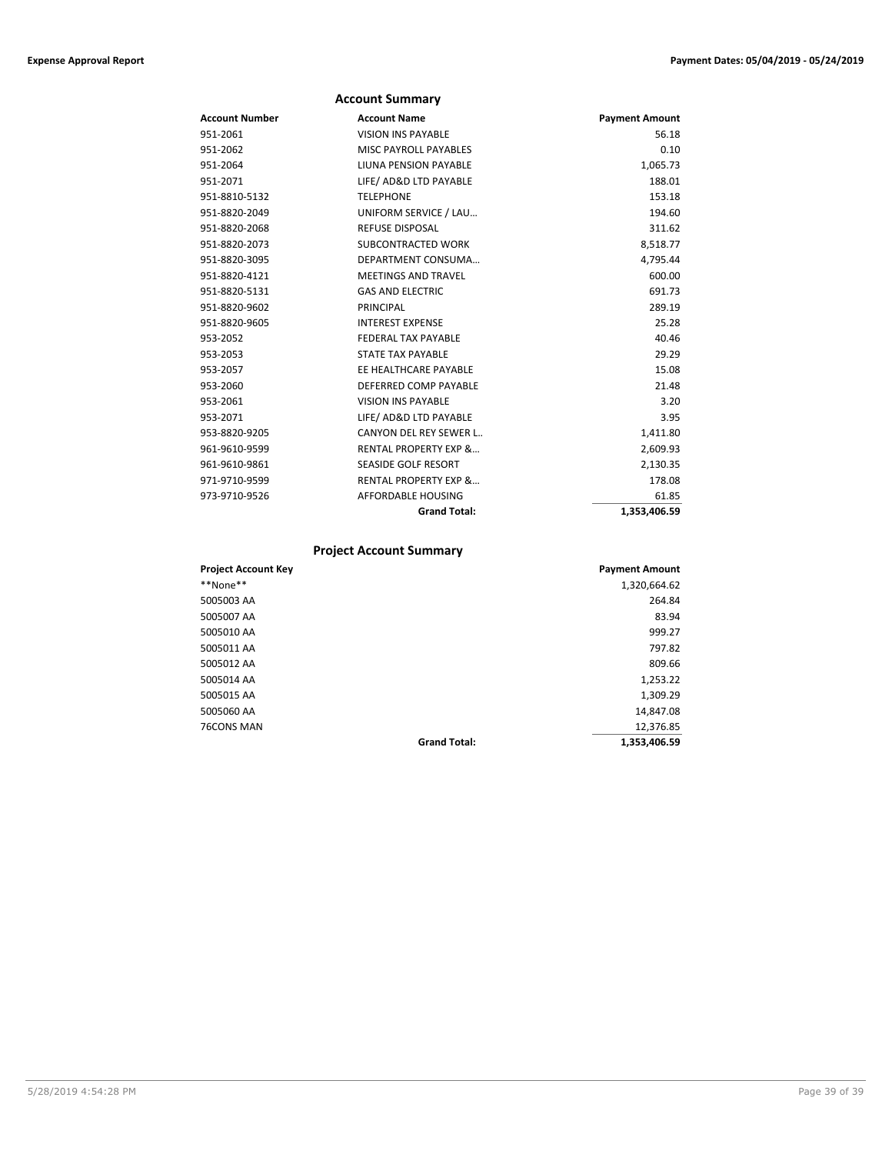|                | <b>Account Summary</b>           |                       |
|----------------|----------------------------------|-----------------------|
| Account Number | <b>Account Name</b>              | <b>Payment Amount</b> |
| 951-2061       | <b>VISION INS PAYABLE</b>        | 56.18                 |
| 951-2062       | MISC PAYROLL PAYABLES            | 0.10                  |
| 951-2064       | LIUNA PENSION PAYABLE            | 1,065.73              |
| 951-2071       | LIFE/ AD&D LTD PAYABLE           | 188.01                |
| 951-8810-5132  | <b>TELEPHONE</b>                 | 153.18                |
| 951-8820-2049  | UNIFORM SERVICE / LAU            | 194.60                |
| 951-8820-2068  | <b>REFUSE DISPOSAL</b>           | 311.62                |
| 951-8820-2073  | SUBCONTRACTED WORK               | 8,518.77              |
| 951-8820-3095  | DEPARTMENT CONSUMA               | 4,795.44              |
| 951-8820-4121  | <b>MEETINGS AND TRAVEL</b>       | 600.00                |
| 951-8820-5131  | <b>GAS AND ELECTRIC</b>          | 691.73                |
| 951-8820-9602  | PRINCIPAL                        | 289.19                |
| 951-8820-9605  | <b>INTEREST EXPENSE</b>          | 25.28                 |
| 953-2052       | FEDERAL TAX PAYABLE              | 40.46                 |
| 953-2053       | <b>STATE TAX PAYABLE</b>         | 29.29                 |
| 953-2057       | EE HEALTHCARE PAYABLE            | 15.08                 |
| 953-2060       | DEFERRED COMP PAYABLE            | 21.48                 |
| 953-2061       | <b>VISION INS PAYABLE</b>        | 3.20                  |
| 953-2071       | LIFE/ AD&D LTD PAYABLE           | 3.95                  |
| 953-8820-9205  | CANYON DEL REY SEWER L           | 1,411.80              |
| 961-9610-9599  | <b>RENTAL PROPERTY EXP &amp;</b> | 2,609.93              |
| 961-9610-9861  | <b>SEASIDE GOLF RESORT</b>       | 2,130.35              |
| 971-9710-9599  | <b>RENTAL PROPERTY EXP &amp;</b> | 178.08                |
| 973-9710-9526  | AFFORDABLE HOUSING               | 61.85                 |
|                | <b>Grand Total:</b>              | 1,353,406.59          |

### **Project Account Summary**

| <b>Project Account Key</b> |                     | <b>Payment Amount</b> |
|----------------------------|---------------------|-----------------------|
| **None**                   |                     | 1,320,664.62          |
| 5005003 AA                 |                     | 264.84                |
| 5005007 AA                 |                     | 83.94                 |
| 5005010 AA                 |                     | 999.27                |
| 5005011 AA                 |                     | 797.82                |
| 5005012 AA                 |                     | 809.66                |
| 5005014 AA                 |                     | 1,253.22              |
| 5005015 AA                 |                     | 1,309.29              |
| 5005060 AA                 |                     | 14,847.08             |
| 76CONS MAN                 |                     | 12,376.85             |
|                            | <b>Grand Total:</b> | 1,353,406.59          |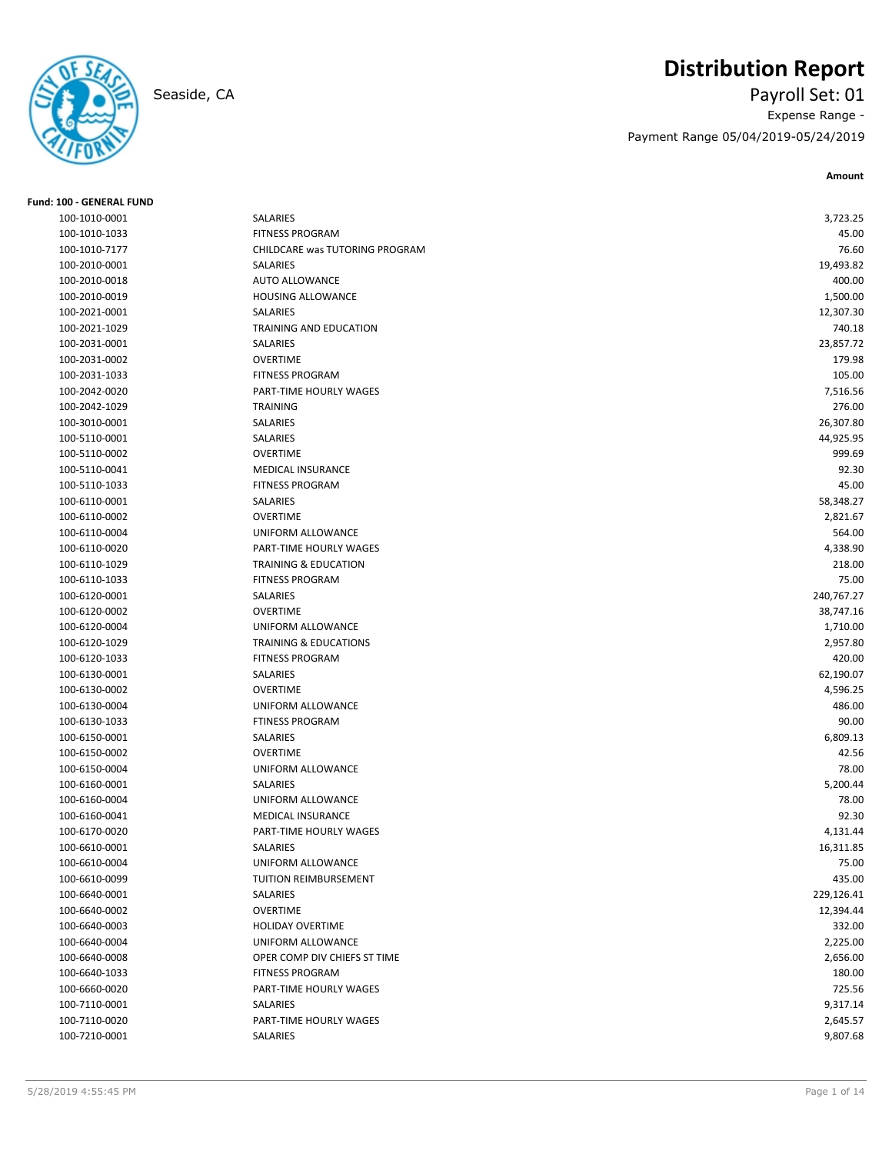# **Distribution Report**

## Seaside, CA Payroll Set: 01 Expense Range - Payment Range 05/04/2019-05/24/2019

**Amount**

| <b>Fund: 100 - GENERAL FUND</b> |                                  |            |
|---------------------------------|----------------------------------|------------|
| 100-1010-0001                   | SALARIES                         | 3,723.25   |
| 100-1010-1033                   | <b>FITNESS PROGRAM</b>           | 45.00      |
| 100-1010-7177                   | CHILDCARE was TUTORING PROGRAM   | 76.60      |
| 100-2010-0001                   | SALARIES                         | 19,493.82  |
| 100-2010-0018                   | <b>AUTO ALLOWANCE</b>            | 400.00     |
| 100-2010-0019                   | <b>HOUSING ALLOWANCE</b>         | 1,500.00   |
| 100-2021-0001                   | <b>SALARIES</b>                  | 12,307.30  |
| 100-2021-1029                   | TRAINING AND EDUCATION           | 740.18     |
| 100-2031-0001                   | SALARIES                         | 23,857.72  |
| 100-2031-0002                   | <b>OVERTIME</b>                  | 179.98     |
| 100-2031-1033                   | <b>FITNESS PROGRAM</b>           | 105.00     |
| 100-2042-0020                   | PART-TIME HOURLY WAGES           | 7,516.56   |
| 100-2042-1029                   | <b>TRAINING</b>                  | 276.00     |
| 100-3010-0001                   | SALARIES                         | 26,307.80  |
| 100-5110-0001                   | SALARIES                         | 44,925.95  |
| 100-5110-0002                   | <b>OVERTIME</b>                  | 999.69     |
| 100-5110-0041                   | <b>MEDICAL INSURANCE</b>         | 92.30      |
| 100-5110-1033                   | <b>FITNESS PROGRAM</b>           | 45.00      |
| 100-6110-0001                   | SALARIES                         | 58,348.27  |
| 100-6110-0002                   | <b>OVERTIME</b>                  | 2,821.67   |
| 100-6110-0004                   | UNIFORM ALLOWANCE                | 564.00     |
| 100-6110-0020                   | PART-TIME HOURLY WAGES           | 4,338.90   |
| 100-6110-1029                   | <b>TRAINING &amp; EDUCATION</b>  | 218.00     |
| 100-6110-1033                   | <b>FITNESS PROGRAM</b>           | 75.00      |
| 100-6120-0001                   | SALARIES                         | 240,767.27 |
| 100-6120-0002                   | <b>OVERTIME</b>                  | 38,747.16  |
| 100-6120-0004                   | UNIFORM ALLOWANCE                | 1,710.00   |
| 100-6120-1029                   | <b>TRAINING &amp; EDUCATIONS</b> | 2,957.80   |
| 100-6120-1033                   | <b>FITNESS PROGRAM</b>           | 420.00     |
| 100-6130-0001                   | SALARIES                         | 62,190.07  |
| 100-6130-0002                   | <b>OVERTIME</b>                  | 4,596.25   |
| 100-6130-0004                   | UNIFORM ALLOWANCE                | 486.00     |
| 100-6130-1033                   | <b>FTINESS PROGRAM</b>           | 90.00      |
| 100-6150-0001                   | SALARIES                         | 6,809.13   |
| 100-6150-0002                   | <b>OVERTIME</b>                  | 42.56      |
| 100-6150-0004                   | UNIFORM ALLOWANCE                | 78.00      |
| 100-6160-0001                   | SALARIES                         | 5,200.44   |
| 100-6160-0004                   | UNIFORM ALLOWANCE                | 78.00      |
| 100-6160-0041                   | MEDICAL INSURANCE                | 92.30      |
| 100-6170-0020                   | PART-TIME HOURLY WAGES           | 4,131.44   |
| 100-6610-0001                   | SALARIES                         | 16,311.85  |
| 100-6610-0004                   | UNIFORM ALLOWANCE                | 75.00      |
| 100-6610-0099                   | TUITION REIMBURSEMENT            | 435.00     |
| 100-6640-0001                   | SALARIES                         | 229,126.41 |
| 100-6640-0002                   | <b>OVERTIME</b>                  | 12,394.44  |
| 100-6640-0003                   | <b>HOLIDAY OVERTIME</b>          | 332.00     |
| 100-6640-0004                   | UNIFORM ALLOWANCE                | 2,225.00   |
| 100-6640-0008                   | OPER COMP DIV CHIEFS ST TIME     | 2,656.00   |
| 100-6640-1033                   | <b>FITNESS PROGRAM</b>           | 180.00     |
| 100-6660-0020                   | PART-TIME HOURLY WAGES           | 725.56     |
| 100-7110-0001                   | SALARIES                         | 9,317.14   |
| 100-7110-0020                   | PART-TIME HOURLY WAGES           | 2,645.57   |
| 100-7210-0001                   | SALARIES                         | 9,807.68   |
|                                 |                                  |            |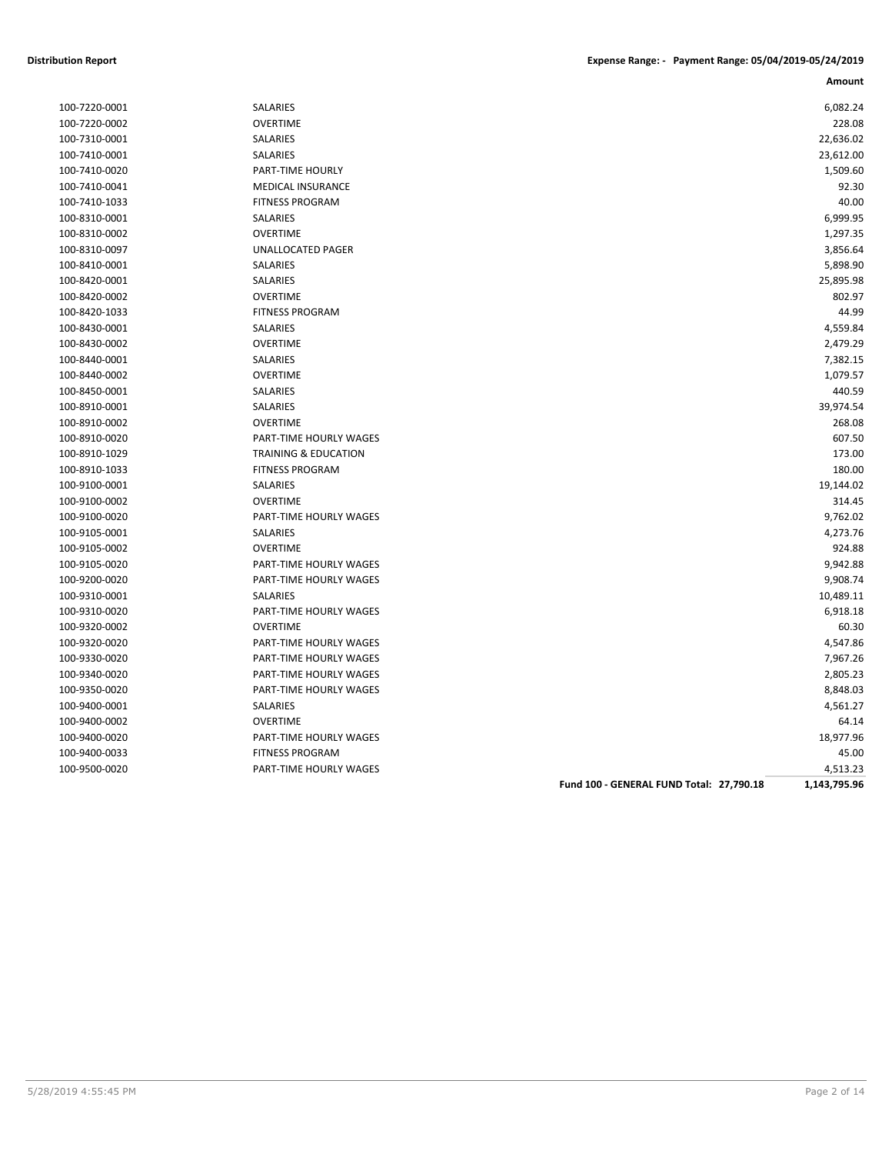| 100-7220-0002 | <b>OVERTIME</b>                 |                                          | 228.08       |
|---------------|---------------------------------|------------------------------------------|--------------|
| 100-7310-0001 | SALARIES                        |                                          | 22,636.02    |
| 100-7410-0001 | SALARIES                        |                                          | 23,612.00    |
| 100-7410-0020 | PART-TIME HOURLY                |                                          | 1,509.60     |
| 100-7410-0041 | <b>MEDICAL INSURANCE</b>        |                                          | 92.30        |
| 100-7410-1033 | <b>FITNESS PROGRAM</b>          |                                          | 40.00        |
| 100-8310-0001 | SALARIES                        |                                          | 6,999.95     |
| 100-8310-0002 | <b>OVERTIME</b>                 |                                          | 1,297.35     |
| 100-8310-0097 | <b>UNALLOCATED PAGER</b>        |                                          | 3,856.64     |
| 100-8410-0001 | SALARIES                        |                                          | 5,898.90     |
| 100-8420-0001 | <b>SALARIES</b>                 |                                          | 25,895.98    |
| 100-8420-0002 | <b>OVERTIME</b>                 |                                          | 802.97       |
| 100-8420-1033 | <b>FITNESS PROGRAM</b>          |                                          | 44.99        |
| 100-8430-0001 | SALARIES                        |                                          | 4,559.84     |
| 100-8430-0002 | <b>OVERTIME</b>                 |                                          | 2,479.29     |
| 100-8440-0001 | SALARIES                        |                                          | 7,382.15     |
| 100-8440-0002 | <b>OVERTIME</b>                 |                                          | 1,079.57     |
| 100-8450-0001 | SALARIES                        |                                          | 440.59       |
| 100-8910-0001 | SALARIES                        |                                          | 39,974.54    |
| 100-8910-0002 | <b>OVERTIME</b>                 |                                          | 268.08       |
| 100-8910-0020 | PART-TIME HOURLY WAGES          |                                          | 607.50       |
| 100-8910-1029 | <b>TRAINING &amp; EDUCATION</b> |                                          | 173.00       |
| 100-8910-1033 | <b>FITNESS PROGRAM</b>          |                                          | 180.00       |
| 100-9100-0001 | <b>SALARIES</b>                 |                                          | 19,144.02    |
| 100-9100-0002 | <b>OVERTIME</b>                 |                                          | 314.45       |
| 100-9100-0020 | PART-TIME HOURLY WAGES          |                                          | 9,762.02     |
| 100-9105-0001 | SALARIES                        |                                          | 4,273.76     |
| 100-9105-0002 | <b>OVERTIME</b>                 |                                          | 924.88       |
| 100-9105-0020 | PART-TIME HOURLY WAGES          |                                          | 9,942.88     |
| 100-9200-0020 | PART-TIME HOURLY WAGES          |                                          | 9,908.74     |
| 100-9310-0001 | SALARIES                        |                                          | 10,489.11    |
| 100-9310-0020 | PART-TIME HOURLY WAGES          |                                          | 6,918.18     |
| 100-9320-0002 | <b>OVERTIME</b>                 |                                          | 60.30        |
| 100-9320-0020 | PART-TIME HOURLY WAGES          |                                          | 4,547.86     |
| 100-9330-0020 | PART-TIME HOURLY WAGES          |                                          | 7,967.26     |
| 100-9340-0020 | PART-TIME HOURLY WAGES          |                                          | 2,805.23     |
| 100-9350-0020 | PART-TIME HOURLY WAGES          |                                          | 8,848.03     |
| 100-9400-0001 | SALARIES                        |                                          | 4,561.27     |
| 100-9400-0002 | <b>OVERTIME</b>                 |                                          | 64.14        |
| 100-9400-0020 | PART-TIME HOURLY WAGES          |                                          | 18,977.96    |
| 100-9400-0033 | <b>FITNESS PROGRAM</b>          |                                          | 45.00        |
| 100-9500-0020 | PART-TIME HOURLY WAGES          |                                          | 4,513.23     |
|               |                                 | Fund 100 - GENERAL FUND Total: 27,790.18 | 1,143,795.96 |
|               |                                 |                                          |              |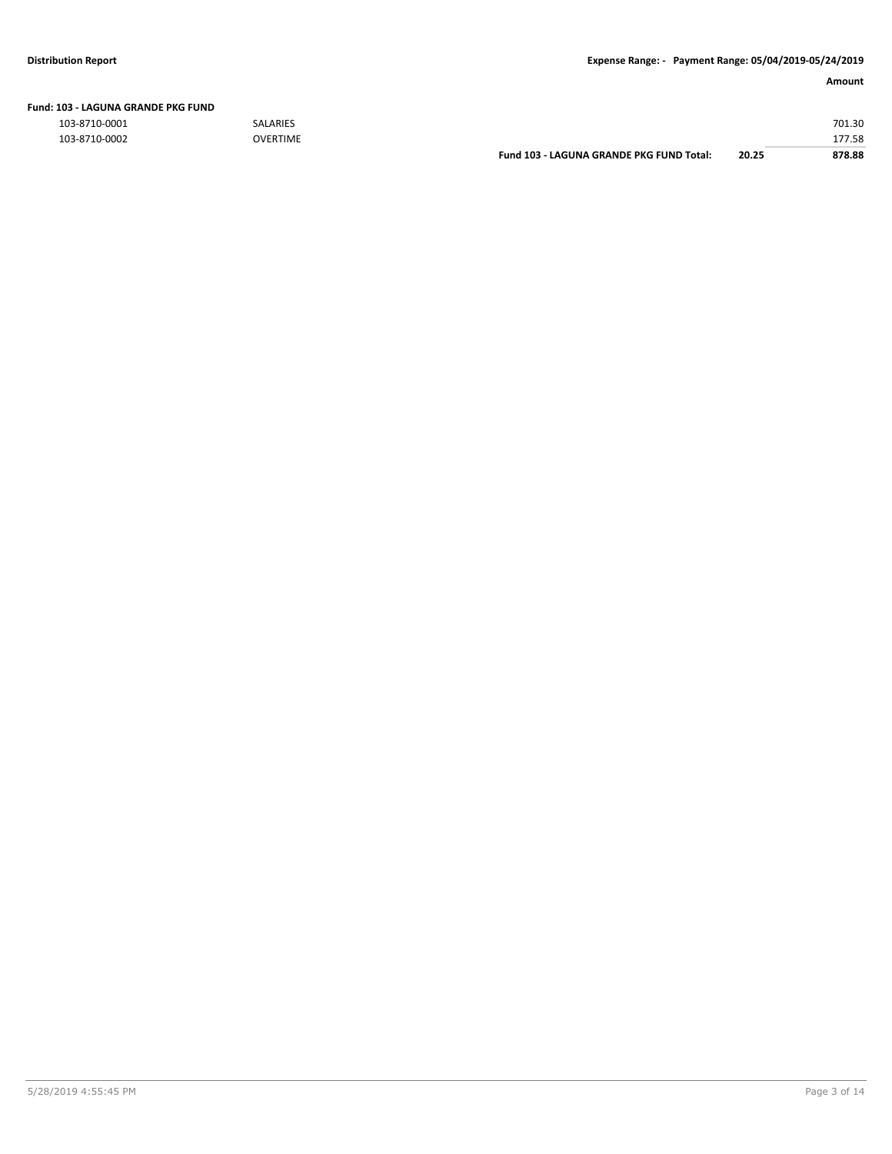103-8710-0001 SALARIES 701.30

| 103-8710-0002 | <b>OVERTIME</b> |                                          |       | 17750<br>50. / / ـ |
|---------------|-----------------|------------------------------------------|-------|--------------------|
|               |                 | Fund 103 - LAGUNA GRANDE PKG FUND Total: | 20.25 | 878.88             |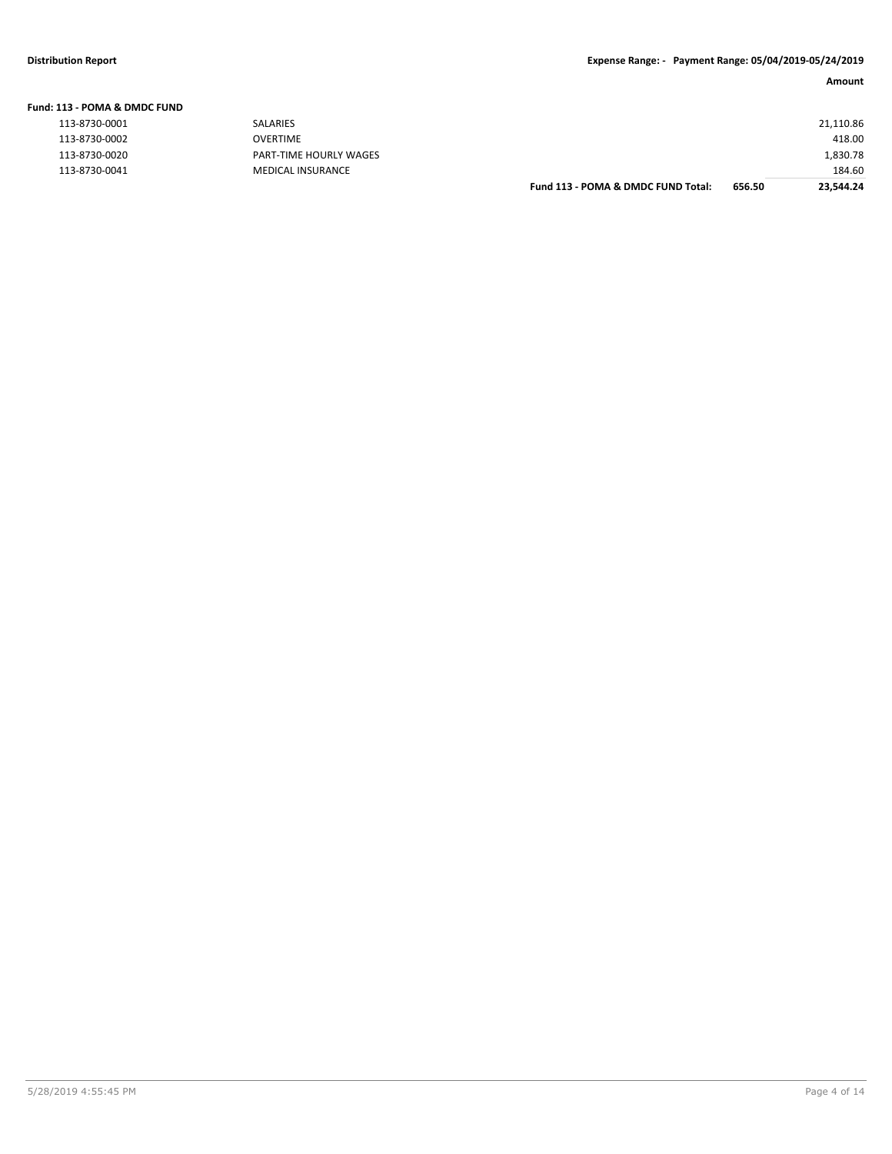|               | Fund: 113 - POMA & DMDC FUND |  |
|---------------|------------------------------|--|
| 112.0720.0001 |                              |  |

| 113-8730-0002 |
|---------------|
| 113-8730-0020 |
| 113-8730-0041 |

| LIS - FUNIA & DIVIDE FUND |                        |                                    |        |           |
|---------------------------|------------------------|------------------------------------|--------|-----------|
| 113-8730-0001             | SALARIES               |                                    |        | 21,110.86 |
| 113-8730-0002             | OVERTIME               |                                    |        | 418.00    |
| 113-8730-0020             | PART-TIME HOURLY WAGES |                                    |        | 1,830.78  |
| 113-8730-0041             | MEDICAL INSURANCE      |                                    |        | 184.60    |
|                           |                        | Fund 113 - POMA & DMDC FUND Total: | 656.50 | 23,544.24 |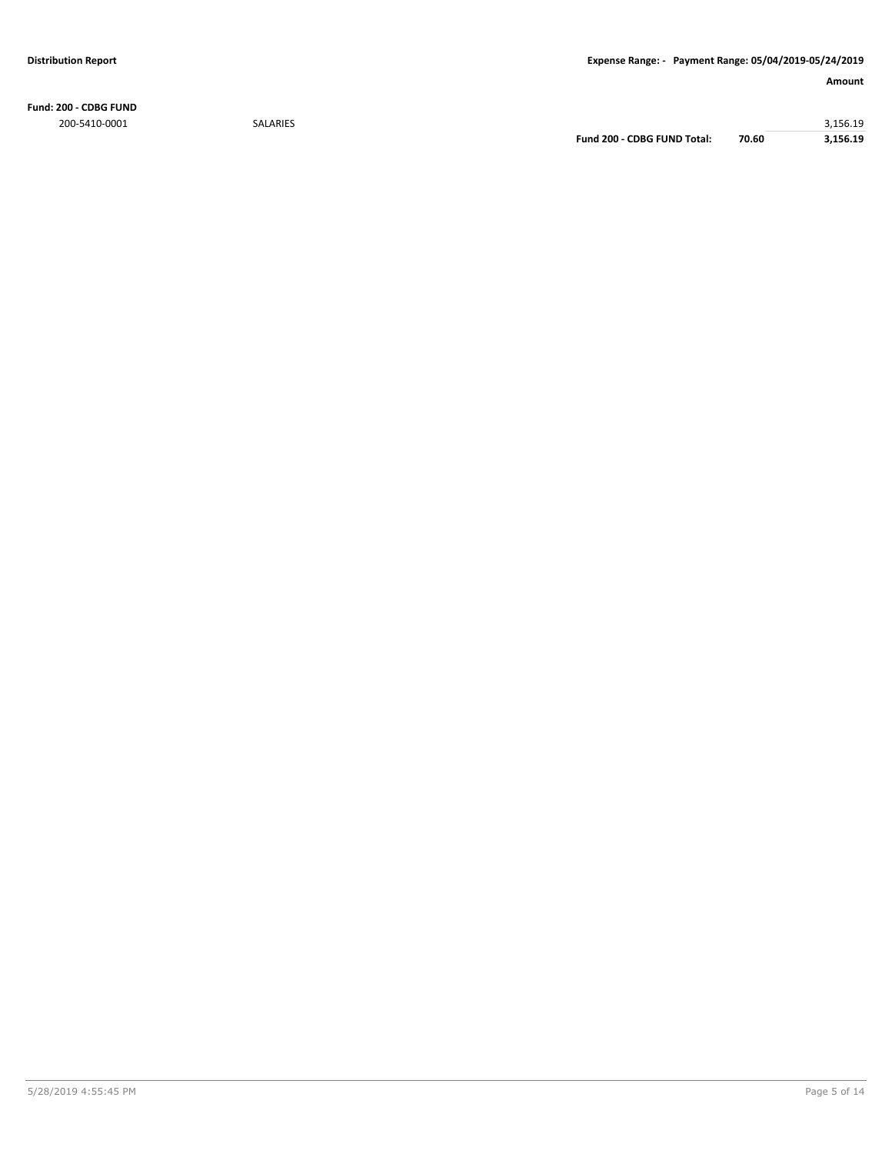**Fund: 200 - CDBG FUND** 200-5410-0001 SALARIES 3,156.19

**Fund 200 - CDBG FUND Total: 70.60 3,156.19**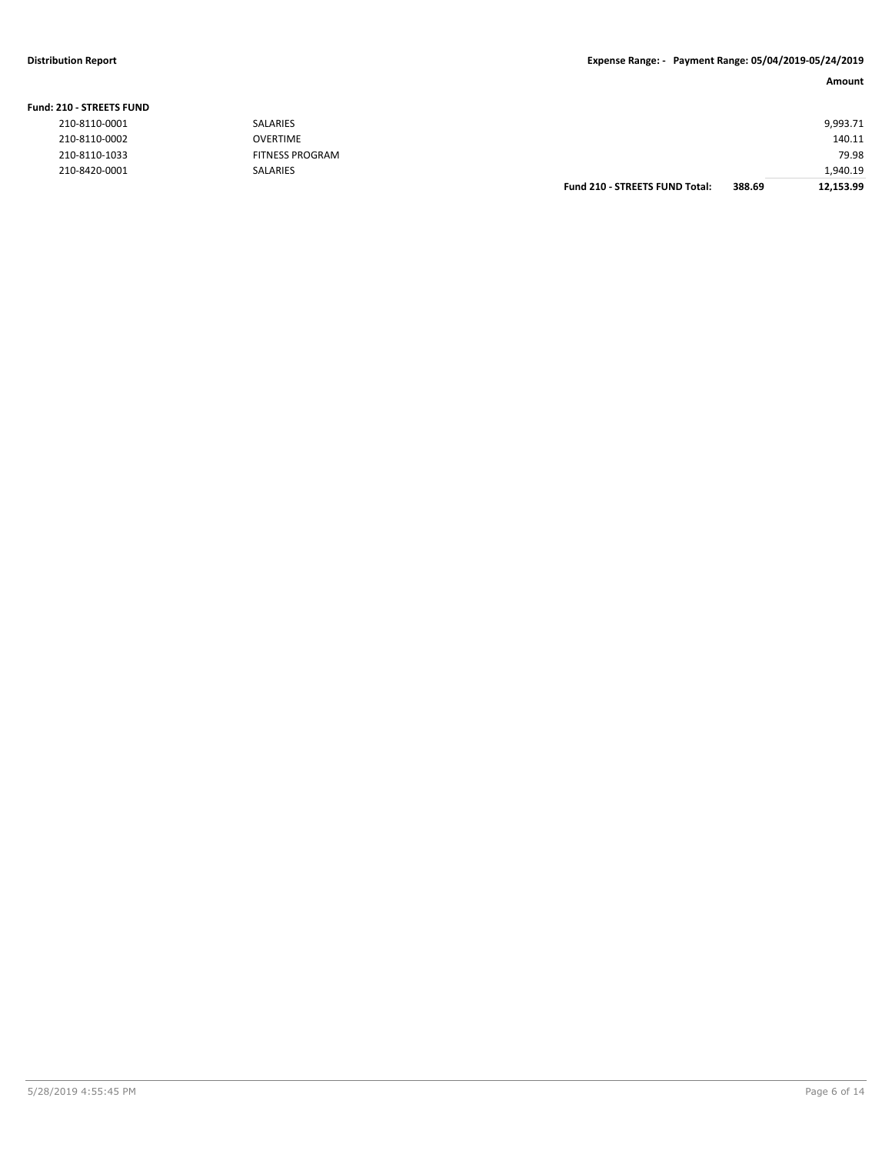### **Distribution Report Expense Range: - Payment Range: 05/04/2019-05/24/2019**

### **Amount**

| 210-8420-0001                  | SALARIES                                  |  | 1,940.19        |
|--------------------------------|-------------------------------------------|--|-----------------|
| 210-8110-0002<br>210-8110-1033 | <b>OVERTIME</b><br><b>FITNESS PROGRAM</b> |  | 140.11<br>79.98 |
| 210-8110-0001                  | SALARIES                                  |  | 9,993.71        |
| 210 - STREETS FUND             |                                           |  |                 |

| <b>Fund: 210 - STREETS FUND</b> |  |
|---------------------------------|--|
| 210-8110-0001                   |  |
| 210-8110-0002                   |  |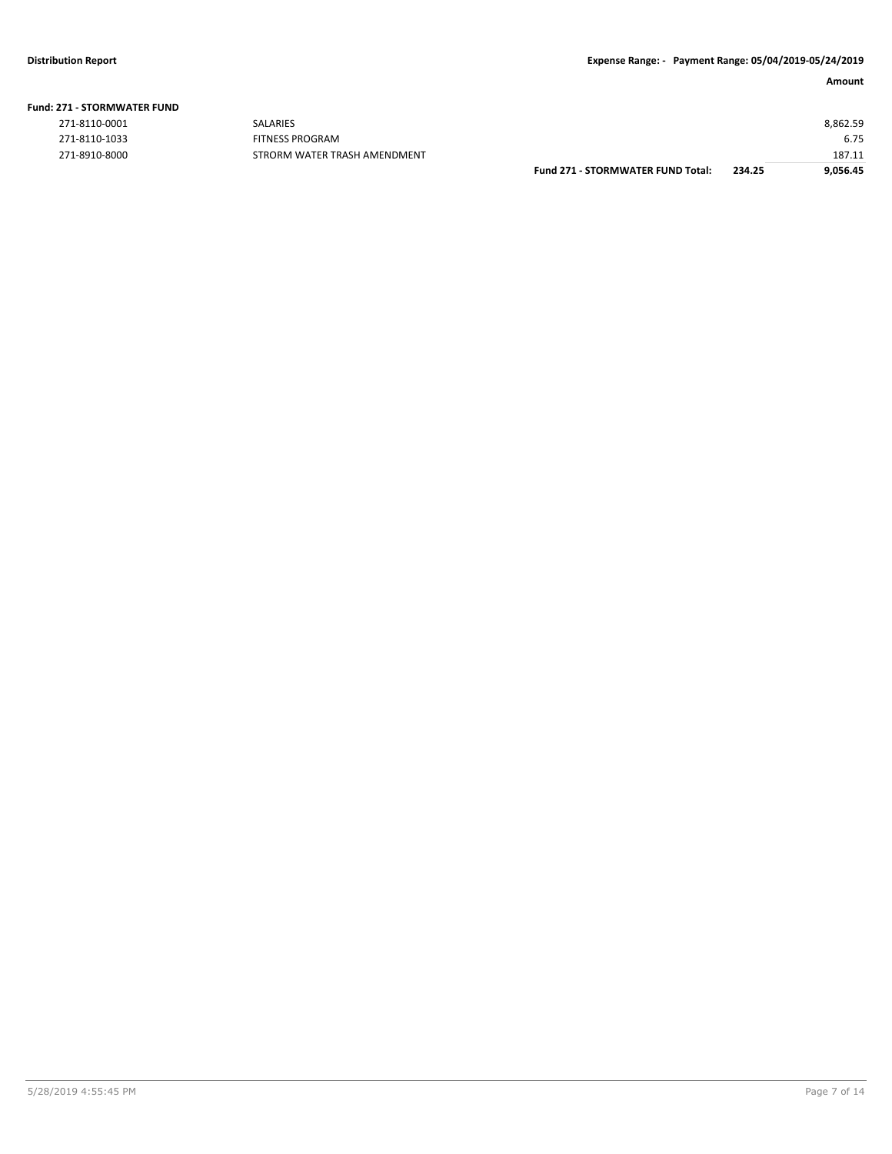| <b>Fund: 271 - STORMWATER FUND</b> |  |  |  |  |  |
|------------------------------------|--|--|--|--|--|
|------------------------------------|--|--|--|--|--|

| 271-8110-0001 |
|---------------|
| 271-8110-1033 |
| 271-8910-8000 |

|               |                              | <b>Fund 271 - STORMWATER FUND Total:</b> | 234.25 | 9,056.45 |
|---------------|------------------------------|------------------------------------------|--------|----------|
| 271-8910-8000 | STRORM WATER TRASH AMENDMENT |                                          |        | 187.11   |
| 271-8110-1033 | <b>FITNESS PROGRAM</b>       |                                          |        | 6.75     |
| 271-8110-0001 | <b>SALARIES</b>              |                                          |        | 8,862.59 |
|               |                              |                                          |        |          |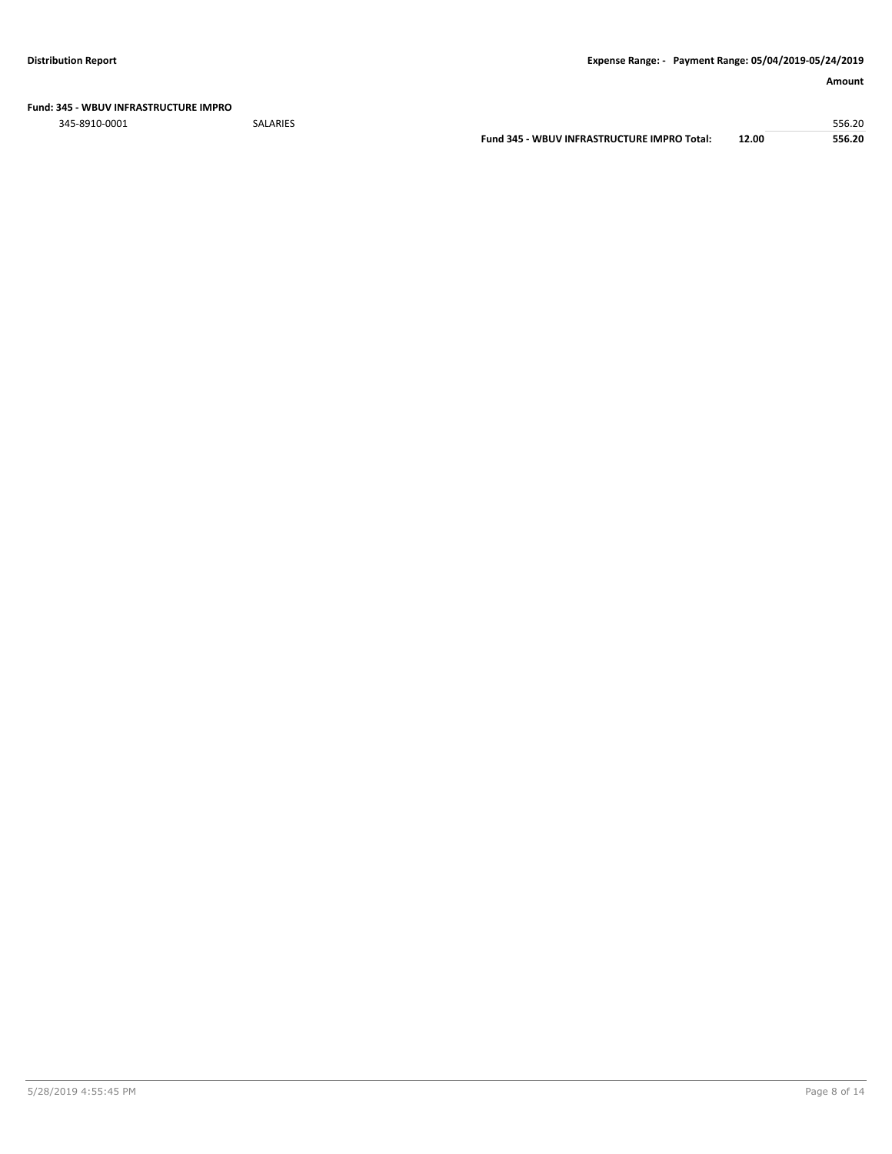**Fund: 345 - WBUV INFRASTRUCTURE IMPRO**

345-8910-0001 SALARIES 556.20

**Fund 345 - WBUV INFRASTRUCTURE IMPRO Total: 12.00 556.20**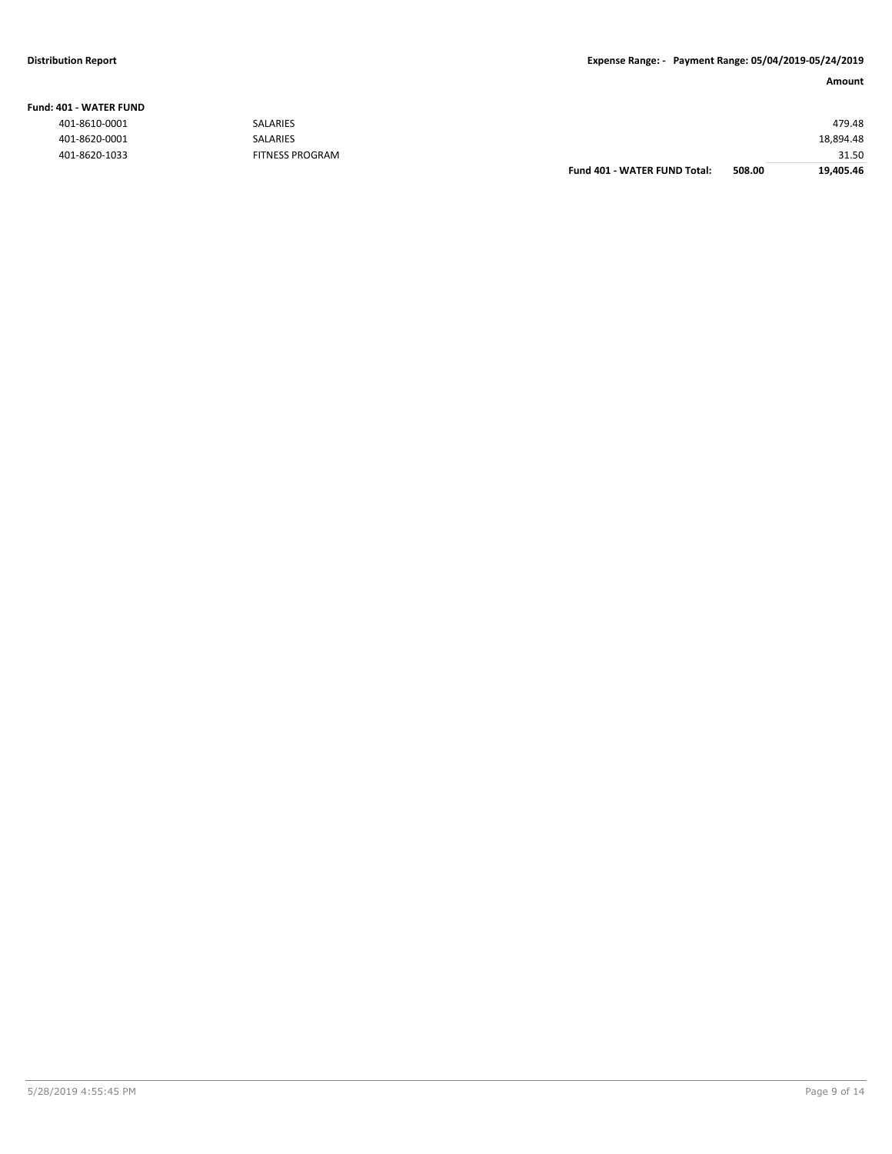#### **Fund: 401 - WATER FUND**

**Amount**

|               |                        | <b>Fund 401 - WATER FUND Total:</b> | 508.00 | 19.405.46 |
|---------------|------------------------|-------------------------------------|--------|-----------|
| 401-8620-1033 | <b>FITNESS PROGRAM</b> |                                     |        | 31.50     |
| 401-8620-0001 | <b>SALARIES</b>        |                                     |        | 18,894.48 |
| 401-8610-0001 | <b>SALARIES</b>        |                                     |        | 479.48    |
|               |                        |                                     |        |           |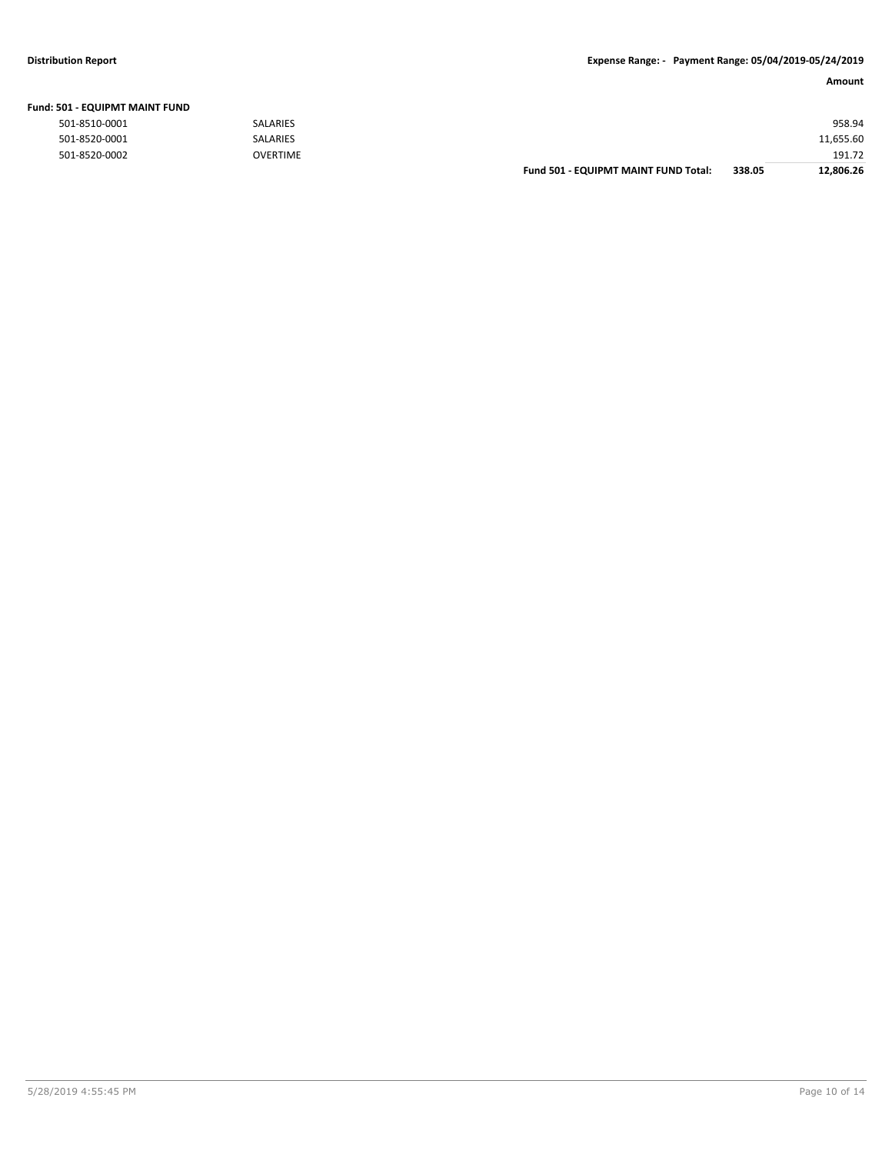### **Distribution Report Expense Range: - Payment Range: 05/04/2019-05/24/2019**

| Amount |
|--------|
|--------|

| <b>Fund: 501 - EQUIPMT MAINT FUND</b> |                 |                                      |        |           |
|---------------------------------------|-----------------|--------------------------------------|--------|-----------|
| 501-8510-0001                         | <b>SALARIES</b> |                                      |        | 958.94    |
| 501-8520-0001                         | <b>SALARIES</b> |                                      |        | 11,655.60 |
| 501-8520-0002                         | <b>OVERTIME</b> |                                      |        | 191.72    |
|                                       |                 | Fund 501 - EQUIPMT MAINT FUND Total: | 338.05 | 12.806.26 |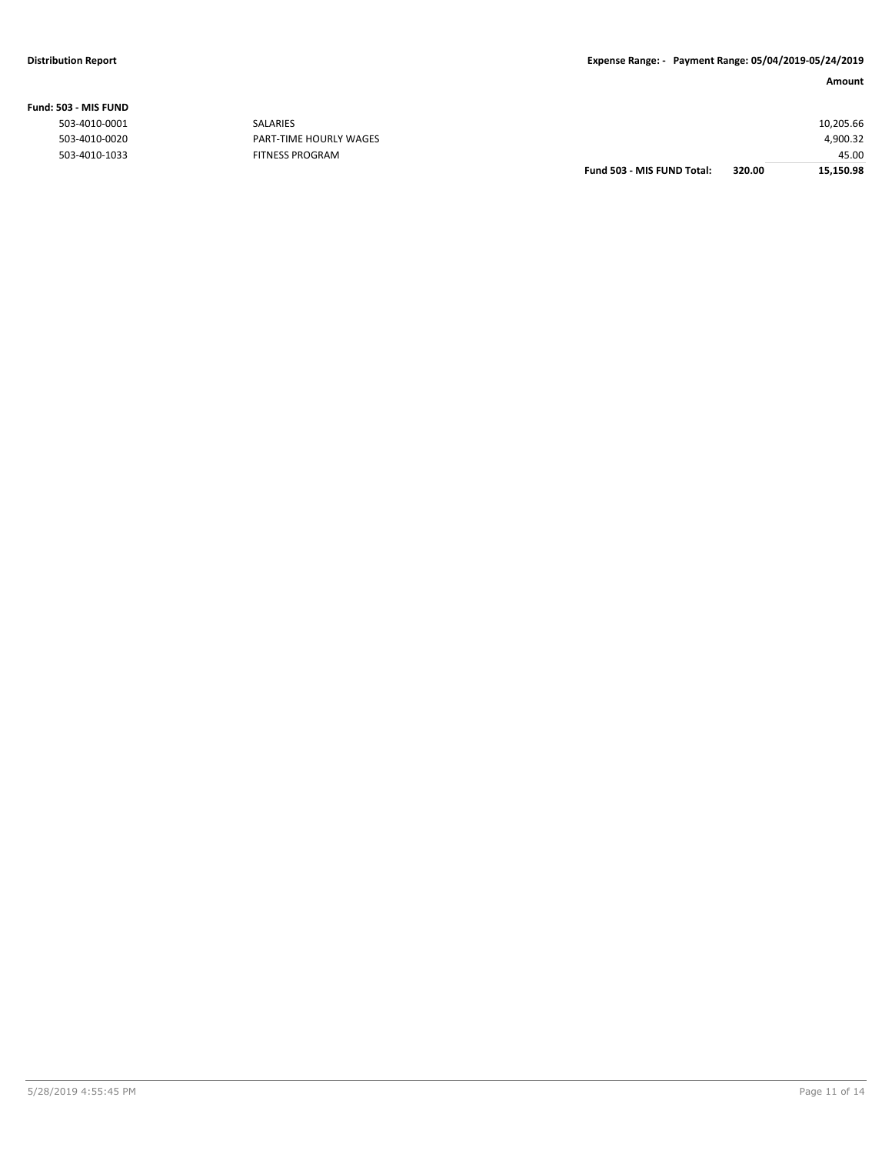**Fund: 503 - MIS FUND**

#### **Amount**

|                   |                        | Fund 503 - MIS FUND Total: | 320.00 | 15,150.98 |
|-------------------|------------------------|----------------------------|--------|-----------|
| 503-4010-1033     | FITNESS PROGRAM        |                            |        | 45.00     |
| 503-4010-0020     | PART-TIME HOURLY WAGES |                            |        | 4,900.32  |
| 503-4010-0001     | <b>SALARIES</b>        |                            |        | 10,205.66 |
| שוושז כוויו - כטנ |                        |                            |        |           |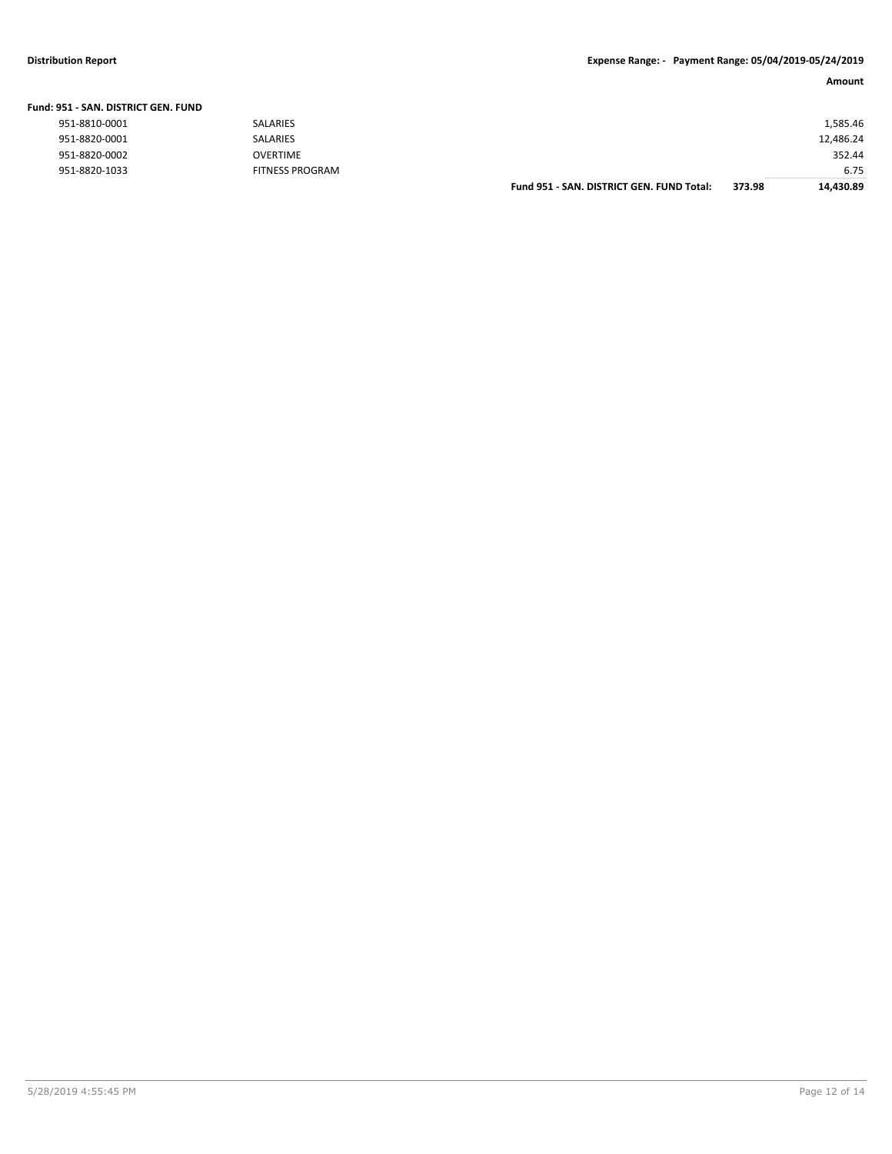### **Distribution Report Expense Range: - Payment Range: 05/04/2019-05/24/2019**

| Amount |
|--------|
|        |

| Fund: 951 - SAN. DISTRICT GEN. FUND |                        |                                           |        |           |
|-------------------------------------|------------------------|-------------------------------------------|--------|-----------|
| 951-8810-0001                       | <b>SALARIES</b>        |                                           |        | 1,585.46  |
| 951-8820-0001                       | <b>SALARIES</b>        |                                           |        | 12,486.24 |
| 951-8820-0002                       | <b>OVERTIME</b>        |                                           |        | 352.44    |
| 951-8820-1033                       | <b>FITNESS PROGRAM</b> |                                           |        | 6.75      |
|                                     |                        | Fund 951 - SAN, DISTRICT GEN, FUND Total: | 373.98 | 14,430.89 |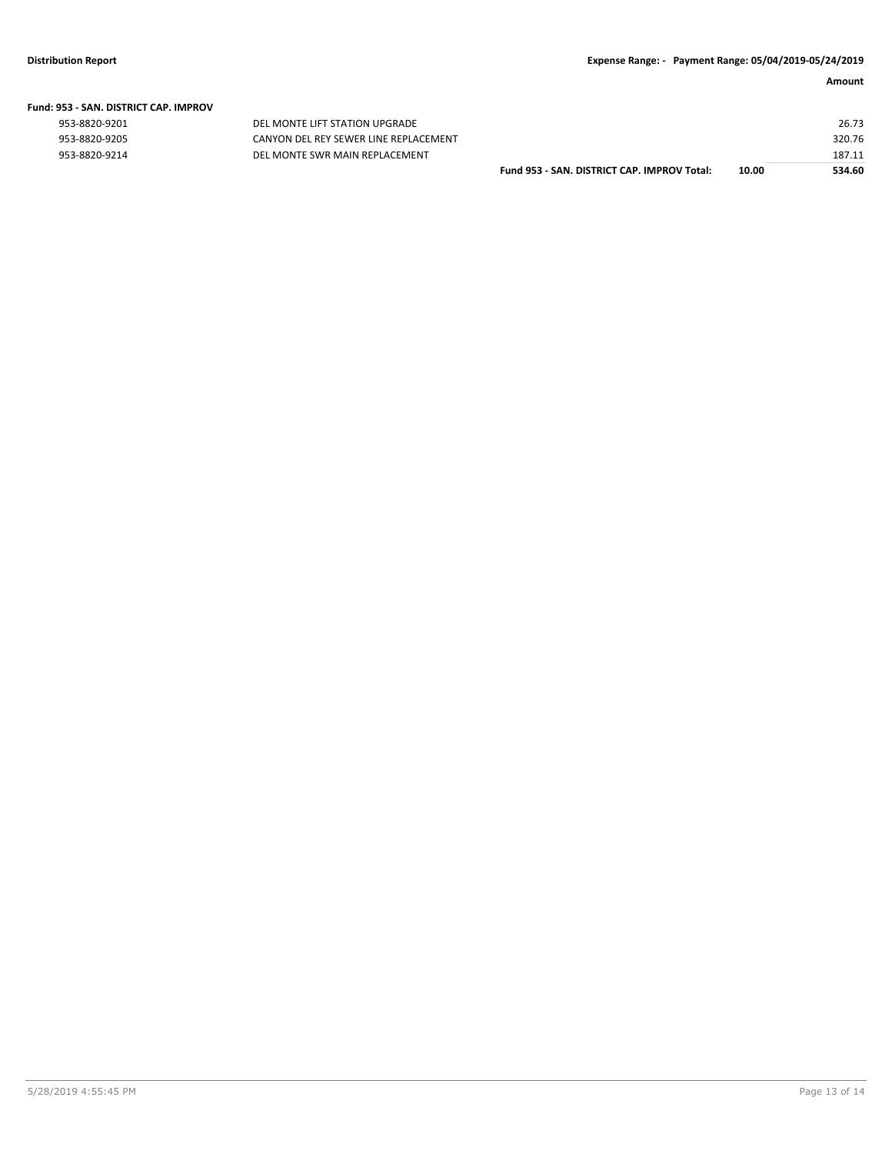|  | Fund: 953 - SAN. DISTRICT CAP. IMPROV |  |
|--|---------------------------------------|--|
|  |                                       |  |

| 953-8820-9201 |  |
|---------------|--|
| 953-8820-9205 |  |
| 953-8820-9214 |  |

DEL MONTE LIFT STATION UPGRADE CANYON DEL REY SEWER LINE REPLACEMENT 953-8820-9214 DEL MONTE SWR MAIN REPLACEMENT

| Fund 953 - SAN. DISTRICT CAP. IMPROV Total: | 10.00 | 534.60 |
|---------------------------------------------|-------|--------|
|                                             |       | 187.11 |
|                                             |       | 320.76 |
|                                             |       | 26.73  |
|                                             |       |        |